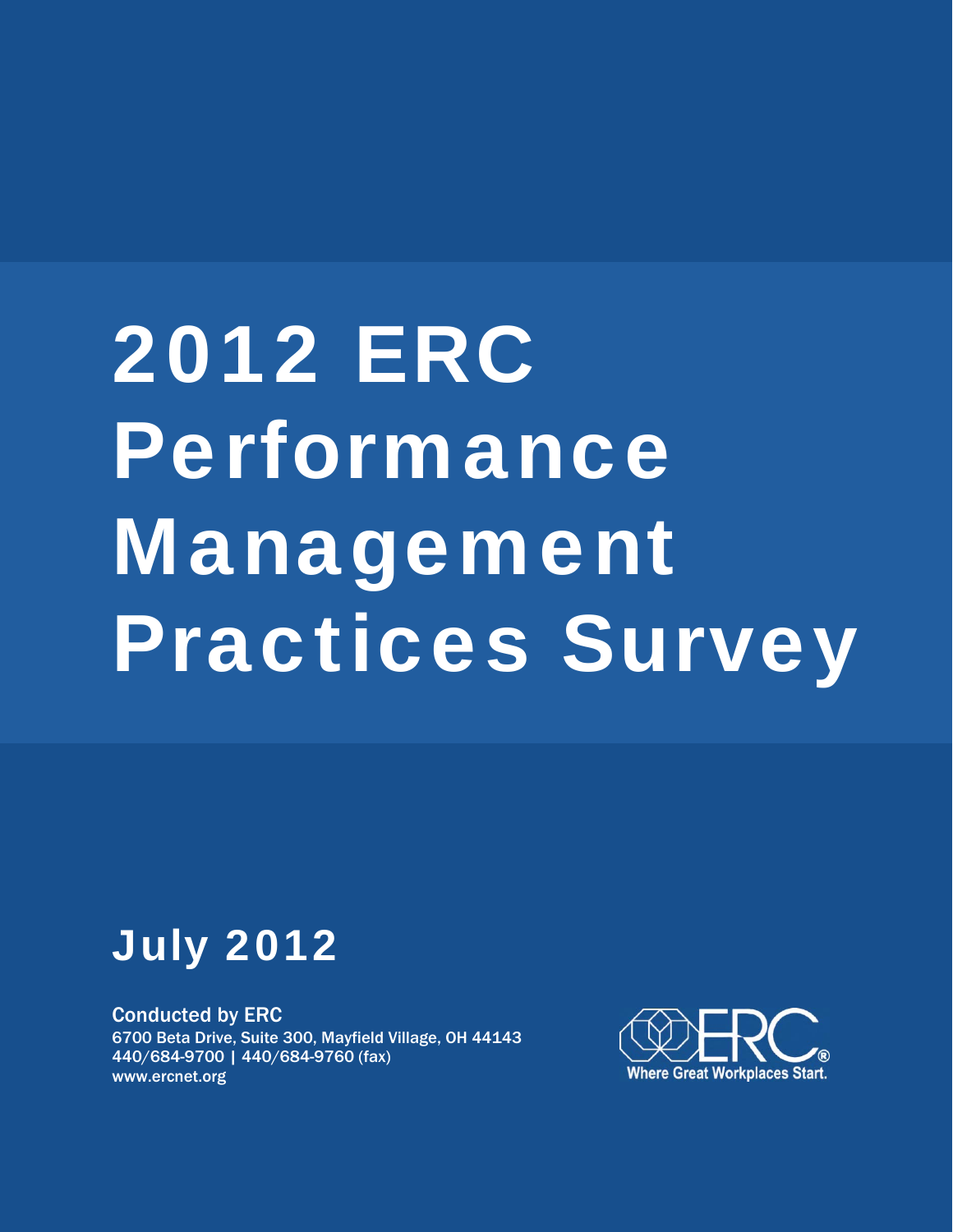# 2012 ERC Performance Management Practices Survey



Conducted by ERC 6700 Beta Drive, Suite 300, Mayfield Village, OH 44143 440/684-9700 | 440/684-9760 (fax) www.ercnet.org

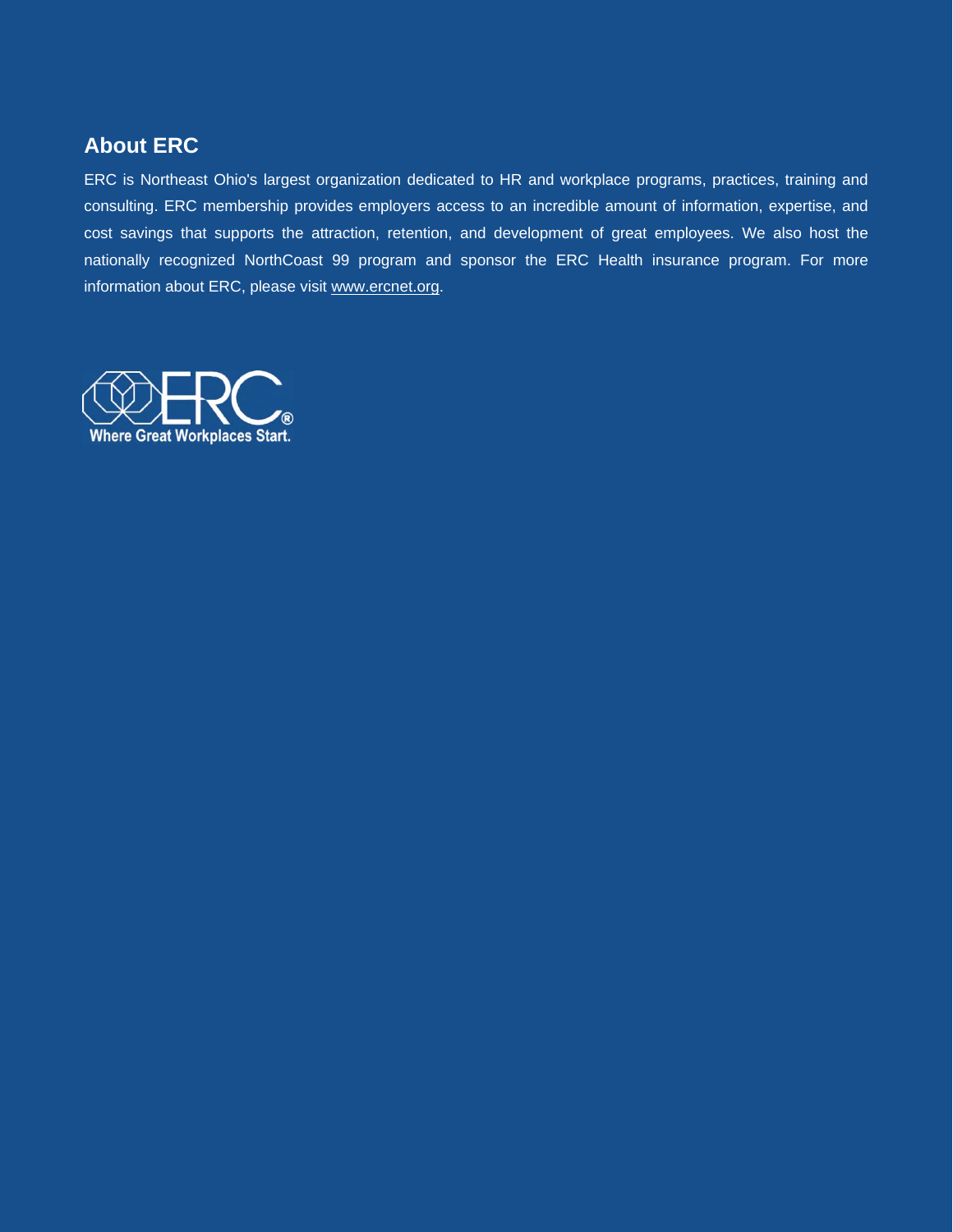# **About ERC**

ERC is Northeast Ohio's largest organization dedicated to HR and workplace programs, practices, training and consulting. ERC membership provides employers access to an incredible amount of information, expertise, and cost savings that supports the attraction, retention, and development of great employees. We also host the nationally recognized NorthCoast 99 program and sponsor the ERC Health insurance program. For more information about ERC, please visit www.ercnet.org.

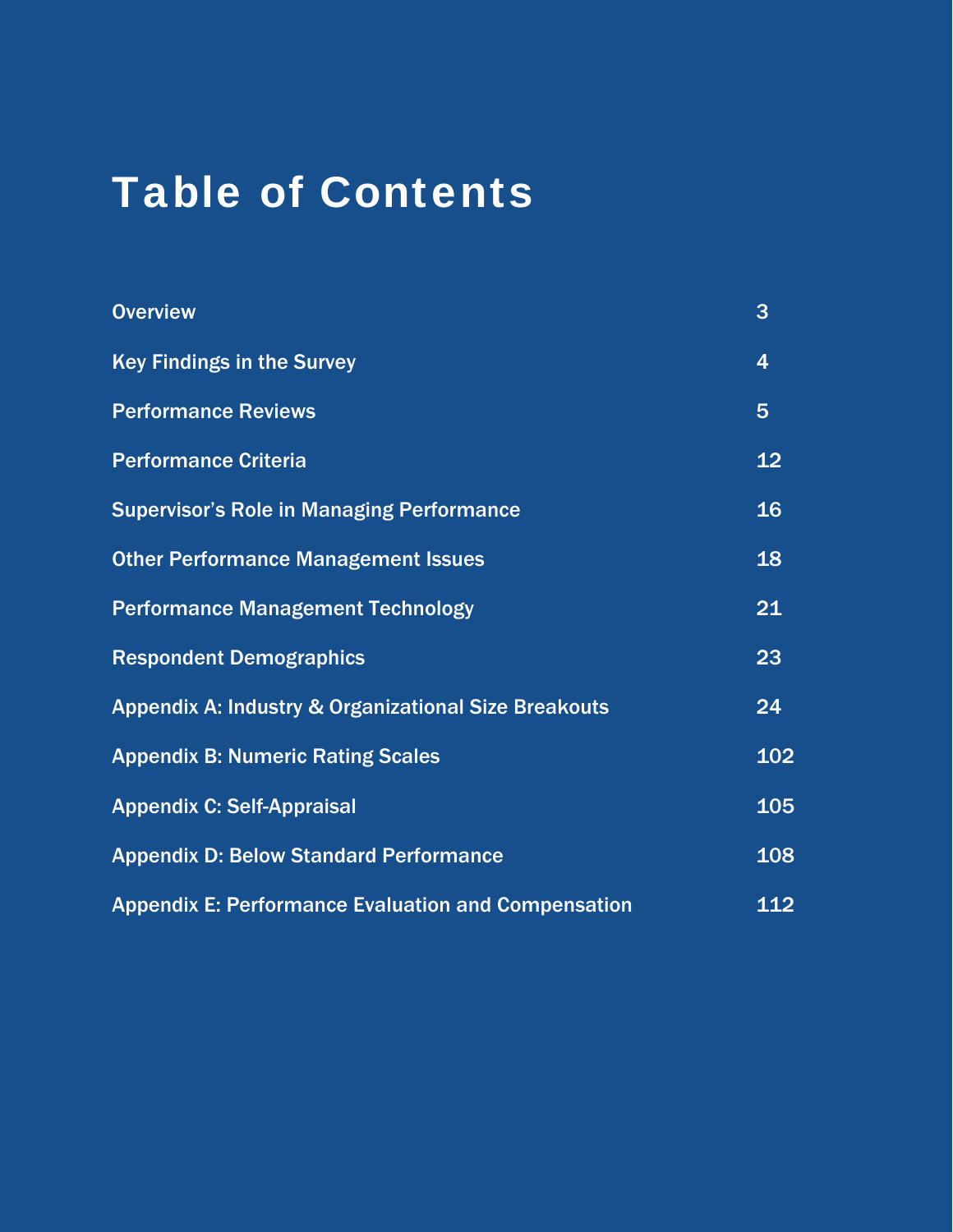# Table of Contents

| <b>Overview</b>                                                 | 3              |
|-----------------------------------------------------------------|----------------|
| <b>Key Findings in the Survey</b>                               | 4              |
| <b>Performance Reviews</b>                                      | $5\phantom{1}$ |
| <b>Performance Criteria</b>                                     | 12             |
| <b>Supervisor's Role in Managing Performance</b>                | 16             |
| <b>Other Performance Management Issues</b>                      | 18             |
| <b>Performance Management Technology</b>                        | 21             |
| <b>Respondent Demographics</b>                                  | 23             |
| <b>Appendix A: Industry &amp; Organizational Size Breakouts</b> | 24             |
| <b>Appendix B: Numeric Rating Scales</b>                        | 102            |
| <b>Appendix C: Self-Appraisal</b>                               | 105            |
| <b>Appendix D: Below Standard Performance</b>                   | 108            |
| <b>Appendix E: Performance Evaluation and Compensation</b>      | 112            |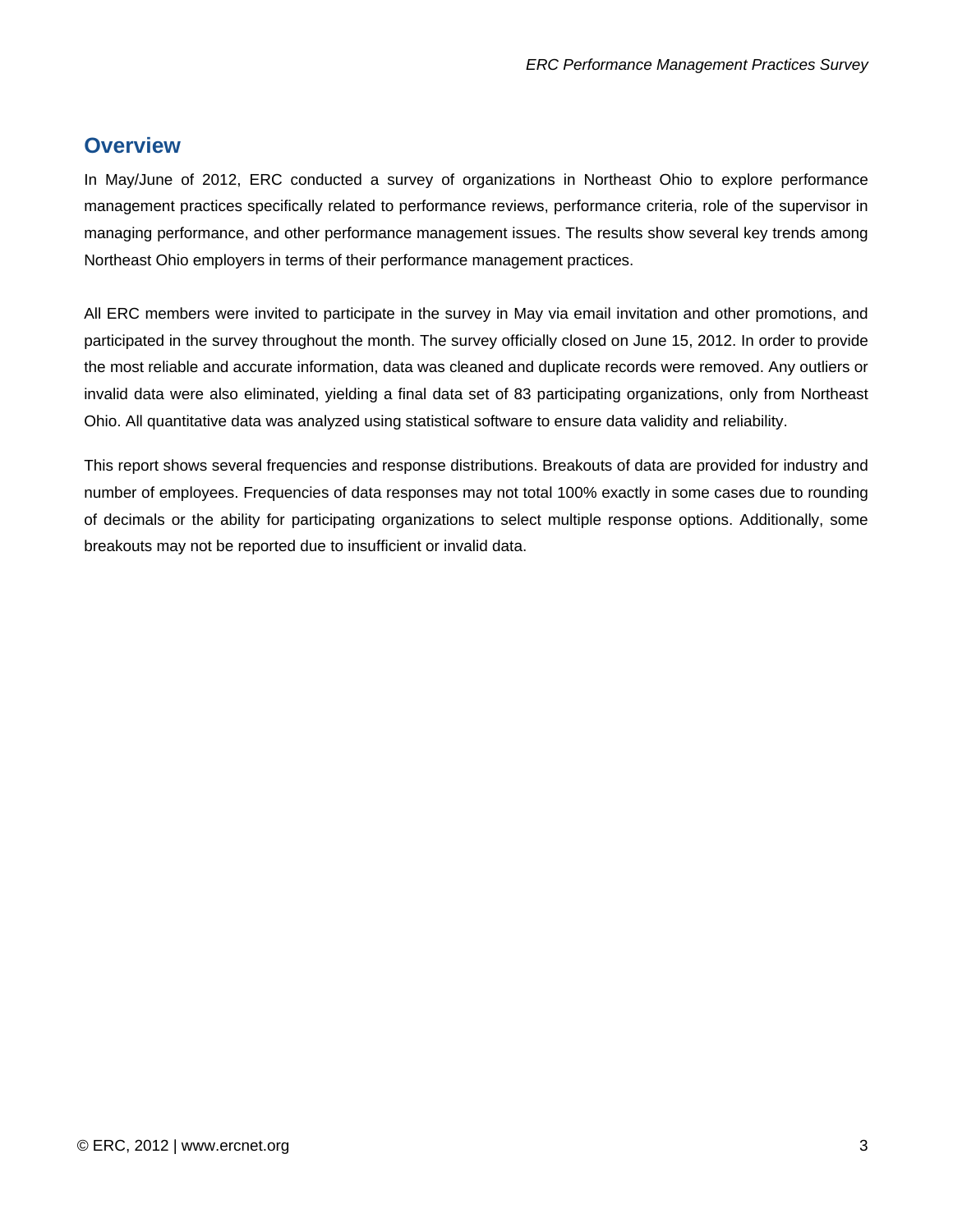# <span id="page-3-0"></span>**Overview**

In May/June of 2012, ERC conducted a survey of organizations in Northeast Ohio to explore performance management practices specifically related to performance reviews, performance criteria, role of the supervisor in managing performance, and other performance management issues. The results show several key trends among Northeast Ohio employers in terms of their performance management practices.

All ERC members were invited to participate in the survey in May via email invitation and other promotions, and participated in the survey throughout the month. The survey officially closed on June 15, 2012. In order to provide the most reliable and accurate information, data was cleaned and duplicate records were removed. Any outliers or invalid data were also eliminated, yielding a final data set of 83 participating organizations, only from Northeast Ohio. All quantitative data was analyzed using statistical software to ensure data validity and reliability.

This report shows several frequencies and response distributions. Breakouts of data are provided for industry and number of employees. Frequencies of data responses may not total 100% exactly in some cases due to rounding of decimals or the ability for participating organizations to select multiple response options. Additionally, some breakouts may not be reported due to insufficient or invalid data.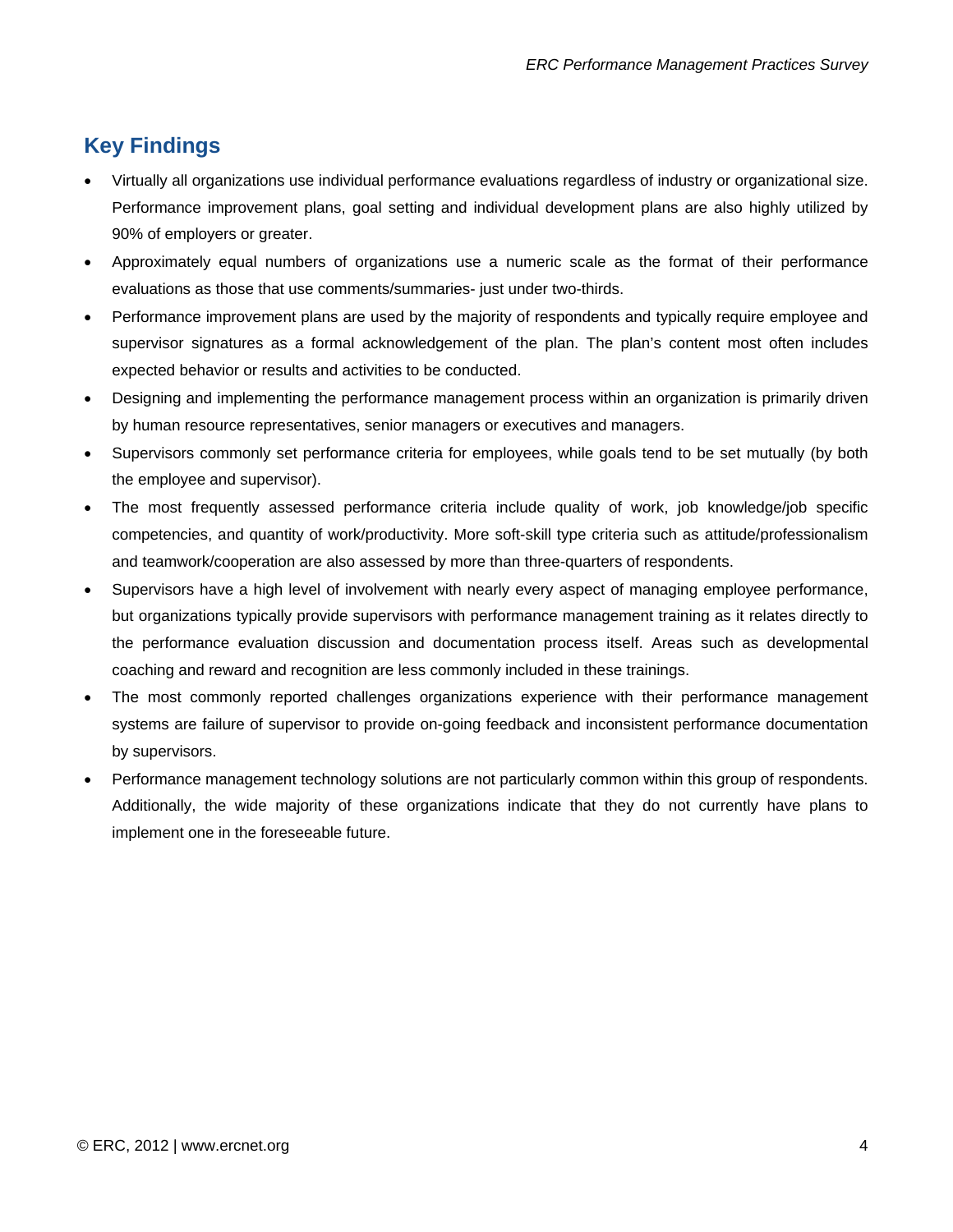# <span id="page-4-0"></span>**Key Findings**

- Virtually all organizations use individual performance evaluations regardless of industry or organizational size. Performance improvement plans, goal setting and individual development plans are also highly utilized by 90% of employers or greater.
- Approximately equal numbers of organizations use a numeric scale as the format of their performance evaluations as those that use comments/summaries- just under two-thirds.
- Performance improvement plans are used by the majority of respondents and typically require employee and supervisor signatures as a formal acknowledgement of the plan. The plan's content most often includes expected behavior or results and activities to be conducted.
- Designing and implementing the performance management process within an organization is primarily driven by human resource representatives, senior managers or executives and managers.
- Supervisors commonly set performance criteria for employees, while goals tend to be set mutually (by both the employee and supervisor).
- The most frequently assessed performance criteria include quality of work, job knowledge/job specific competencies, and quantity of work/productivity. More soft-skill type criteria such as attitude/professionalism and teamwork/cooperation are also assessed by more than three-quarters of respondents.
- Supervisors have a high level of involvement with nearly every aspect of managing employee performance, but organizations typically provide supervisors with performance management training as it relates directly to the performance evaluation discussion and documentation process itself. Areas such as developmental coaching and reward and recognition are less commonly included in these trainings.
- The most commonly reported challenges organizations experience with their performance management systems are failure of supervisor to provide on-going feedback and inconsistent performance documentation by supervisors.
- Performance management technology solutions are not particularly common within this group of respondents. Additionally, the wide majority of these organizations indicate that they do not currently have plans to implement one in the foreseeable future.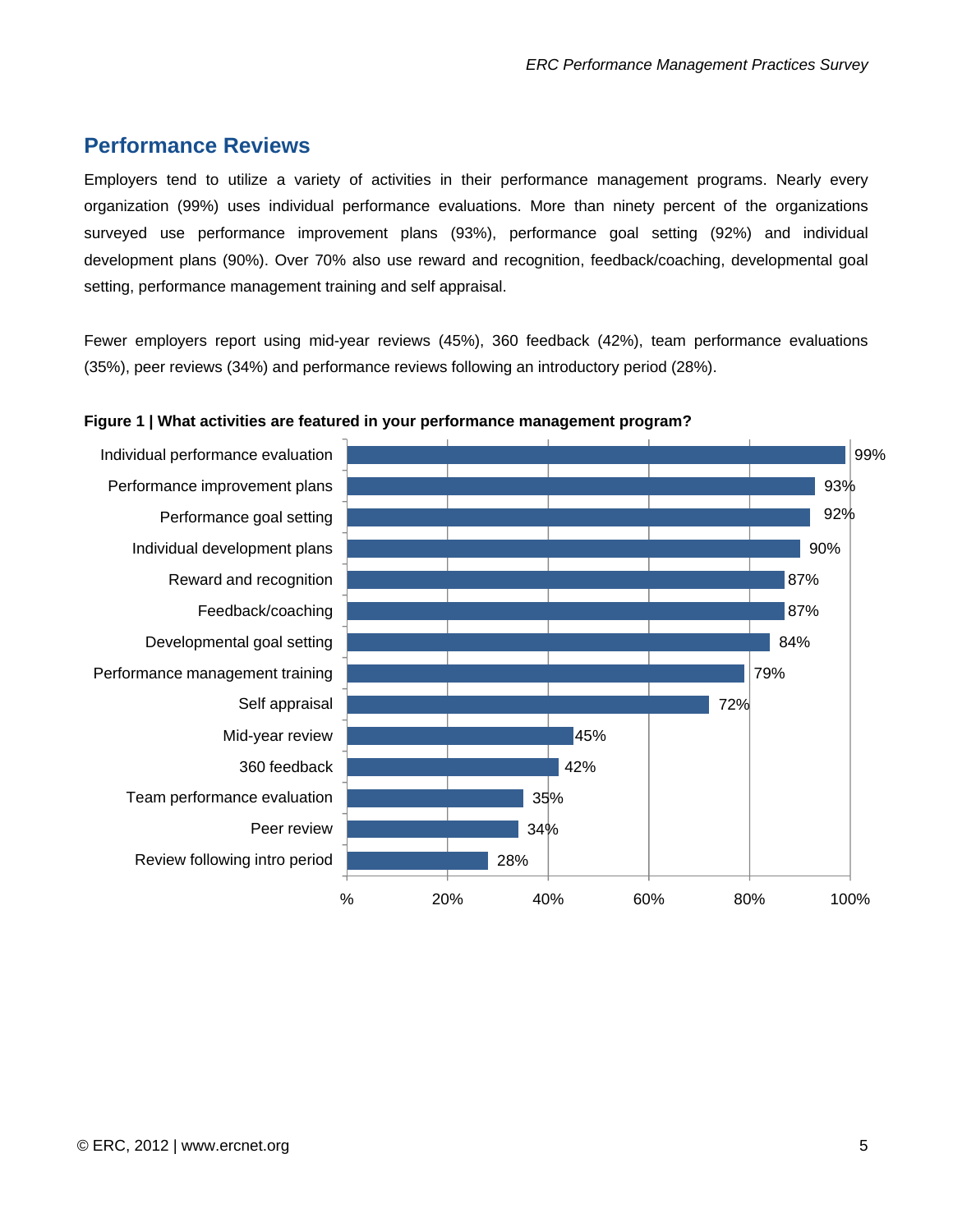# **Performance Reviews**

Employers tend to utilize a variety of activities in their performance management programs. Nearly every organization (99%) uses individual performance evaluations. More than ninety percent of the organizations surveyed use performance improvement plans (93%), performance goal setting (92%) and individual development plans (90%). Over 70% also use reward and recognition, feedback/coaching, developmental goal setting, performance management training and self appraisal.

Fewer employers report using mid-year reviews (45%), 360 feedback (42%), team performance evaluations (35%), peer reviews (34%) and performance reviews following an introductory period (28%).



**Figure 1 | What activities are featured in your performance management program?**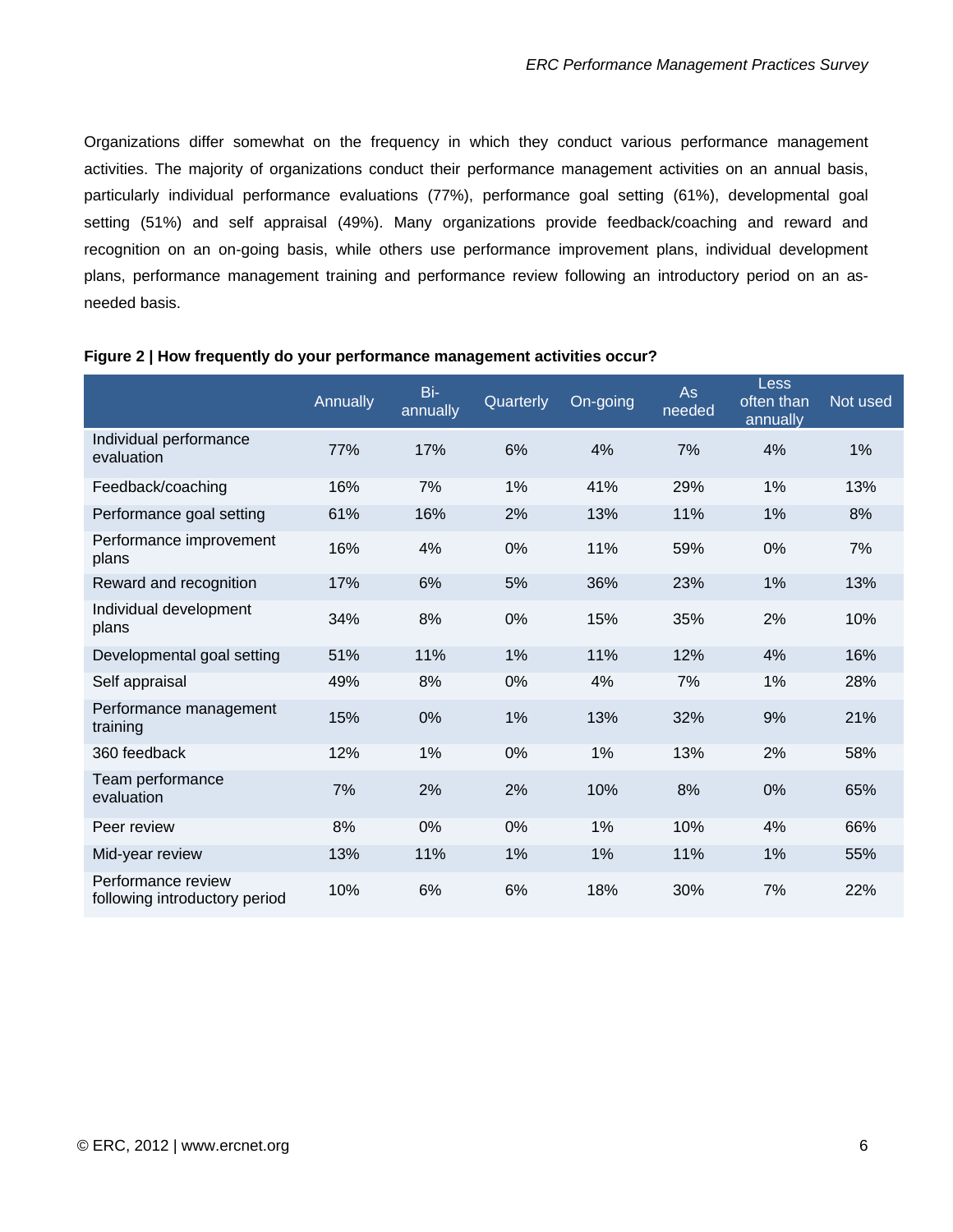Organizations differ somewhat on the frequency in which they conduct various performance management activities. The majority of organizations conduct their performance management activities on an annual basis, particularly individual performance evaluations (77%), performance goal setting (61%), developmental goal setting (51%) and self appraisal (49%). Many organizations provide feedback/coaching and reward and recognition on an on-going basis, while others use performance improvement plans, individual development plans, performance management training and performance review following an introductory period on an asneeded basis.

|                                                     | <b>Annually</b> | Bi-<br>annually | Quarterly | On-going | As<br>needed | Less<br>often than<br>annually | Not used |
|-----------------------------------------------------|-----------------|-----------------|-----------|----------|--------------|--------------------------------|----------|
| Individual performance<br>evaluation                | 77%             | 17%             | 6%        | 4%       | 7%           | 4%                             | 1%       |
| Feedback/coaching                                   | 16%             | 7%              | 1%        | 41%      | 29%          | 1%                             | 13%      |
| Performance goal setting                            | 61%             | 16%             | 2%        | 13%      | 11%          | 1%                             | 8%       |
| Performance improvement<br>plans                    | 16%             | 4%              | 0%        | 11%      | 59%          | 0%                             | 7%       |
| Reward and recognition                              | 17%             | 6%              | 5%        | 36%      | 23%          | 1%                             | 13%      |
| Individual development<br>plans                     | 34%             | 8%              | 0%        | 15%      | 35%          | 2%                             | 10%      |
| Developmental goal setting                          | 51%             | 11%             | 1%        | 11%      | 12%          | 4%                             | 16%      |
| Self appraisal                                      | 49%             | 8%              | $0\%$     | 4%       | 7%           | 1%                             | 28%      |
| Performance management<br>training                  | 15%             | 0%              | 1%        | 13%      | 32%          | 9%                             | 21%      |
| 360 feedback                                        | 12%             | 1%              | 0%        | 1%       | 13%          | 2%                             | 58%      |
| Team performance<br>evaluation                      | 7%              | 2%              | 2%        | 10%      | 8%           | 0%                             | 65%      |
| Peer review                                         | 8%              | 0%              | 0%        | 1%       | 10%          | 4%                             | 66%      |
| Mid-year review                                     | 13%             | 11%             | 1%        | 1%       | 11%          | 1%                             | 55%      |
| Performance review<br>following introductory period | 10%             | 6%              | 6%        | 18%      | 30%          | 7%                             | 22%      |

#### **Figure 2 | How frequently do your performance management activities occur?**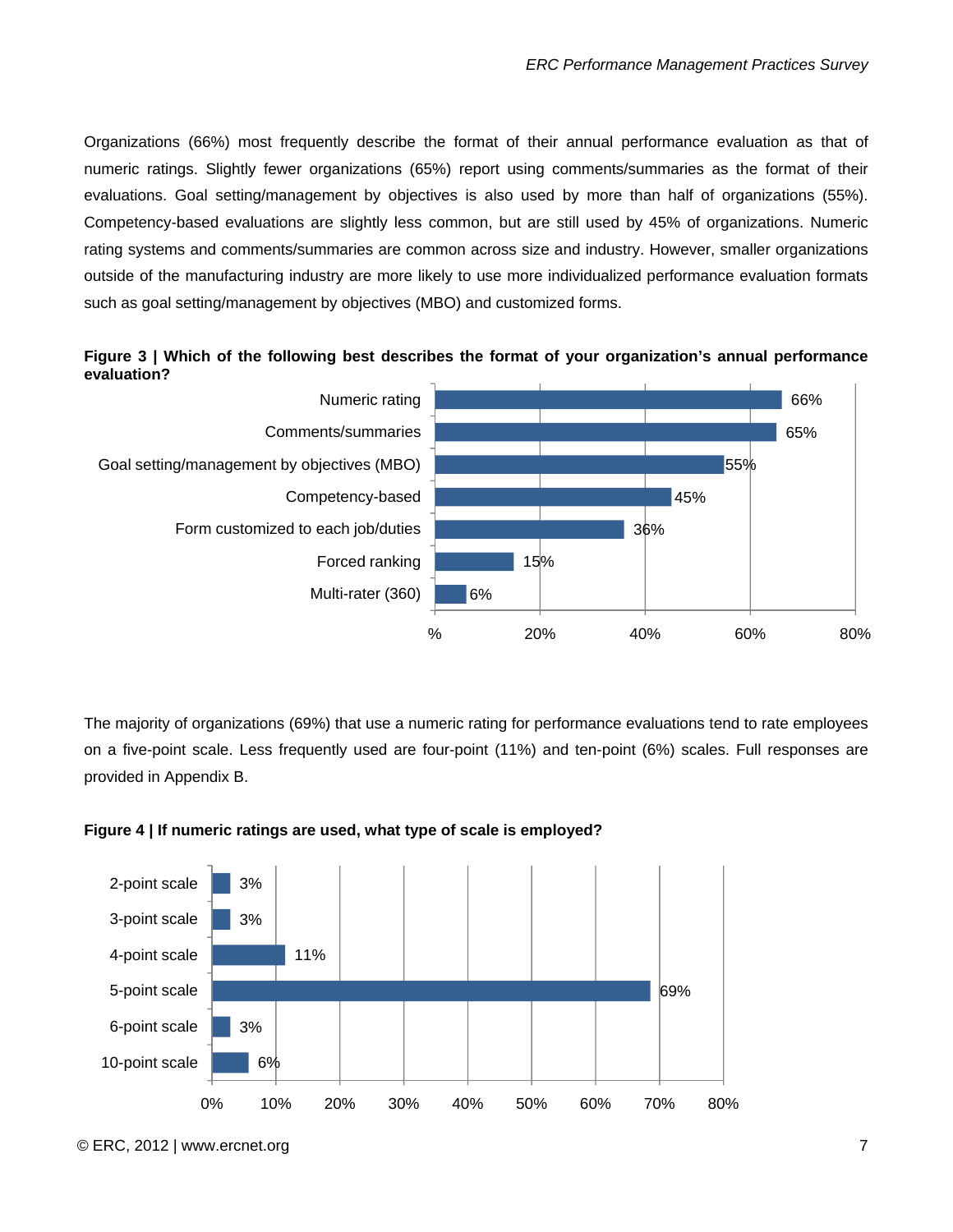Organizations (66%) most frequently describe the format of their annual performance evaluation as that of numeric ratings. Slightly fewer organizations (65%) report using comments/summaries as the format of their evaluations. Goal setting/management by objectives is also used by more than half of organizations (55%). Competency-based evaluations are slightly less common, but are still used by 45% of organizations. Numeric rating systems and comments/summaries are common across size and industry. However, smaller organizations outside of the manufacturing industry are more likely to use more individualized performance evaluation formats such as goal setting/management by objectives (MBO) and customized forms.





The majority of organizations (69%) that use a numeric rating for performance evaluations tend to rate employees on a five-point scale. Less frequently used are four-point (11%) and ten-point (6%) scales. Full responses are provided in Appendix B.



**Figure 4 | If numeric ratings are used, what type of scale is employed?**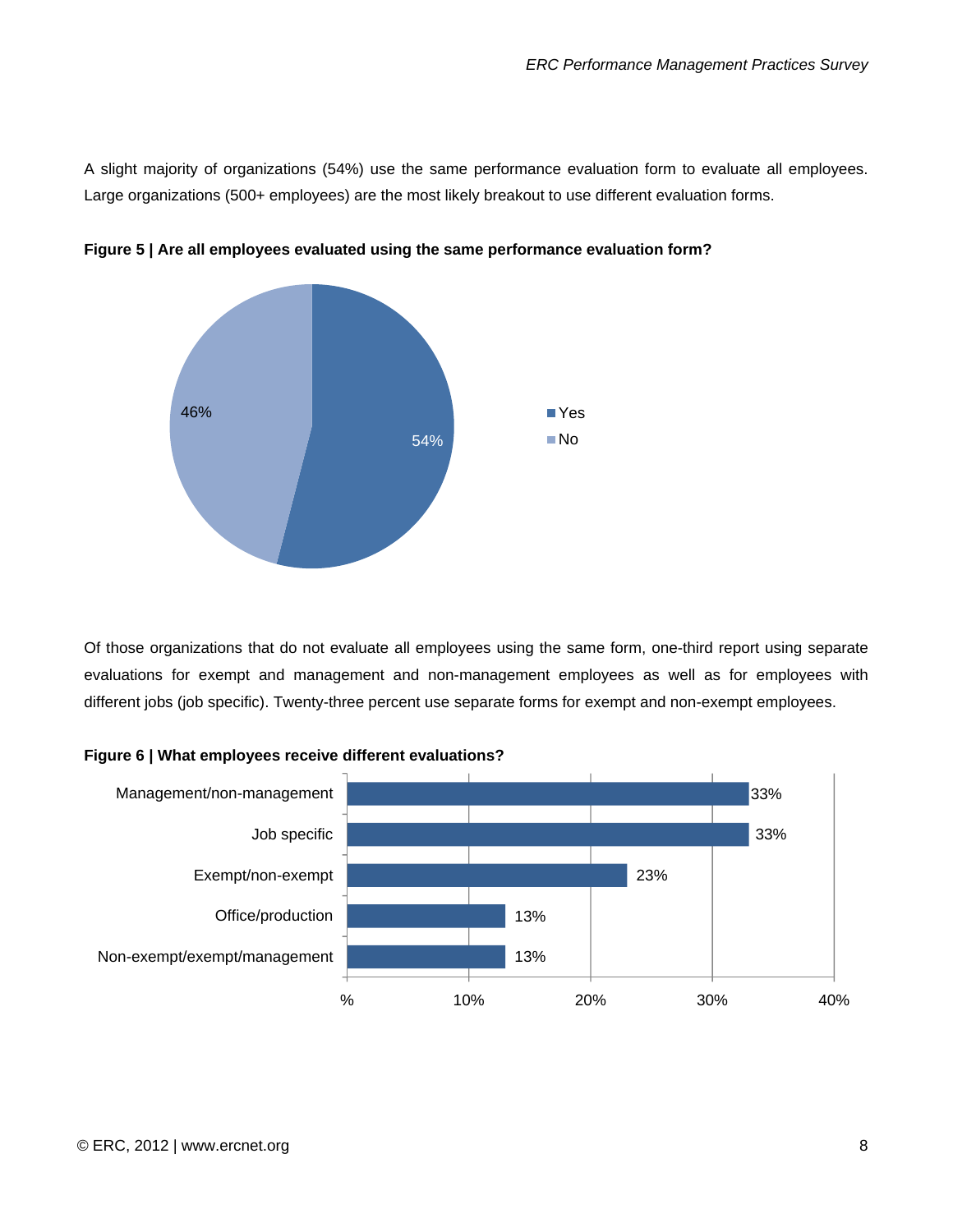A slight majority of organizations (54%) use the same performance evaluation form to evaluate all employees. Large organizations (500+ employees) are the most likely breakout to use different evaluation forms.



**Figure 5 | Are all employees evaluated using the same performance evaluation form?** 

Of those organizations that do not evaluate all employees using the same form, one-third report using separate evaluations for exempt and management and non-management employees as well as for employees with different jobs (job specific). Twenty-three percent use separate forms for exempt and non-exempt employees.



**Figure 6 | What employees receive different evaluations?**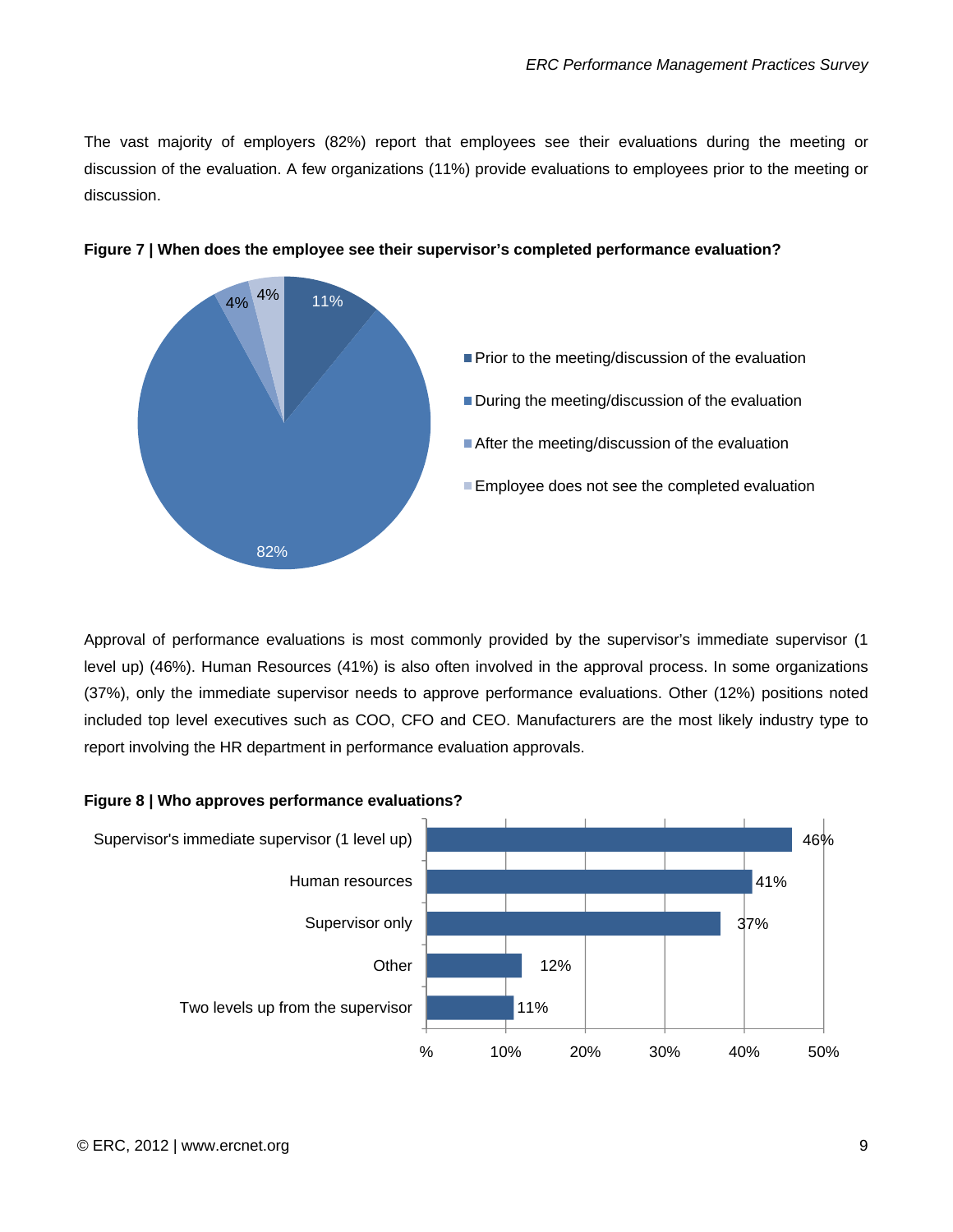The vast majority of employers (82%) report that employees see their evaluations during the meeting or discussion of the evaluation. A few organizations (11%) provide evaluations to employees prior to the meeting or discussion.





Approval of performance evaluations is most commonly provided by the supervisor's immediate supervisor (1 level up) (46%). Human Resources (41%) is also often involved in the approval process. In some organizations (37%), only the immediate supervisor needs to approve performance evaluations. Other (12%) positions noted included top level executives such as COO, CFO and CEO. Manufacturers are the most likely industry type to report involving the HR department in performance evaluation approvals.



#### **Figure 8 | Who approves performance evaluations?**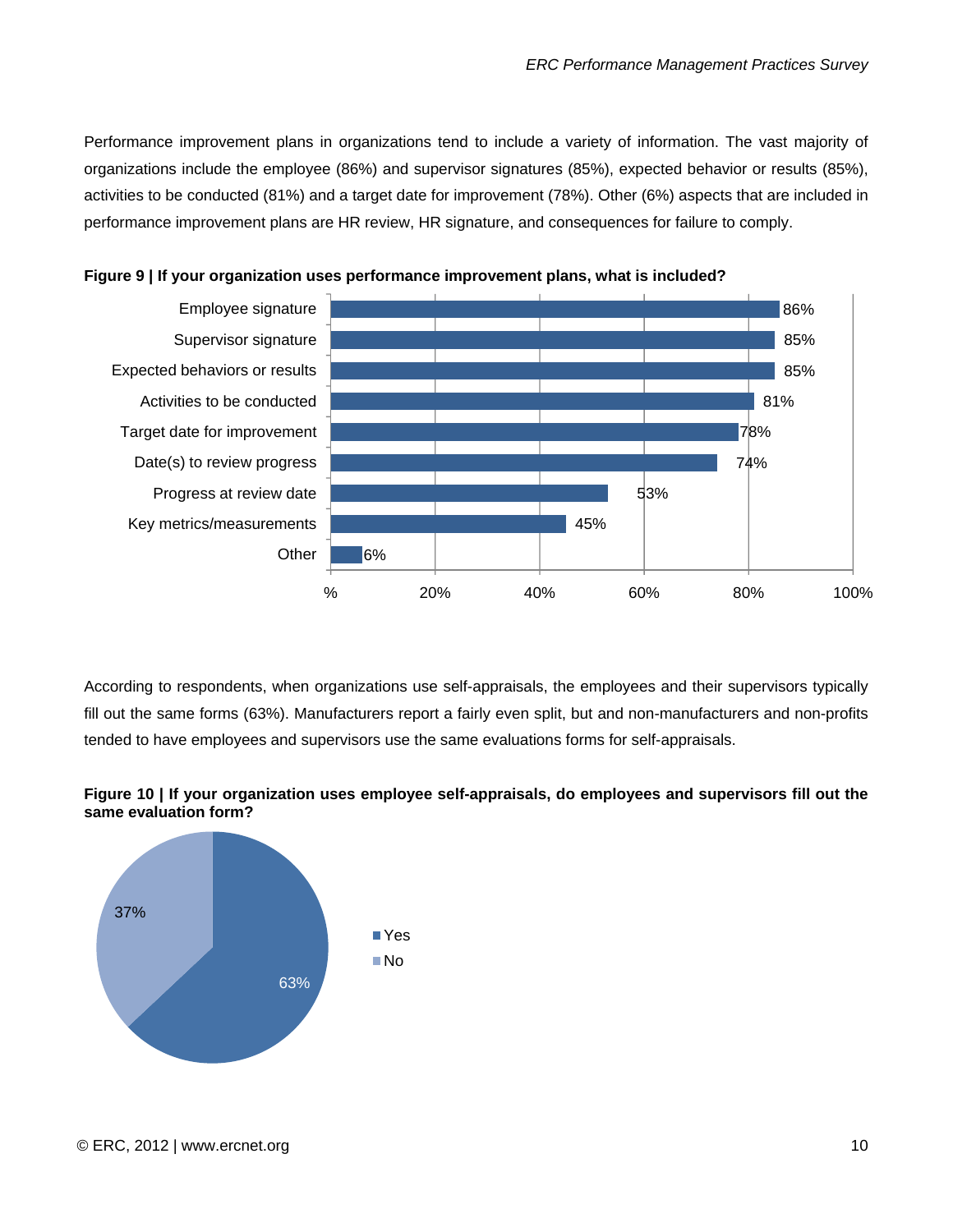Performance improvement plans in organizations tend to include a variety of information. The vast majority of organizations include the employee (86%) and supervisor signatures (85%), expected behavior or results (85%), activities to be conducted (81%) and a target date for improvement (78%). Other (6%) aspects that are included in performance improvement plans are HR review, HR signature, and consequences for failure to comply.



**Figure 9 | If your organization uses performance improvement plans, what is included?** 

According to respondents, when organizations use self-appraisals, the employees and their supervisors typically fill out the same forms (63%). Manufacturers report a fairly even split, but and non-manufacturers and non-profits tended to have employees and supervisors use the same evaluations forms for self-appraisals.



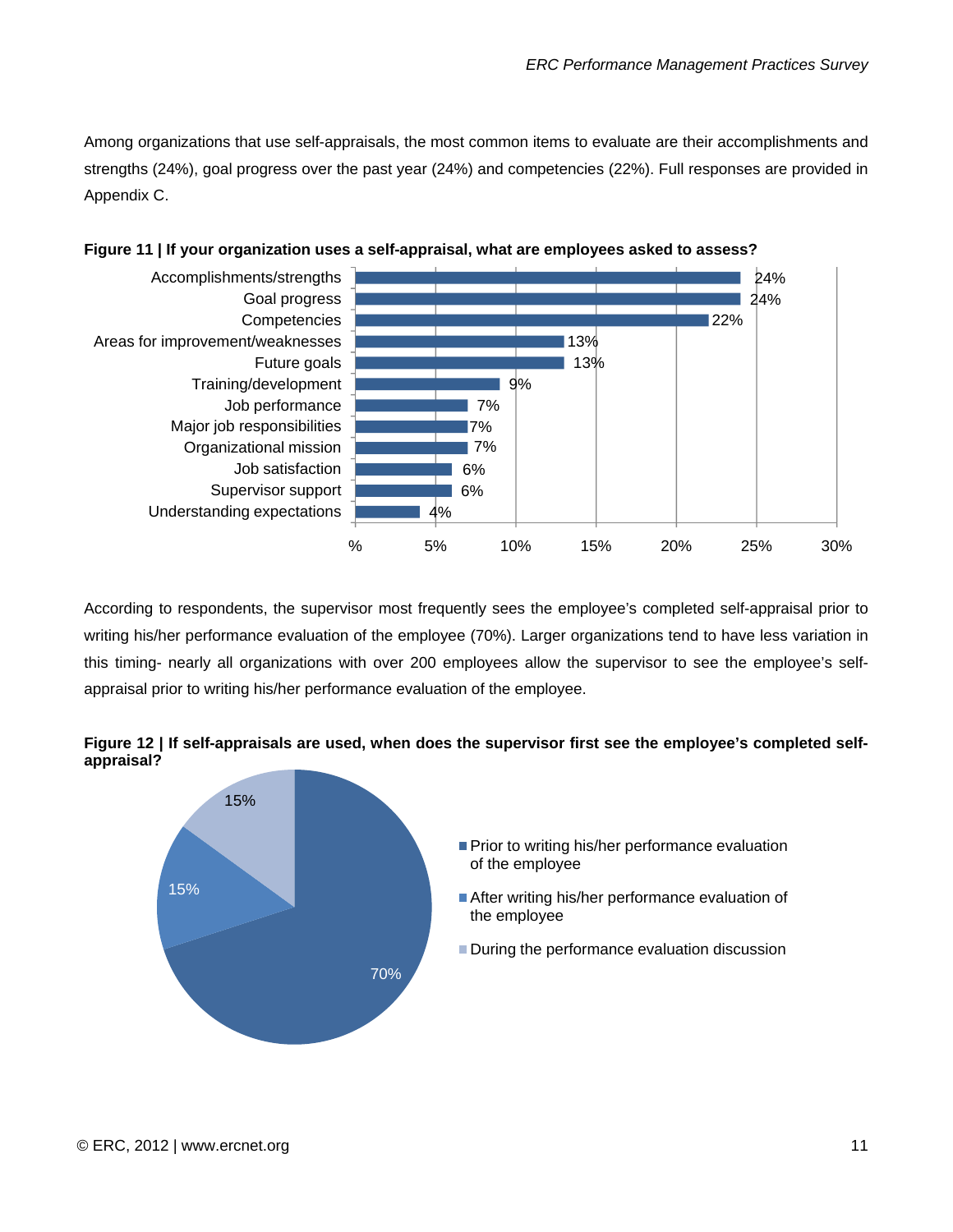Among organizations that use self-appraisals, the most common items to evaluate are their accomplishments and strengths (24%), goal progress over the past year (24%) and competencies (22%). Full responses are provided in Appendix C.





According to respondents, the supervisor most frequently sees the employee's completed self-appraisal prior to writing his/her performance evaluation of the employee (70%). Larger organizations tend to have less variation in this timing- nearly all organizations with over 200 employees allow the supervisor to see the employee's selfappraisal prior to writing his/her performance evaluation of the employee.



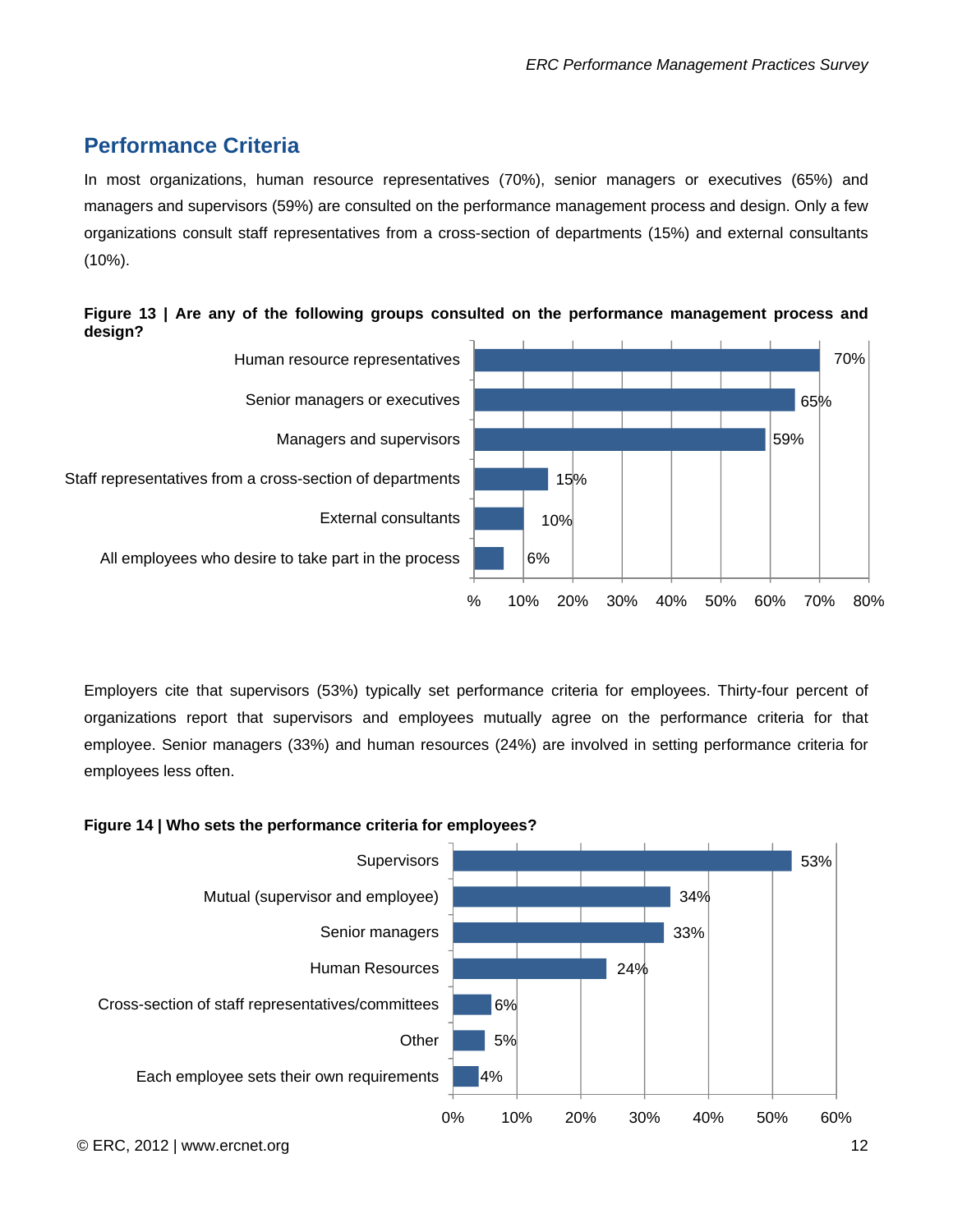# <span id="page-12-0"></span>**Performance Criteria**

In most organizations, human resource representatives (70%), senior managers or executives (65%) and managers and supervisors (59%) are consulted on the performance management process and design. Only a few organizations consult staff representatives from a cross-section of departments (15%) and external consultants (10%).





Employers cite that supervisors (53%) typically set performance criteria for employees. Thirty-four percent of organizations report that supervisors and employees mutually agree on the performance criteria for that employee. Senior managers (33%) and human resources (24%) are involved in setting performance criteria for employees less often.

#### **Figure 14 | Who sets the performance criteria for employees?**

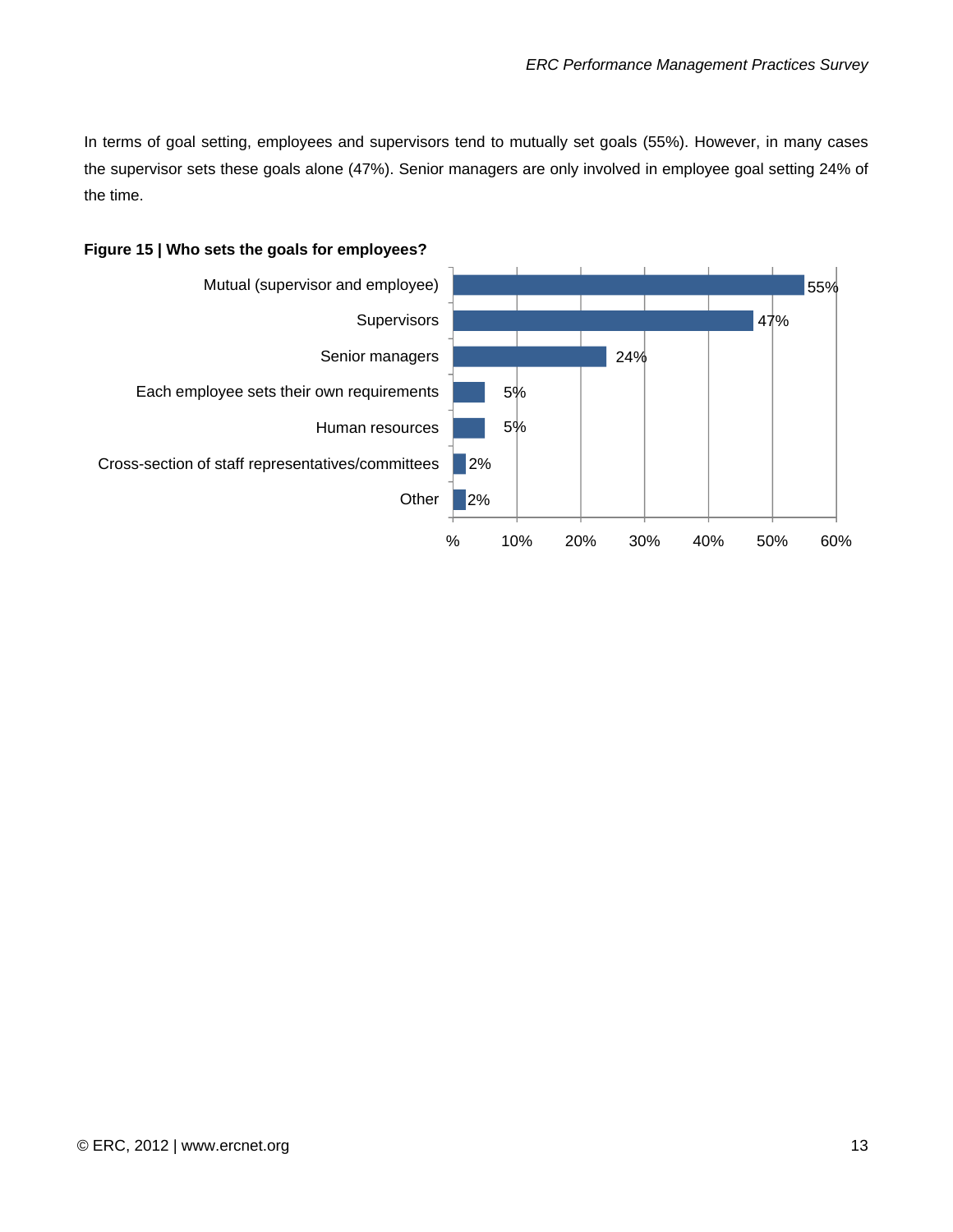In terms of goal setting, employees and supervisors tend to mutually set goals (55%). However, in many cases the supervisor sets these goals alone (47%). Senior managers are only involved in employee goal setting 24% of the time.



#### **Figure 15 | Who sets the goals for employees?**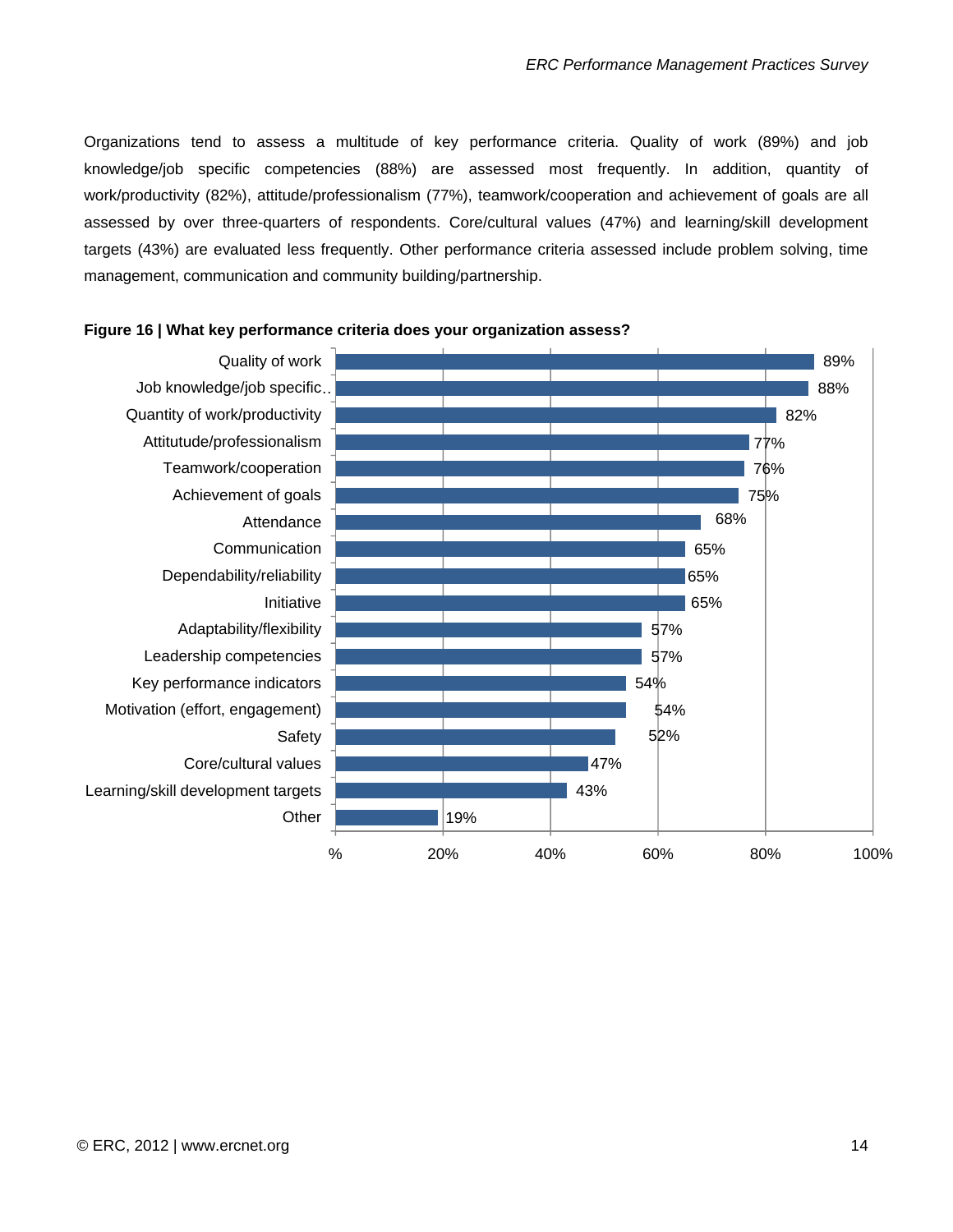Organizations tend to assess a multitude of key performance criteria. Quality of work (89%) and job knowledge/job specific competencies (88%) are assessed most frequently. In addition, quantity of work/productivity (82%), attitude/professionalism (77%), teamwork/cooperation and achievement of goals are all assessed by over three-quarters of respondents. Core/cultural values (47%) and learning/skill development targets (43%) are evaluated less frequently. Other performance criteria assessed include problem solving, time management, communication and community building/partnership.



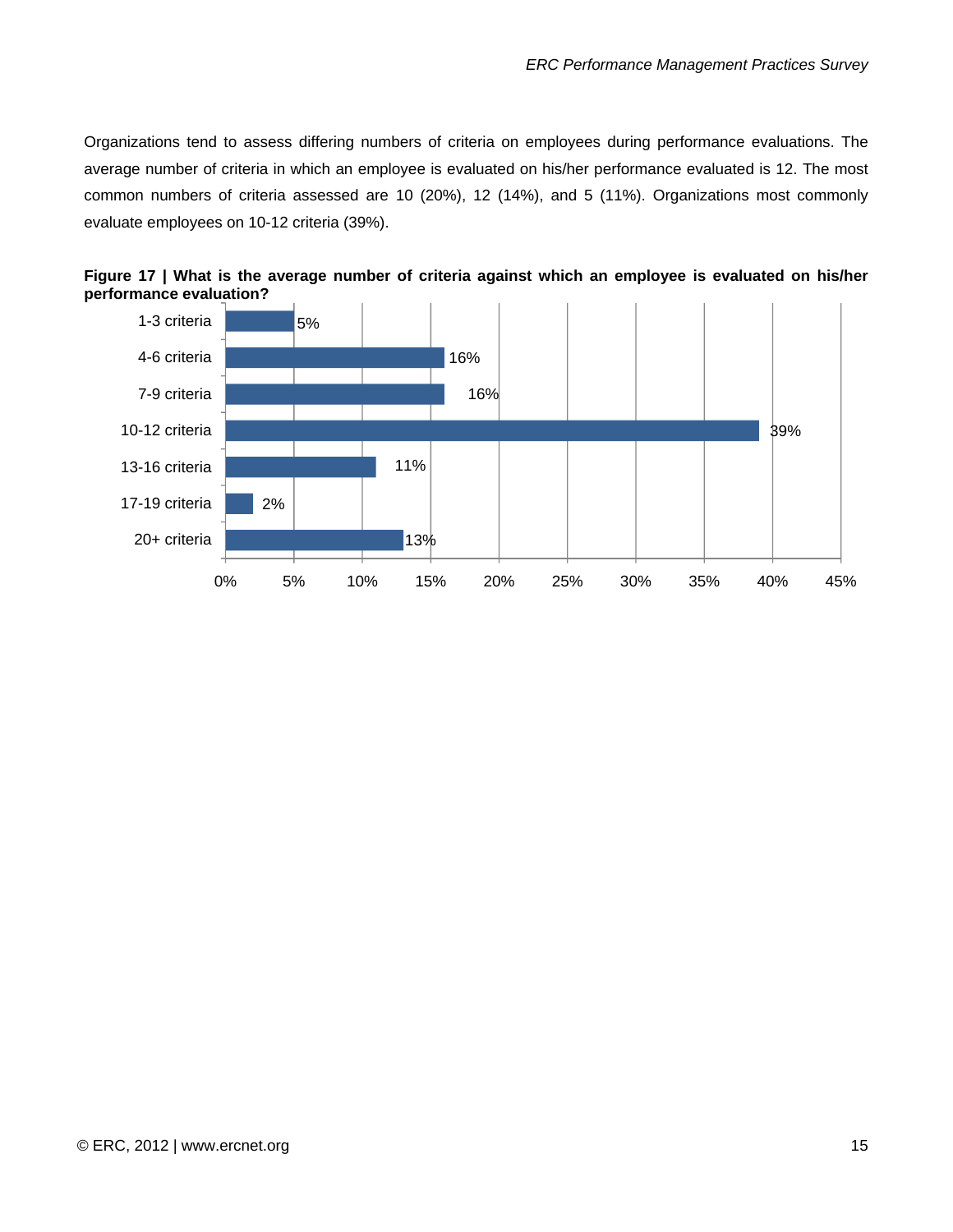<span id="page-15-0"></span>Organizations tend to assess differing numbers of criteria on employees during performance evaluations. The average number of criteria in which an employee is evaluated on his/her performance evaluated is 12. The most common numbers of criteria assessed are 10 (20%), 12 (14%), and 5 (11%). Organizations most commonly evaluate employees on 10-12 criteria (39%).



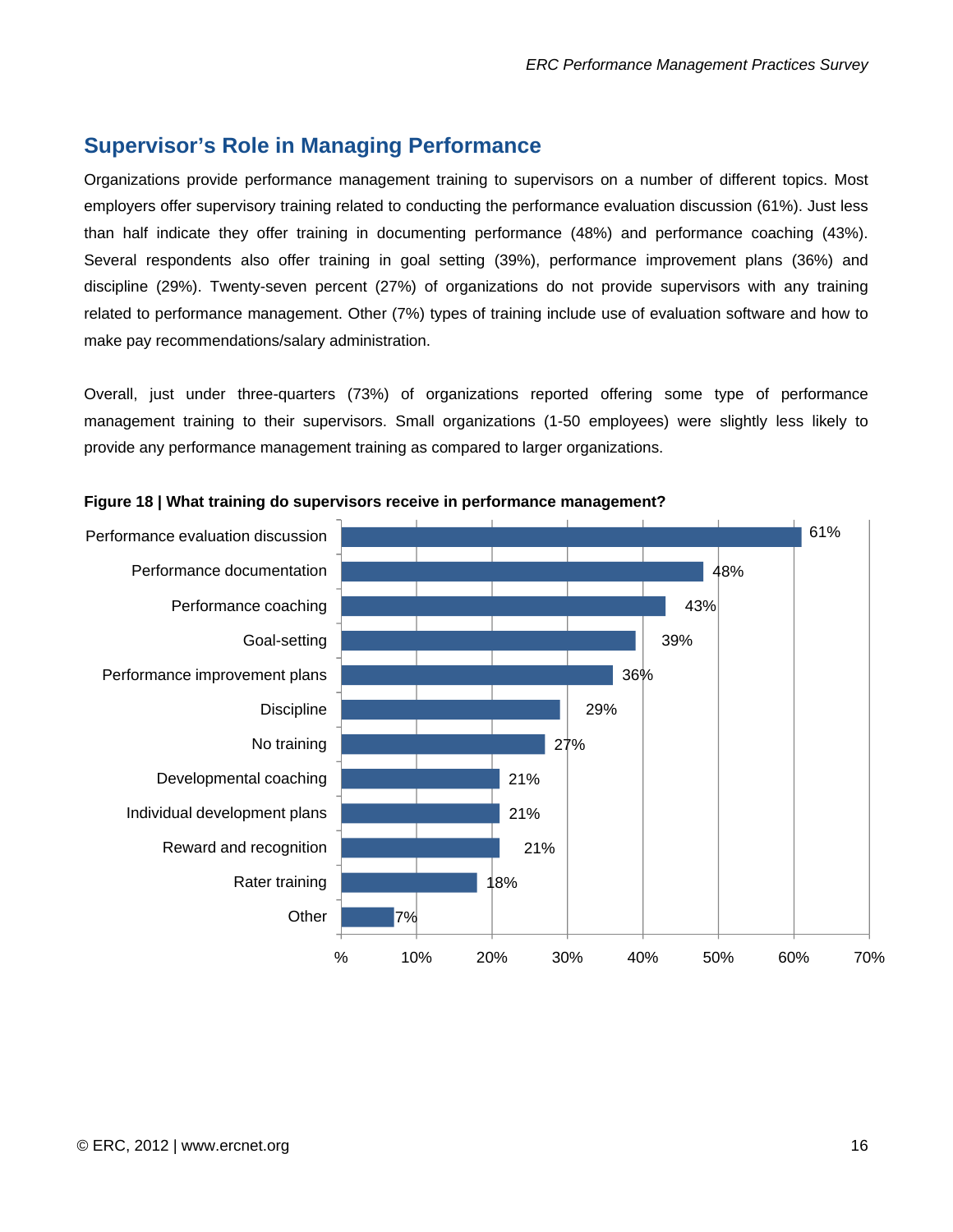## **Supervisor's Role in Managing Performance**

Organizations provide performance management training to supervisors on a number of different topics. Most employers offer supervisory training related to conducting the performance evaluation discussion (61%). Just less than half indicate they offer training in documenting performance (48%) and performance coaching (43%). Several respondents also offer training in goal setting (39%), performance improvement plans (36%) and discipline (29%). Twenty-seven percent (27%) of organizations do not provide supervisors with any training related to performance management. Other (7%) types of training include use of evaluation software and how to make pay recommendations/salary administration.

Overall, just under three-quarters (73%) of organizations reported offering some type of performance management training to their supervisors. Small organizations (1-50 employees) were slightly less likely to provide any performance management training as compared to larger organizations.



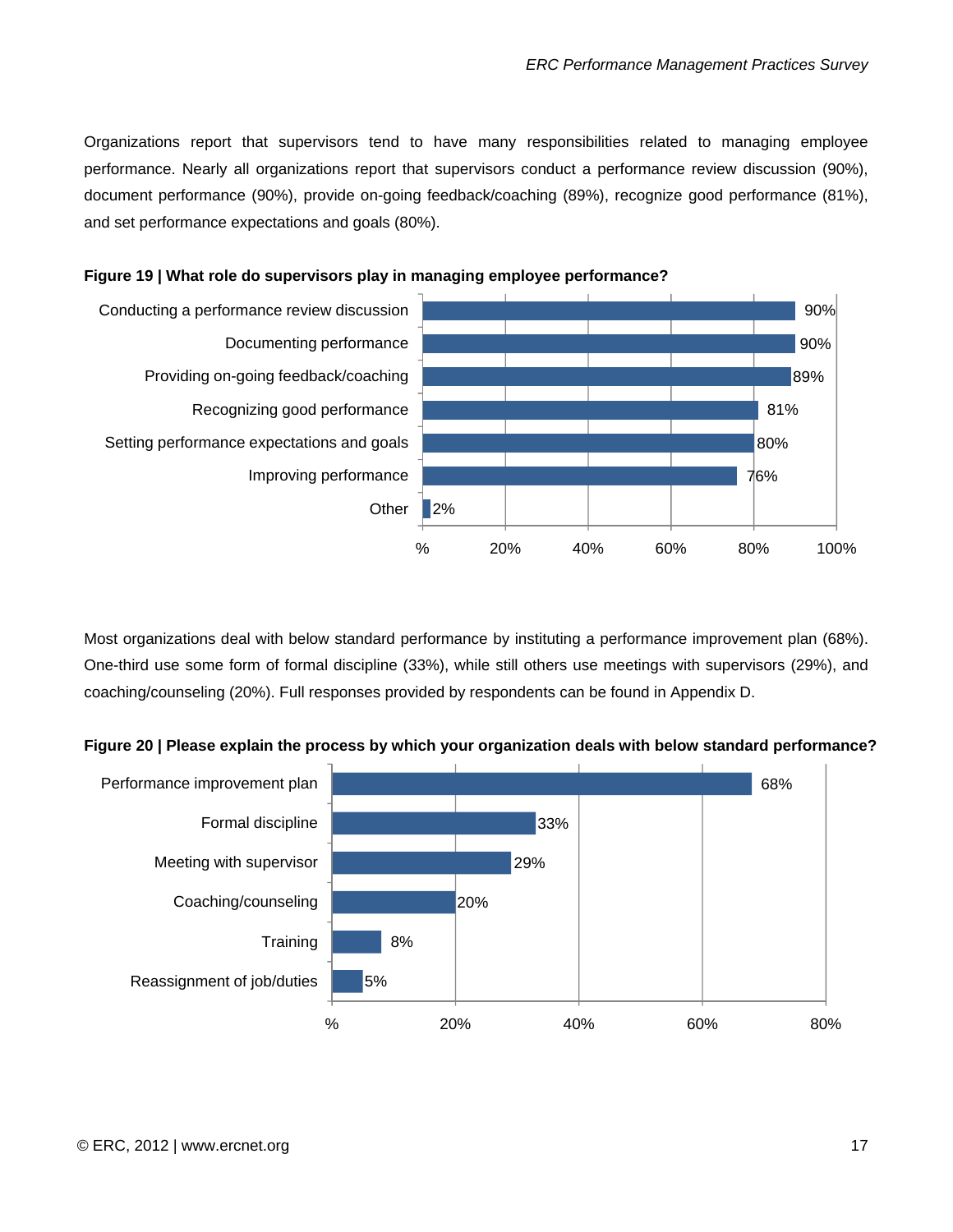<span id="page-17-0"></span>Organizations report that supervisors tend to have many responsibilities related to managing employee performance. Nearly all organizations report that supervisors conduct a performance review discussion (90%), document performance (90%), provide on-going feedback/coaching (89%), recognize good performance (81%), and set performance expectations and goals (80%).



#### **Figure 19 | What role do supervisors play in managing employee performance?**

Most organizations deal with below standard performance by instituting a performance improvement plan (68%). One-third use some form of formal discipline (33%), while still others use meetings with supervisors (29%), and coaching/counseling (20%). Full responses provided by respondents can be found in Appendix D.



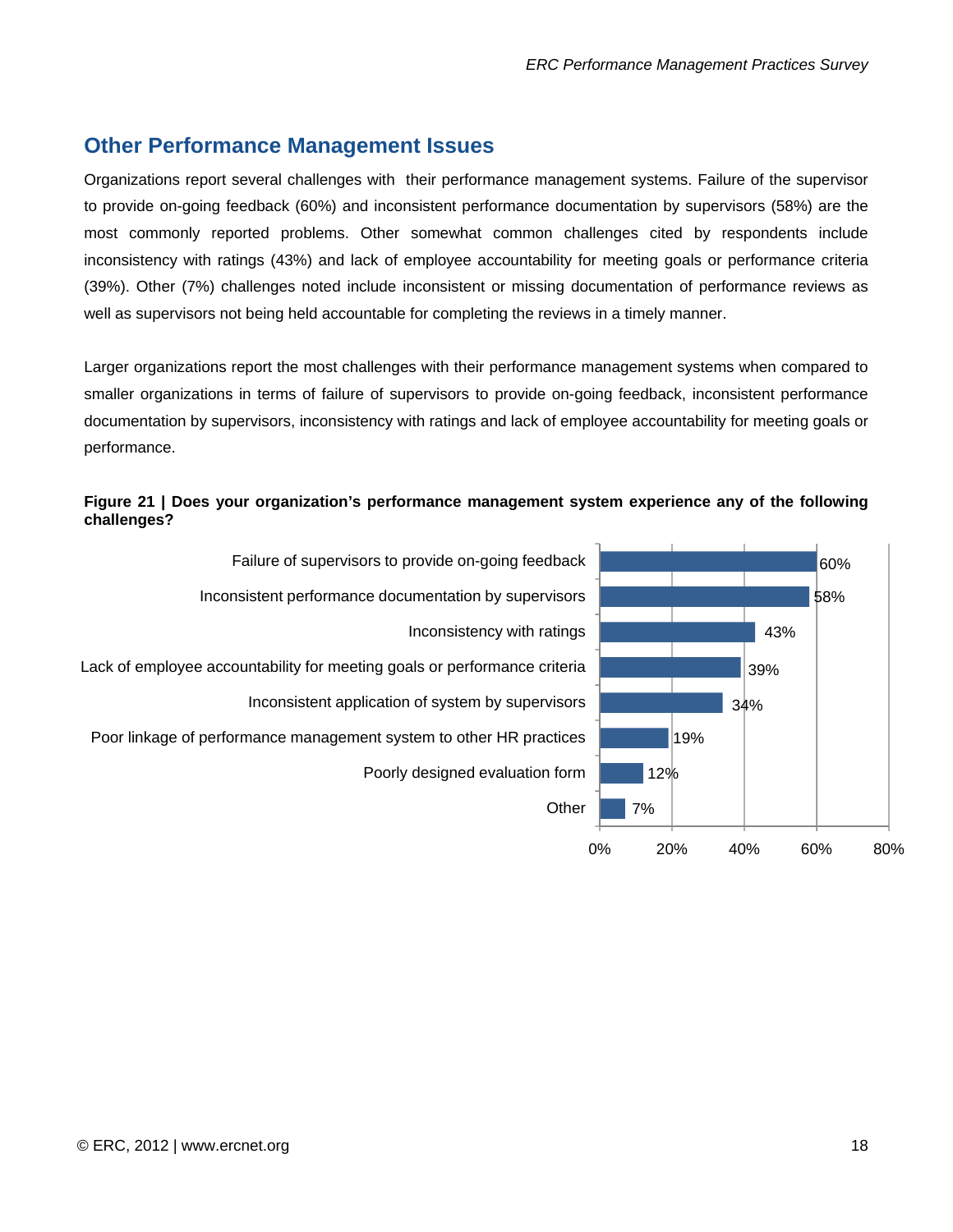# **Other Performance Management Issues**

Organizations report several challenges with their performance management systems. Failure of the supervisor to provide on-going feedback (60%) and inconsistent performance documentation by supervisors (58%) are the most commonly reported problems. Other somewhat common challenges cited by respondents include inconsistency with ratings (43%) and lack of employee accountability for meeting goals or performance criteria (39%). Other (7%) challenges noted include inconsistent or missing documentation of performance reviews as well as supervisors not being held accountable for completing the reviews in a timely manner.

Larger organizations report the most challenges with their performance management systems when compared to smaller organizations in terms of failure of supervisors to provide on-going feedback, inconsistent performance documentation by supervisors, inconsistency with ratings and lack of employee accountability for meeting goals or performance.

#### **Figure 21 | Does your organization's performance management system experience any of the following challenges?**



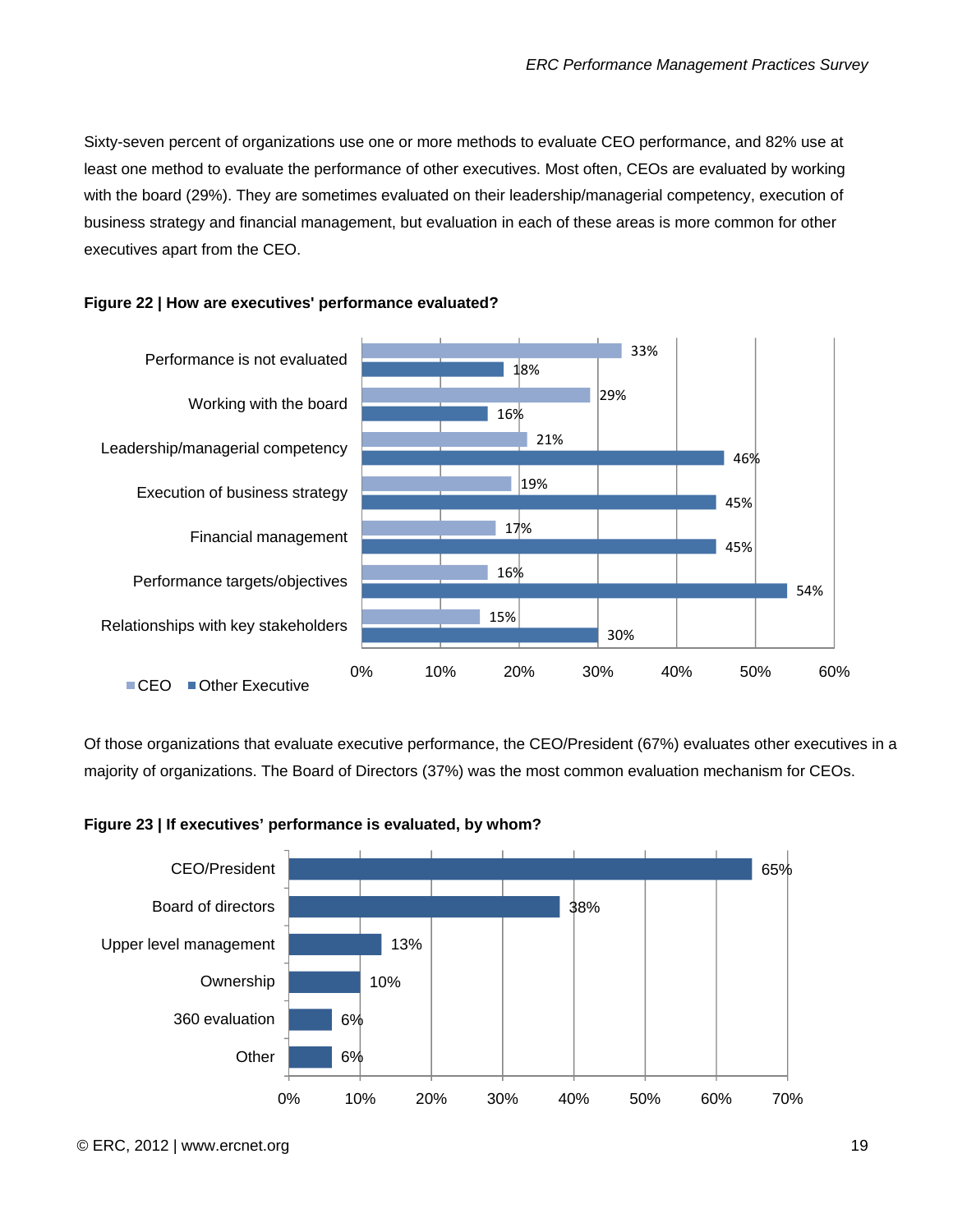Sixty-seven percent of organizations use one or more methods to evaluate CEO performance, and 82% use at least one method to evaluate the performance of other executives. Most often, CEOs are evaluated by working with the board (29%). They are sometimes evaluated on their leadership/managerial competency, execution of business strategy and financial management, but evaluation in each of these areas is more common for other executives apart from the CEO.



#### **Figure 22 | How are executives' performance evaluated?**

Of those organizations that evaluate executive performance, the CEO/President (67%) evaluates other executives in a majority of organizations. The Board of Directors (37%) was the most common evaluation mechanism for CEOs.



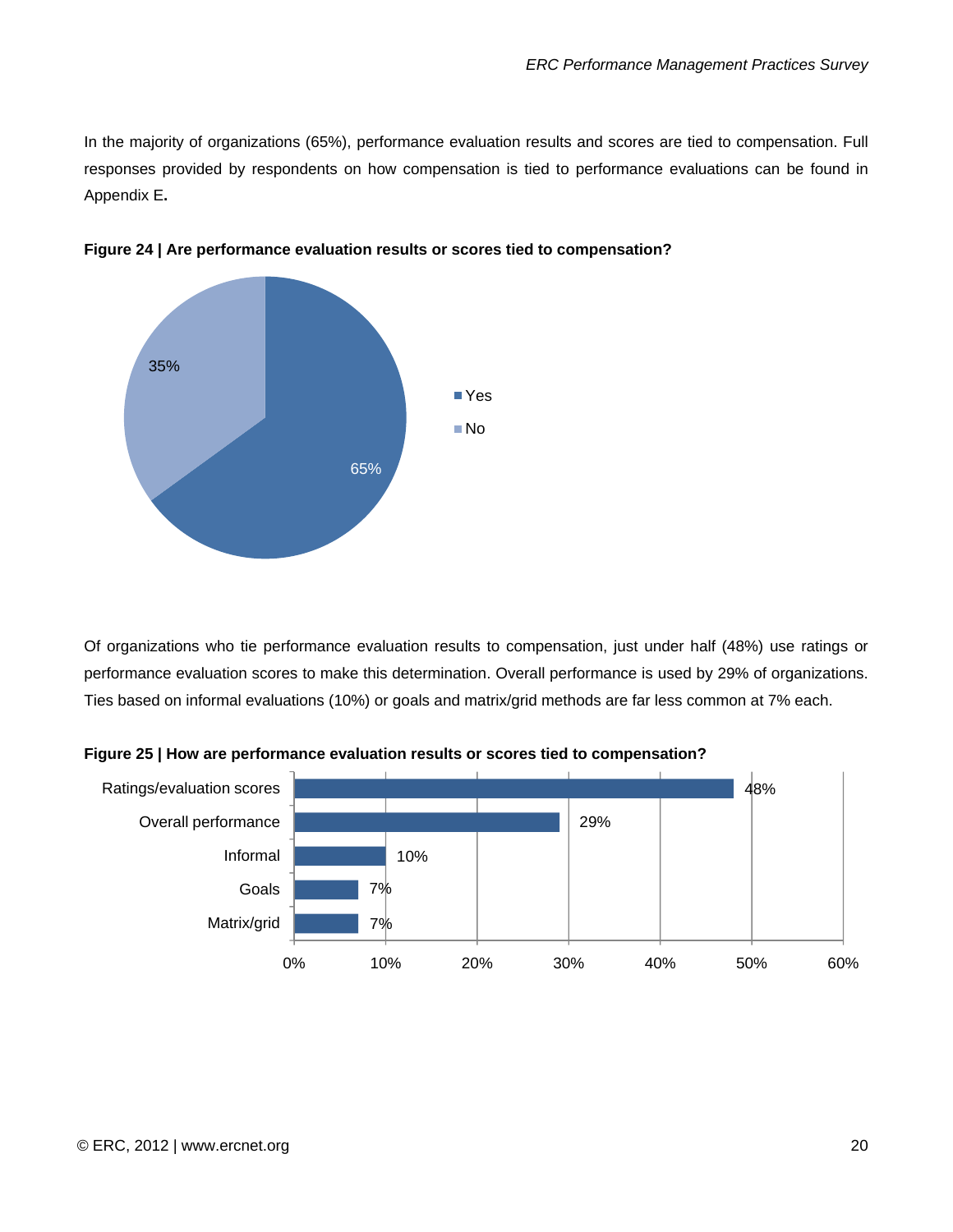In the majority of organizations (65%), performance evaluation results and scores are tied to compensation. Full responses provided by respondents on how compensation is tied to performance evaluations can be found in Appendix E**.** 



**Figure 24 | Are performance evaluation results or scores tied to compensation?** 

Of organizations who tie performance evaluation results to compensation, just under half (48%) use ratings or performance evaluation scores to make this determination. Overall performance is used by 29% of organizations. Ties based on informal evaluations (10%) or goals and matrix/grid methods are far less common at 7% each.



**Figure 25 | How are performance evaluation results or scores tied to compensation?**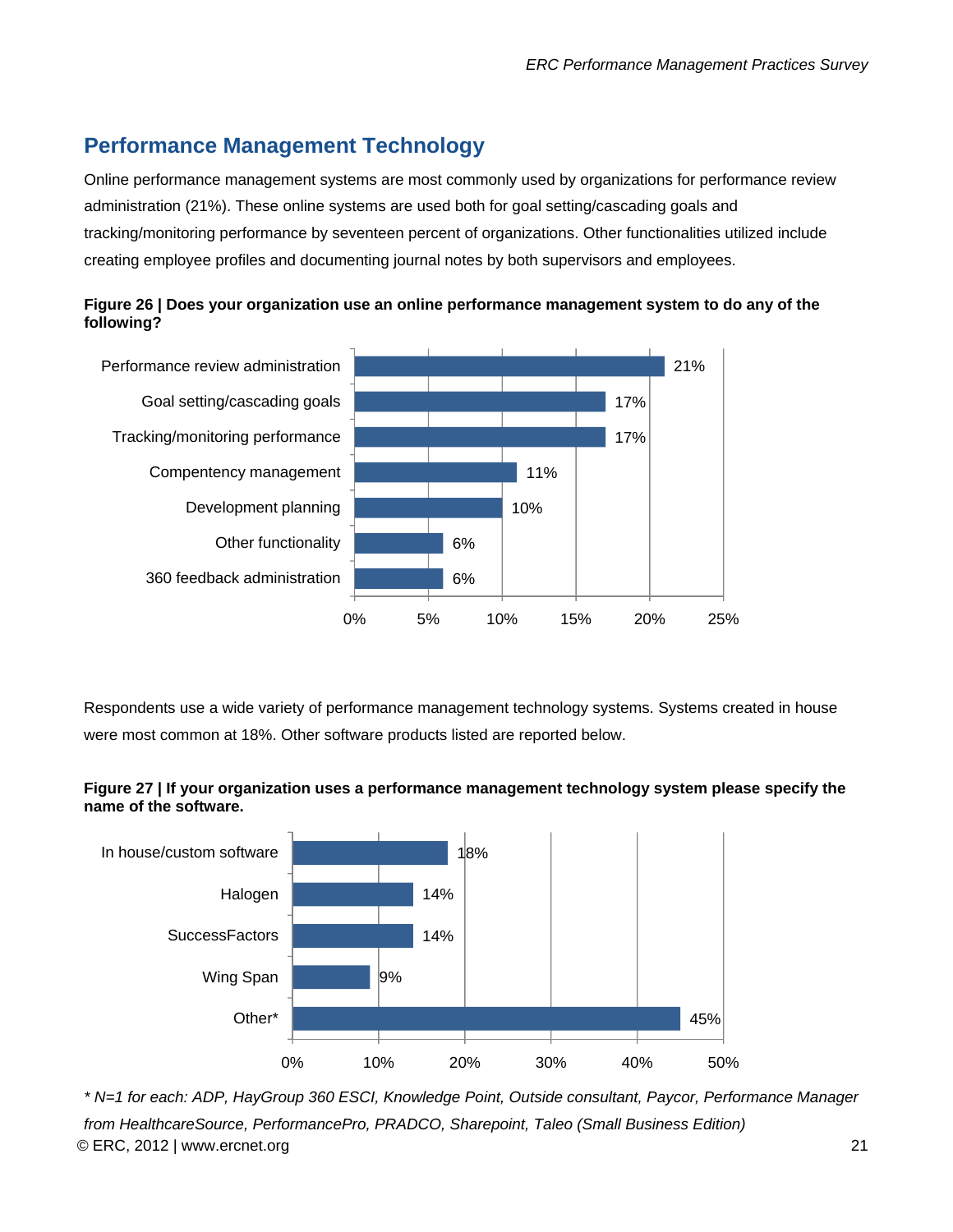# <span id="page-21-0"></span>**Performance Management Technology**

Online performance management systems are most commonly used by organizations for performance review administration (21%). These online systems are used both for goal setting/cascading goals and tracking/monitoring performance by seventeen percent of organizations. Other functionalities utilized include creating employee profiles and documenting journal notes by both supervisors and employees.





Respondents use a wide variety of performance management technology systems. Systems created in house were most common at 18%. Other software products listed are reported below.





*\* N=1 for each: ADP, HayGroup 360 ESCI, Knowledge Point, Outside consultant, Paycor, Performance Manager from HealthcareSource, PerformancePro, PRADCO, Sharepoint, Taleo (Small Business Edition)*  © ERC, 2012 | www.ercnet.org 21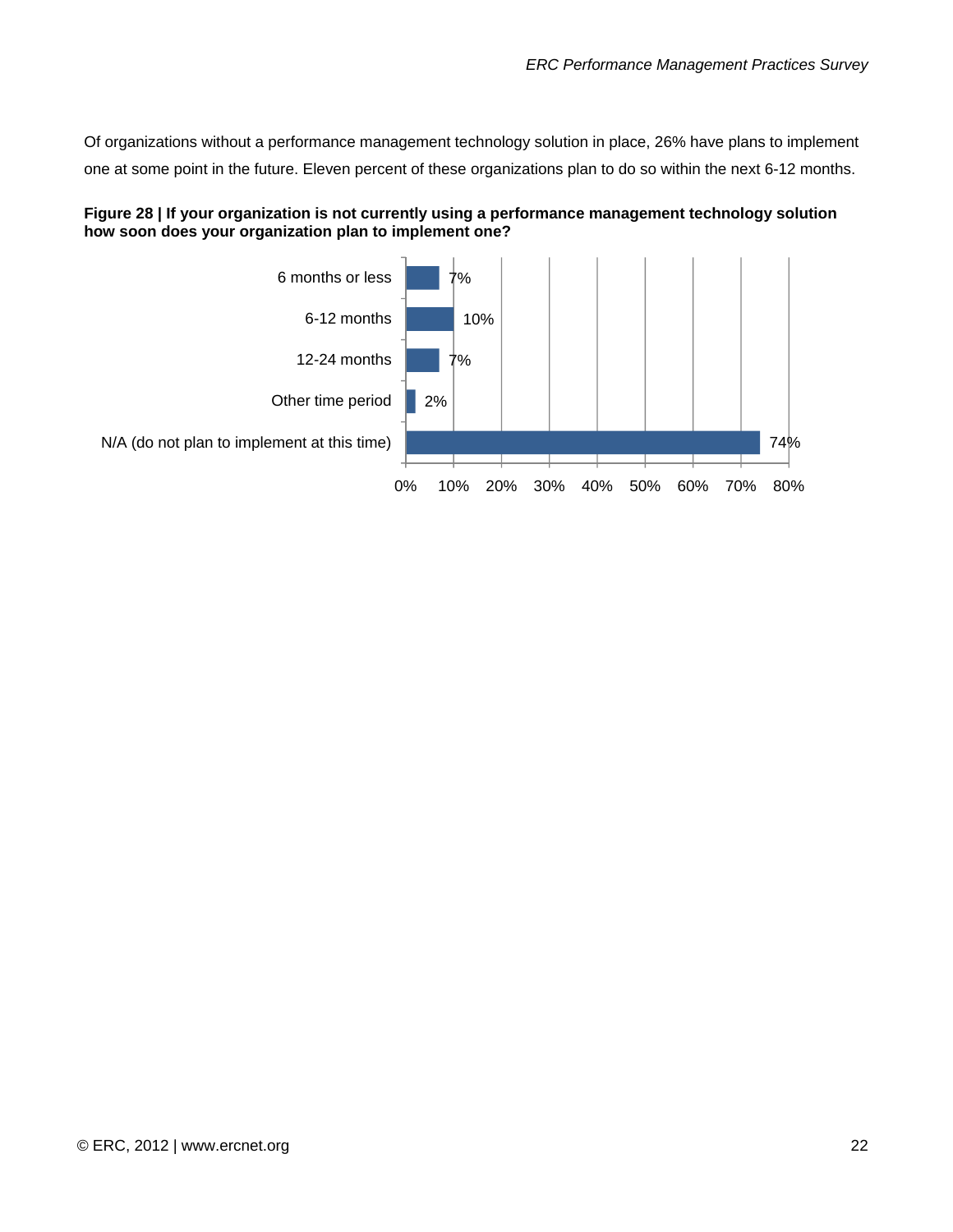<span id="page-22-0"></span>Of organizations without a performance management technology solution in place, 26% have plans to implement one at some point in the future. Eleven percent of these organizations plan to do so within the next 6-12 months.



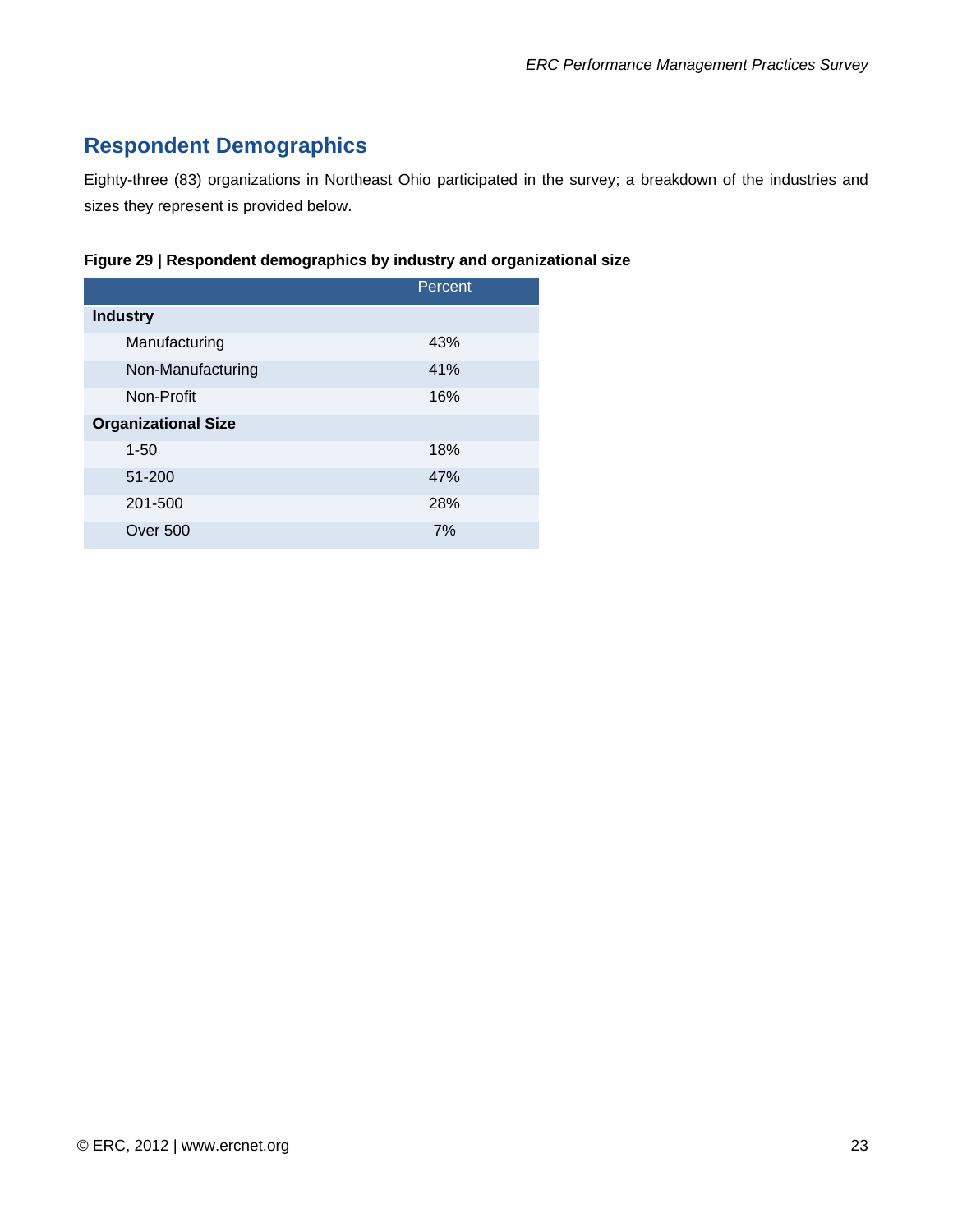# **Respondent Demographics**

Eighty-three (83) organizations in Northeast Ohio participated in the survey; a breakdown of the industries and sizes they represent is provided below.

| Figure 29   Respondent demographics by industry and organizational size |  |
|-------------------------------------------------------------------------|--|
|-------------------------------------------------------------------------|--|

|                            | Percent |
|----------------------------|---------|
| <b>Industry</b>            |         |
| Manufacturing              | 43%     |
| Non-Manufacturing          | 41%     |
| Non-Profit                 | 16%     |
| <b>Organizational Size</b> |         |
| $1 - 50$                   | 18%     |
| 51-200                     | 47%     |
| 201-500                    | 28%     |
| <b>Over 500</b>            | 7%      |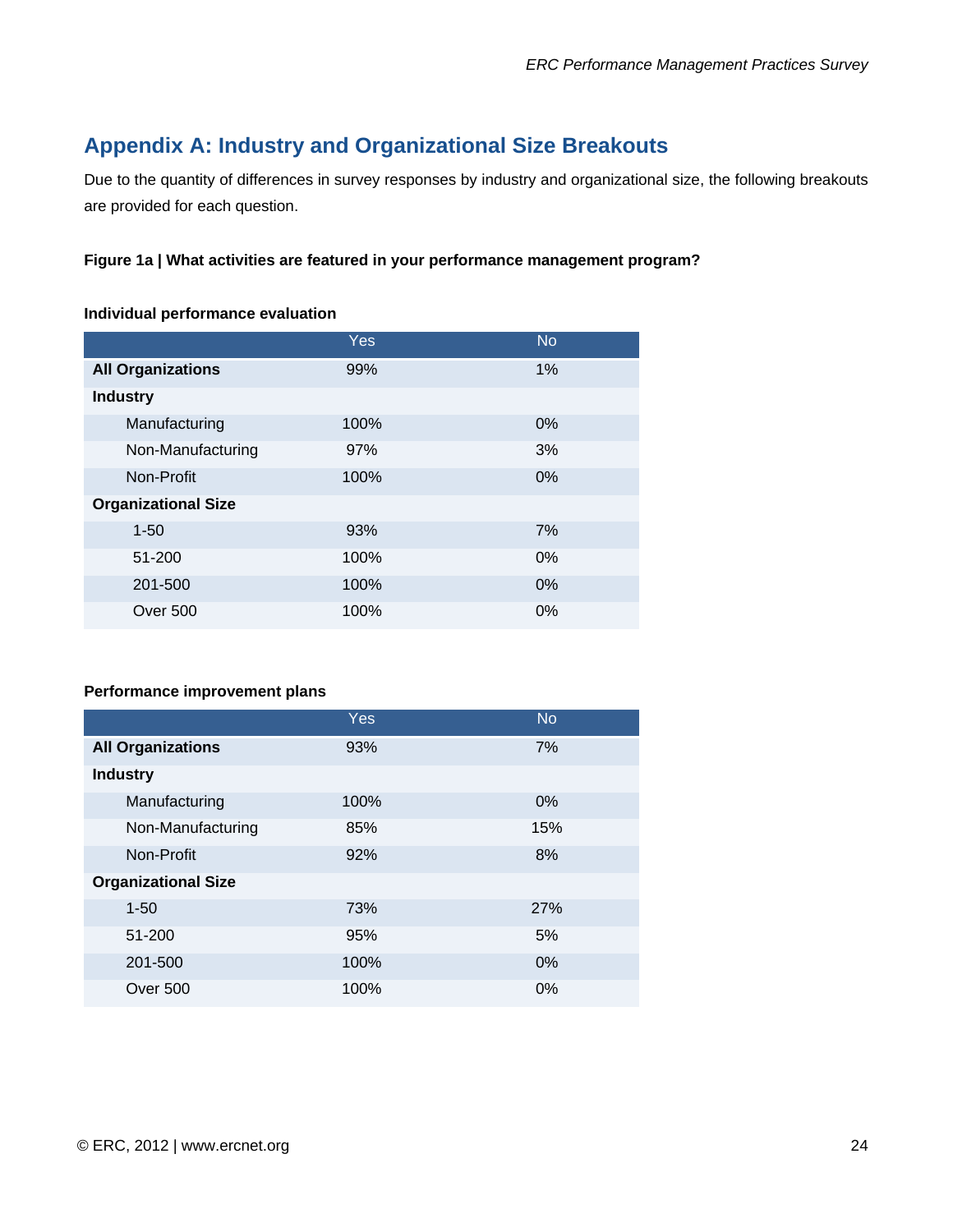# <span id="page-24-0"></span>**Appendix A: Industry and Organizational Size Breakouts**

Due to the quantity of differences in survey responses by industry and organizational size, the following breakouts are provided for each question.

#### **Figure 1a | What activities are featured in your performance management program?**

#### **Individual performance evaluation**

|                            | <b>Yes</b> | <b>No</b> |
|----------------------------|------------|-----------|
| <b>All Organizations</b>   | 99%        | 1%        |
| <b>Industry</b>            |            |           |
| Manufacturing              | 100%       | $0\%$     |
| Non-Manufacturing          | 97%        | 3%        |
| Non-Profit                 | 100%       | 0%        |
| <b>Organizational Size</b> |            |           |
| $1 - 50$                   | 93%        | 7%        |
| 51-200                     | 100%       | $0\%$     |
| 201-500                    | 100%       | 0%        |
| Over 500                   | 100%       | $0\%$     |

#### **Performance improvement plans**

|                            | <b>Yes</b> | <b>No</b> |
|----------------------------|------------|-----------|
| <b>All Organizations</b>   | 93%        | 7%        |
| <b>Industry</b>            |            |           |
| Manufacturing              | 100%       | 0%        |
| Non-Manufacturing          | 85%        | 15%       |
| Non-Profit                 | 92%        | 8%        |
| <b>Organizational Size</b> |            |           |
| $1 - 50$                   | 73%        | 27%       |
| 51-200                     | 95%        | 5%        |
| 201-500                    | 100%       | 0%        |
| <b>Over 500</b>            | 100%       | $0\%$     |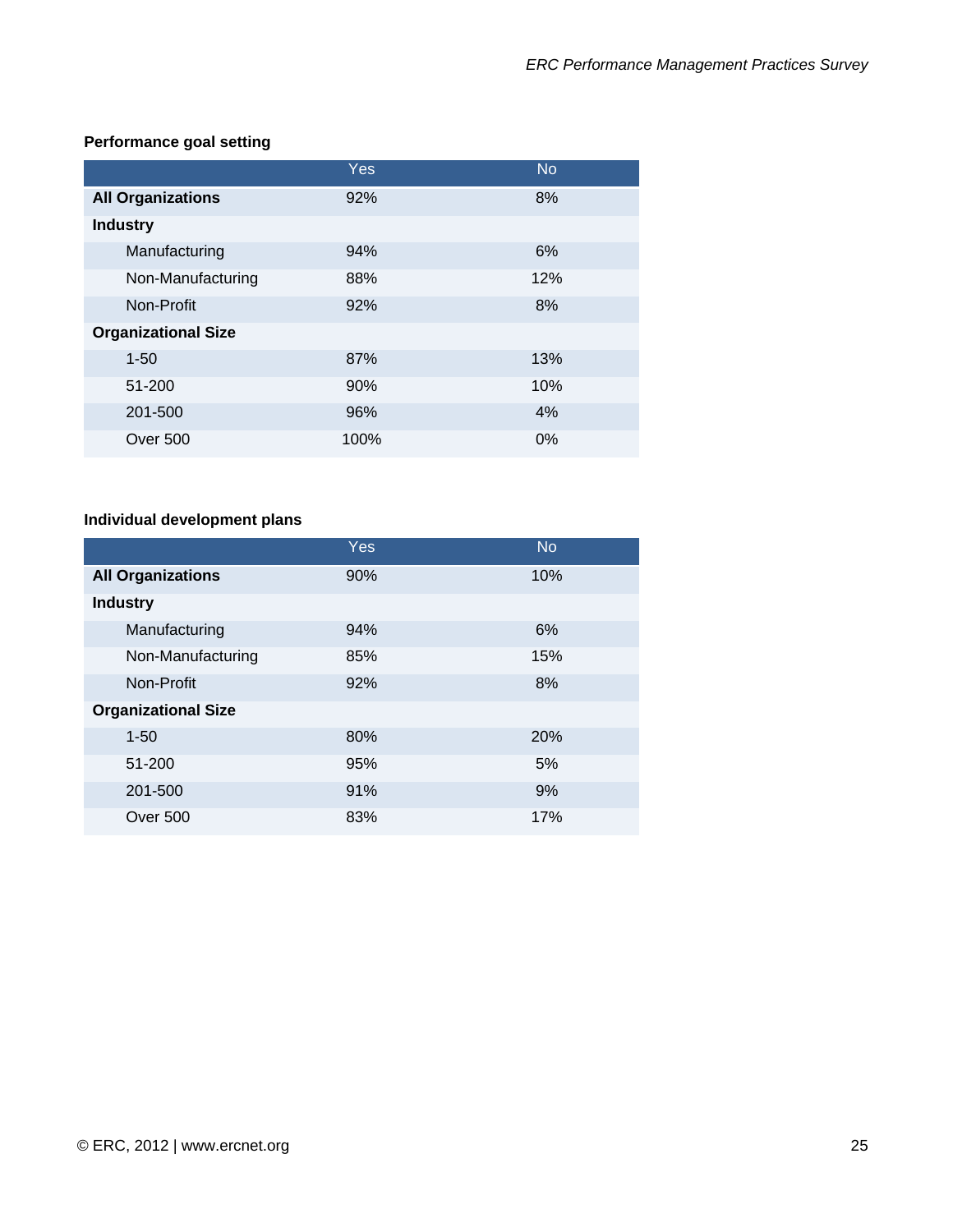#### **Performance goal setting**

|                            | Yes  | <b>No</b> |
|----------------------------|------|-----------|
| <b>All Organizations</b>   | 92%  | 8%        |
| <b>Industry</b>            |      |           |
| Manufacturing              | 94%  | 6%        |
| Non-Manufacturing          | 88%  | 12%       |
| Non-Profit                 | 92%  | 8%        |
| <b>Organizational Size</b> |      |           |
| $1 - 50$                   | 87%  | 13%       |
| 51-200                     | 90%  | 10%       |
| 201-500                    | 96%  | 4%        |
| Over 500                   | 100% | 0%        |

#### **Individual development plans**

|                            | <b>Yes</b> | <b>No</b> |
|----------------------------|------------|-----------|
| <b>All Organizations</b>   | 90%        | 10%       |
| <b>Industry</b>            |            |           |
| Manufacturing              | 94%        | 6%        |
| Non-Manufacturing          | 85%        | 15%       |
| Non-Profit                 | 92%        | 8%        |
| <b>Organizational Size</b> |            |           |
| $1 - 50$                   | 80%        | 20%       |
| 51-200                     | 95%        | 5%        |
| 201-500                    | 91%        | 9%        |
| Over 500                   | 83%        | 17%       |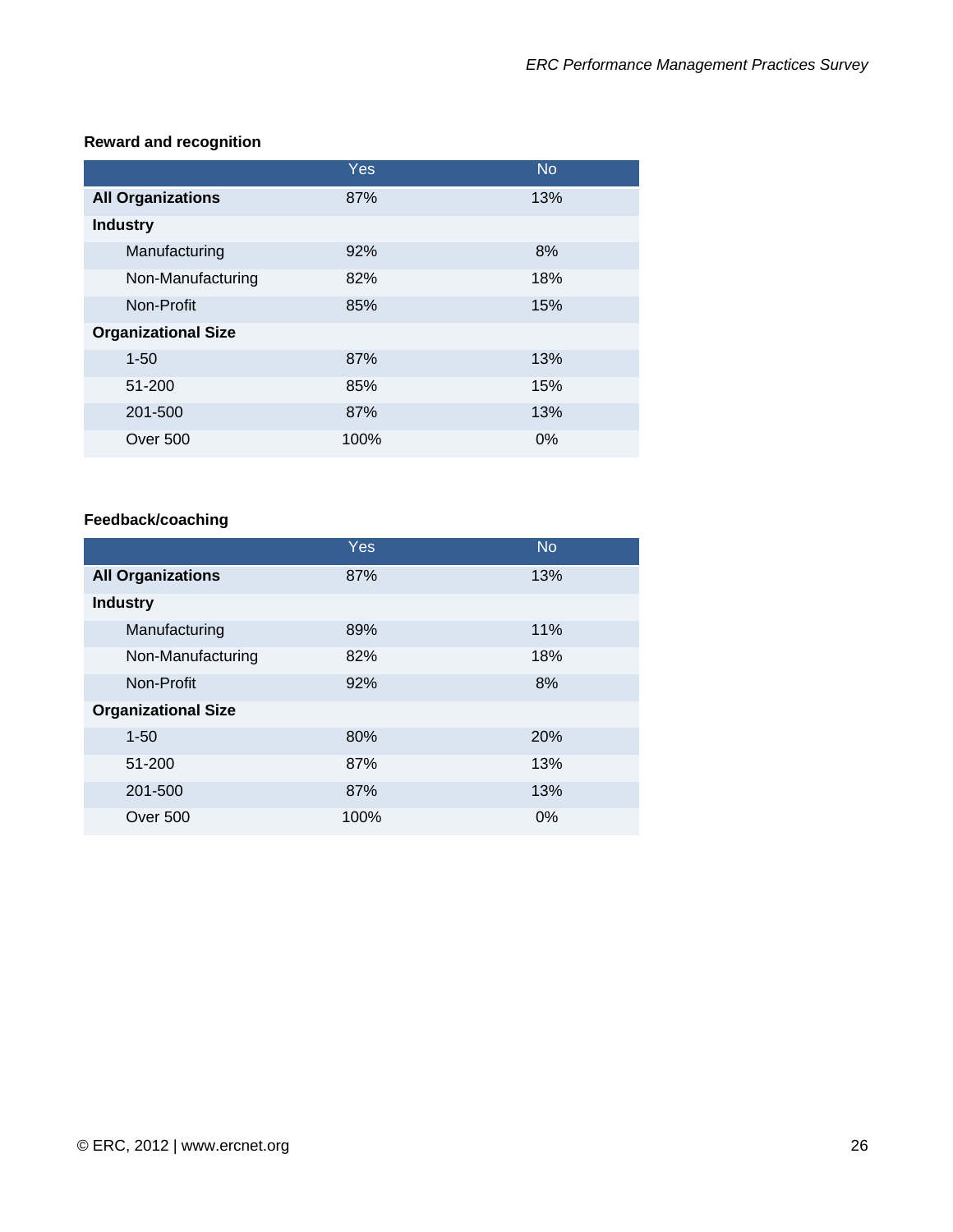#### **Reward and recognition**

|                            | Yes  | <b>No</b> |
|----------------------------|------|-----------|
| <b>All Organizations</b>   | 87%  | 13%       |
| <b>Industry</b>            |      |           |
| Manufacturing              | 92%  | 8%        |
| Non-Manufacturing          | 82%  | 18%       |
| Non-Profit                 | 85%  | 15%       |
| <b>Organizational Size</b> |      |           |
| $1 - 50$                   | 87%  | 13%       |
| 51-200                     | 85%  | 15%       |
| 201-500                    | 87%  | 13%       |
| Over 500                   | 100% | 0%        |

#### **Feedback/coaching**

|                            | Yes  | <b>No</b>  |
|----------------------------|------|------------|
| <b>All Organizations</b>   | 87%  | 13%        |
| <b>Industry</b>            |      |            |
| Manufacturing              | 89%  | 11%        |
| Non-Manufacturing          | 82%  | 18%        |
| Non-Profit                 | 92%  | 8%         |
| <b>Organizational Size</b> |      |            |
| $1 - 50$                   | 80%  | <b>20%</b> |
| 51-200                     | 87%  | 13%        |
| 201-500                    | 87%  | 13%        |
| Over 500                   | 100% | 0%         |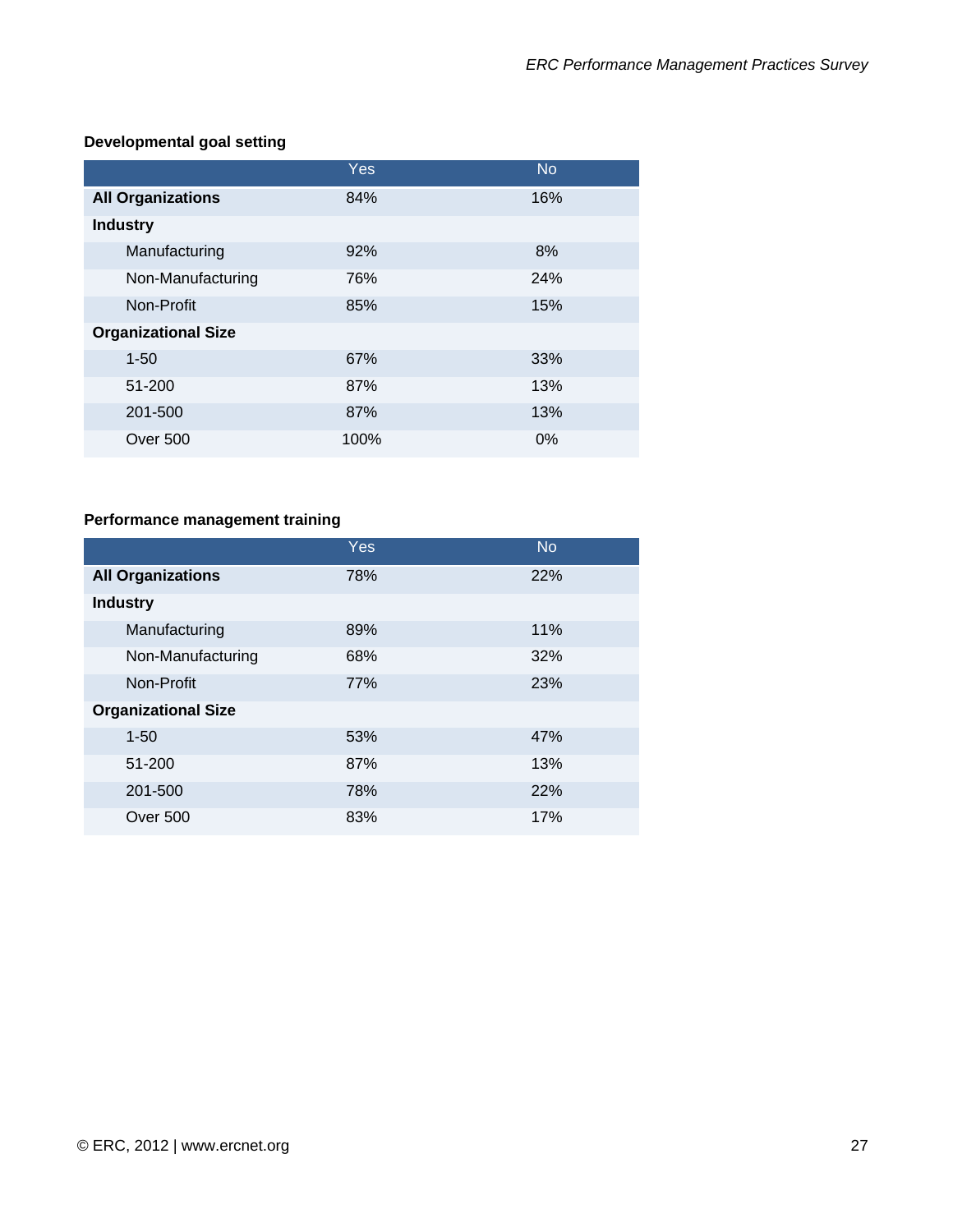#### **Developmental goal setting**

|                            | <b>Yes</b> | <b>No</b> |
|----------------------------|------------|-----------|
| <b>All Organizations</b>   | 84%        | 16%       |
| <b>Industry</b>            |            |           |
| Manufacturing              | 92%        | 8%        |
| Non-Manufacturing          | 76%        | 24%       |
| Non-Profit                 | 85%        | 15%       |
| <b>Organizational Size</b> |            |           |
| $1 - 50$                   | 67%        | 33%       |
| 51-200                     | 87%        | 13%       |
| 201-500                    | 87%        | 13%       |
| <b>Over 500</b>            | 100%       | 0%        |

#### **Performance management training**

|                            | <b>Yes</b> | <b>No</b> |
|----------------------------|------------|-----------|
| <b>All Organizations</b>   | 78%        | 22%       |
| <b>Industry</b>            |            |           |
| Manufacturing              | 89%        | 11%       |
| Non-Manufacturing          | 68%        | 32%       |
| Non-Profit                 | 77%        | 23%       |
| <b>Organizational Size</b> |            |           |
| $1 - 50$                   | 53%        | 47%       |
| 51-200                     | 87%        | 13%       |
| 201-500                    | 78%        | 22%       |
| <b>Over 500</b>            | 83%        | 17%       |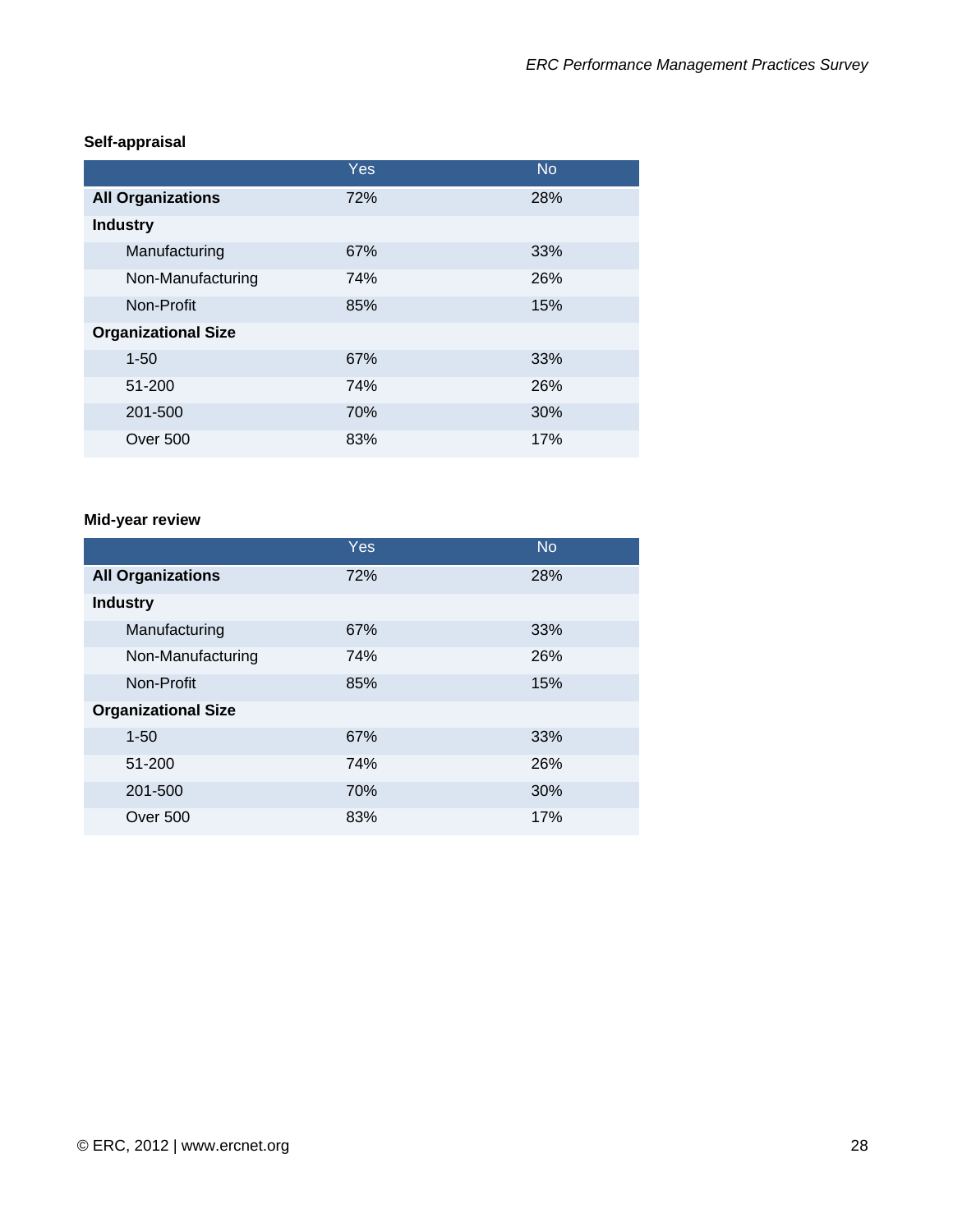|                            | Yes | <b>No</b> |
|----------------------------|-----|-----------|
| <b>All Organizations</b>   | 72% | 28%       |
| <b>Industry</b>            |     |           |
| Manufacturing              | 67% | 33%       |
| Non-Manufacturing          | 74% | 26%       |
| Non-Profit                 | 85% | 15%       |
| <b>Organizational Size</b> |     |           |
| $1 - 50$                   | 67% | 33%       |
| 51-200                     | 74% | 26%       |
| 201-500                    | 70% | 30%       |
| <b>Over 500</b>            | 83% | 17%       |

#### **Self-appraisal**

# **Mid-year review**

|                            | Yes | <b>No</b>  |
|----------------------------|-----|------------|
| <b>All Organizations</b>   | 72% | 28%        |
| <b>Industry</b>            |     |            |
| Manufacturing              | 67% | 33%        |
| Non-Manufacturing          | 74% | <b>26%</b> |
| Non-Profit                 | 85% | 15%        |
| <b>Organizational Size</b> |     |            |
| $1 - 50$                   | 67% | 33%        |
| 51-200                     | 74% | 26%        |
| 201-500                    | 70% | 30%        |
| Over 500                   | 83% | 17%        |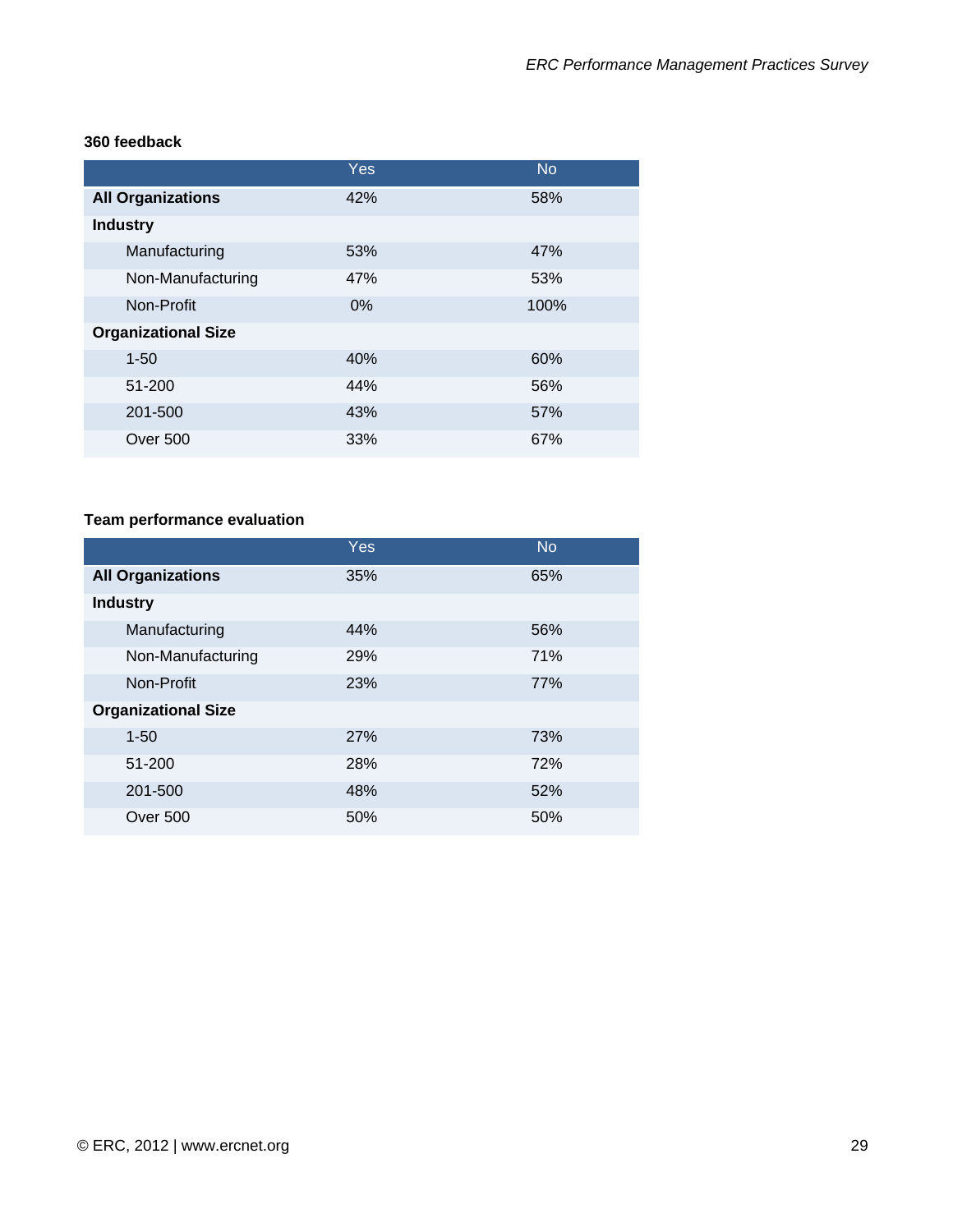|                            | Yes   | <b>No</b> |
|----------------------------|-------|-----------|
| <b>All Organizations</b>   | 42%   | 58%       |
| <b>Industry</b>            |       |           |
| Manufacturing              | 53%   | 47%       |
| Non-Manufacturing          | 47%   | 53%       |
| Non-Profit                 | $0\%$ | 100%      |
| <b>Organizational Size</b> |       |           |
| $1 - 50$                   | 40%   | 60%       |
| 51-200                     | 44%   | 56%       |
| 201-500                    | 43%   | 57%       |
| Over 500                   | 33%   | 67%       |

# **Team performance evaluation**

|                            | Yes        | <b>No</b> |
|----------------------------|------------|-----------|
| <b>All Organizations</b>   | 35%        | 65%       |
| <b>Industry</b>            |            |           |
| Manufacturing              | 44%        | 56%       |
| Non-Manufacturing          | 29%        | 71%       |
| Non-Profit                 | 23%        | 77%       |
| <b>Organizational Size</b> |            |           |
| $1 - 50$                   | <b>27%</b> | 73%       |
| 51-200                     | 28%        | 72%       |
| 201-500                    | 48%        | 52%       |
| Over 500                   | 50%        | 50%       |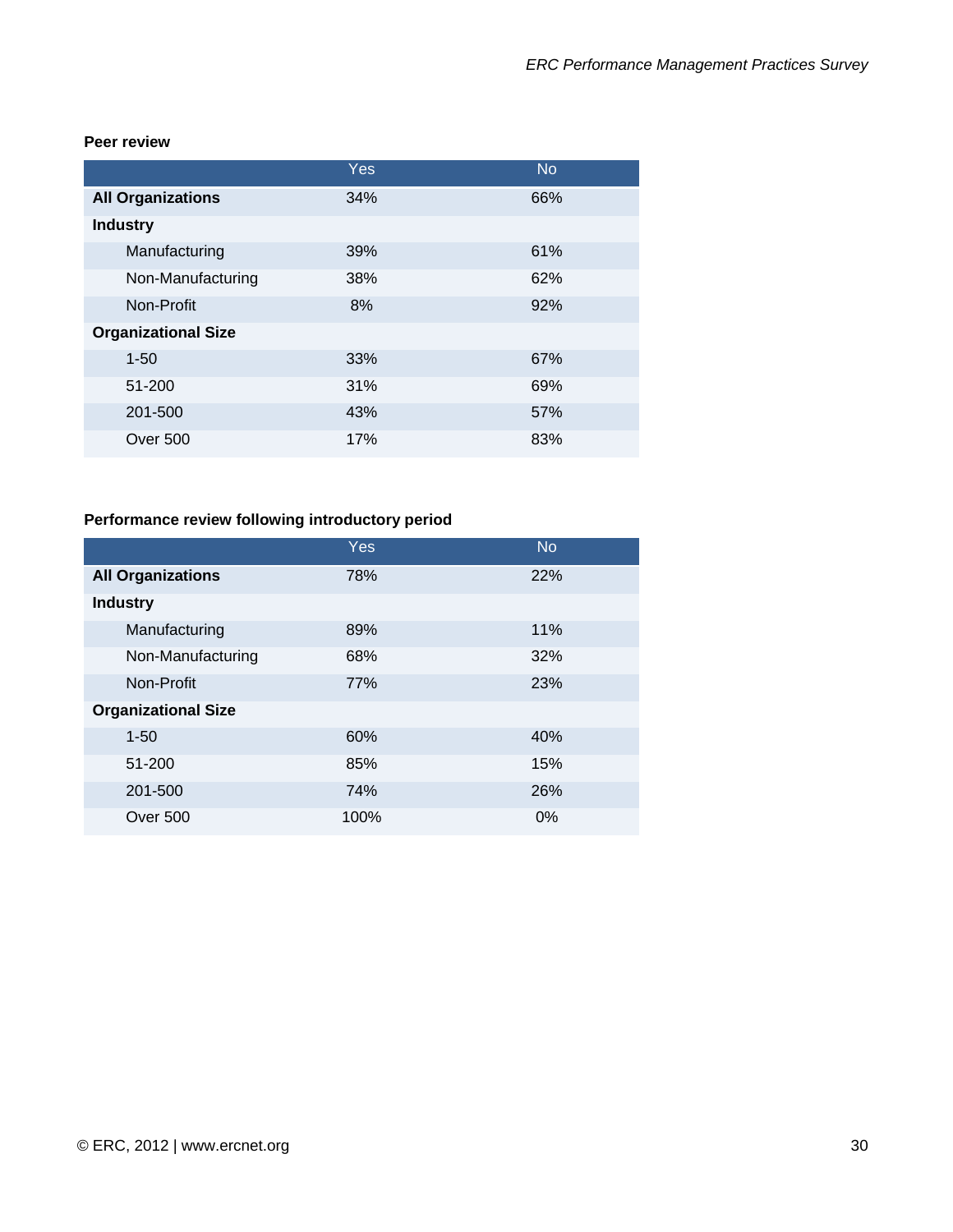#### **Peer review**

|                            | Yes | <b>No</b> |
|----------------------------|-----|-----------|
| <b>All Organizations</b>   | 34% | 66%       |
| <b>Industry</b>            |     |           |
| Manufacturing              | 39% | 61%       |
| Non-Manufacturing          | 38% | 62%       |
| Non-Profit                 | 8%  | 92%       |
| <b>Organizational Size</b> |     |           |
| $1 - 50$                   | 33% | 67%       |
| 51-200                     | 31% | 69%       |
| 201-500                    | 43% | 57%       |
| Over 500                   | 17% | 83%       |

# **Performance review following introductory period**

|                            | Yes  | <b>No</b> |
|----------------------------|------|-----------|
| <b>All Organizations</b>   | 78%  | 22%       |
| <b>Industry</b>            |      |           |
| Manufacturing              | 89%  | 11%       |
| Non-Manufacturing          | 68%  | 32%       |
| Non-Profit                 | 77%  | 23%       |
| <b>Organizational Size</b> |      |           |
| $1 - 50$                   | 60%  | 40%       |
| 51-200                     | 85%  | 15%       |
| 201-500                    | 74%  | 26%       |
| <b>Over 500</b>            | 100% | $0\%$     |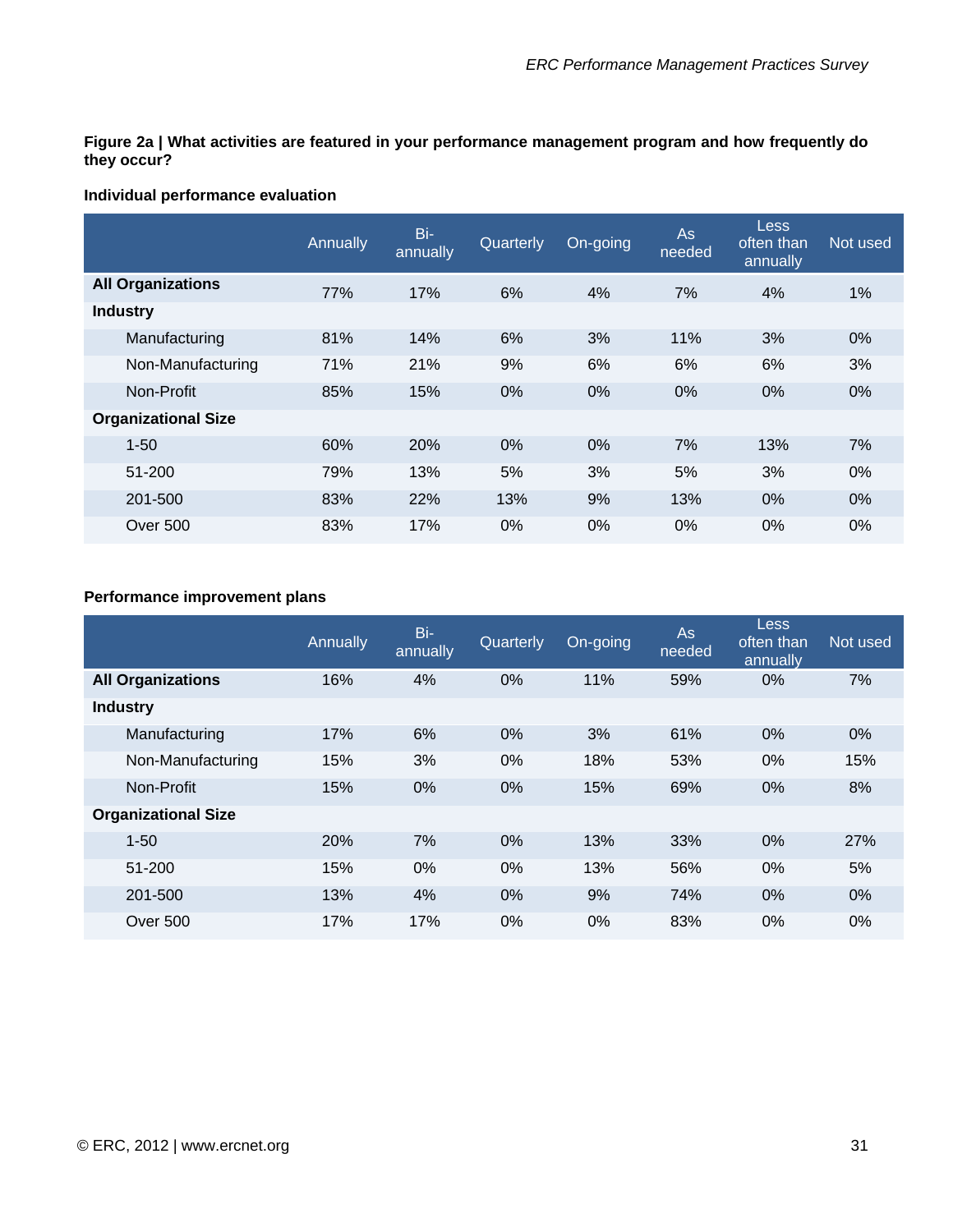**Figure 2a | What activities are featured in your performance management program and how frequently do they occur?** 

#### **Individual performance evaluation**

|                            | Annually | Bi-<br>annually | Quarterly | On-going | As<br>needed | <b>Less</b><br>often than<br>annually | Not used |
|----------------------------|----------|-----------------|-----------|----------|--------------|---------------------------------------|----------|
| <b>All Organizations</b>   | 77%      | 17%             | 6%        | 4%       | 7%           | 4%                                    | 1%       |
| <b>Industry</b>            |          |                 |           |          |              |                                       |          |
| Manufacturing              | 81%      | 14%             | 6%        | 3%       | 11%          | 3%                                    | $0\%$    |
| Non-Manufacturing          | 71%      | 21%             | 9%        | 6%       | 6%           | 6%                                    | 3%       |
| Non-Profit                 | 85%      | 15%             | 0%        | $0\%$    | 0%           | 0%                                    | $0\%$    |
| <b>Organizational Size</b> |          |                 |           |          |              |                                       |          |
| $1 - 50$                   | 60%      | 20%             | $0\%$     | 0%       | 7%           | 13%                                   | 7%       |
| 51-200                     | 79%      | 13%             | 5%        | 3%       | 5%           | 3%                                    | $0\%$    |
| 201-500                    | 83%      | 22%             | 13%       | 9%       | 13%          | $0\%$                                 | $0\%$    |
| Over 500                   | 83%      | 17%             | $0\%$     | 0%       | $0\%$        | 0%                                    | $0\%$    |

#### **Performance improvement plans**

|                            | Annually | Bi-<br>annually | Quarterly | On-going | As<br>needed | Less<br>often than<br>annually | Not used |
|----------------------------|----------|-----------------|-----------|----------|--------------|--------------------------------|----------|
| <b>All Organizations</b>   | 16%      | 4%              | 0%        | 11%      | 59%          | $0\%$                          | 7%       |
| <b>Industry</b>            |          |                 |           |          |              |                                |          |
| Manufacturing              | 17%      | 6%              | 0%        | 3%       | 61%          | $0\%$                          | $0\%$    |
| Non-Manufacturing          | 15%      | 3%              | 0%        | 18%      | 53%          | $0\%$                          | 15%      |
| Non-Profit                 | 15%      | $0\%$           | 0%        | 15%      | 69%          | $0\%$                          | 8%       |
| <b>Organizational Size</b> |          |                 |           |          |              |                                |          |
| $1 - 50$                   | 20%      | 7%              | 0%        | 13%      | 33%          | 0%                             | 27%      |
| 51-200                     | 15%      | $0\%$           | 0%        | 13%      | 56%          | $0\%$                          | 5%       |
| 201-500                    | 13%      | 4%              | 0%        | 9%       | 74%          | 0%                             | $0\%$    |
| Over 500                   | 17%      | 17%             | 0%        | 0%       | 83%          | $0\%$                          | $0\%$    |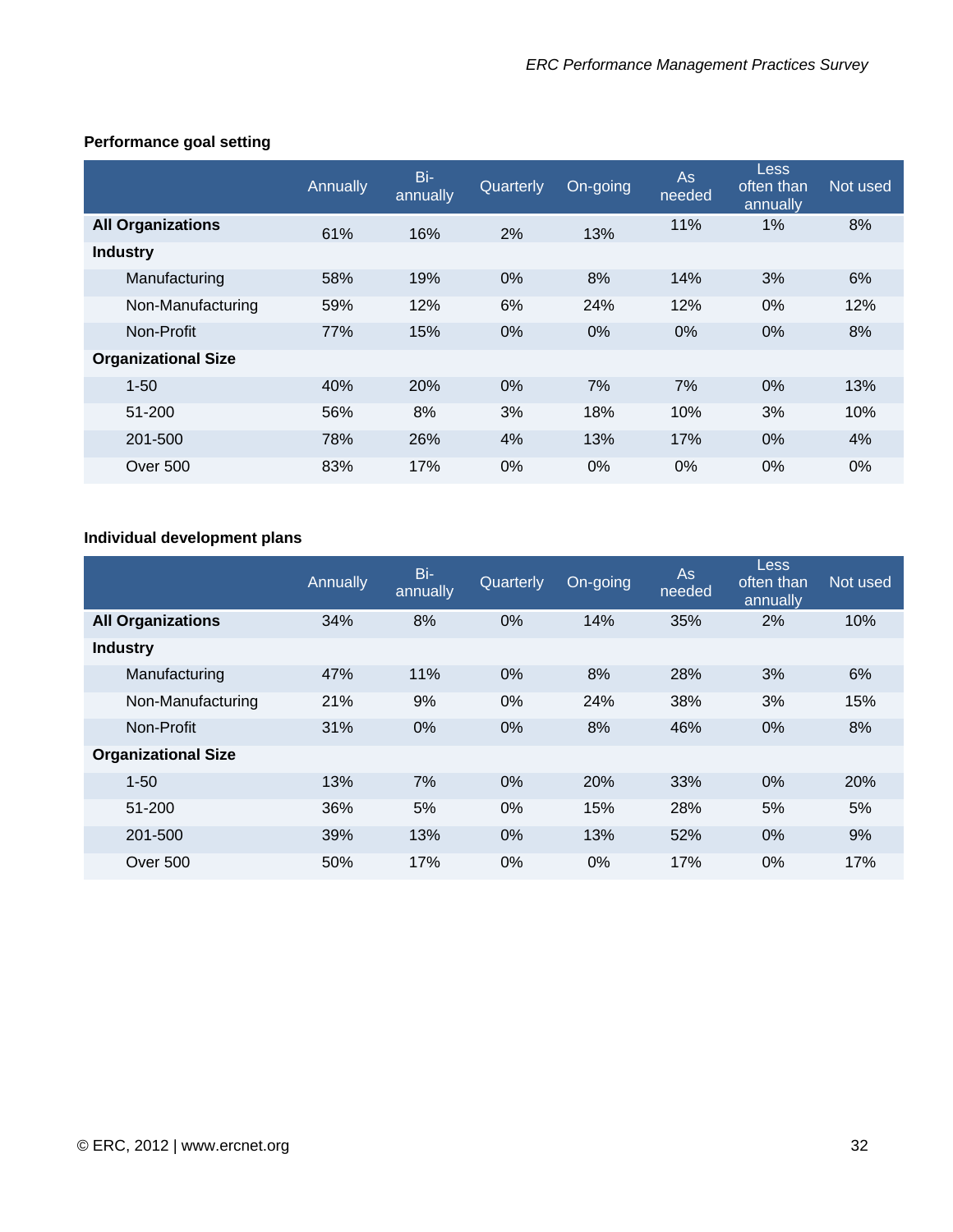|                            | Annually | Bi-<br>annually | Quarterly | On-going | <b>As</b><br>needed | Less<br>often than<br>annually | Not used |
|----------------------------|----------|-----------------|-----------|----------|---------------------|--------------------------------|----------|
| <b>All Organizations</b>   | 61%      | 16%             | 2%        | 13%      | 11%                 | 1%                             | 8%       |
| <b>Industry</b>            |          |                 |           |          |                     |                                |          |
| Manufacturing              | 58%      | 19%             | 0%        | 8%       | 14%                 | 3%                             | 6%       |
| Non-Manufacturing          | 59%      | 12%             | 6%        | 24%      | 12%                 | 0%                             | 12%      |
| Non-Profit                 | 77%      | 15%             | 0%        | $0\%$    | 0%                  | $0\%$                          | 8%       |
| <b>Organizational Size</b> |          |                 |           |          |                     |                                |          |
| $1 - 50$                   | 40%      | <b>20%</b>      | 0%        | 7%       | 7%                  | 0%                             | 13%      |
| 51-200                     | 56%      | 8%              | 3%        | 18%      | 10%                 | 3%                             | 10%      |
| 201-500                    | 78%      | 26%             | 4%        | 13%      | 17%                 | $0\%$                          | 4%       |
| Over 500                   | 83%      | 17%             | $0\%$     | $0\%$    | $0\%$               | $0\%$                          | $0\%$    |

#### **Performance goal setting**

## **Individual development plans**

|                            | Annually | Bi-<br>annually | Quarterly | On-going | As<br>needed | Less<br>often than<br>annually | Not used |
|----------------------------|----------|-----------------|-----------|----------|--------------|--------------------------------|----------|
| <b>All Organizations</b>   | 34%      | 8%              | 0%        | 14%      | 35%          | 2%                             | 10%      |
| <b>Industry</b>            |          |                 |           |          |              |                                |          |
| Manufacturing              | 47%      | 11%             | 0%        | 8%       | 28%          | 3%                             | 6%       |
| Non-Manufacturing          | 21%      | 9%              | 0%        | 24%      | 38%          | 3%                             | 15%      |
| Non-Profit                 | 31%      | $0\%$           | 0%        | 8%       | 46%          | 0%                             | 8%       |
| <b>Organizational Size</b> |          |                 |           |          |              |                                |          |
| $1 - 50$                   | 13%      | 7%              | 0%        | 20%      | 33%          | $0\%$                          | 20%      |
| 51-200                     | 36%      | 5%              | 0%        | 15%      | 28%          | 5%                             | 5%       |
| 201-500                    | 39%      | 13%             | 0%        | 13%      | 52%          | $0\%$                          | 9%       |
| Over 500                   | 50%      | 17%             | 0%        | 0%       | 17%          | $0\%$                          | 17%      |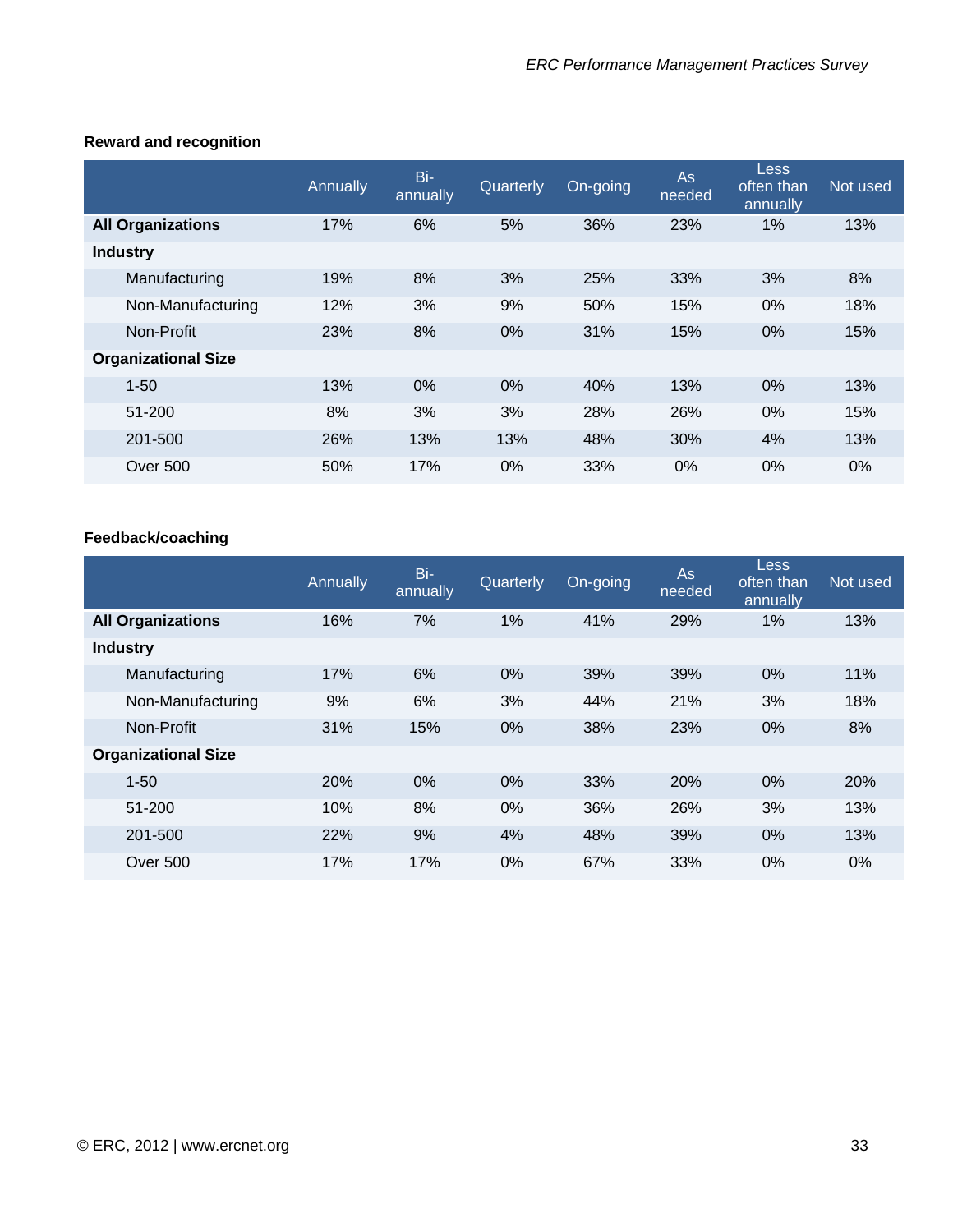#### **Reward and recognition**

|                            | Annually | Bi-<br>annually | Quarterly | On-going | <b>As</b><br>needed | <b>Less</b><br>often than<br>annually | Not used |
|----------------------------|----------|-----------------|-----------|----------|---------------------|---------------------------------------|----------|
| <b>All Organizations</b>   | 17%      | 6%              | 5%        | 36%      | 23%                 | 1%                                    | 13%      |
| <b>Industry</b>            |          |                 |           |          |                     |                                       |          |
| Manufacturing              | 19%      | 8%              | 3%        | 25%      | 33%                 | 3%                                    | 8%       |
| Non-Manufacturing          | 12%      | 3%              | 9%        | 50%      | 15%                 | $0\%$                                 | 18%      |
| Non-Profit                 | 23%      | 8%              | 0%        | 31%      | 15%                 | $0\%$                                 | 15%      |
| <b>Organizational Size</b> |          |                 |           |          |                     |                                       |          |
| $1 - 50$                   | 13%      | $0\%$           | 0%        | 40%      | 13%                 | $0\%$                                 | 13%      |
| 51-200                     | 8%       | 3%              | 3%        | 28%      | 26%                 | $0\%$                                 | 15%      |
| 201-500                    | 26%      | 13%             | 13%       | 48%      | 30%                 | 4%                                    | 13%      |
| Over 500                   | 50%      | 17%             | $0\%$     | 33%      | $0\%$               | $0\%$                                 | $0\%$    |

#### **Feedback/coaching**

|                            | Annually | Bi-<br>annually | Quarterly | On-going | As<br>needed | Less<br>often than<br>annually | Not used |
|----------------------------|----------|-----------------|-----------|----------|--------------|--------------------------------|----------|
| <b>All Organizations</b>   | 16%      | 7%              | 1%        | 41%      | 29%          | 1%                             | 13%      |
| <b>Industry</b>            |          |                 |           |          |              |                                |          |
| Manufacturing              | 17%      | 6%              | 0%        | 39%      | 39%          | 0%                             | 11%      |
| Non-Manufacturing          | 9%       | 6%              | 3%        | 44%      | 21%          | 3%                             | 18%      |
| Non-Profit                 | 31%      | 15%             | 0%        | 38%      | 23%          | $0\%$                          | 8%       |
| <b>Organizational Size</b> |          |                 |           |          |              |                                |          |
| $1 - 50$                   | 20%      | $0\%$           | 0%        | 33%      | <b>20%</b>   | $0\%$                          | 20%      |
| 51-200                     | 10%      | 8%              | 0%        | 36%      | 26%          | 3%                             | 13%      |
| 201-500                    | 22%      | 9%              | 4%        | 48%      | 39%          | $0\%$                          | 13%      |
| Over 500                   | 17%      | 17%             | 0%        | 67%      | 33%          | $0\%$                          | $0\%$    |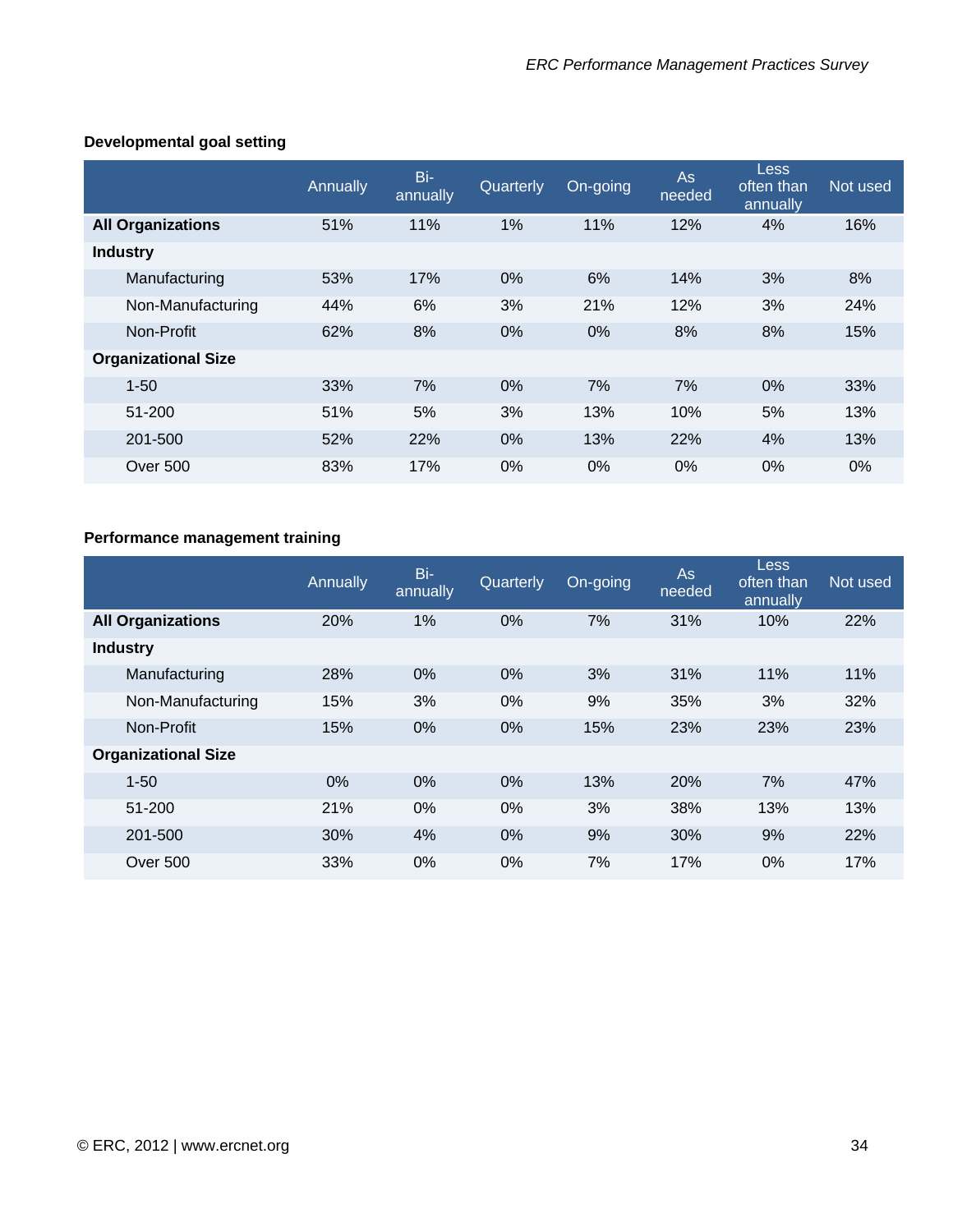#### **Developmental goal setting**

|                            | Annually | Bi-<br>annually | Quarterly | On-going | <b>As</b><br>needed | <b>Less</b><br>often than<br>annually | Not used |
|----------------------------|----------|-----------------|-----------|----------|---------------------|---------------------------------------|----------|
| <b>All Organizations</b>   | 51%      | 11%             | 1%        | 11%      | 12%                 | 4%                                    | 16%      |
| <b>Industry</b>            |          |                 |           |          |                     |                                       |          |
| Manufacturing              | 53%      | 17%             | 0%        | 6%       | 14%                 | 3%                                    | 8%       |
| Non-Manufacturing          | 44%      | 6%              | 3%        | 21%      | 12%                 | 3%                                    | 24%      |
| Non-Profit                 | 62%      | 8%              | 0%        | 0%       | 8%                  | 8%                                    | 15%      |
| <b>Organizational Size</b> |          |                 |           |          |                     |                                       |          |
| $1 - 50$                   | 33%      | 7%              | 0%        | 7%       | 7%                  | $0\%$                                 | 33%      |
| 51-200                     | 51%      | 5%              | 3%        | 13%      | 10%                 | 5%                                    | 13%      |
| 201-500                    | 52%      | 22%             | 0%        | 13%      | 22%                 | 4%                                    | 13%      |
| Over 500                   | 83%      | 17%             | 0%        | $0\%$    | $0\%$               | $0\%$                                 | $0\%$    |

#### **Performance management training**

|                            | Annually | Bi-<br>annually | Quarterly | On-going | <b>As</b><br>needed | Less<br>often than<br>annually | Not used |
|----------------------------|----------|-----------------|-----------|----------|---------------------|--------------------------------|----------|
| <b>All Organizations</b>   | 20%      | 1%              | 0%        | 7%       | 31%                 | 10%                            | 22%      |
| <b>Industry</b>            |          |                 |           |          |                     |                                |          |
| Manufacturing              | 28%      | $0\%$           | 0%        | 3%       | 31%                 | 11%                            | 11%      |
| Non-Manufacturing          | 15%      | 3%              | 0%        | 9%       | 35%                 | 3%                             | 32%      |
| Non-Profit                 | 15%      | $0\%$           | 0%        | 15%      | 23%                 | 23%                            | 23%      |
| <b>Organizational Size</b> |          |                 |           |          |                     |                                |          |
| $1 - 50$                   | $0\%$    | $0\%$           | 0%        | 13%      | <b>20%</b>          | 7%                             | 47%      |
| 51-200                     | 21%      | $0\%$           | 0%        | 3%       | 38%                 | 13%                            | 13%      |
| 201-500                    | 30%      | 4%              | 0%        | 9%       | 30%                 | 9%                             | 22%      |
| <b>Over 500</b>            | 33%      | $0\%$           | $0\%$     | 7%       | 17%                 | $0\%$                          | 17%      |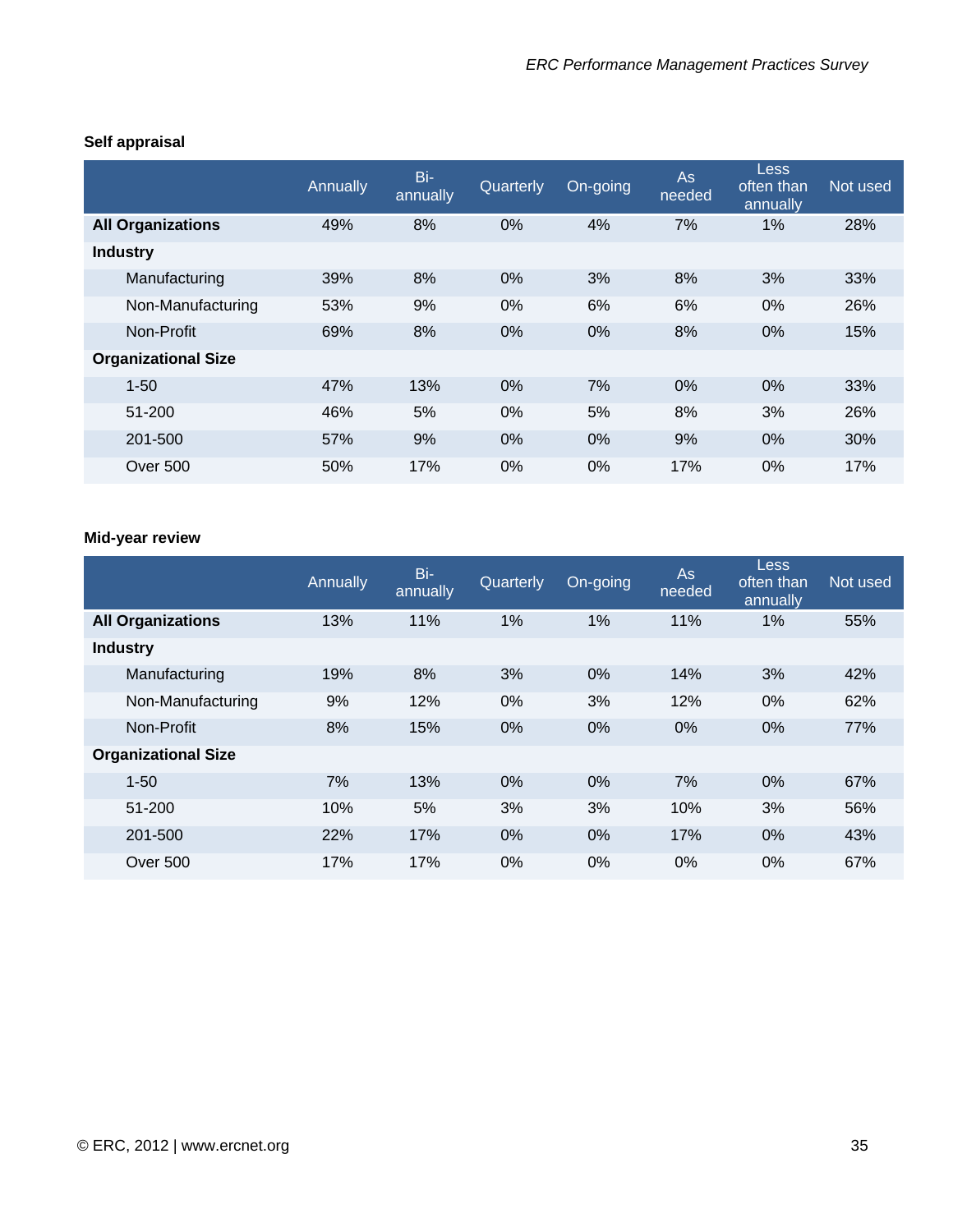|                            | Annually | Bi-<br>annually | Quarterly | On-going | <b>As</b><br>needed | <b>Less</b><br>often than<br>annually | Not used |
|----------------------------|----------|-----------------|-----------|----------|---------------------|---------------------------------------|----------|
| <b>All Organizations</b>   | 49%      | 8%              | 0%        | 4%       | 7%                  | $1\%$                                 | 28%      |
| <b>Industry</b>            |          |                 |           |          |                     |                                       |          |
| Manufacturing              | 39%      | 8%              | 0%        | 3%       | 8%                  | 3%                                    | 33%      |
| Non-Manufacturing          | 53%      | 9%              | 0%        | 6%       | 6%                  | 0%                                    | 26%      |
| Non-Profit                 | 69%      | 8%              | 0%        | $0\%$    | 8%                  | 0%                                    | 15%      |
| <b>Organizational Size</b> |          |                 |           |          |                     |                                       |          |
| $1 - 50$                   | 47%      | 13%             | 0%        | 7%       | 0%                  | 0%                                    | 33%      |
| 51-200                     | 46%      | 5%              | 0%        | 5%       | 8%                  | 3%                                    | 26%      |
| 201-500                    | 57%      | 9%              | 0%        | $0\%$    | 9%                  | 0%                                    | 30%      |
| Over 500                   | 50%      | 17%             | 0%        | $0\%$    | 17%                 | $0\%$                                 | 17%      |

#### **Self appraisal**

#### **Mid-year review**

|                            | Annually | Bi-<br>annually | Quarterly | On-going | <b>As</b><br>needed | <b>Less</b><br>often than<br>annually | Not used |
|----------------------------|----------|-----------------|-----------|----------|---------------------|---------------------------------------|----------|
| <b>All Organizations</b>   | 13%      | 11%             | 1%        | 1%       | 11%                 | 1%                                    | 55%      |
| <b>Industry</b>            |          |                 |           |          |                     |                                       |          |
| Manufacturing              | 19%      | 8%              | 3%        | 0%       | 14%                 | 3%                                    | 42%      |
| Non-Manufacturing          | 9%       | 12%             | 0%        | 3%       | 12%                 | 0%                                    | 62%      |
| Non-Profit                 | 8%       | 15%             | 0%        | 0%       | 0%                  | 0%                                    | 77%      |
| <b>Organizational Size</b> |          |                 |           |          |                     |                                       |          |
| $1 - 50$                   | 7%       | 13%             | 0%        | 0%       | 7%                  | 0%                                    | 67%      |
| 51-200                     | 10%      | 5%              | 3%        | 3%       | 10%                 | 3%                                    | 56%      |
| 201-500                    | 22%      | 17%             | 0%        | 0%       | 17%                 | $0\%$                                 | 43%      |
| <b>Over 500</b>            | 17%      | 17%             | 0%        | 0%       | 0%                  | 0%                                    | 67%      |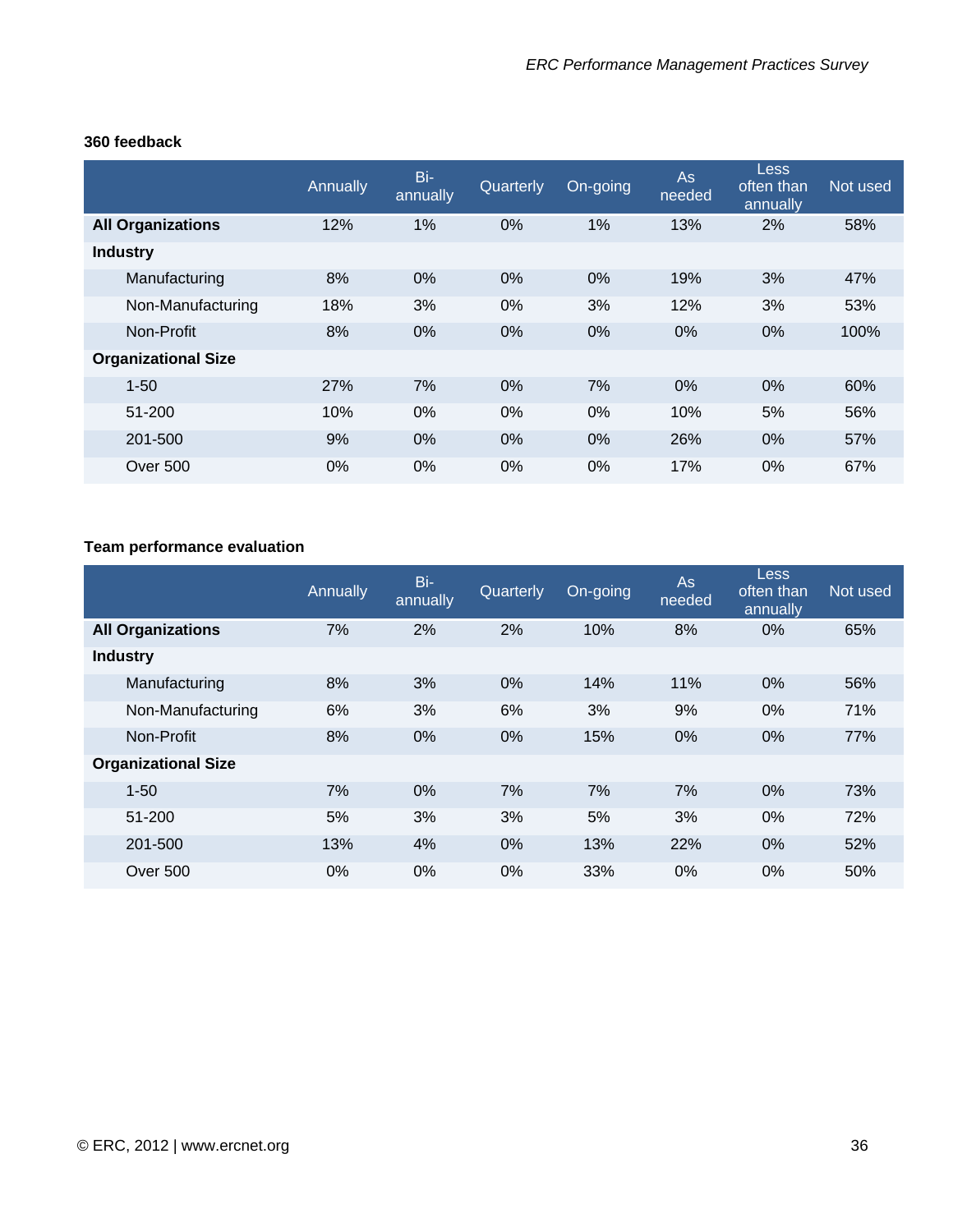|                            | Annually | Bi-<br>annually | Quarterly | On-going | <b>As</b><br>needed | <b>Less</b><br>often than<br>annually | Not used |
|----------------------------|----------|-----------------|-----------|----------|---------------------|---------------------------------------|----------|
| <b>All Organizations</b>   | 12%      | 1%              | $0\%$     | 1%       | 13%                 | 2%                                    | 58%      |
| <b>Industry</b>            |          |                 |           |          |                     |                                       |          |
| Manufacturing              | 8%       | 0%              | $0\%$     | 0%       | 19%                 | 3%                                    | 47%      |
| Non-Manufacturing          | 18%      | 3%              | $0\%$     | 3%       | 12%                 | 3%                                    | 53%      |
| Non-Profit                 | 8%       | 0%              | $0\%$     | 0%       | $0\%$               | $0\%$                                 | 100%     |
| <b>Organizational Size</b> |          |                 |           |          |                     |                                       |          |
| $1 - 50$                   | 27%      | 7%              | $0\%$     | 7%       | $0\%$               | $0\%$                                 | 60%      |
| 51-200                     | 10%      | 0%              | 0%        | 0%       | 10%                 | 5%                                    | 56%      |
| 201-500                    | 9%       | 0%              | 0%        | $0\%$    | 26%                 | $0\%$                                 | 57%      |
| Over 500                   | 0%       | 0%              | $0\%$     | 0%       | 17%                 | $0\%$                                 | 67%      |

#### **360 feedback**

# **Team performance evaluation**

|                            | Annually | Bi-<br>annually | Quarterly | On-going | <b>As</b><br>needed | <b>Less</b><br>often than<br>annually | Not used |
|----------------------------|----------|-----------------|-----------|----------|---------------------|---------------------------------------|----------|
| <b>All Organizations</b>   | 7%       | 2%              | 2%        | 10%      | 8%                  | 0%                                    | 65%      |
| <b>Industry</b>            |          |                 |           |          |                     |                                       |          |
| Manufacturing              | 8%       | 3%              | 0%        | 14%      | 11%                 | $0\%$                                 | 56%      |
| Non-Manufacturing          | 6%       | 3%              | 6%        | 3%       | 9%                  | $0\%$                                 | 71%      |
| Non-Profit                 | 8%       | $0\%$           | 0%        | 15%      | 0%                  | $0\%$                                 | 77%      |
| <b>Organizational Size</b> |          |                 |           |          |                     |                                       |          |
| $1 - 50$                   | 7%       | $0\%$           | 7%        | 7%       | 7%                  | $0\%$                                 | 73%      |
| 51-200                     | 5%       | 3%              | 3%        | 5%       | 3%                  | $0\%$                                 | 72%      |
| 201-500                    | 13%      | 4%              | 0%        | 13%      | 22%                 | 0%                                    | 52%      |
| Over 500                   | $0\%$    | $0\%$           | $0\%$     | 33%      | $0\%$               | $0\%$                                 | 50%      |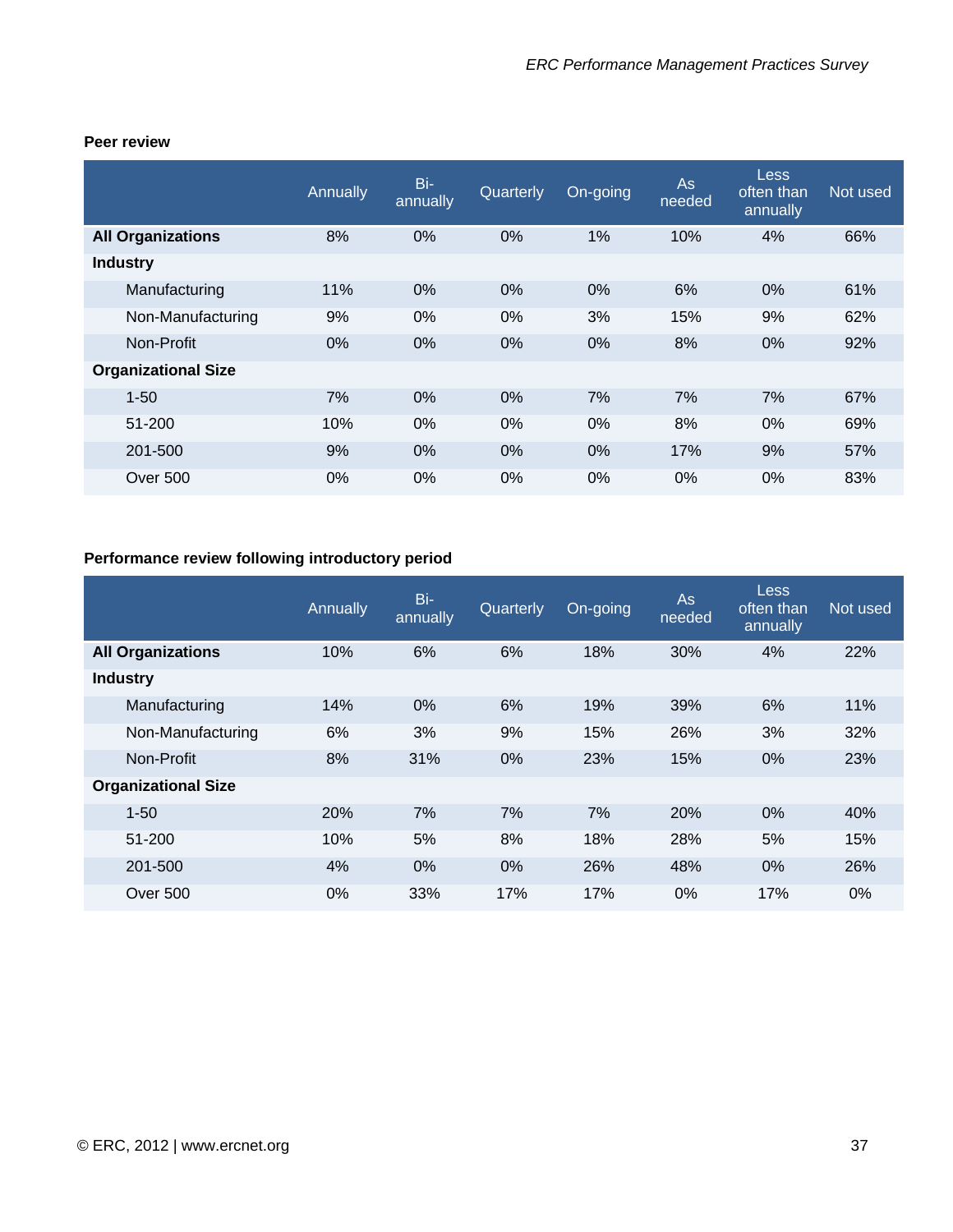|                            | Annually | Bi-<br>annually | Quarterly | On-going | As<br>needed | <b>Less</b><br>often than<br>annually | Not used |
|----------------------------|----------|-----------------|-----------|----------|--------------|---------------------------------------|----------|
| <b>All Organizations</b>   | 8%       | $0\%$           | 0%        | 1%       | 10%          | 4%                                    | 66%      |
| <b>Industry</b>            |          |                 |           |          |              |                                       |          |
| Manufacturing              | 11%      | $0\%$           | 0%        | $0\%$    | 6%           | 0%                                    | 61%      |
| Non-Manufacturing          | 9%       | 0%              | 0%        | 3%       | 15%          | 9%                                    | 62%      |
| Non-Profit                 | 0%       | $0\%$           | 0%        | $0\%$    | 8%           | $0\%$                                 | 92%      |
| <b>Organizational Size</b> |          |                 |           |          |              |                                       |          |
| $1 - 50$                   | 7%       | 0%              | 0%        | 7%       | 7%           | 7%                                    | 67%      |
| 51-200                     | 10%      | 0%              | 0%        | 0%       | 8%           | 0%                                    | 69%      |
| 201-500                    | 9%       | 0%              | 0%        | 0%       | 17%          | 9%                                    | 57%      |
| Over 500                   | 0%       | 0%              | 0%        | $0\%$    | 0%           | 0%                                    | 83%      |

#### **Peer review**

# **Performance review following introductory period**

|                            | Annually | Bi-<br>annually | Quarterly | On-going | As<br>needed | Less<br>often than<br>annually | Not used |
|----------------------------|----------|-----------------|-----------|----------|--------------|--------------------------------|----------|
| <b>All Organizations</b>   | 10%      | 6%              | 6%        | 18%      | 30%          | 4%                             | 22%      |
| <b>Industry</b>            |          |                 |           |          |              |                                |          |
| Manufacturing              | 14%      | $0\%$           | 6%        | 19%      | 39%          | 6%                             | 11%      |
| Non-Manufacturing          | 6%       | 3%              | 9%        | 15%      | 26%          | 3%                             | 32%      |
| Non-Profit                 | 8%       | 31%             | 0%        | 23%      | 15%          | 0%                             | 23%      |
| <b>Organizational Size</b> |          |                 |           |          |              |                                |          |
| $1 - 50$                   | 20%      | 7%              | 7%        | 7%       | 20%          | 0%                             | 40%      |
| 51-200                     | 10%      | 5%              | 8%        | 18%      | 28%          | 5%                             | 15%      |
| 201-500                    | 4%       | 0%              | 0%        | 26%      | 48%          | $0\%$                          | 26%      |
| <b>Over 500</b>            | $0\%$    | 33%             | 17%       | 17%      | $0\%$        | 17%                            | $0\%$    |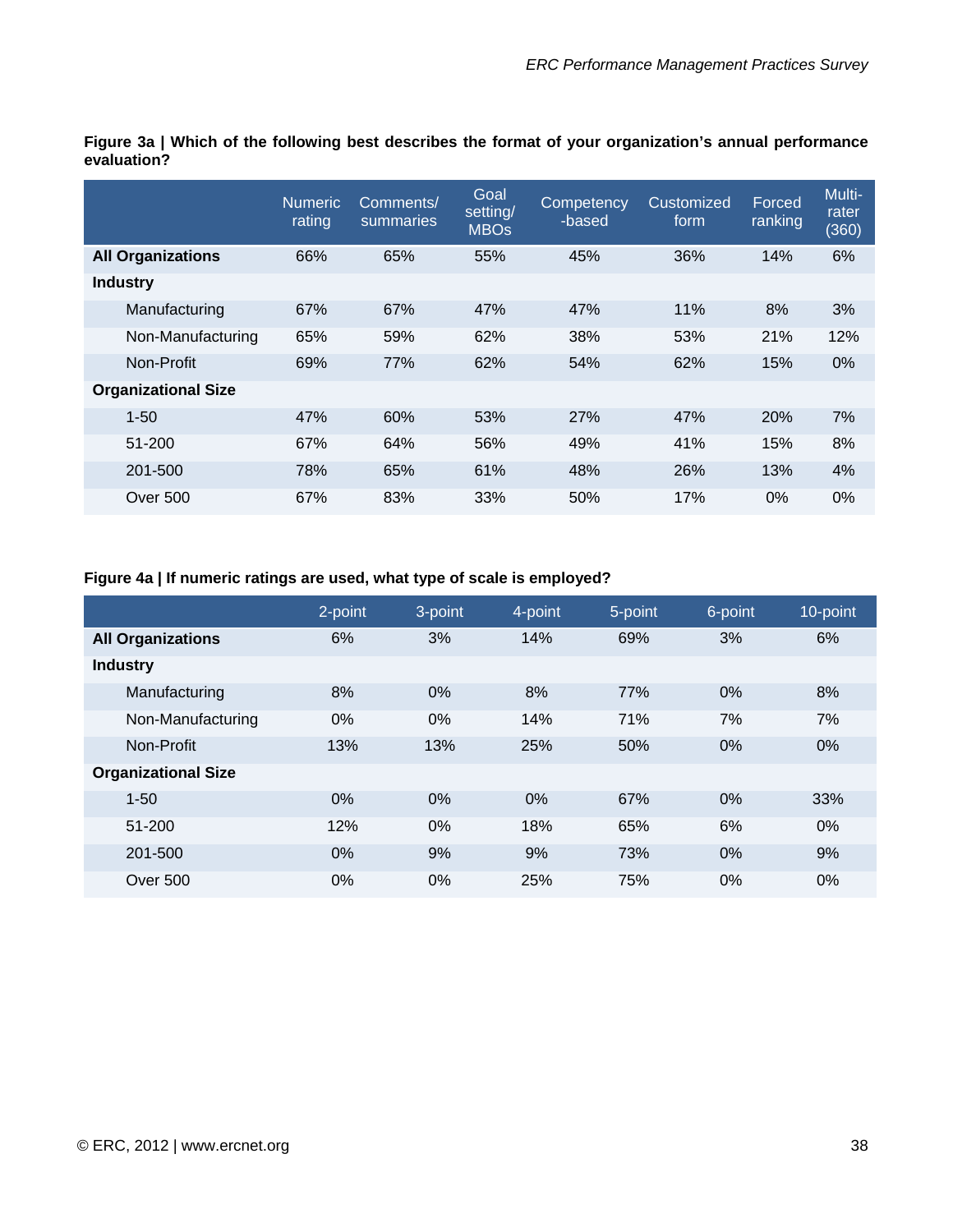|                            | <b>Numeric</b><br>rating | Comments/<br>summaries | Goal<br>setting/<br><b>MBOs</b> | Competency<br>-based | Customized<br>form | Forced<br>ranking | Multi-<br>rater<br>(360) |
|----------------------------|--------------------------|------------------------|---------------------------------|----------------------|--------------------|-------------------|--------------------------|
| <b>All Organizations</b>   | 66%                      | 65%                    | 55%                             | 45%                  | 36%                | 14%               | 6%                       |
| <b>Industry</b>            |                          |                        |                                 |                      |                    |                   |                          |
| Manufacturing              | 67%                      | 67%                    | 47%                             | 47%                  | 11%                | 8%                | 3%                       |
| Non-Manufacturing          | 65%                      | 59%                    | 62%                             | 38%                  | 53%                | 21%               | 12%                      |
| Non-Profit                 | 69%                      | 77%                    | 62%                             | 54%                  | 62%                | 15%               | 0%                       |
| <b>Organizational Size</b> |                          |                        |                                 |                      |                    |                   |                          |
| $1 - 50$                   | 47%                      | 60%                    | 53%                             | 27%                  | 47%                | 20%               | 7%                       |
| 51-200                     | 67%                      | 64%                    | 56%                             | 49%                  | 41%                | 15%               | 8%                       |
| 201-500                    | 78%                      | 65%                    | 61%                             | 48%                  | 26%                | 13%               | 4%                       |
| Over 500                   | 67%                      | 83%                    | 33%                             | 50%                  | 17%                | $0\%$             | 0%                       |

**Figure 3a | Which of the following best describes the format of your organization's annual performance evaluation?** 

## **Figure 4a | If numeric ratings are used, what type of scale is employed?**

|                            | 2-point | 3-point | 4-point | 5-point | 6-point | 10-point |
|----------------------------|---------|---------|---------|---------|---------|----------|
| <b>All Organizations</b>   | 6%      | 3%      | 14%     | 69%     | 3%      | 6%       |
| <b>Industry</b>            |         |         |         |         |         |          |
| Manufacturing              | 8%      | 0%      | 8%      | 77%     | 0%      | 8%       |
| Non-Manufacturing          | $0\%$   | $0\%$   | 14%     | 71%     | 7%      | 7%       |
| Non-Profit                 | 13%     | 13%     | 25%     | 50%     | 0%      | 0%       |
| <b>Organizational Size</b> |         |         |         |         |         |          |
| $1 - 50$                   | 0%      | 0%      | 0%      | 67%     | 0%      | 33%      |
| 51-200                     | 12%     | $0\%$   | 18%     | 65%     | 6%      | $0\%$    |
| 201-500                    | $0\%$   | 9%      | 9%      | 73%     | 0%      | 9%       |
| Over 500                   | 0%      | $0\%$   | 25%     | 75%     | $0\%$   | $0\%$    |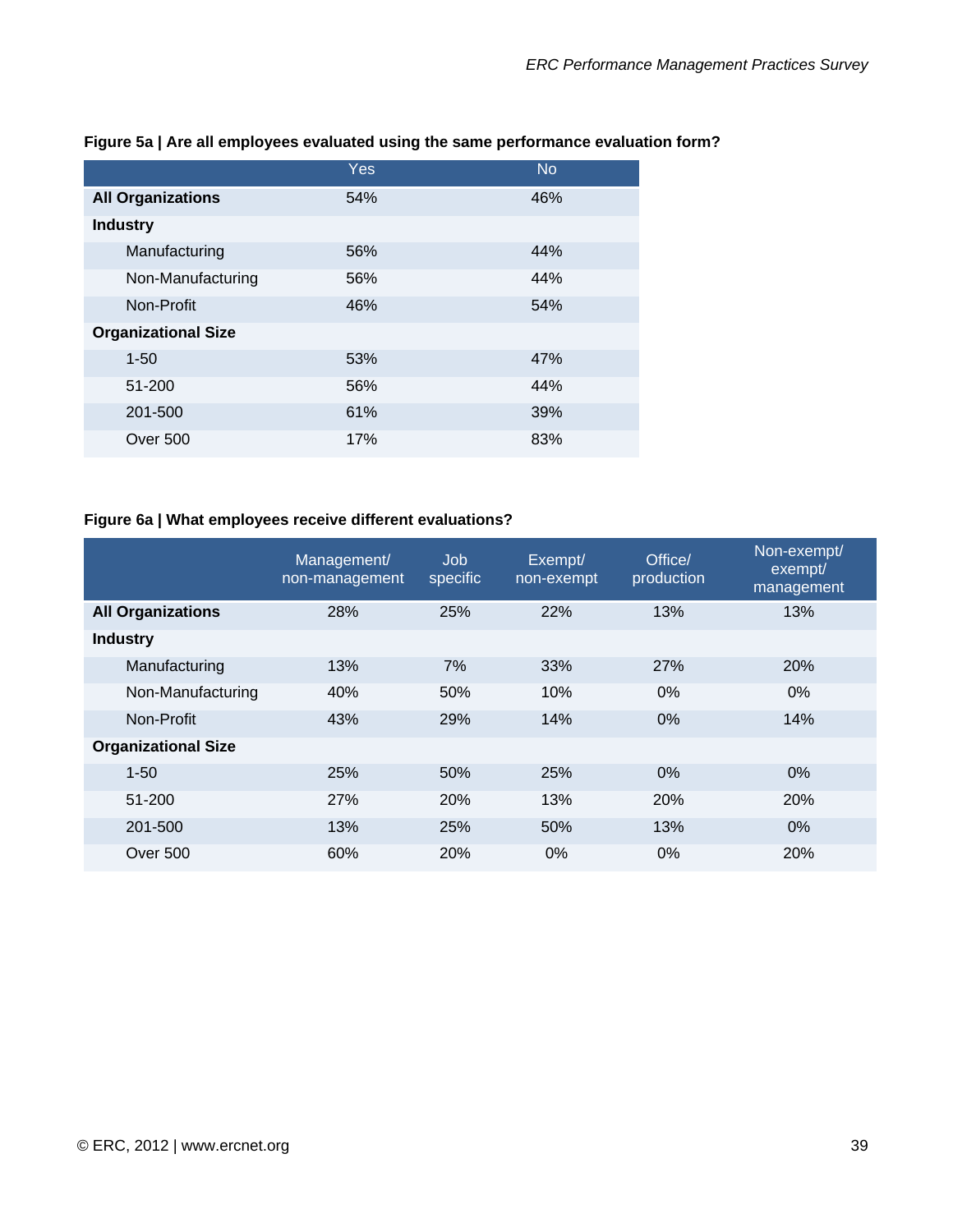|                            | Yes | <b>No</b> |
|----------------------------|-----|-----------|
| <b>All Organizations</b>   | 54% | 46%       |
| <b>Industry</b>            |     |           |
| Manufacturing              | 56% | 44%       |
| Non-Manufacturing          | 56% | 44%       |
| Non-Profit                 | 46% | 54%       |
| <b>Organizational Size</b> |     |           |
| $1 - 50$                   | 53% | 47%       |
| 51-200                     | 56% | 44%       |
| 201-500                    | 61% | 39%       |
| Over 500                   | 17% | 83%       |

### **Figure 5a | Are all employees evaluated using the same performance evaluation form?**

# **Figure 6a | What employees receive different evaluations?**

|                            | Management/<br>non-management | Job<br>specific | Exempt/<br>non-exempt | Office/<br>production | Non-exempt/<br>exempt/<br>management |
|----------------------------|-------------------------------|-----------------|-----------------------|-----------------------|--------------------------------------|
| <b>All Organizations</b>   | 28%                           | 25%             | 22%                   | 13%                   | 13%                                  |
| <b>Industry</b>            |                               |                 |                       |                       |                                      |
| Manufacturing              | 13%                           | 7%              | 33%                   | 27%                   | 20%                                  |
| Non-Manufacturing          | 40%                           | 50%             | 10%                   | 0%                    | $0\%$                                |
| Non-Profit                 | 43%                           | 29%             | 14%                   | $0\%$                 | 14%                                  |
| <b>Organizational Size</b> |                               |                 |                       |                       |                                      |
| $1 - 50$                   | 25%                           | 50%             | 25%                   | $0\%$                 | 0%                                   |
| 51-200                     | 27%                           | 20%             | 13%                   | 20%                   | 20%                                  |
| 201-500                    | 13%                           | 25%             | 50%                   | 13%                   | 0%                                   |
| Over 500                   | 60%                           | 20%             | $0\%$                 | $0\%$                 | 20%                                  |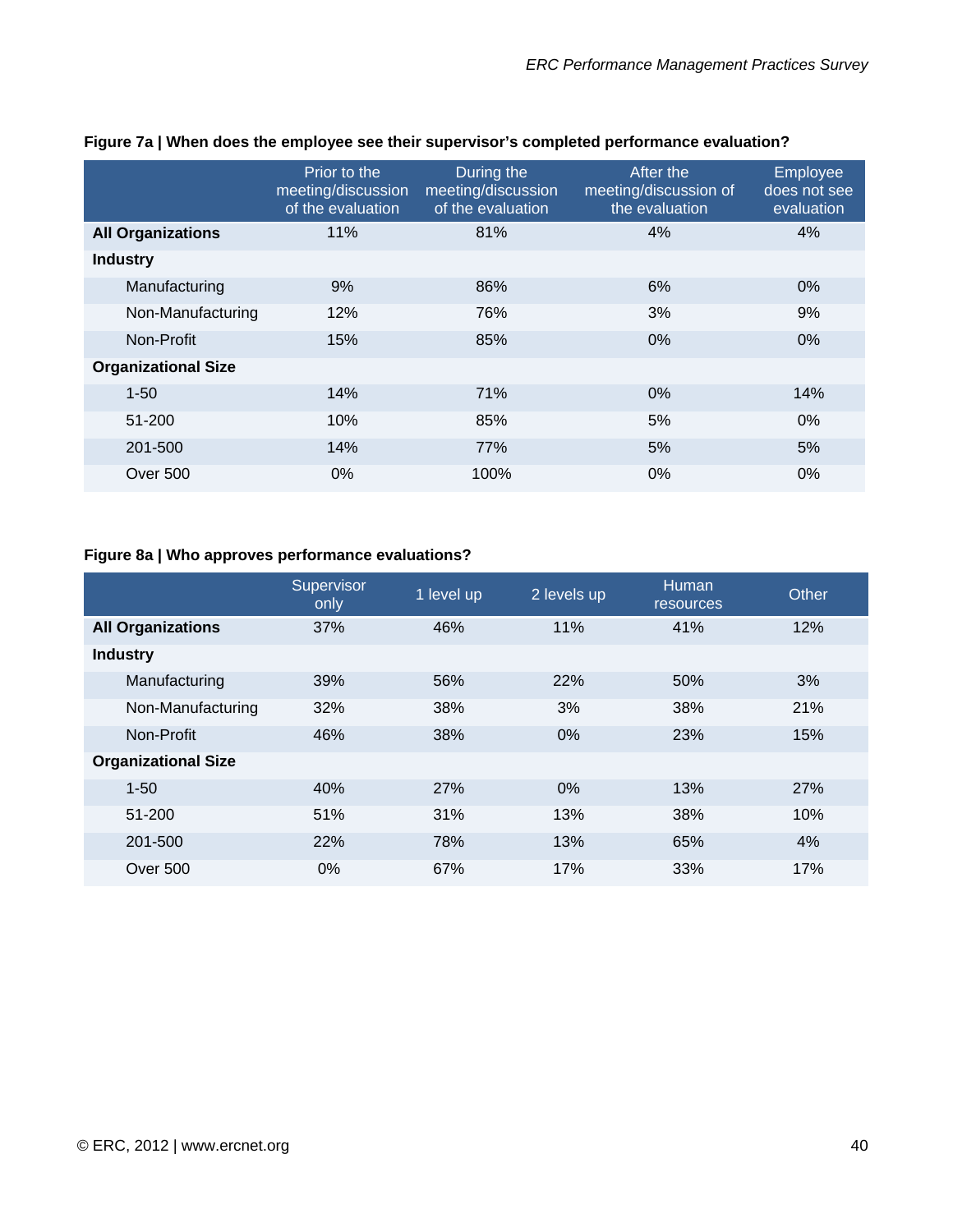|                            | Prior to the<br>meeting/discussion<br>of the evaluation | During the<br>meeting/discussion<br>of the evaluation | After the<br>meeting/discussion of<br>the evaluation | Employee<br>does not see<br>evaluation |
|----------------------------|---------------------------------------------------------|-------------------------------------------------------|------------------------------------------------------|----------------------------------------|
| <b>All Organizations</b>   | 11%                                                     | 81%                                                   | 4%                                                   | 4%                                     |
| <b>Industry</b>            |                                                         |                                                       |                                                      |                                        |
| Manufacturing              | 9%                                                      | 86%                                                   | 6%                                                   | $0\%$                                  |
| Non-Manufacturing          | 12%                                                     | 76%                                                   | 3%                                                   | 9%                                     |
| Non-Profit                 | 15%                                                     | 85%                                                   | $0\%$                                                | $0\%$                                  |
| <b>Organizational Size</b> |                                                         |                                                       |                                                      |                                        |
| $1 - 50$                   | 14%                                                     | 71%                                                   | 0%                                                   | 14%                                    |
| 51-200                     | 10%                                                     | 85%                                                   | 5%                                                   | 0%                                     |
| 201-500                    | 14%                                                     | <b>77%</b>                                            | 5%                                                   | 5%                                     |
| Over 500                   | $0\%$                                                   | 100%                                                  | $0\%$                                                | 0%                                     |

### **Figure 7a | When does the employee see their supervisor's completed performance evaluation?**

# **Figure 8a | Who approves performance evaluations?**

|                            | Supervisor<br>only | 1 level up | 2 levels up | Human<br>resources | Other |
|----------------------------|--------------------|------------|-------------|--------------------|-------|
| <b>All Organizations</b>   | 37%                | 46%        | 11%         | 41%                | 12%   |
| <b>Industry</b>            |                    |            |             |                    |       |
| Manufacturing              | 39%                | 56%        | 22%         | 50%                | 3%    |
| Non-Manufacturing          | 32%                | 38%        | 3%          | 38%                | 21%   |
| Non-Profit                 | 46%                | 38%        | $0\%$       | 23%                | 15%   |
| <b>Organizational Size</b> |                    |            |             |                    |       |
| $1 - 50$                   | 40%                | 27%        | 0%          | 13%                | 27%   |
| 51-200                     | 51%                | 31%        | 13%         | 38%                | 10%   |
| 201-500                    | 22%                | 78%        | 13%         | 65%                | 4%    |
| Over 500                   | $0\%$              | 67%        | 17%         | 33%                | 17%   |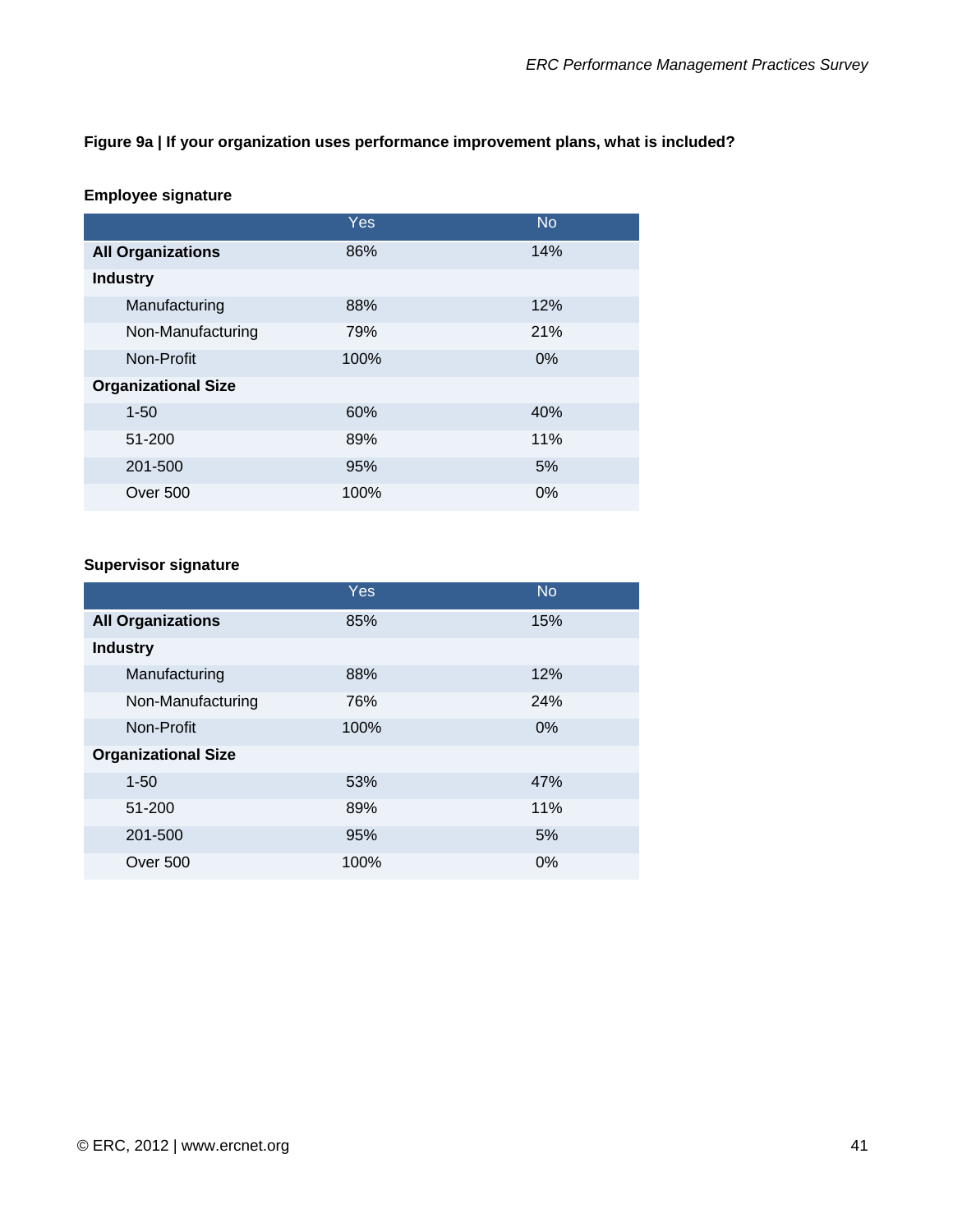#### **Figure 9a | If your organization uses performance improvement plans, what is included?**

#### **Employee signature**

|                            | <b>Yes</b> | <b>No</b> |
|----------------------------|------------|-----------|
| <b>All Organizations</b>   | 86%        | 14%       |
| <b>Industry</b>            |            |           |
| Manufacturing              | 88%        | 12%       |
| Non-Manufacturing          | 79%        | 21%       |
| Non-Profit                 | 100%       | 0%        |
| <b>Organizational Size</b> |            |           |
| $1 - 50$                   | 60%        | 40%       |
| 51-200                     | 89%        | 11%       |
| 201-500                    | 95%        | 5%        |
| <b>Over 500</b>            | 100%       | 0%        |

#### **Supervisor signature**

|                            | Yes  | <b>No</b> |
|----------------------------|------|-----------|
| <b>All Organizations</b>   | 85%  | 15%       |
| <b>Industry</b>            |      |           |
| Manufacturing              | 88%  | 12%       |
| Non-Manufacturing          | 76%  | 24%       |
| Non-Profit                 | 100% | 0%        |
| <b>Organizational Size</b> |      |           |
| $1 - 50$                   | 53%  | 47%       |
| 51-200                     | 89%  | 11%       |
| 201-500                    | 95%  | 5%        |
| Over 500                   | 100% | 0%        |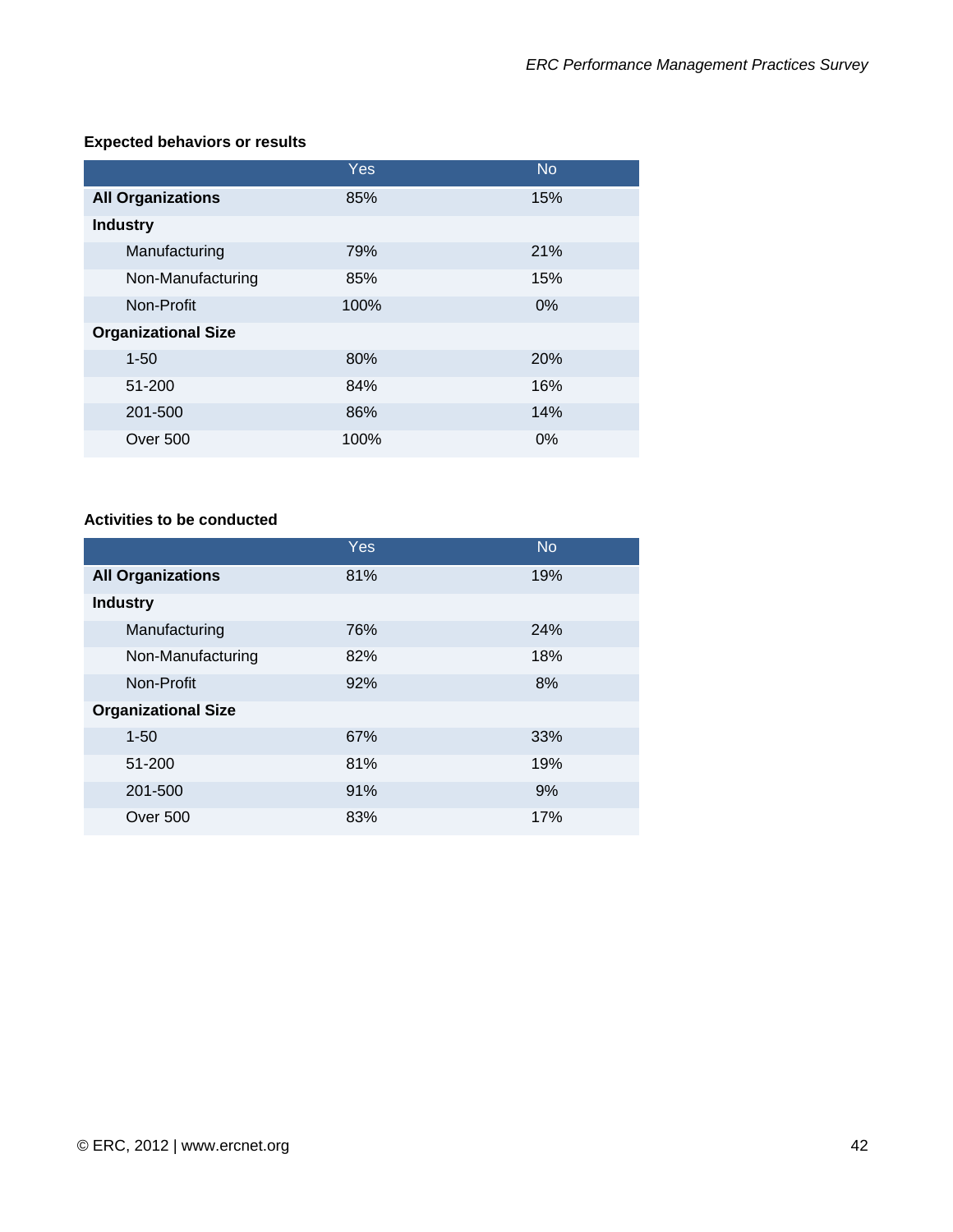### **Expected behaviors or results**

|                            | <b>Yes</b> | <b>No</b>  |
|----------------------------|------------|------------|
| <b>All Organizations</b>   | 85%        | 15%        |
| <b>Industry</b>            |            |            |
| Manufacturing              | 79%        | 21%        |
| Non-Manufacturing          | 85%        | 15%        |
| Non-Profit                 | 100%       | 0%         |
| <b>Organizational Size</b> |            |            |
| $1 - 50$                   | 80%        | <b>20%</b> |
| 51-200                     | 84%        | 16%        |
| 201-500                    | 86%        | 14%        |
| <b>Over 500</b>            | 100%       | 0%         |

#### **Activities to be conducted**

|                            | <b>Yes</b> | <b>No</b> |
|----------------------------|------------|-----------|
| <b>All Organizations</b>   | 81%        | 19%       |
| <b>Industry</b>            |            |           |
| Manufacturing              | 76%        | 24%       |
| Non-Manufacturing          | 82%        | 18%       |
| Non-Profit                 | 92%        | 8%        |
| <b>Organizational Size</b> |            |           |
| $1 - 50$                   | 67%        | 33%       |
| 51-200                     | 81%        | 19%       |
| 201-500                    | 91%        | 9%        |
| Over 500                   | 83%        | 17%       |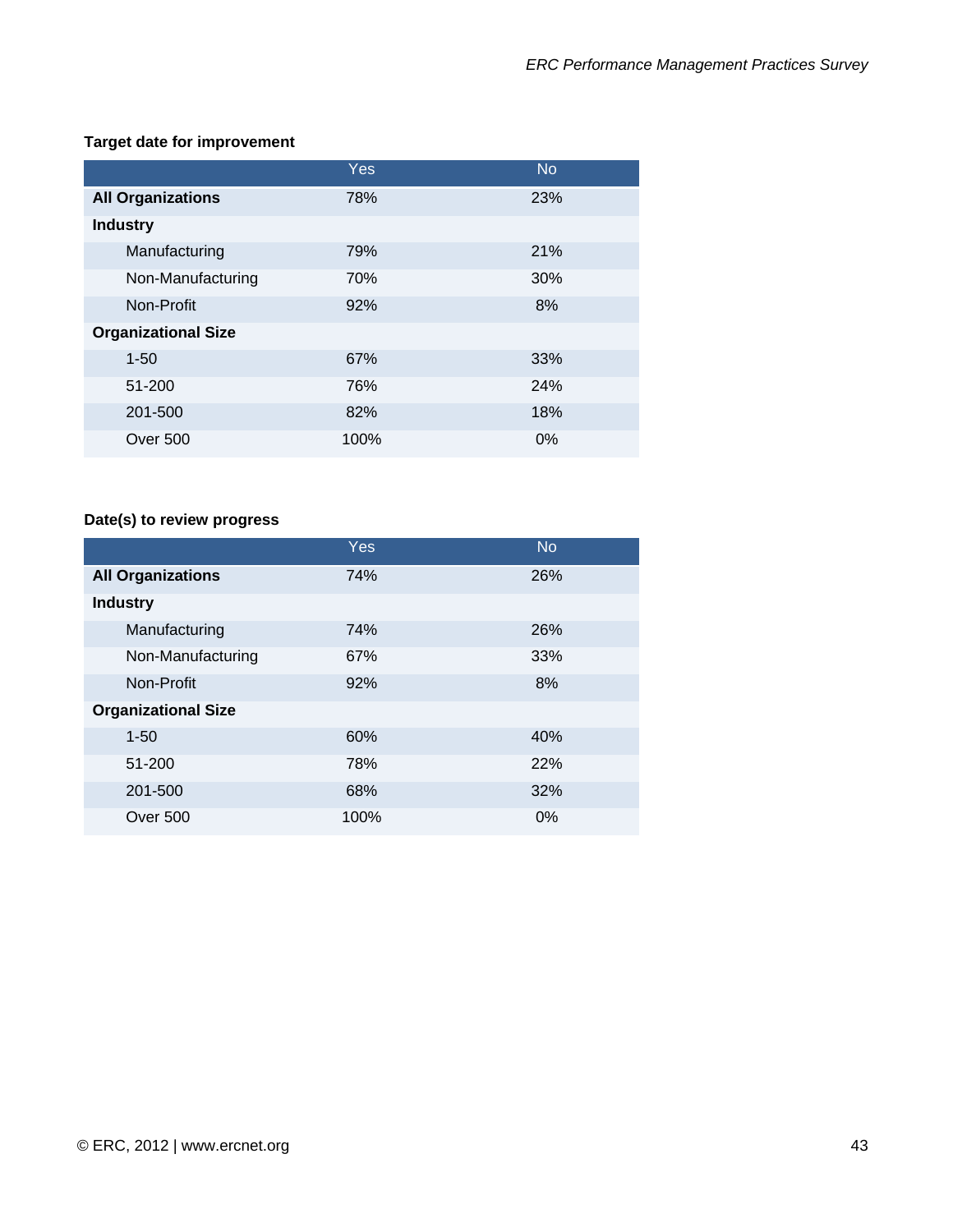### **Target date for improvement**

|                            | Yes  | <b>No</b> |
|----------------------------|------|-----------|
| <b>All Organizations</b>   | 78%  | 23%       |
| <b>Industry</b>            |      |           |
| Manufacturing              | 79%  | 21%       |
| Non-Manufacturing          | 70%  | 30%       |
| Non-Profit                 | 92%  | 8%        |
| <b>Organizational Size</b> |      |           |
| $1 - 50$                   | 67%  | 33%       |
| 51-200                     | 76%  | 24%       |
| 201-500                    | 82%  | 18%       |
| Over 500                   | 100% | 0%        |

# **Date(s) to review progress**

|                            | Yes  | <b>No</b> |
|----------------------------|------|-----------|
| <b>All Organizations</b>   | 74%  | 26%       |
| <b>Industry</b>            |      |           |
| Manufacturing              | 74%  | 26%       |
| Non-Manufacturing          | 67%  | 33%       |
| Non-Profit                 | 92%  | 8%        |
| <b>Organizational Size</b> |      |           |
| $1 - 50$                   | 60%  | 40%       |
| 51-200                     | 78%  | 22%       |
| 201-500                    | 68%  | 32%       |
| Over 500                   | 100% | 0%        |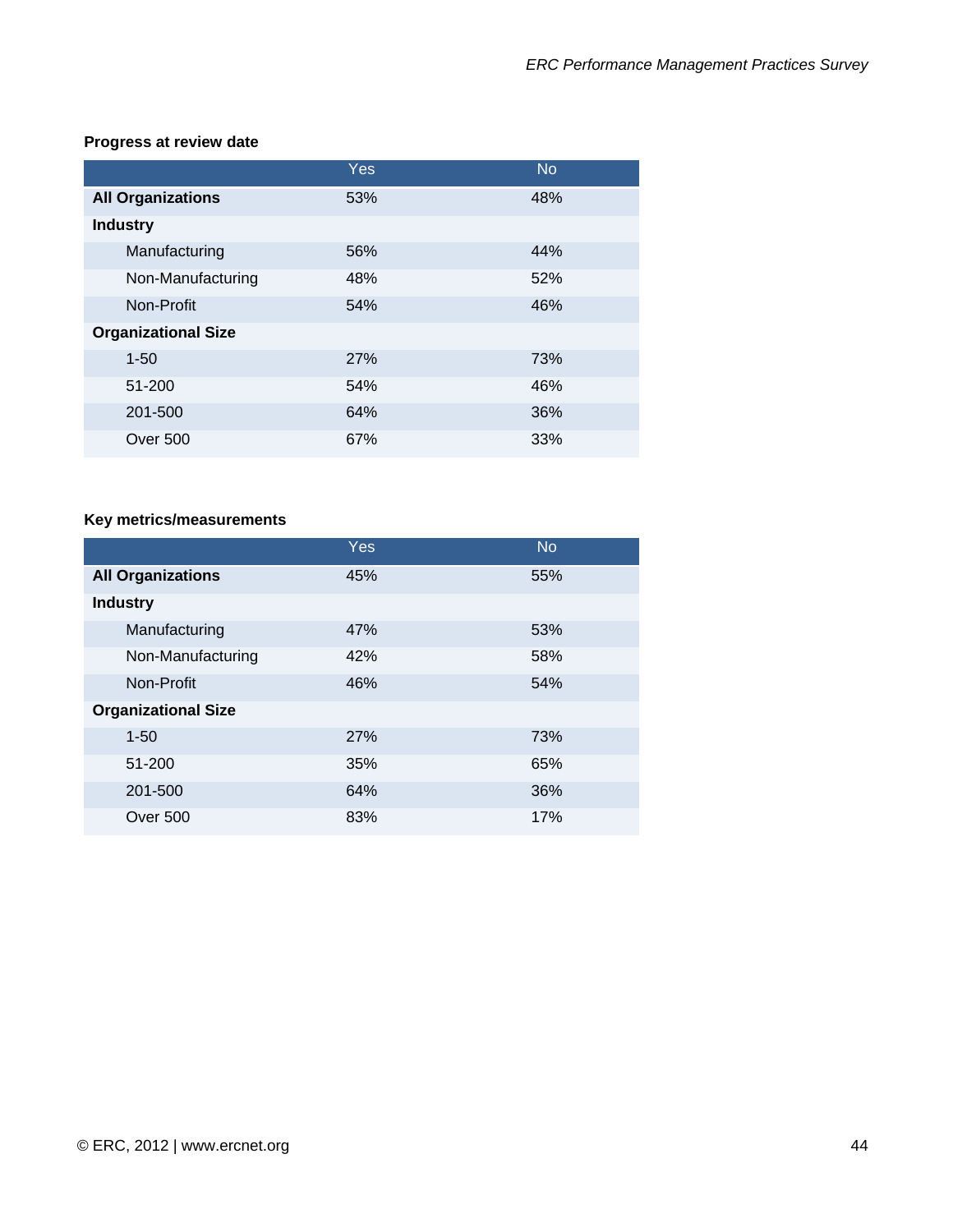### **Progress at review date**

|                            | Yes | <b>No</b> |
|----------------------------|-----|-----------|
| <b>All Organizations</b>   | 53% | 48%       |
| <b>Industry</b>            |     |           |
| Manufacturing              | 56% | 44%       |
| Non-Manufacturing          | 48% | 52%       |
| Non-Profit                 | 54% | 46%       |
| <b>Organizational Size</b> |     |           |
| $1 - 50$                   | 27% | 73%       |
| 51-200                     | 54% | 46%       |
| 201-500                    | 64% | 36%       |
| Over 500                   | 67% | 33%       |

# **Key metrics/measurements**

|                            | <b>Yes</b> | <b>No</b> |
|----------------------------|------------|-----------|
| <b>All Organizations</b>   | 45%        | 55%       |
| <b>Industry</b>            |            |           |
| Manufacturing              | 47%        | 53%       |
| Non-Manufacturing          | 42%        | 58%       |
| Non-Profit                 | 46%        | 54%       |
| <b>Organizational Size</b> |            |           |
| $1 - 50$                   | 27%        | 73%       |
| 51-200                     | 35%        | 65%       |
| 201-500                    | 64%        | 36%       |
| Over 500                   | 83%        | 17%       |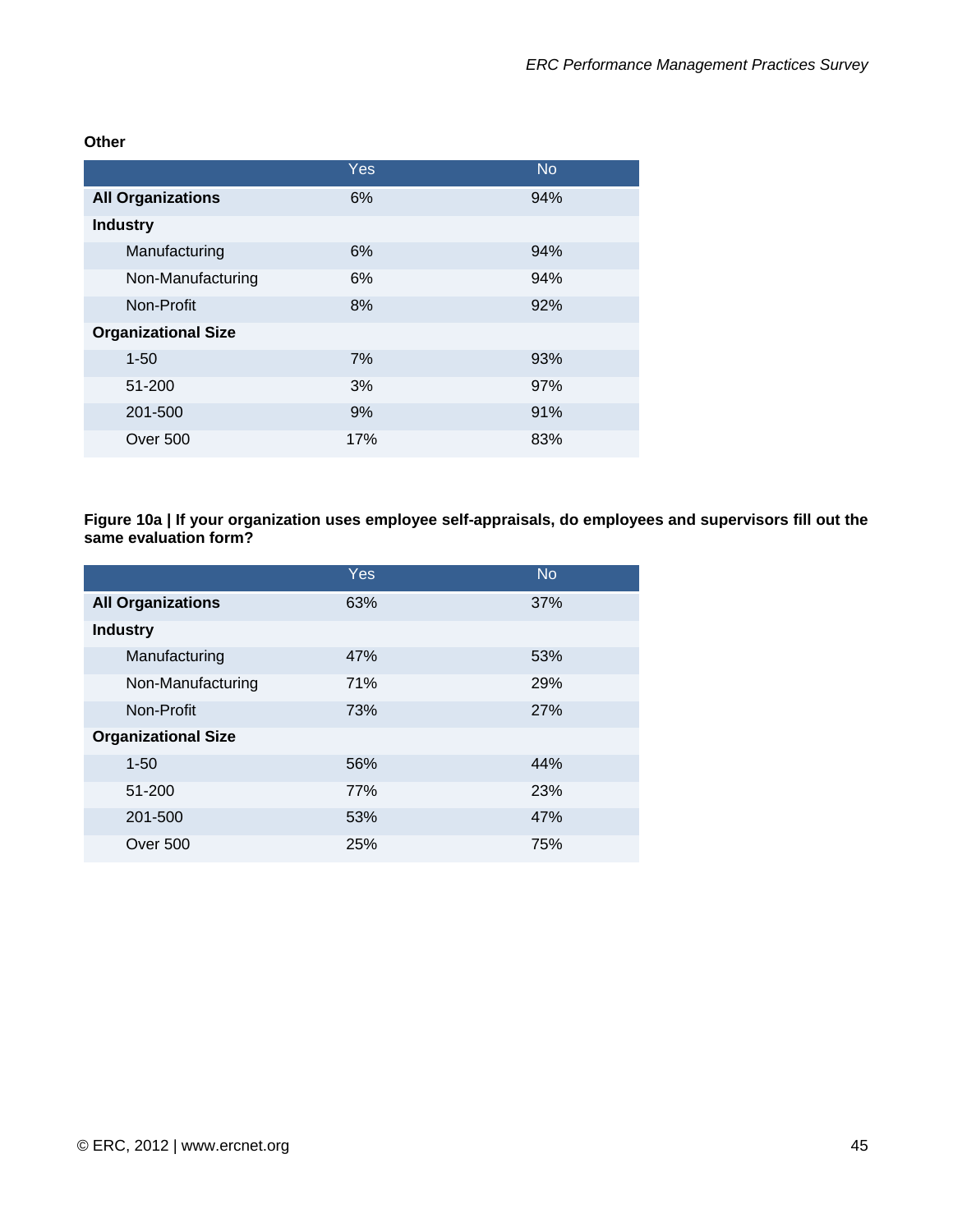**Other** 

|                            | Yes | <b>No</b> |
|----------------------------|-----|-----------|
| <b>All Organizations</b>   | 6%  | 94%       |
| <b>Industry</b>            |     |           |
| Manufacturing              | 6%  | 94%       |
| Non-Manufacturing          | 6%  | 94%       |
| Non-Profit                 | 8%  | 92%       |
| <b>Organizational Size</b> |     |           |
| $1 - 50$                   | 7%  | 93%       |
| 51-200                     | 3%  | 97%       |
| 201-500                    | 9%  | 91%       |
| Over 500                   | 17% | 83%       |

**Figure 10a | If your organization uses employee self-appraisals, do employees and supervisors fill out the same evaluation form?** 

| Yes | <b>No</b> |
|-----|-----------|
| 63% | 37%       |
|     |           |
| 47% | 53%       |
| 71% | 29%       |
| 73% | 27%       |
|     |           |
| 56% | 44%       |
| 77% | 23%       |
| 53% | 47%       |
| 25% | 75%       |
|     |           |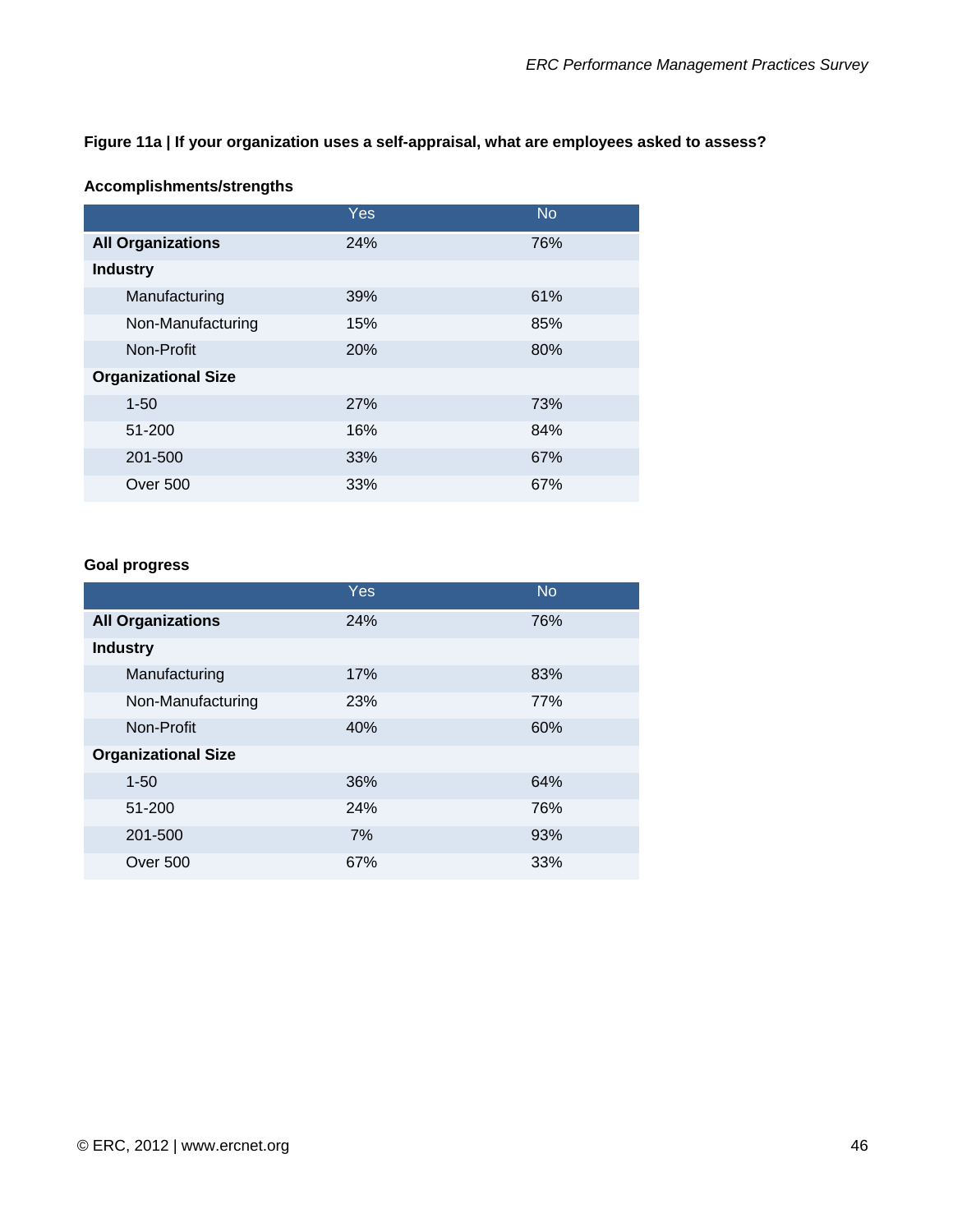#### **Figure 11a | If your organization uses a self-appraisal, what are employees asked to assess?**

#### **Accomplishments/strengths**

|                            | Yes, | <b>No</b> |
|----------------------------|------|-----------|
| <b>All Organizations</b>   | 24%  | 76%       |
| <b>Industry</b>            |      |           |
| Manufacturing              | 39%  | 61%       |
| Non-Manufacturing          | 15%  | 85%       |
| Non-Profit                 | 20%  | 80%       |
| <b>Organizational Size</b> |      |           |
| $1 - 50$                   | 27%  | 73%       |
| 51-200                     | 16%  | 84%       |
| 201-500                    | 33%  | 67%       |
| Over 500                   | 33%  | 67%       |

#### **Goal progress**

|                            | <b>Yes</b> | <b>No</b> |
|----------------------------|------------|-----------|
| <b>All Organizations</b>   | 24%        | 76%       |
| <b>Industry</b>            |            |           |
| Manufacturing              | 17%        | 83%       |
| Non-Manufacturing          | 23%        | 77%       |
| Non-Profit                 | 40%        | 60%       |
| <b>Organizational Size</b> |            |           |
| $1 - 50$                   | 36%        | 64%       |
| 51-200                     | 24%        | 76%       |
| 201-500                    | 7%         | 93%       |
| Over 500                   | 67%        | 33%       |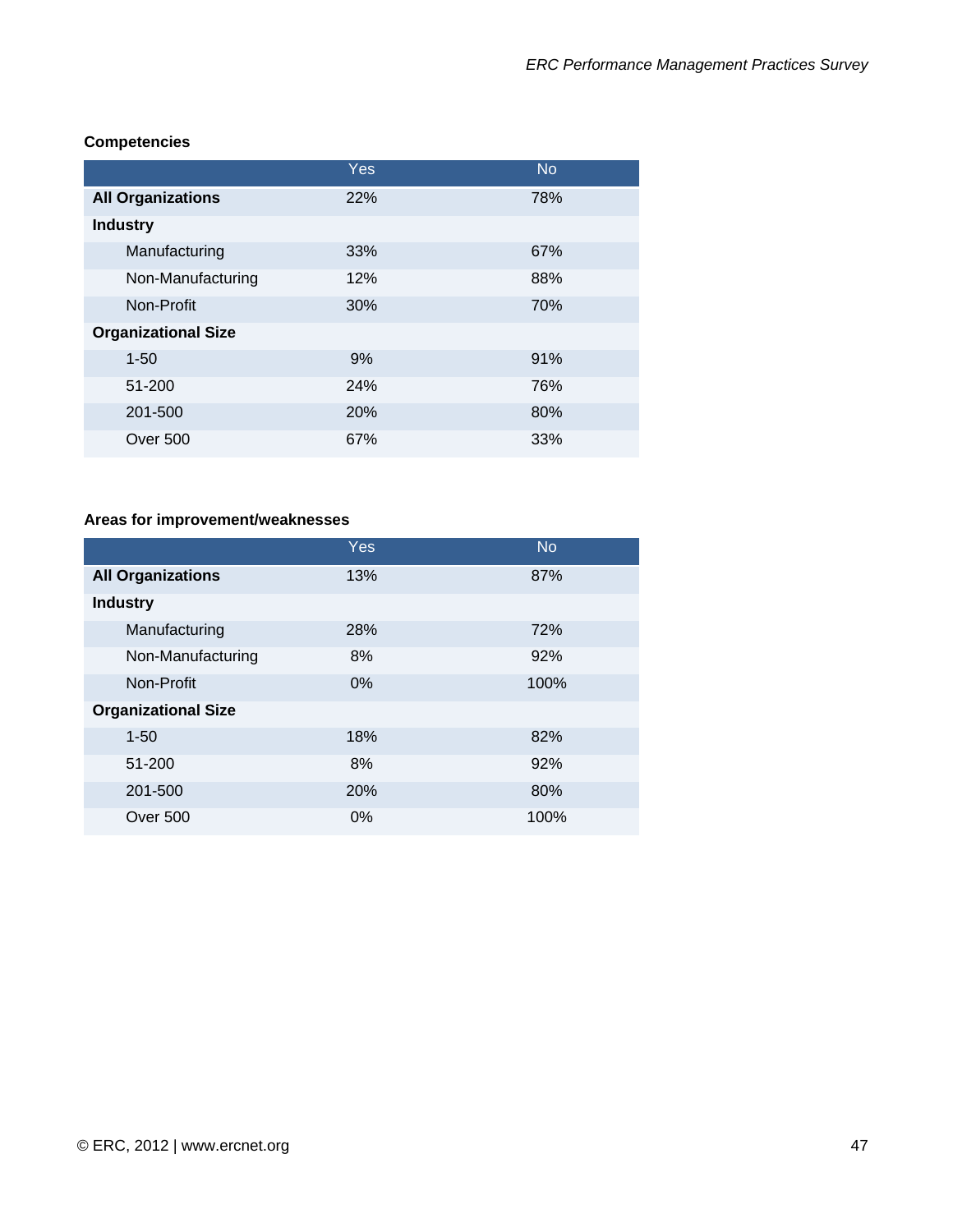|                            | <b>Yes</b> | <b>No</b> |
|----------------------------|------------|-----------|
| <b>All Organizations</b>   | 22%        | 78%       |
| <b>Industry</b>            |            |           |
| Manufacturing              | 33%        | 67%       |
| Non-Manufacturing          | 12%        | 88%       |
| Non-Profit                 | 30%        | 70%       |
| <b>Organizational Size</b> |            |           |
| $1 - 50$                   | 9%         | 91%       |
| 51-200                     | 24%        | 76%       |
| 201-500                    | 20%        | 80%       |
| Over 500                   | 67%        | 33%       |

#### **Competencies**

# **Areas for improvement/weaknesses**

|                            | Yes | <b>No</b> |
|----------------------------|-----|-----------|
| <b>All Organizations</b>   | 13% | 87%       |
| <b>Industry</b>            |     |           |
| Manufacturing              | 28% | 72%       |
| Non-Manufacturing          | 8%  | 92%       |
| Non-Profit                 | 0%  | 100%      |
| <b>Organizational Size</b> |     |           |
| $1 - 50$                   | 18% | 82%       |
| 51-200                     | 8%  | 92%       |
| 201-500                    | 20% | 80%       |
| Over 500                   | 0%  | 100%      |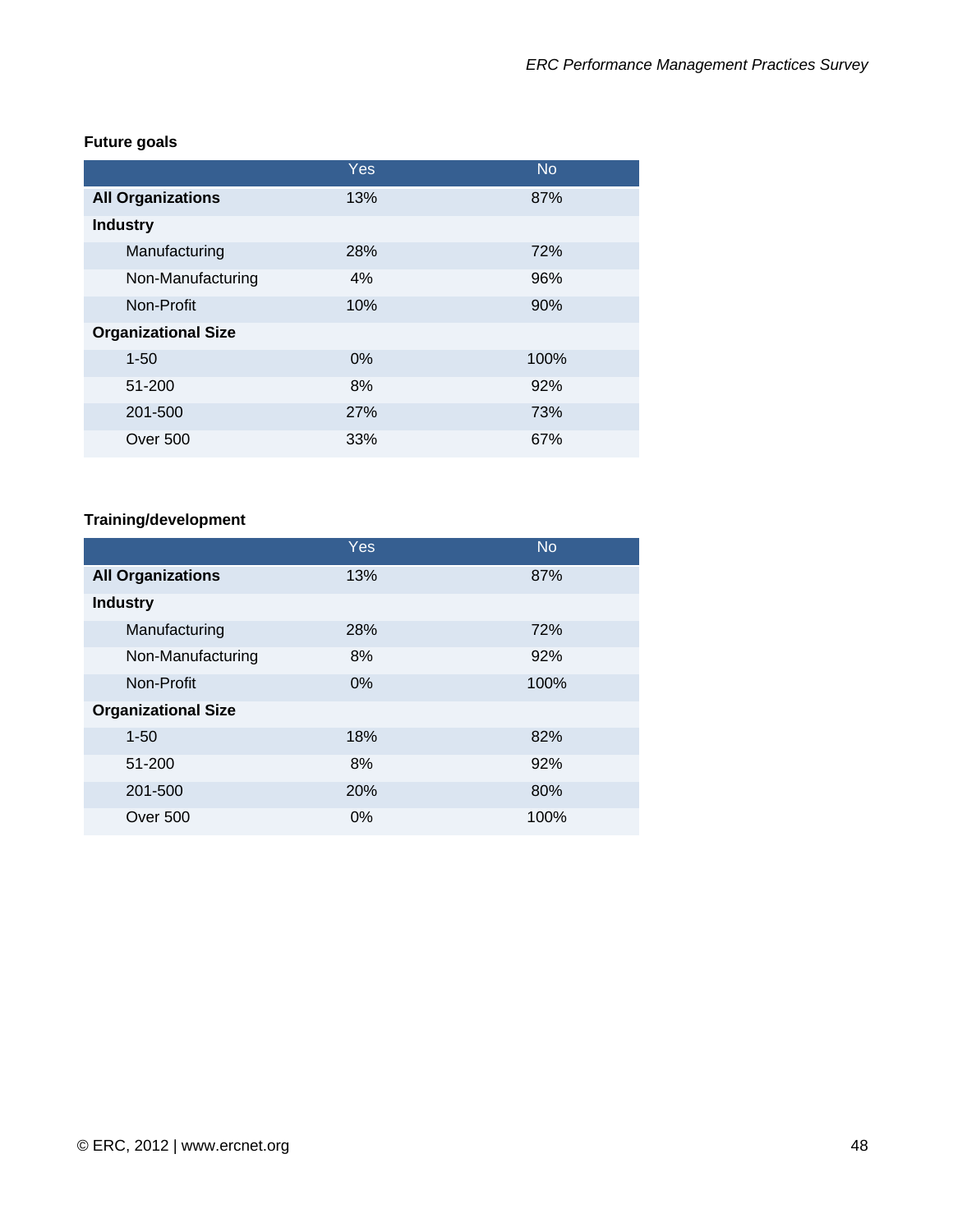# **Future goals**

|                            | Yes | <b>No</b> |
|----------------------------|-----|-----------|
| <b>All Organizations</b>   | 13% | 87%       |
| <b>Industry</b>            |     |           |
| Manufacturing              | 28% | 72%       |
| Non-Manufacturing          | 4%  | 96%       |
| Non-Profit                 | 10% | 90%       |
| <b>Organizational Size</b> |     |           |
| $1 - 50$                   | 0%  | 100%      |
| 51-200                     | 8%  | 92%       |
| 201-500                    | 27% | 73%       |
| <b>Over 500</b>            | 33% | 67%       |

# **Training/development**

|                            | Yes   | <b>No</b> |
|----------------------------|-------|-----------|
| <b>All Organizations</b>   | 13%   | 87%       |
| <b>Industry</b>            |       |           |
| Manufacturing              | 28%   | 72%       |
| Non-Manufacturing          | 8%    | 92%       |
| Non-Profit                 | 0%    | 100%      |
| <b>Organizational Size</b> |       |           |
| $1 - 50$                   | 18%   | 82%       |
| 51-200                     | 8%    | 92%       |
| 201-500                    | 20%   | 80%       |
| Over 500                   | $0\%$ | 100%      |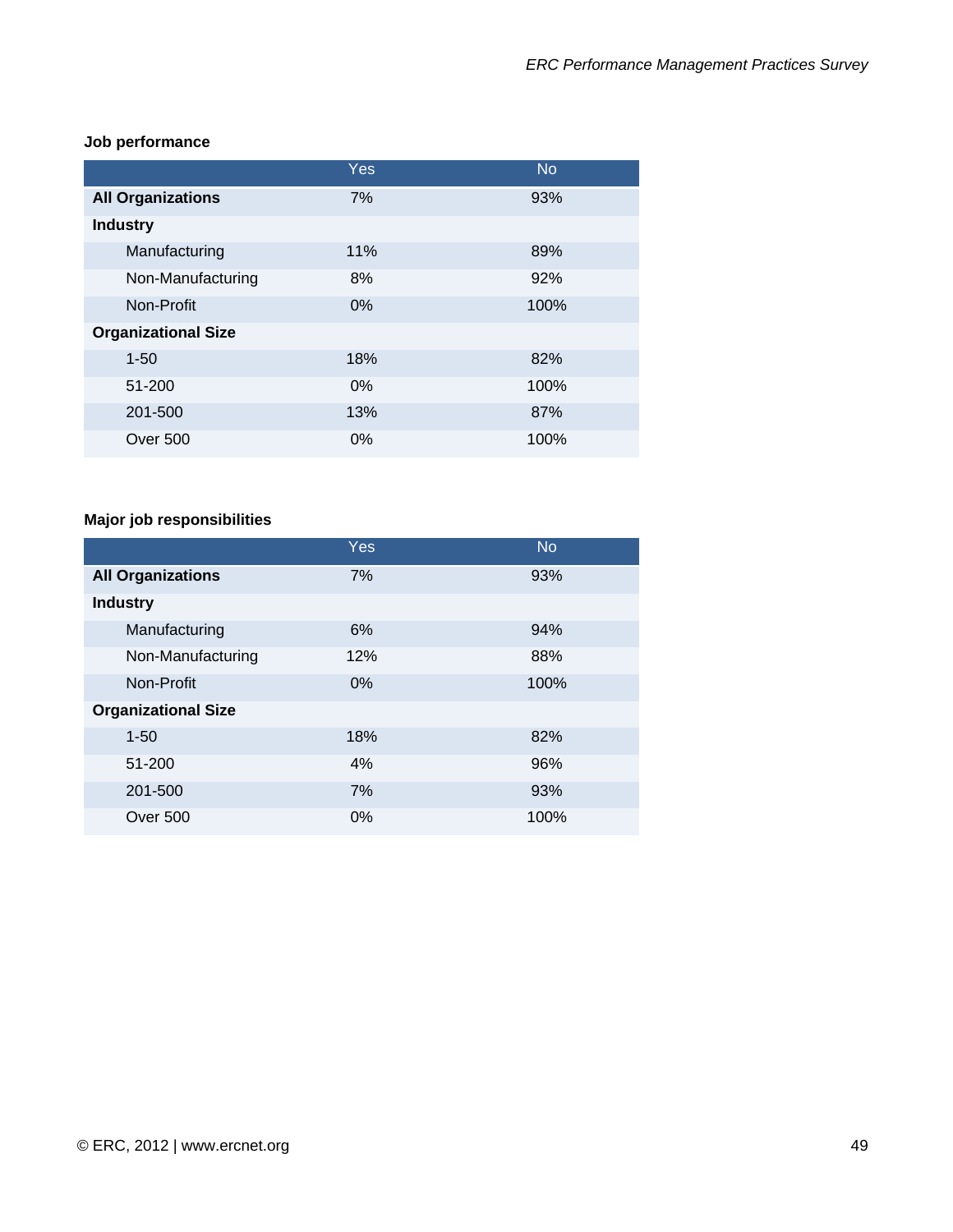### **Job performance**

|                            | Yes   | <b>No</b> |
|----------------------------|-------|-----------|
| <b>All Organizations</b>   | 7%    | 93%       |
| <b>Industry</b>            |       |           |
| Manufacturing              | 11%   | 89%       |
| Non-Manufacturing          | 8%    | 92%       |
| Non-Profit                 | 0%    | 100%      |
| <b>Organizational Size</b> |       |           |
| $1 - 50$                   | 18%   | 82%       |
| 51-200                     | $0\%$ | 100%      |
| 201-500                    | 13%   | 87%       |
| <b>Over 500</b>            | $0\%$ | 100%      |

# **Major job responsibilities**

|                            | <b>Yes</b> | <b>No</b> |
|----------------------------|------------|-----------|
| <b>All Organizations</b>   | 7%         | 93%       |
| <b>Industry</b>            |            |           |
| Manufacturing              | 6%         | 94%       |
| Non-Manufacturing          | 12%        | 88%       |
| Non-Profit                 | 0%         | 100%      |
| <b>Organizational Size</b> |            |           |
| $1 - 50$                   | 18%        | 82%       |
| 51-200                     | 4%         | 96%       |
| 201-500                    | 7%         | 93%       |
| Over 500                   | $0\%$      | 100%      |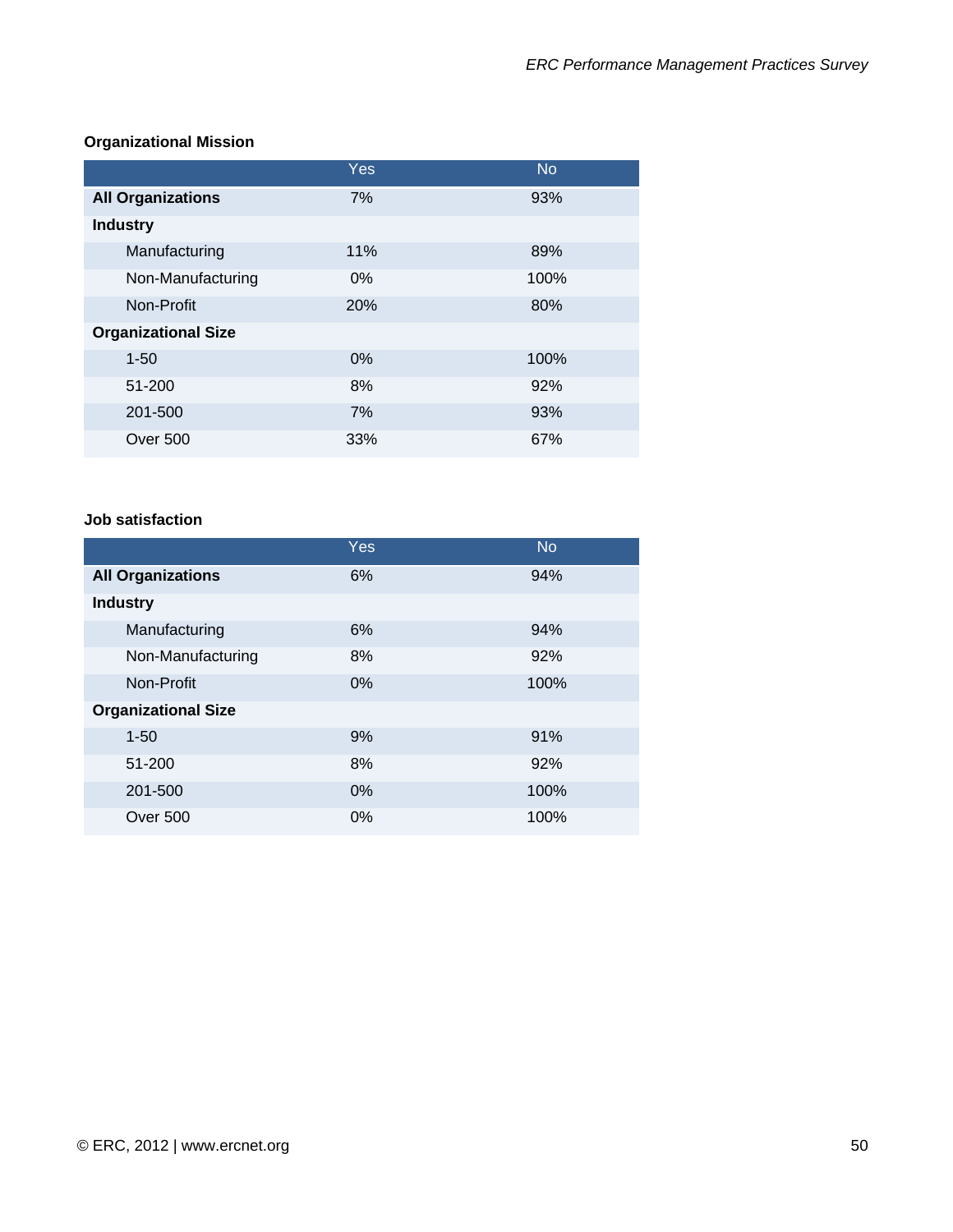# **Organizational Mission**

|                            | Yes   | <b>No</b> |
|----------------------------|-------|-----------|
| <b>All Organizations</b>   | 7%    | 93%       |
| <b>Industry</b>            |       |           |
| Manufacturing              | 11%   | 89%       |
| Non-Manufacturing          | $0\%$ | 100%      |
| Non-Profit                 | 20%   | 80%       |
| <b>Organizational Size</b> |       |           |
| $1 - 50$                   | $0\%$ | 100%      |
| 51-200                     | 8%    | 92%       |
| 201-500                    | 7%    | 93%       |
| Over 500                   | 33%   | 67%       |

### **Job satisfaction**

|                            | <b>Yes</b> | <b>No</b> |
|----------------------------|------------|-----------|
| <b>All Organizations</b>   | 6%         | 94%       |
| <b>Industry</b>            |            |           |
| Manufacturing              | 6%         | 94%       |
| Non-Manufacturing          | 8%         | 92%       |
| Non-Profit                 | $0\%$      | 100%      |
| <b>Organizational Size</b> |            |           |
| $1 - 50$                   | 9%         | 91%       |
| 51-200                     | 8%         | 92%       |
| 201-500                    | 0%         | 100%      |
| <b>Over 500</b>            | 0%         | 100%      |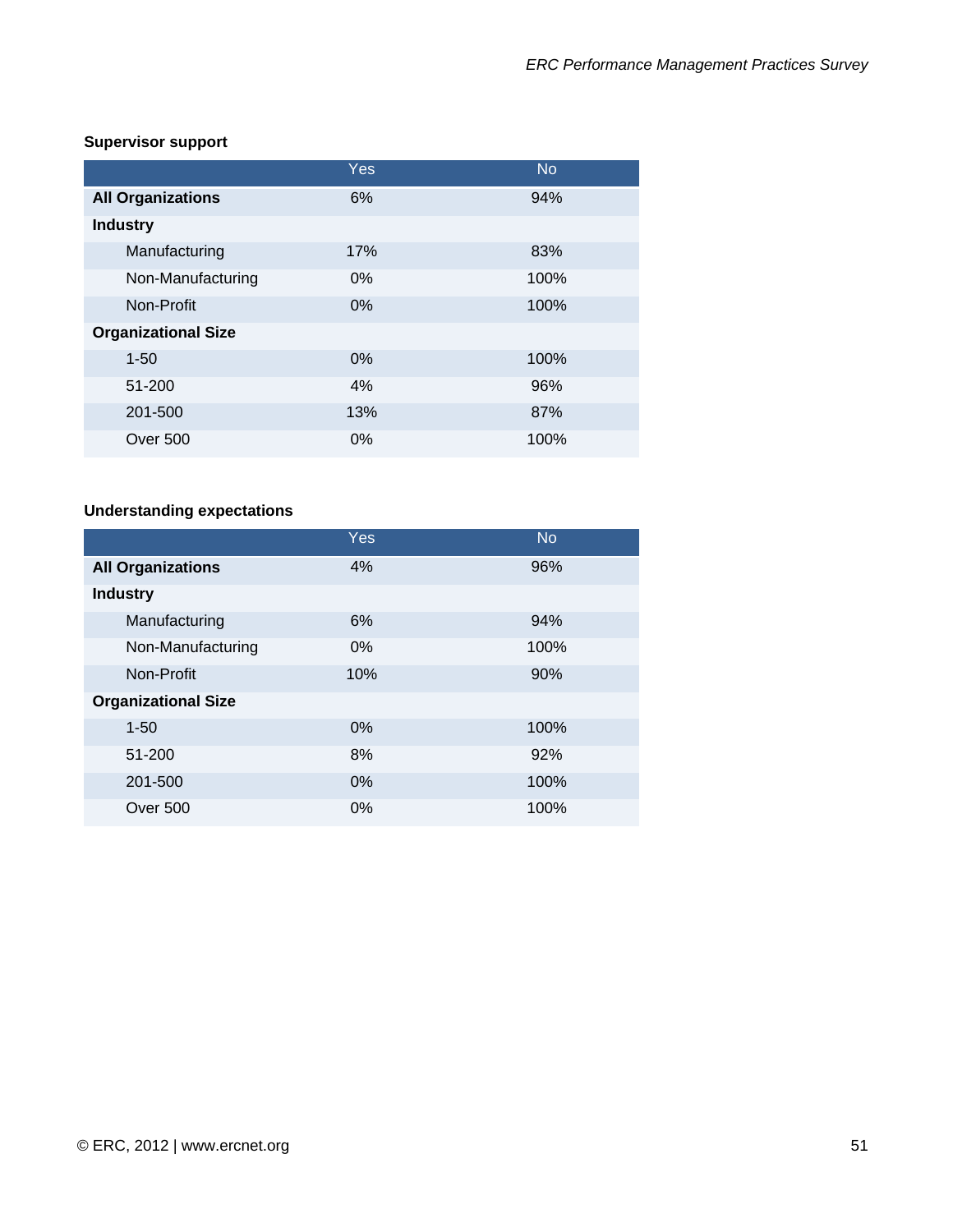# **Supervisor support**

|                            | Yes   | <b>No</b> |
|----------------------------|-------|-----------|
| <b>All Organizations</b>   | 6%    | 94%       |
| <b>Industry</b>            |       |           |
| Manufacturing              | 17%   | 83%       |
| Non-Manufacturing          | $0\%$ | 100%      |
| Non-Profit                 | 0%    | 100%      |
| <b>Organizational Size</b> |       |           |
| $1 - 50$                   | 0%    | 100%      |
| 51-200                     | 4%    | 96%       |
| 201-500                    | 13%   | 87%       |
| <b>Over 500</b>            | $0\%$ | 100%      |

# **Understanding expectations**

|                            | Yes   | <b>No</b> |
|----------------------------|-------|-----------|
| <b>All Organizations</b>   | 4%    | 96%       |
| <b>Industry</b>            |       |           |
| Manufacturing              | 6%    | 94%       |
| Non-Manufacturing          | $0\%$ | 100%      |
| Non-Profit                 | 10%   | 90%       |
| <b>Organizational Size</b> |       |           |
| $1 - 50$                   | 0%    | 100%      |
| 51-200                     | 8%    | 92%       |
| 201-500                    | 0%    | 100%      |
| <b>Over 500</b>            | 0%    | 100%      |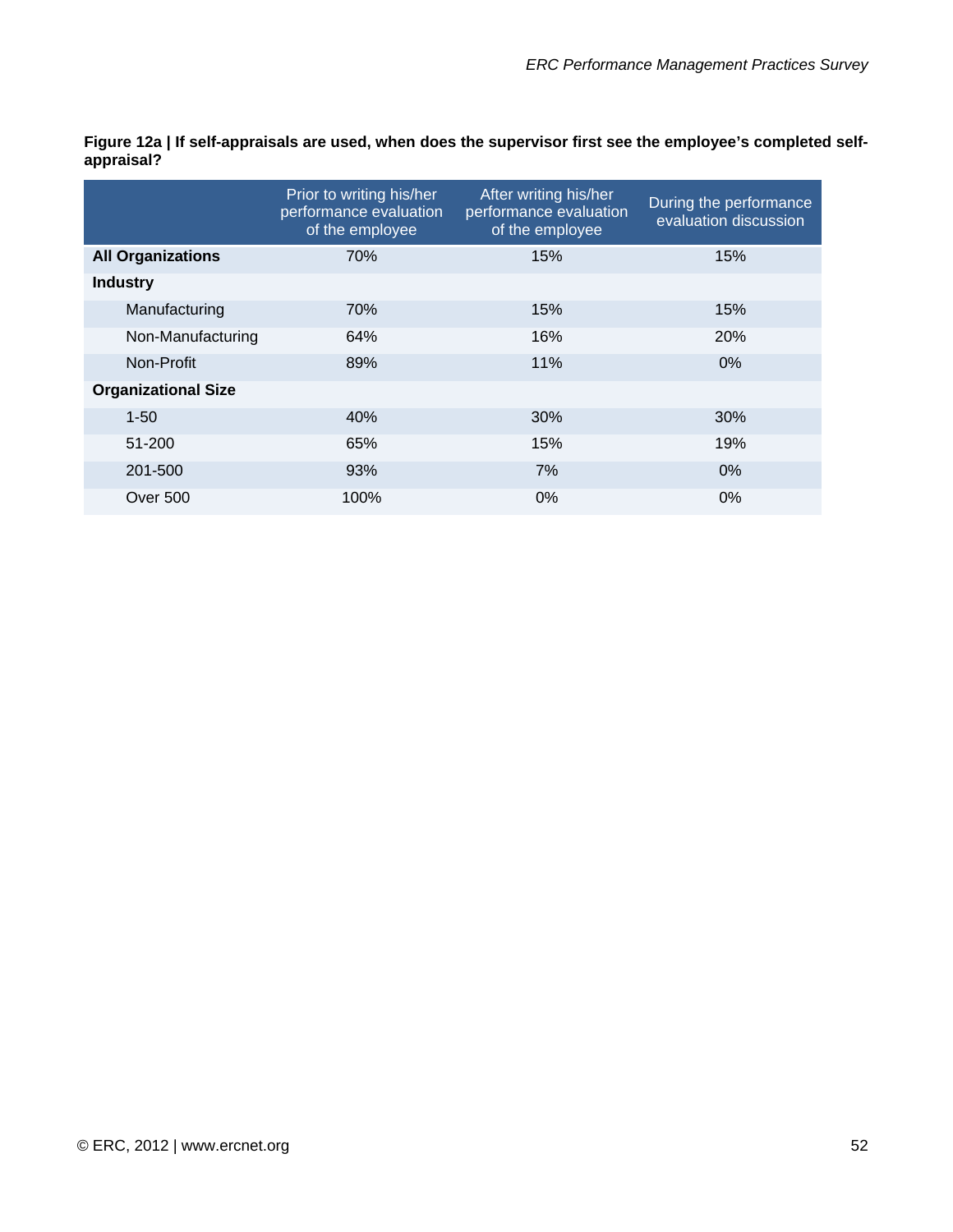**Figure 12a | If self-appraisals are used, when does the supervisor first see the employee's completed selfappraisal?** 

|                            | Prior to writing his/her<br>performance evaluation<br>of the employee | After writing his/her<br>performance evaluation<br>of the employee | During the performance<br>evaluation discussion |
|----------------------------|-----------------------------------------------------------------------|--------------------------------------------------------------------|-------------------------------------------------|
| <b>All Organizations</b>   | 70%                                                                   | 15%                                                                | 15%                                             |
| <b>Industry</b>            |                                                                       |                                                                    |                                                 |
| Manufacturing              | 70%                                                                   | 15%                                                                | 15%                                             |
| Non-Manufacturing          | 64%                                                                   | 16%                                                                | 20%                                             |
| Non-Profit                 | 89%                                                                   | 11%                                                                | 0%                                              |
| <b>Organizational Size</b> |                                                                       |                                                                    |                                                 |
| $1 - 50$                   | 40%                                                                   | 30%                                                                | 30%                                             |
| 51-200                     | 65%                                                                   | 15%                                                                | 19%                                             |
| 201-500                    | 93%                                                                   | 7%                                                                 | 0%                                              |
| Over 500                   | 100%                                                                  | 0%                                                                 | 0%                                              |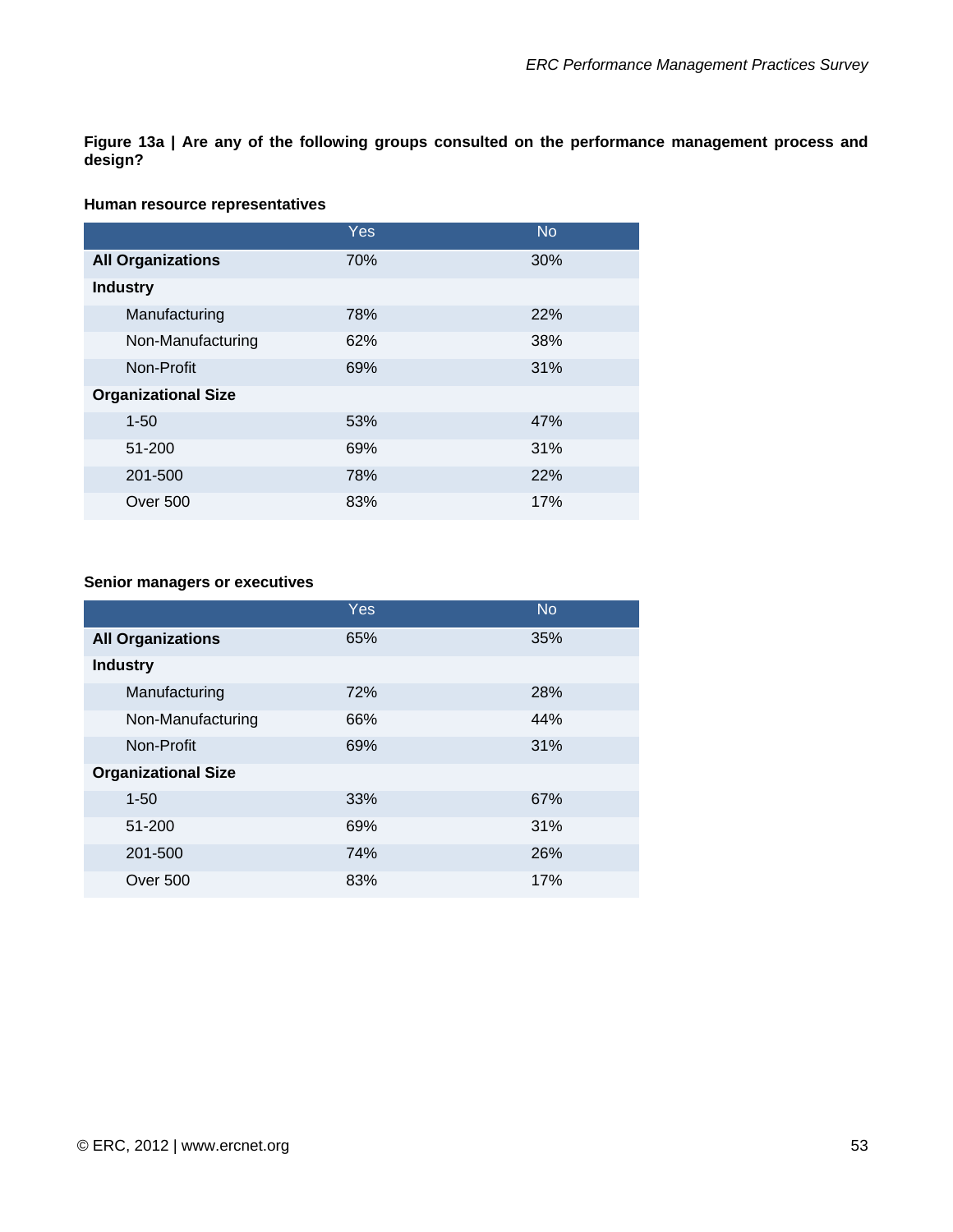**Figure 13a | Are any of the following groups consulted on the performance management process and design?** 

#### **Human resource representatives**

|                            | Yes. | <b>No</b> |
|----------------------------|------|-----------|
| <b>All Organizations</b>   | 70%  | 30%       |
| <b>Industry</b>            |      |           |
| Manufacturing              | 78%  | 22%       |
| Non-Manufacturing          | 62%  | 38%       |
| Non-Profit                 | 69%  | 31%       |
| <b>Organizational Size</b> |      |           |
| $1 - 50$                   | 53%  | 47%       |
| 51-200                     | 69%  | 31%       |
| 201-500                    | 78%  | 22%       |
| Over 500                   | 83%  | 17%       |

#### **Senior managers or executives**

|                            | Yes | <b>No</b> |
|----------------------------|-----|-----------|
| <b>All Organizations</b>   | 65% | 35%       |
| <b>Industry</b>            |     |           |
| Manufacturing              | 72% | 28%       |
| Non-Manufacturing          | 66% | 44%       |
| Non-Profit                 | 69% | 31%       |
| <b>Organizational Size</b> |     |           |
| $1 - 50$                   | 33% | 67%       |
| 51-200                     | 69% | 31%       |
| 201-500                    | 74% | 26%       |
| Over 500                   | 83% | 17%       |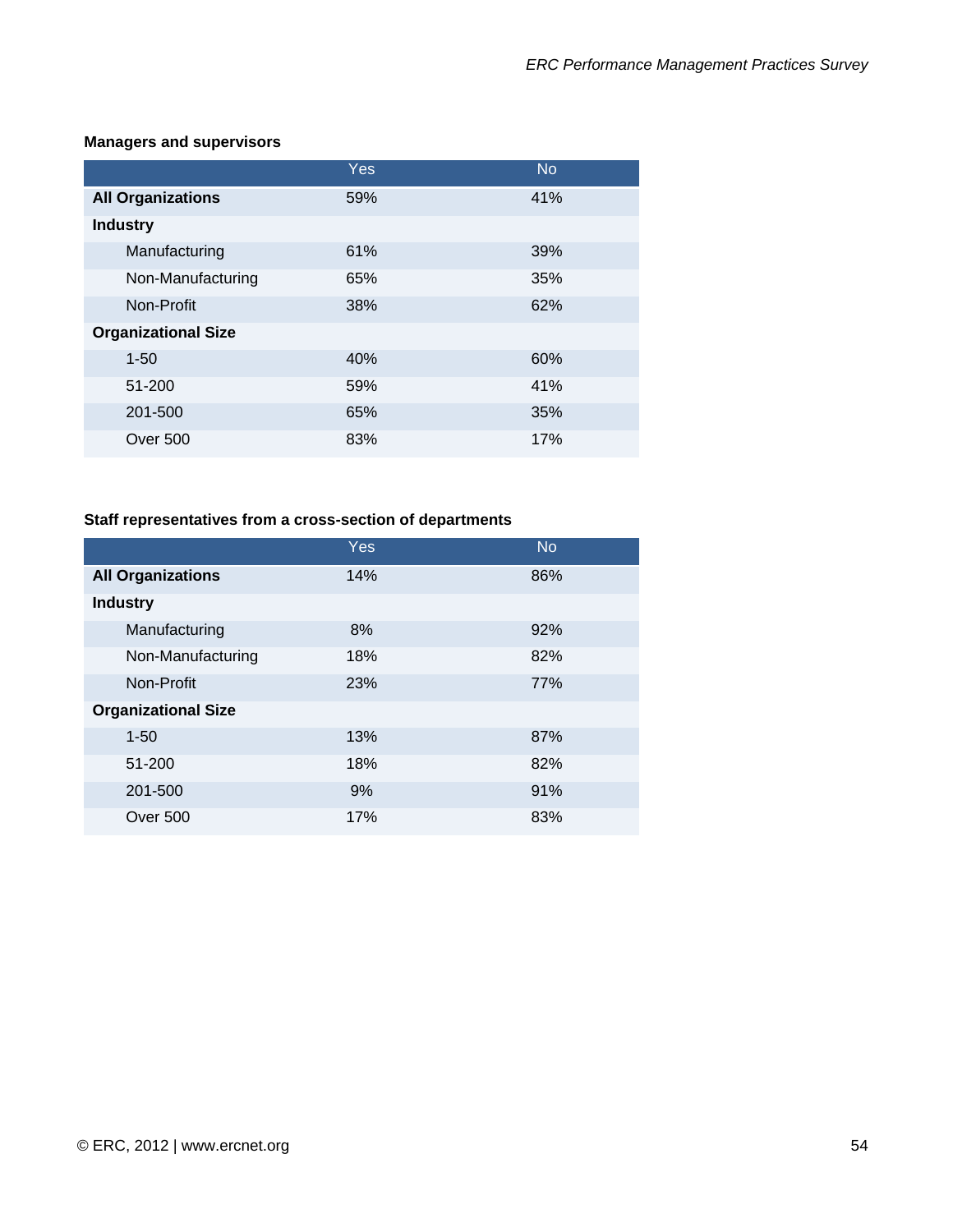#### **Managers and supervisors**

|                            | Yes | <b>No</b> |
|----------------------------|-----|-----------|
| <b>All Organizations</b>   | 59% | 41%       |
| <b>Industry</b>            |     |           |
| Manufacturing              | 61% | 39%       |
| Non-Manufacturing          | 65% | 35%       |
| Non-Profit                 | 38% | 62%       |
| <b>Organizational Size</b> |     |           |
| $1 - 50$                   | 40% | 60%       |
| 51-200                     | 59% | 41%       |
| 201-500                    | 65% | 35%       |
| <b>Over 500</b>            | 83% | 17%       |

### **Staff representatives from a cross-section of departments**

|                            | Yes | <b>No</b> |
|----------------------------|-----|-----------|
| <b>All Organizations</b>   | 14% | 86%       |
| <b>Industry</b>            |     |           |
| Manufacturing              | 8%  | 92%       |
| Non-Manufacturing          | 18% | 82%       |
| Non-Profit                 | 23% | 77%       |
| <b>Organizational Size</b> |     |           |
| $1 - 50$                   | 13% | 87%       |
| 51-200                     | 18% | 82%       |
| 201-500                    | 9%  | 91%       |
| Over 500                   | 17% | 83%       |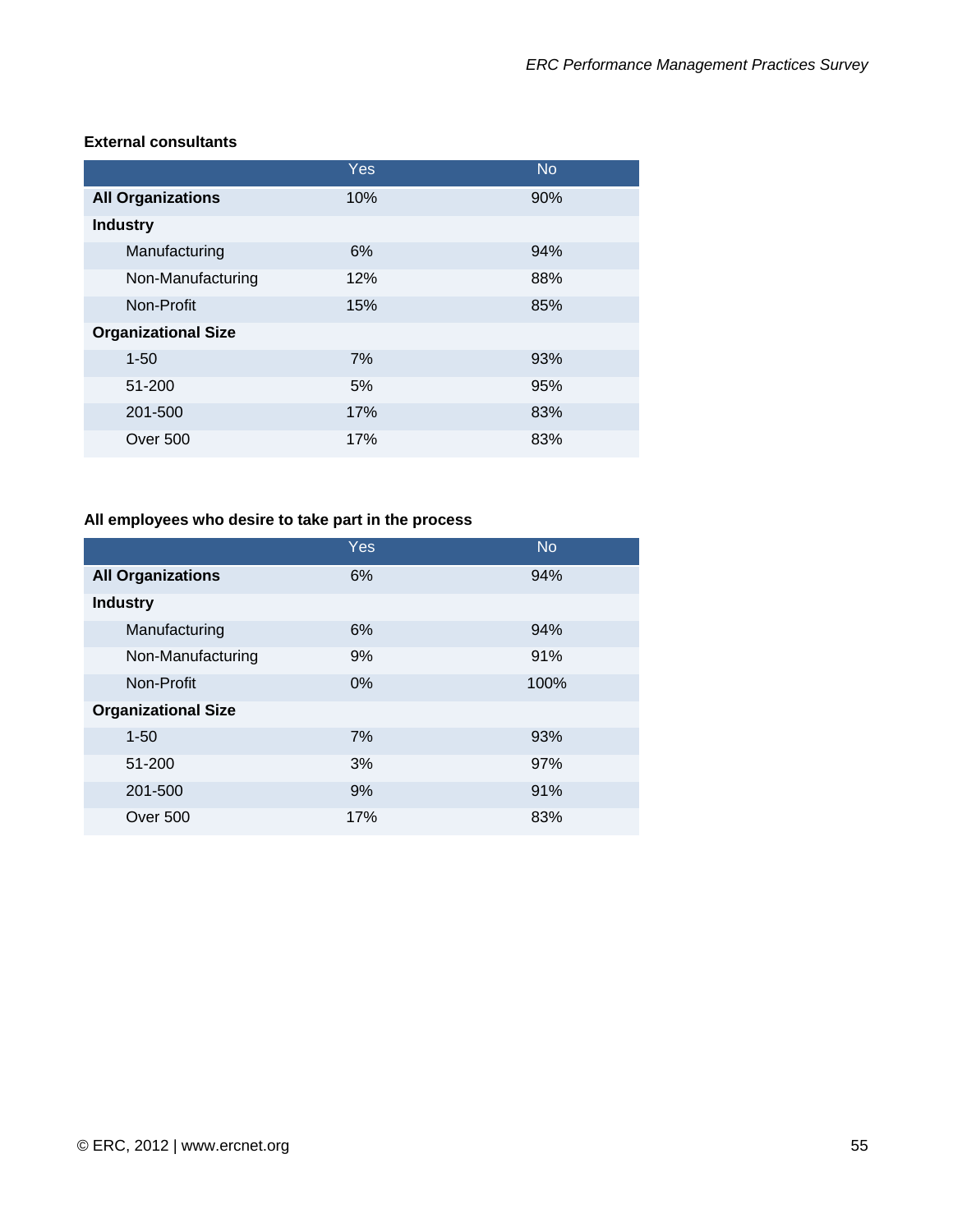|                            | Yes | <b>No</b> |
|----------------------------|-----|-----------|
| <b>All Organizations</b>   | 10% | 90%       |
| <b>Industry</b>            |     |           |
| Manufacturing              | 6%  | 94%       |
| Non-Manufacturing          | 12% | 88%       |
| Non-Profit                 | 15% | 85%       |
| <b>Organizational Size</b> |     |           |
| $1 - 50$                   | 7%  | 93%       |
| 51-200                     | 5%  | 95%       |
| 201-500                    | 17% | 83%       |
| Over 500                   | 17% | 83%       |

#### **External consultants**

# **All employees who desire to take part in the process**

|                            | Yes | <b>No</b> |
|----------------------------|-----|-----------|
| <b>All Organizations</b>   | 6%  | 94%       |
| <b>Industry</b>            |     |           |
| Manufacturing              | 6%  | 94%       |
| Non-Manufacturing          | 9%  | 91%       |
| Non-Profit                 | 0%  | 100%      |
| <b>Organizational Size</b> |     |           |
| $1 - 50$                   | 7%  | 93%       |
| 51-200                     | 3%  | 97%       |
| 201-500                    | 9%  | 91%       |
| <b>Over 500</b>            | 17% | 83%       |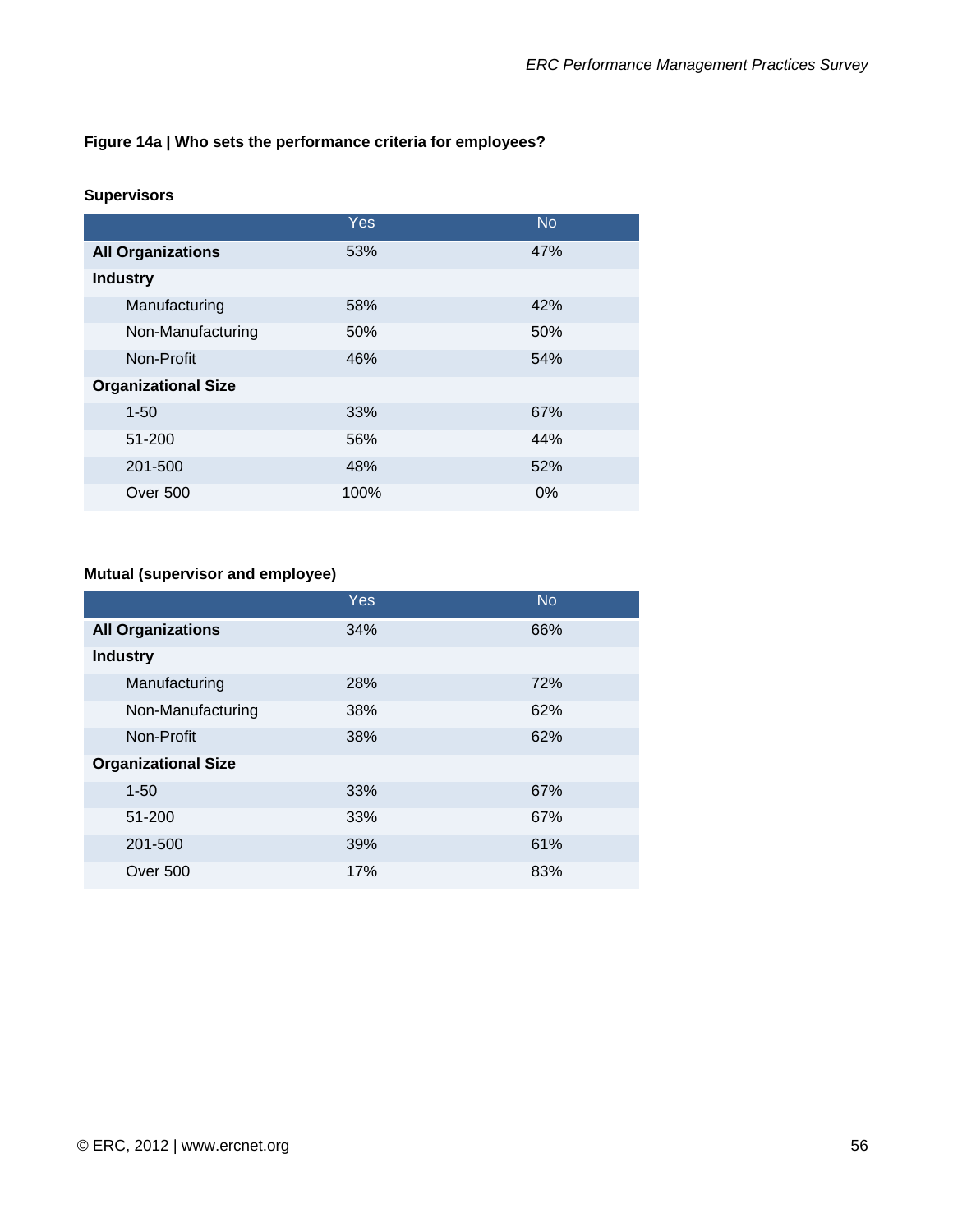### **Figure 14a | Who sets the performance criteria for employees?**

#### **Supervisors**

|                            | Yes. | <b>No</b> |
|----------------------------|------|-----------|
| <b>All Organizations</b>   | 53%  | 47%       |
| <b>Industry</b>            |      |           |
| Manufacturing              | 58%  | 42%       |
| Non-Manufacturing          | 50%  | 50%       |
| Non-Profit                 | 46%  | 54%       |
| <b>Organizational Size</b> |      |           |
| $1 - 50$                   | 33%  | 67%       |
| 51-200                     | 56%  | 44%       |
| 201-500                    | 48%  | 52%       |
| Over 500                   | 100% | $0\%$     |

# **Mutual (supervisor and employee)**

|                            | Yes | <b>No</b> |
|----------------------------|-----|-----------|
| <b>All Organizations</b>   | 34% | 66%       |
| <b>Industry</b>            |     |           |
| Manufacturing              | 28% | 72%       |
| Non-Manufacturing          | 38% | 62%       |
| Non-Profit                 | 38% | 62%       |
| <b>Organizational Size</b> |     |           |
| $1 - 50$                   | 33% | 67%       |
| 51-200                     | 33% | 67%       |
| 201-500                    | 39% | 61%       |
| Over 500                   | 17% | 83%       |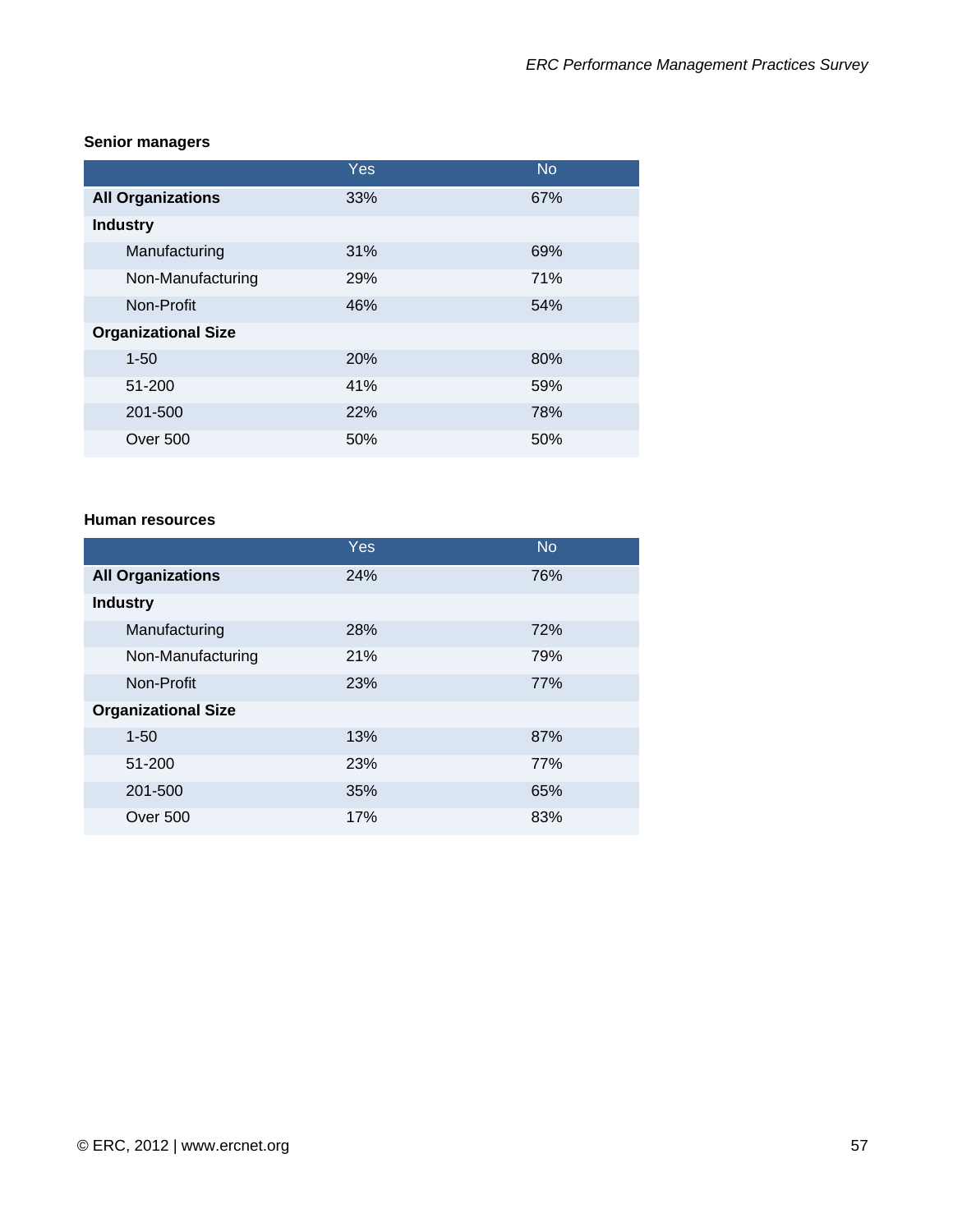| <b>Senior managers</b> |  |
|------------------------|--|
|                        |  |

|                            | Yes | <b>No</b> |
|----------------------------|-----|-----------|
| <b>All Organizations</b>   | 33% | 67%       |
| <b>Industry</b>            |     |           |
| Manufacturing              | 31% | 69%       |
| Non-Manufacturing          | 29% | 71%       |
| Non-Profit                 | 46% | 54%       |
| <b>Organizational Size</b> |     |           |
| $1 - 50$                   | 20% | 80%       |
| 51-200                     | 41% | 59%       |
| 201-500                    | 22% | 78%       |
| <b>Over 500</b>            | 50% | 50%       |

#### **Human resources**

|                            | <b>Yes</b> | <b>No</b> |
|----------------------------|------------|-----------|
| <b>All Organizations</b>   | 24%        | 76%       |
| <b>Industry</b>            |            |           |
| Manufacturing              | 28%        | 72%       |
| Non-Manufacturing          | 21%        | 79%       |
| Non-Profit                 | 23%        | 77%       |
| <b>Organizational Size</b> |            |           |
| $1 - 50$                   | 13%        | 87%       |
| 51-200                     | 23%        | 77%       |
| 201-500                    | 35%        | 65%       |
| Over 500                   | 17%        | 83%       |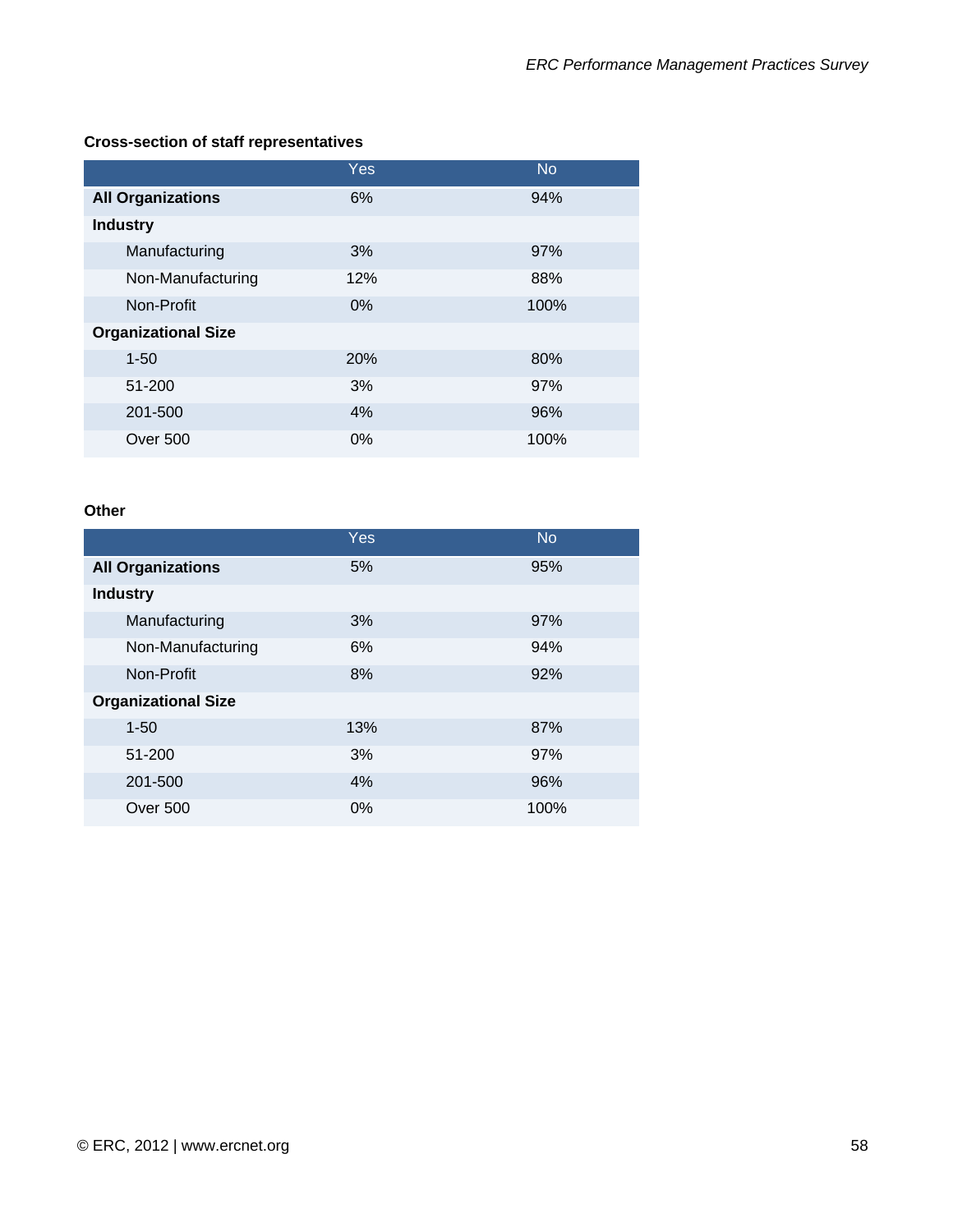# **Cross-section of staff representatives**

|                            | Yes | <b>No</b> |
|----------------------------|-----|-----------|
| <b>All Organizations</b>   | 6%  | 94%       |
| <b>Industry</b>            |     |           |
| Manufacturing              | 3%  | 97%       |
| Non-Manufacturing          | 12% | 88%       |
| Non-Profit                 | 0%  | 100%      |
| <b>Organizational Size</b> |     |           |
| $1 - 50$                   | 20% | 80%       |
| 51-200                     | 3%  | 97%       |
| 201-500                    | 4%  | 96%       |
| <b>Over 500</b>            | 0%  | 100%      |

#### **Other**

|                            | Yes   | <b>No</b> |
|----------------------------|-------|-----------|
| <b>All Organizations</b>   | 5%    | 95%       |
| <b>Industry</b>            |       |           |
| Manufacturing              | 3%    | 97%       |
| Non-Manufacturing          | 6%    | 94%       |
| Non-Profit                 | 8%    | 92%       |
| <b>Organizational Size</b> |       |           |
| $1 - 50$                   | 13%   | 87%       |
| 51-200                     | 3%    | 97%       |
| 201-500                    | 4%    | 96%       |
| Over 500                   | $0\%$ | 100%      |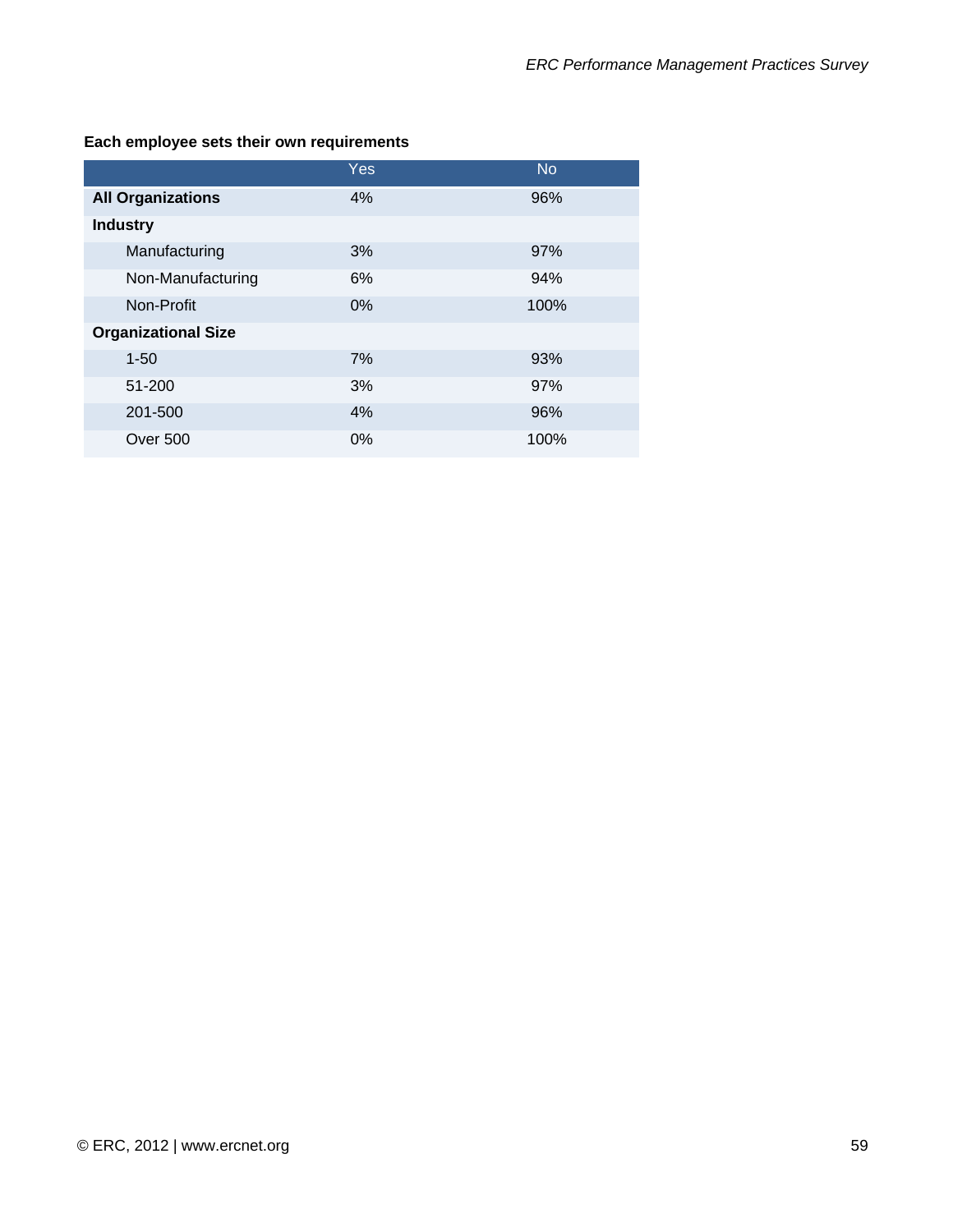|                            | Yes   | <b>No</b> |
|----------------------------|-------|-----------|
| <b>All Organizations</b>   | 4%    | 96%       |
| <b>Industry</b>            |       |           |
| Manufacturing              | 3%    | 97%       |
| Non-Manufacturing          | 6%    | 94%       |
| Non-Profit                 | $0\%$ | 100%      |
| <b>Organizational Size</b> |       |           |
| $1 - 50$                   | 7%    | 93%       |
| 51-200                     | 3%    | 97%       |
| 201-500                    | 4%    | 96%       |
| <b>Over 500</b>            | 0%    | 100%      |

### **Each employee sets their own requirements**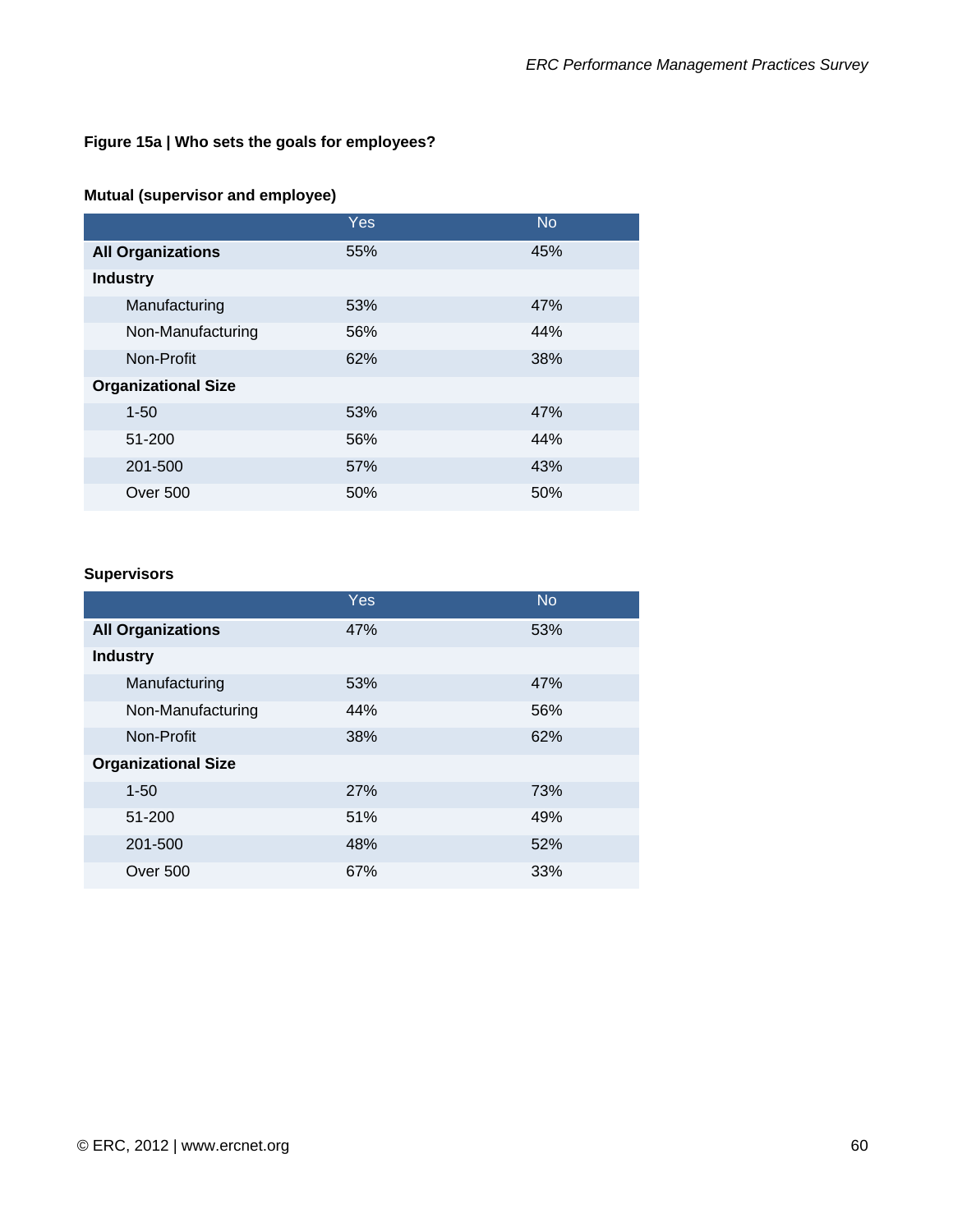# **Figure 15a | Who sets the goals for employees?**

#### **Mutual (supervisor and employee)**

|                            | Yes | <b>No</b> |
|----------------------------|-----|-----------|
| <b>All Organizations</b>   | 55% | 45%       |
| <b>Industry</b>            |     |           |
| Manufacturing              | 53% | 47%       |
| Non-Manufacturing          | 56% | 44%       |
| Non-Profit                 | 62% | 38%       |
| <b>Organizational Size</b> |     |           |
| $1 - 50$                   | 53% | 47%       |
| 51-200                     | 56% | 44%       |
| 201-500                    | 57% | 43%       |
| <b>Over 500</b>            | 50% | 50%       |

#### **Supervisors**

|                            | Yes | <b>No</b> |
|----------------------------|-----|-----------|
| <b>All Organizations</b>   | 47% | 53%       |
| <b>Industry</b>            |     |           |
| Manufacturing              | 53% | 47%       |
| Non-Manufacturing          | 44% | 56%       |
| Non-Profit                 | 38% | 62%       |
| <b>Organizational Size</b> |     |           |
| $1 - 50$                   | 27% | 73%       |
| 51-200                     | 51% | 49%       |
| 201-500                    | 48% | 52%       |
| Over 500                   | 67% | 33%       |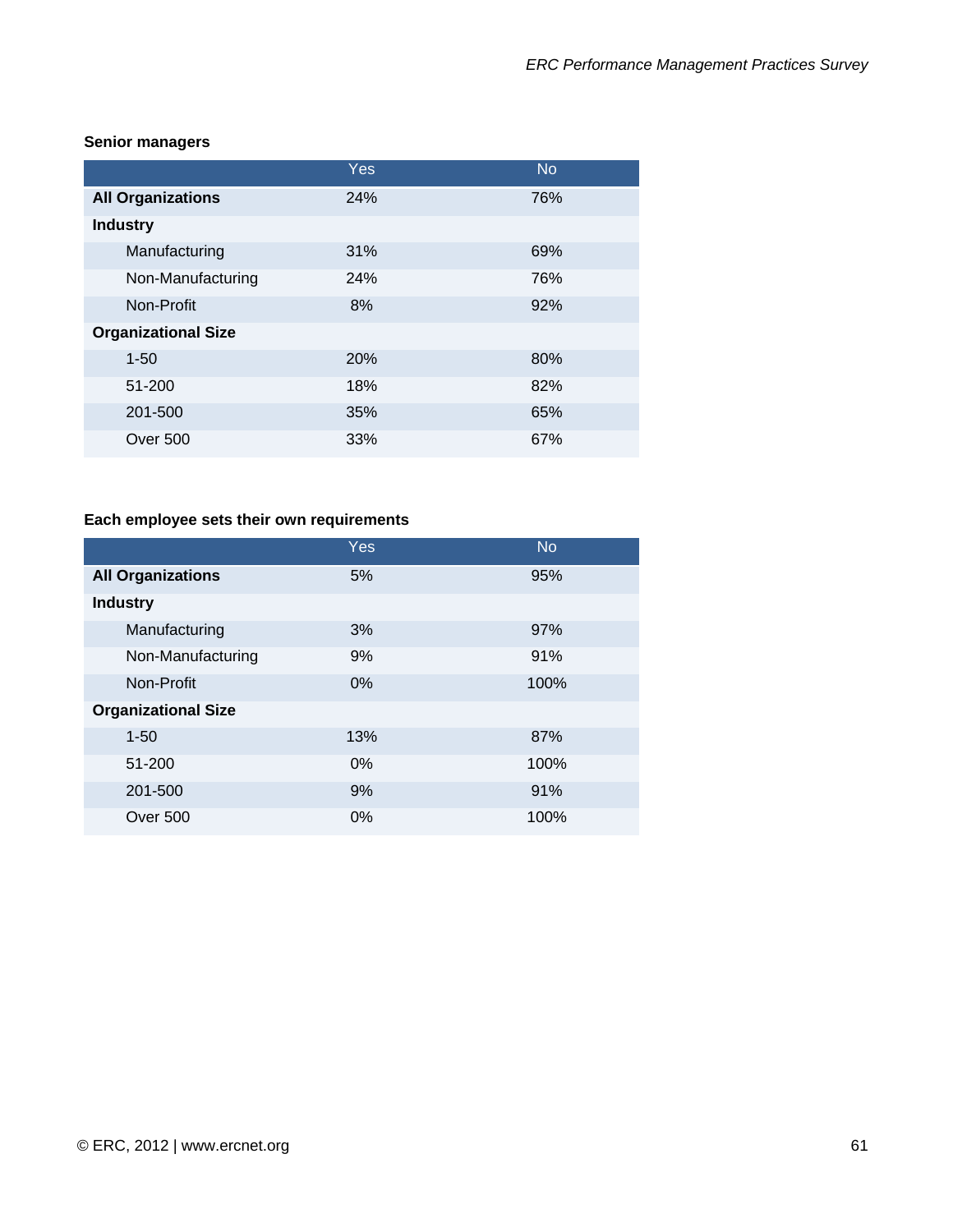|                            | Yes | <b>No</b> |
|----------------------------|-----|-----------|
| <b>All Organizations</b>   | 24% | 76%       |
| <b>Industry</b>            |     |           |
| Manufacturing              | 31% | 69%       |
| Non-Manufacturing          | 24% | 76%       |
| Non-Profit                 | 8%  | 92%       |
| <b>Organizational Size</b> |     |           |
| $1 - 50$                   | 20% | 80%       |
| 51-200                     | 18% | 82%       |
| 201-500                    | 35% | 65%       |
| Over 500                   | 33% | 67%       |

#### **Senior managers**

# **Each employee sets their own requirements**

|                            | Yes   | <b>No</b> |
|----------------------------|-------|-----------|
| <b>All Organizations</b>   | 5%    | 95%       |
| <b>Industry</b>            |       |           |
| Manufacturing              | 3%    | 97%       |
| Non-Manufacturing          | 9%    | 91%       |
| Non-Profit                 | $0\%$ | 100%      |
| <b>Organizational Size</b> |       |           |
| $1 - 50$                   | 13%   | 87%       |
| 51-200                     | 0%    | 100%      |
| 201-500                    | 9%    | 91%       |
| Over 500                   | $0\%$ | 100%      |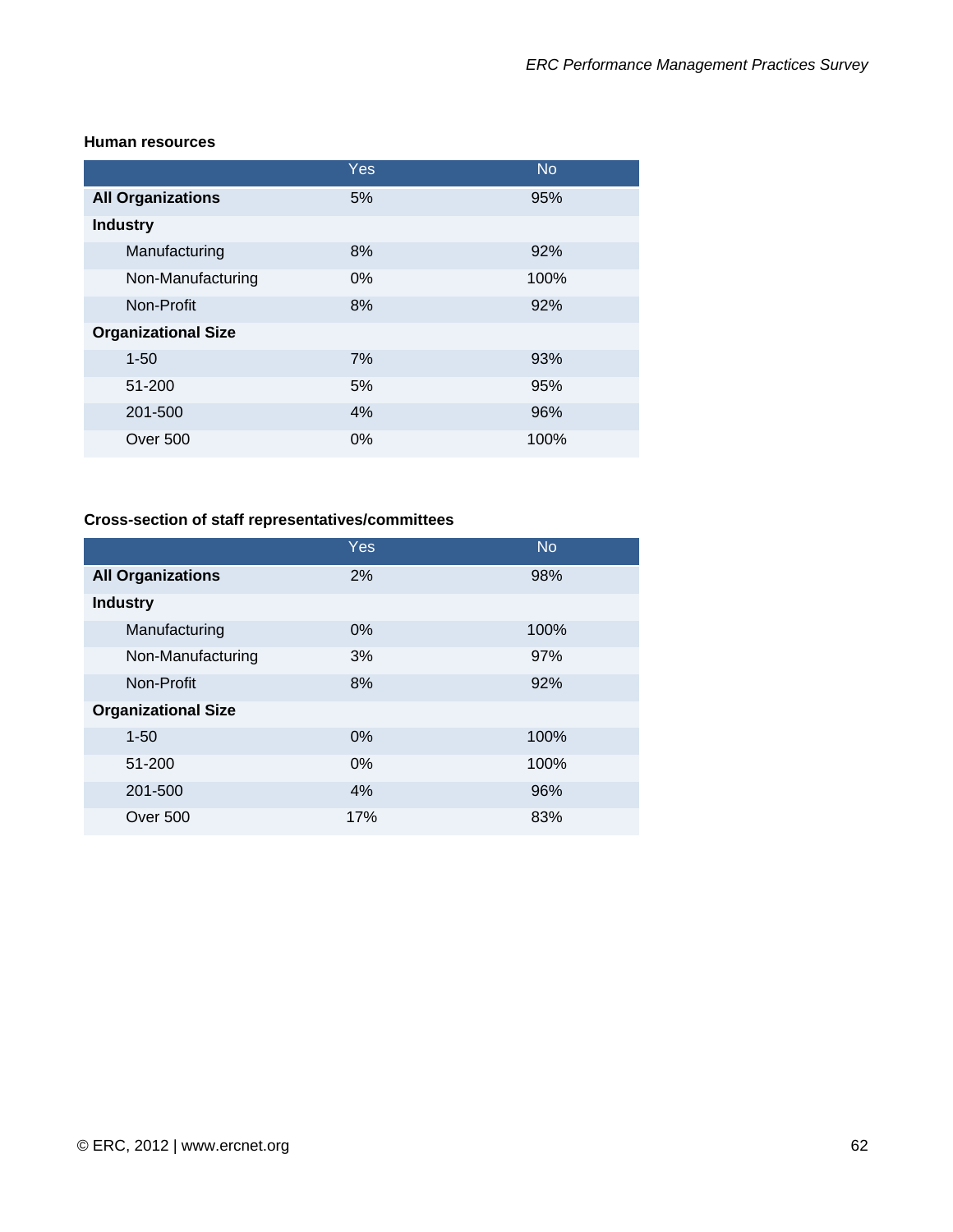#### **Human resources**

|                            | Yes   | <b>No</b> |
|----------------------------|-------|-----------|
| <b>All Organizations</b>   | 5%    | 95%       |
| <b>Industry</b>            |       |           |
| Manufacturing              | 8%    | 92%       |
| Non-Manufacturing          | $0\%$ | 100%      |
| Non-Profit                 | 8%    | 92%       |
| <b>Organizational Size</b> |       |           |
| $1 - 50$                   | 7%    | 93%       |
| 51-200                     | 5%    | 95%       |
| 201-500                    | 4%    | 96%       |
| <b>Over 500</b>            | 0%    | 100%      |

### **Cross-section of staff representatives/committees**

|                            | Yes | <b>No</b> |
|----------------------------|-----|-----------|
| <b>All Organizations</b>   | 2%  | 98%       |
| <b>Industry</b>            |     |           |
| Manufacturing              | 0%  | 100%      |
| Non-Manufacturing          | 3%  | 97%       |
| Non-Profit                 | 8%  | 92%       |
| <b>Organizational Size</b> |     |           |
| $1 - 50$                   | 0%  | 100%      |
| 51-200                     | 0%  | 100%      |
| 201-500                    | 4%  | 96%       |
| Over 500                   | 17% | 83%       |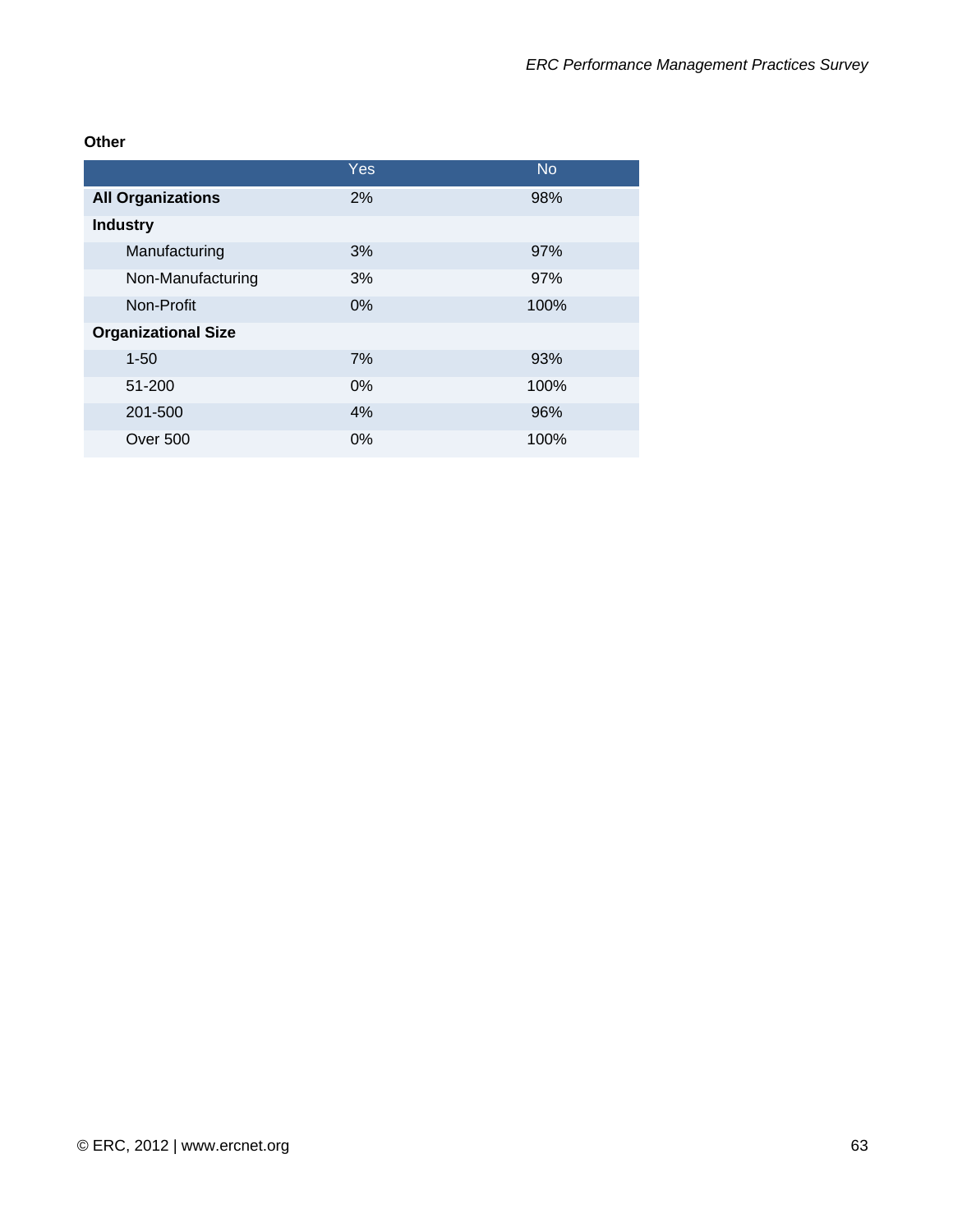**Other** 

|                            | Yes   | <b>No</b> |
|----------------------------|-------|-----------|
| <b>All Organizations</b>   | 2%    | 98%       |
| <b>Industry</b>            |       |           |
| Manufacturing              | 3%    | 97%       |
| Non-Manufacturing          | 3%    | 97%       |
| Non-Profit                 | $0\%$ | 100%      |
| <b>Organizational Size</b> |       |           |
| $1 - 50$                   | 7%    | 93%       |
| 51-200                     | 0%    | 100%      |
| 201-500                    | 4%    | 96%       |
| <b>Over 500</b>            | 0%    | 100%      |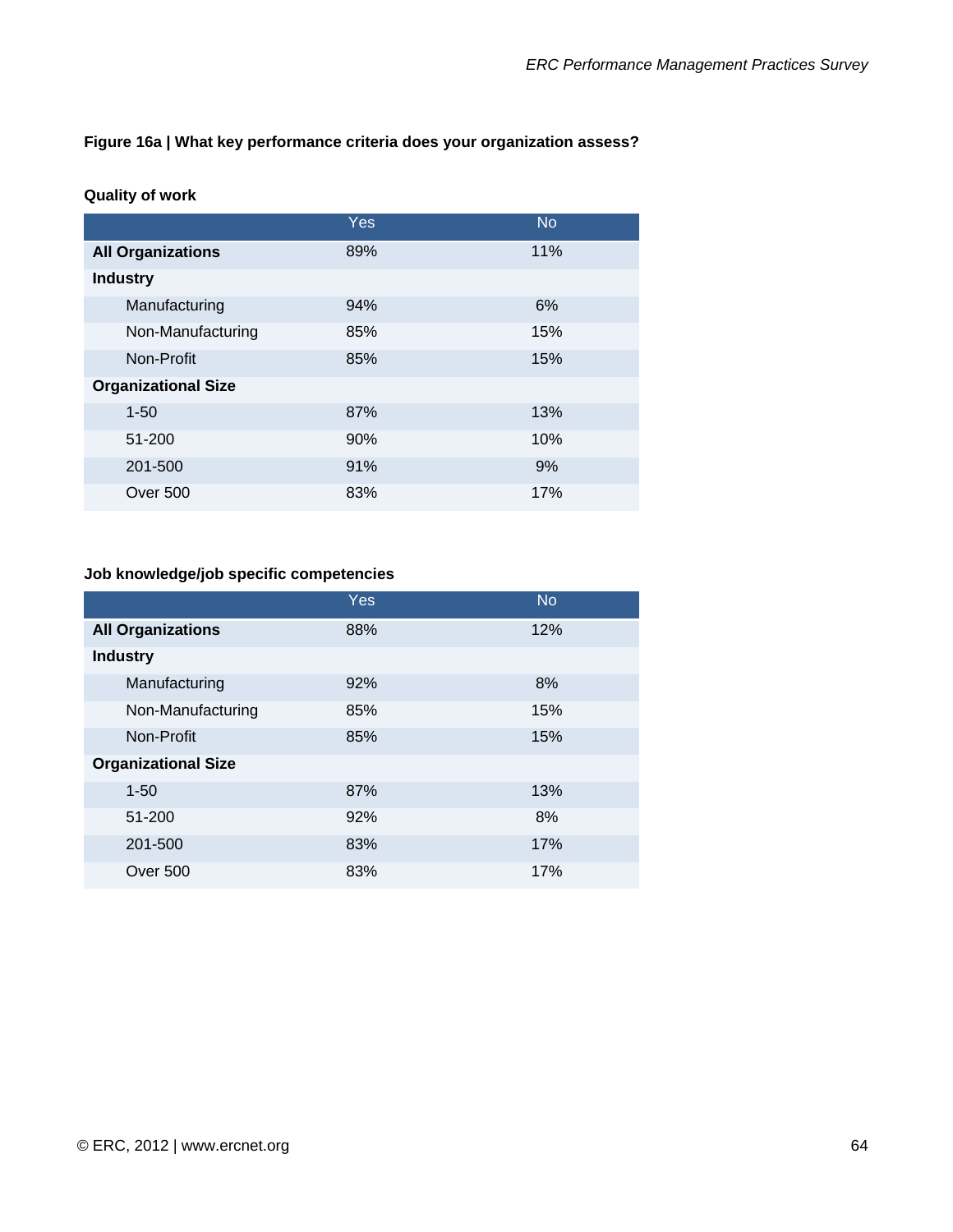### **Figure 16a | What key performance criteria does your organization assess?**

#### **Quality of work**

|                            | <b>Yes</b> | <b>No</b> |
|----------------------------|------------|-----------|
| <b>All Organizations</b>   | 89%        | 11%       |
| <b>Industry</b>            |            |           |
| Manufacturing              | 94%        | 6%        |
| Non-Manufacturing          | 85%        | 15%       |
| Non-Profit                 | 85%        | 15%       |
| <b>Organizational Size</b> |            |           |
| $1 - 50$                   | 87%        | 13%       |
| 51-200                     | 90%        | 10%       |
| 201-500                    | 91%        | 9%        |
| <b>Over 500</b>            | 83%        | 17%       |

### **Job knowledge/job specific competencies**

|                            | Yes | <b>No</b> |
|----------------------------|-----|-----------|
| <b>All Organizations</b>   | 88% | 12%       |
| <b>Industry</b>            |     |           |
| Manufacturing              | 92% | 8%        |
| Non-Manufacturing          | 85% | 15%       |
| Non-Profit                 | 85% | 15%       |
| <b>Organizational Size</b> |     |           |
| $1 - 50$                   | 87% | 13%       |
| 51-200                     | 92% | 8%        |
| 201-500                    | 83% | 17%       |
| Over 500                   | 83% | 17%       |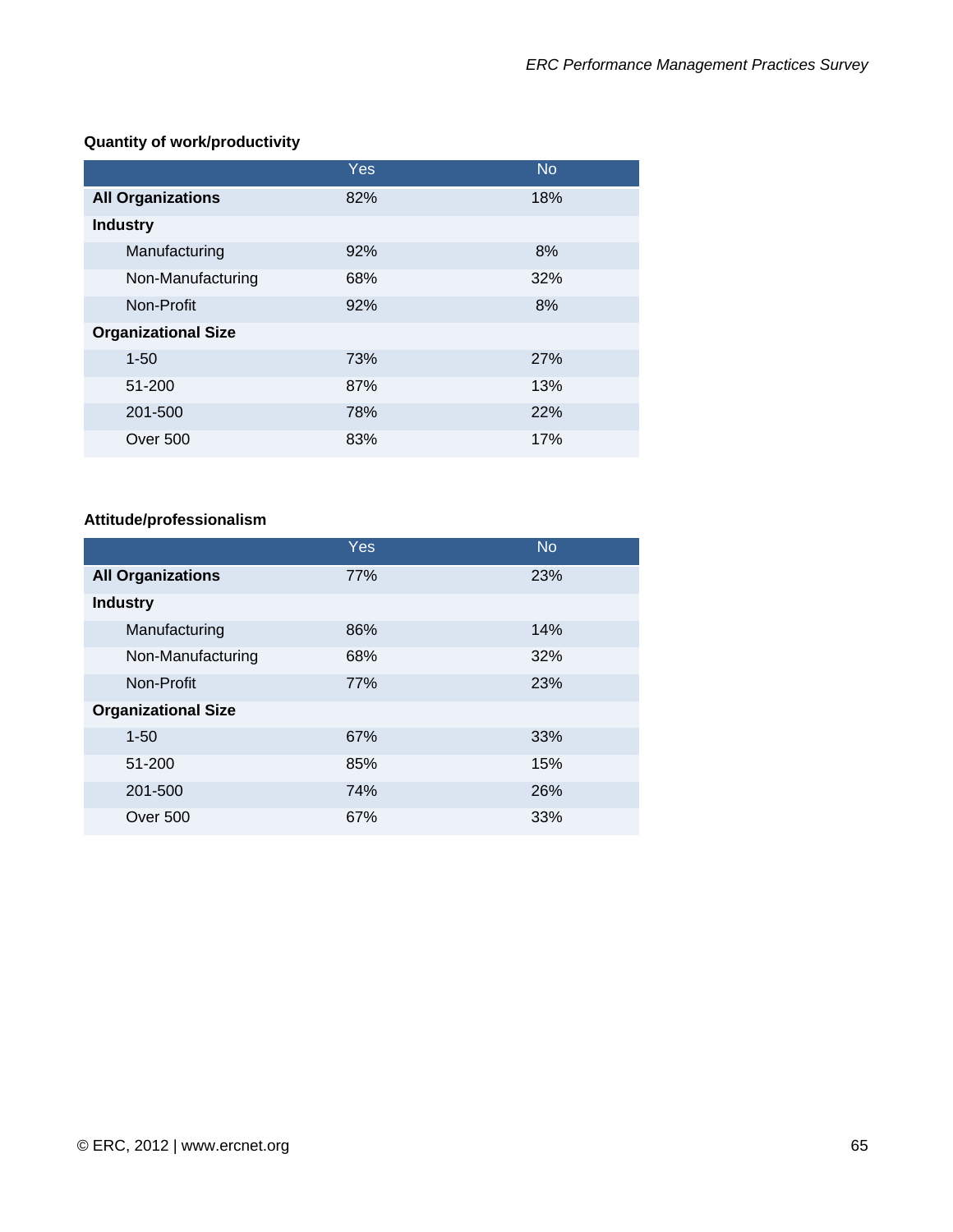# **Quantity of work/productivity**

|                            | <b>Yes</b> | <b>No</b> |
|----------------------------|------------|-----------|
| <b>All Organizations</b>   | 82%        | 18%       |
| <b>Industry</b>            |            |           |
| Manufacturing              | 92%        | 8%        |
| Non-Manufacturing          | 68%        | 32%       |
| Non-Profit                 | 92%        | 8%        |
| <b>Organizational Size</b> |            |           |
| $1 - 50$                   | 73%        | 27%       |
| 51-200                     | 87%        | 13%       |
| 201-500                    | 78%        | 22%       |
| <b>Over 500</b>            | 83%        | 17%       |

### **Attitude/professionalism**

|                            | <b>Yes</b> | <b>No</b> |
|----------------------------|------------|-----------|
| <b>All Organizations</b>   | 77%        | 23%       |
| <b>Industry</b>            |            |           |
| Manufacturing              | 86%        | 14%       |
| Non-Manufacturing          | 68%        | 32%       |
| Non-Profit                 | 77%        | 23%       |
| <b>Organizational Size</b> |            |           |
| $1 - 50$                   | 67%        | 33%       |
| 51-200                     | 85%        | 15%       |
| 201-500                    | 74%        | 26%       |
| Over 500                   | 67%        | 33%       |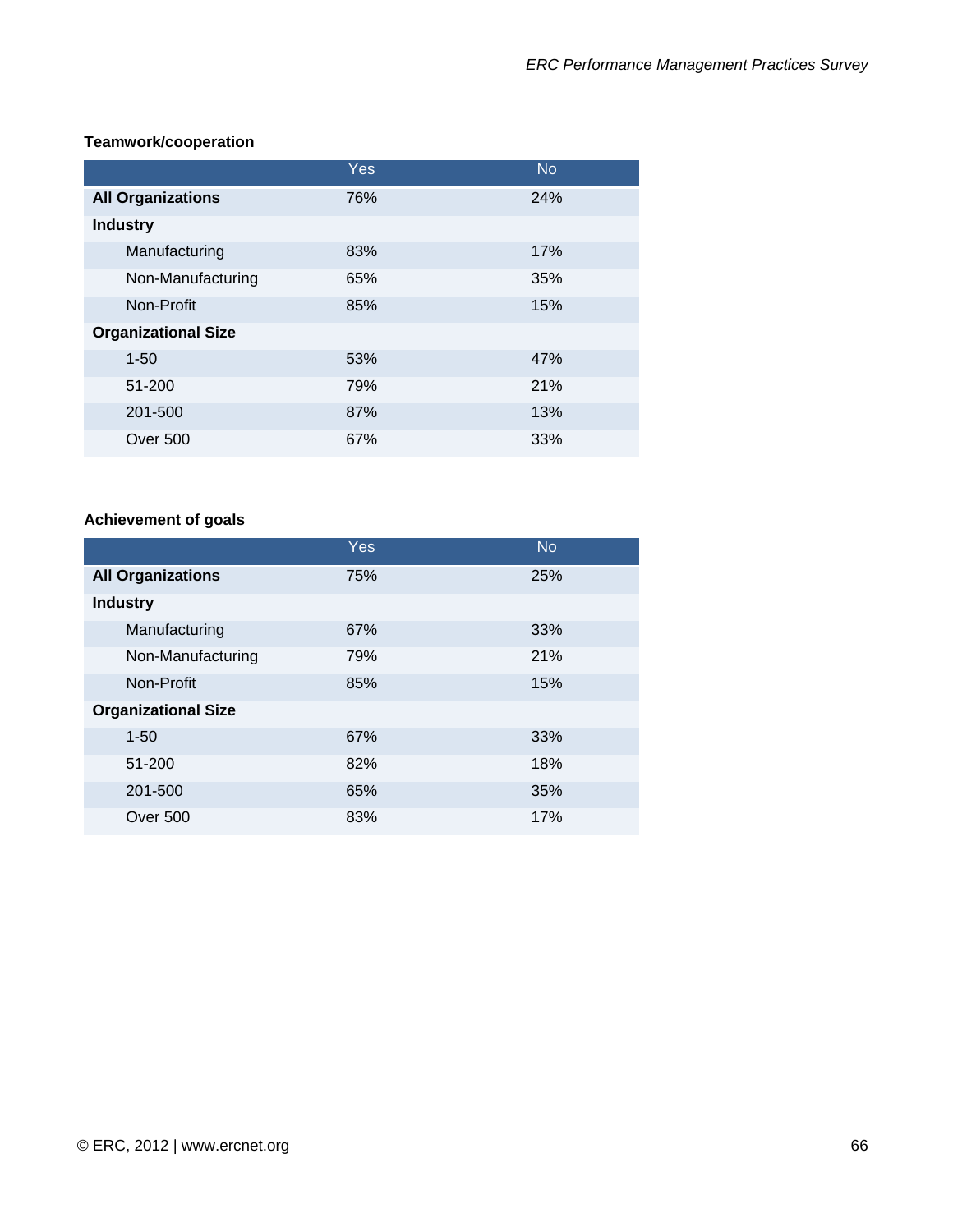## **Teamwork/cooperation**

|                            | Yes | <b>No</b> |
|----------------------------|-----|-----------|
| <b>All Organizations</b>   | 76% | 24%       |
| <b>Industry</b>            |     |           |
| Manufacturing              | 83% | 17%       |
| Non-Manufacturing          | 65% | 35%       |
| Non-Profit                 | 85% | 15%       |
| <b>Organizational Size</b> |     |           |
| $1 - 50$                   | 53% | 47%       |
| 51-200                     | 79% | 21%       |
| 201-500                    | 87% | 13%       |
| Over 500                   | 67% | 33%       |

# **Achievement of goals**

|                            | Yes | <b>No</b> |
|----------------------------|-----|-----------|
| <b>All Organizations</b>   | 75% | 25%       |
| <b>Industry</b>            |     |           |
| Manufacturing              | 67% | 33%       |
| Non-Manufacturing          | 79% | 21%       |
| Non-Profit                 | 85% | 15%       |
| <b>Organizational Size</b> |     |           |
| $1 - 50$                   | 67% | 33%       |
| 51-200                     | 82% | 18%       |
| 201-500                    | 65% | 35%       |
| Over 500                   | 83% | 17%       |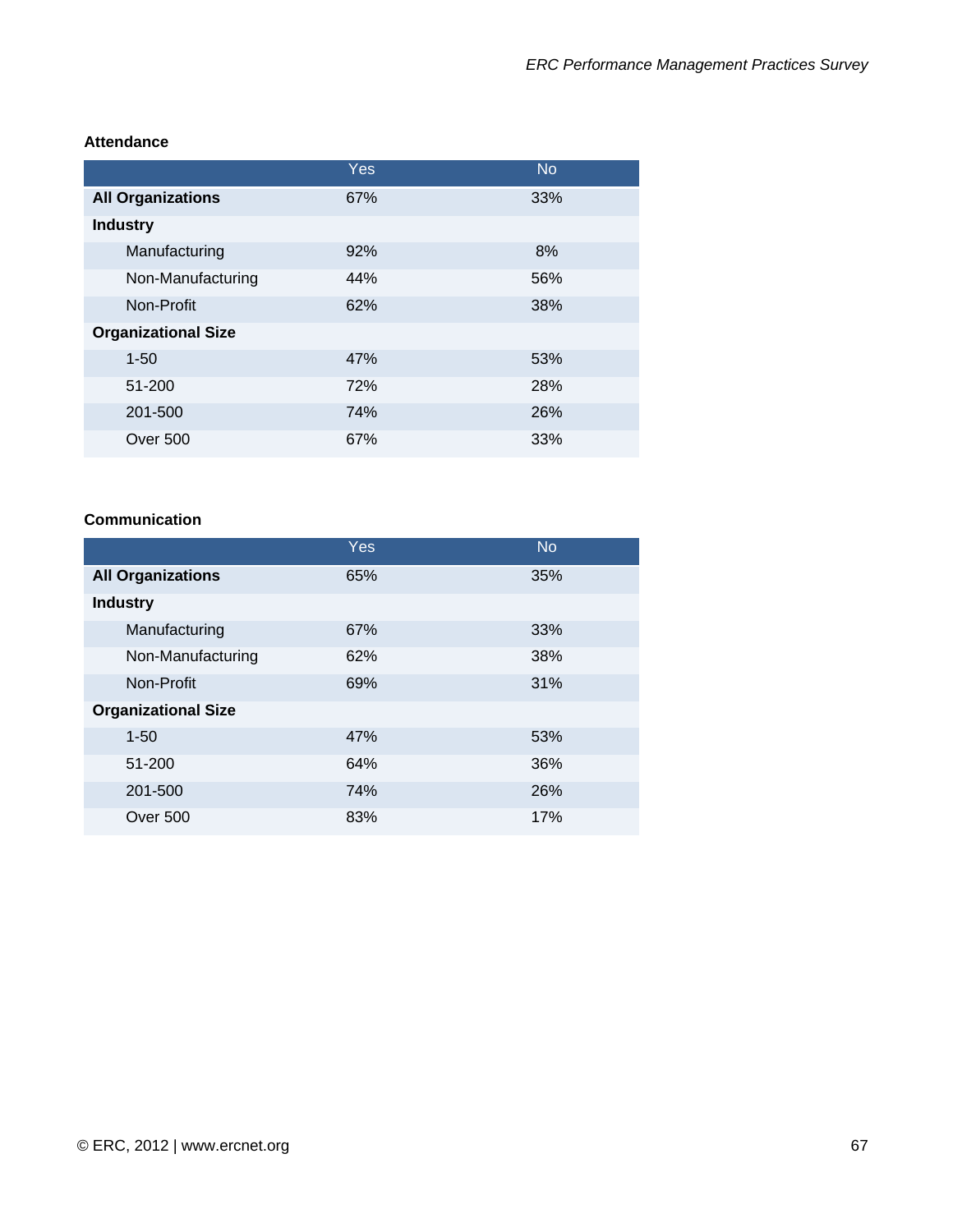#### **Attendance**

|                            | Yes | <b>No</b> |
|----------------------------|-----|-----------|
| <b>All Organizations</b>   | 67% | 33%       |
| <b>Industry</b>            |     |           |
| Manufacturing              | 92% | 8%        |
| Non-Manufacturing          | 44% | 56%       |
| Non-Profit                 | 62% | 38%       |
| <b>Organizational Size</b> |     |           |
| $1 - 50$                   | 47% | 53%       |
| 51-200                     | 72% | 28%       |
| 201-500                    | 74% | 26%       |
| Over 500                   | 67% | 33%       |

#### **Communication**

|                            | Yes | <b>No</b> |
|----------------------------|-----|-----------|
| <b>All Organizations</b>   | 65% | 35%       |
| <b>Industry</b>            |     |           |
| Manufacturing              | 67% | 33%       |
| Non-Manufacturing          | 62% | 38%       |
| Non-Profit                 | 69% | 31%       |
| <b>Organizational Size</b> |     |           |
| $1 - 50$                   | 47% | 53%       |
| 51-200                     | 64% | 36%       |
| 201-500                    | 74% | 26%       |
| Over 500                   | 83% | 17%       |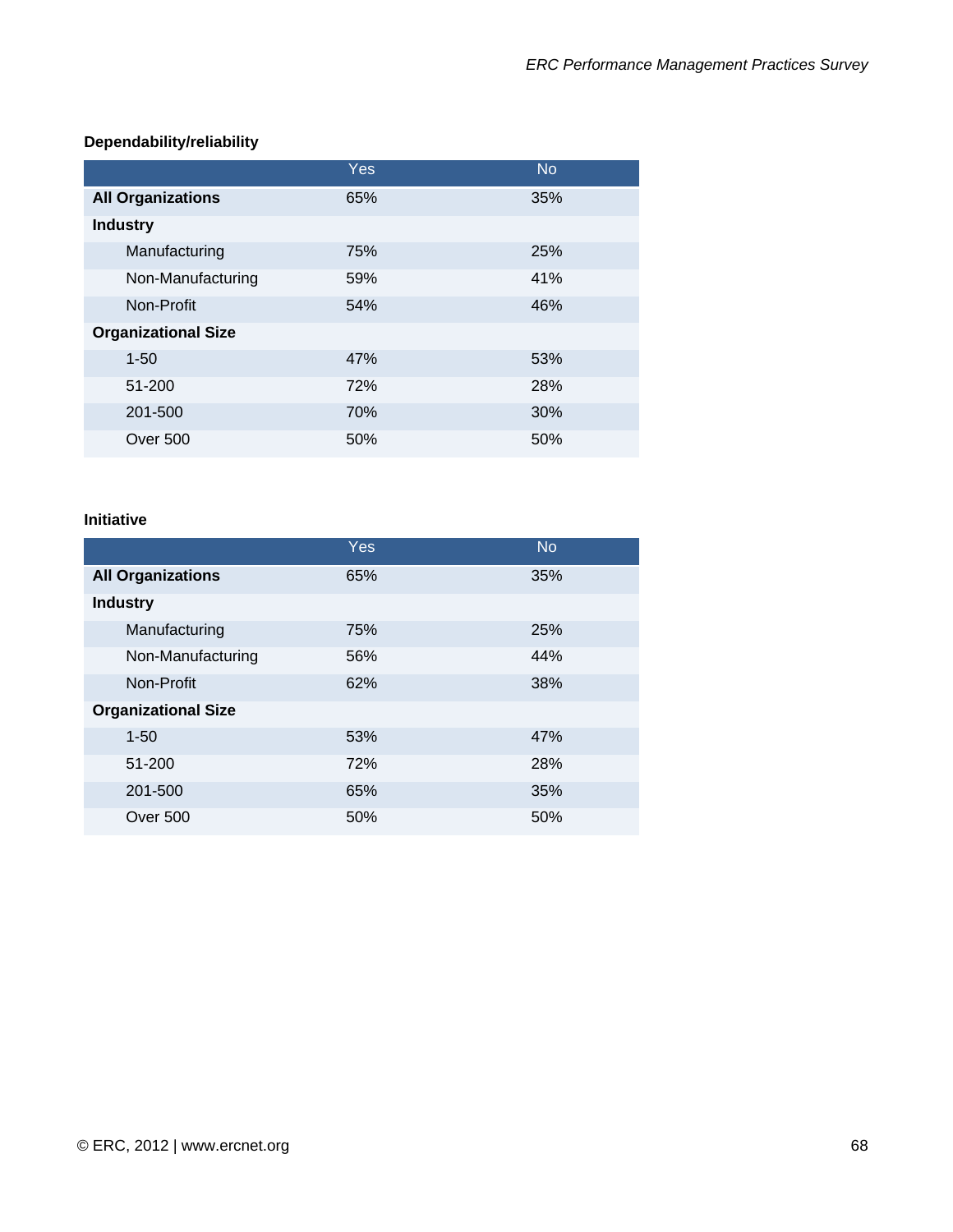# **Dependability/reliability**

|                            | Yes | <b>No</b> |
|----------------------------|-----|-----------|
| <b>All Organizations</b>   | 65% | 35%       |
| <b>Industry</b>            |     |           |
| Manufacturing              | 75% | 25%       |
| Non-Manufacturing          | 59% | 41%       |
| Non-Profit                 | 54% | 46%       |
| <b>Organizational Size</b> |     |           |
| $1 - 50$                   | 47% | 53%       |
| 51-200                     | 72% | 28%       |
| 201-500                    | 70% | 30%       |
| Over 500                   | 50% | 50%       |

#### **Initiative**

|                            | Yes | <b>No</b> |
|----------------------------|-----|-----------|
| <b>All Organizations</b>   | 65% | 35%       |
| <b>Industry</b>            |     |           |
| Manufacturing              | 75% | 25%       |
| Non-Manufacturing          | 56% | 44%       |
| Non-Profit                 | 62% | 38%       |
| <b>Organizational Size</b> |     |           |
| $1 - 50$                   | 53% | 47%       |
| 51-200                     | 72% | 28%       |
| 201-500                    | 65% | 35%       |
| <b>Over 500</b>            | 50% | 50%       |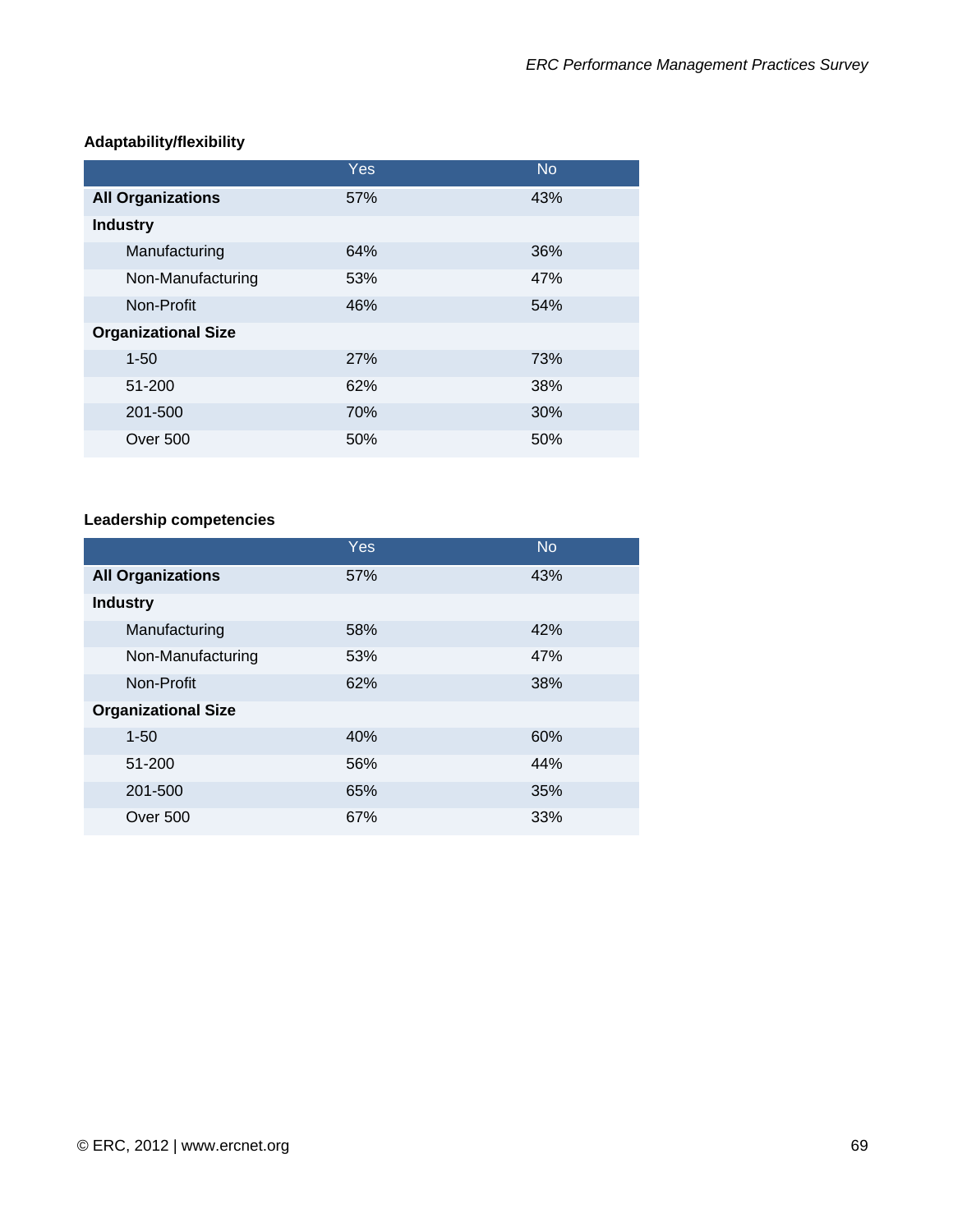|                            | Yes | <b>No</b> |
|----------------------------|-----|-----------|
| <b>All Organizations</b>   | 57% | 43%       |
| <b>Industry</b>            |     |           |
| Manufacturing              | 64% | 36%       |
| Non-Manufacturing          | 53% | 47%       |
| Non-Profit                 | 46% | 54%       |
| <b>Organizational Size</b> |     |           |
| $1 - 50$                   | 27% | 73%       |
| 51-200                     | 62% | 38%       |
| 201-500                    | 70% | 30%       |
| Over 500                   | 50% | 50%       |

# **Adaptability/flexibility**

# **Leadership competencies**

|                            | <b>Yes</b> | <b>No</b> |
|----------------------------|------------|-----------|
| <b>All Organizations</b>   | 57%        | 43%       |
| <b>Industry</b>            |            |           |
| Manufacturing              | 58%        | 42%       |
| Non-Manufacturing          | 53%        | 47%       |
| Non-Profit                 | 62%        | 38%       |
| <b>Organizational Size</b> |            |           |
| $1 - 50$                   | 40%        | 60%       |
| 51-200                     | 56%        | 44%       |
| 201-500                    | 65%        | 35%       |
| Over 500                   | 67%        | 33%       |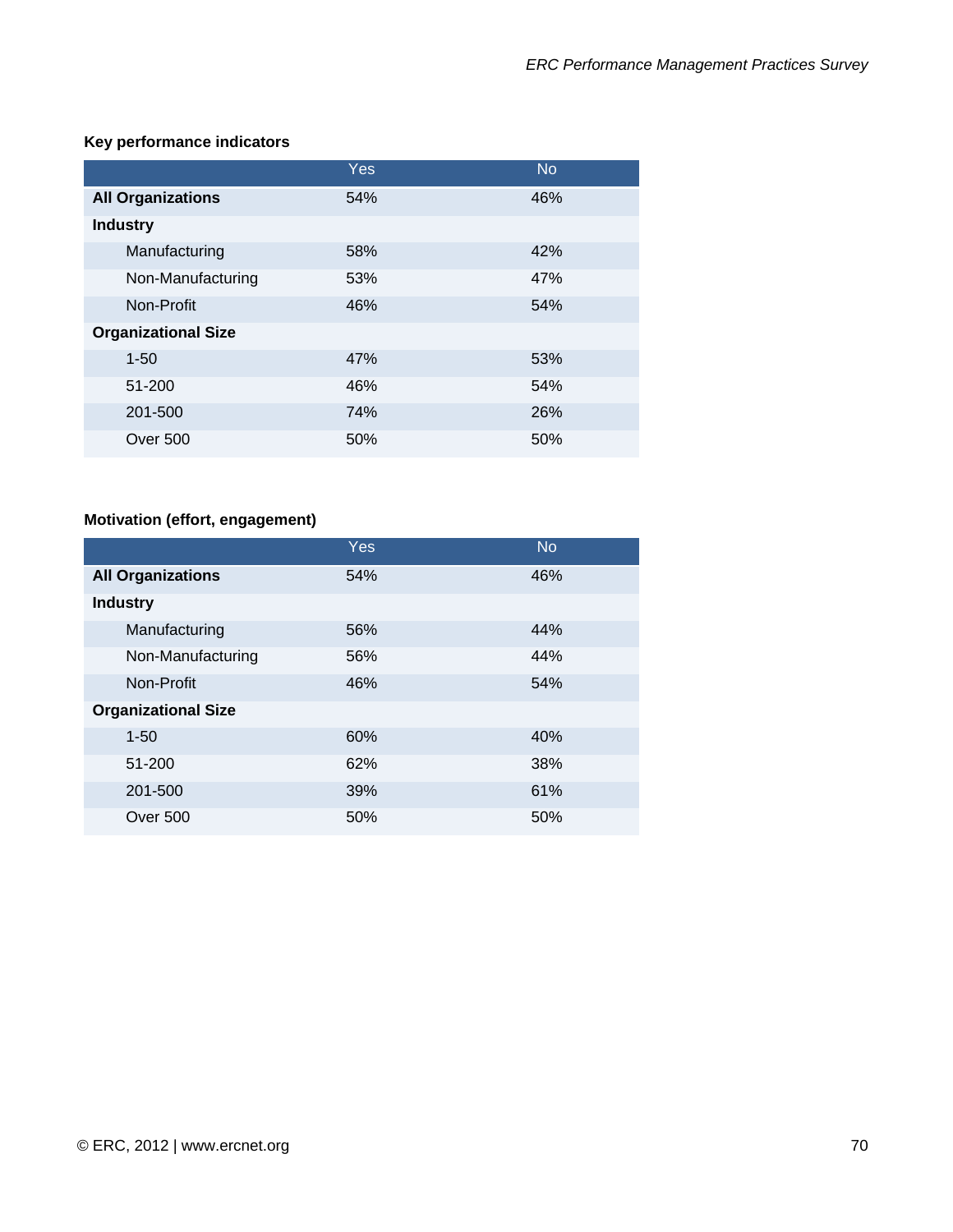# **Key performance indicators**

|                            | Yes. | <b>No</b> |
|----------------------------|------|-----------|
| <b>All Organizations</b>   | 54%  | 46%       |
| <b>Industry</b>            |      |           |
| Manufacturing              | 58%  | 42%       |
| Non-Manufacturing          | 53%  | 47%       |
| Non-Profit                 | 46%  | 54%       |
| <b>Organizational Size</b> |      |           |
| $1 - 50$                   | 47%  | 53%       |
| 51-200                     | 46%  | 54%       |
| 201-500                    | 74%  | 26%       |
| Over 500                   | 50%  | 50%       |

# **Motivation (effort, engagement)**

|                            | Yes | <b>No</b> |
|----------------------------|-----|-----------|
| <b>All Organizations</b>   | 54% | 46%       |
| <b>Industry</b>            |     |           |
| Manufacturing              | 56% | 44%       |
| Non-Manufacturing          | 56% | 44%       |
| Non-Profit                 | 46% | 54%       |
| <b>Organizational Size</b> |     |           |
| $1 - 50$                   | 60% | 40%       |
| 51-200                     | 62% | 38%       |
| 201-500                    | 39% | 61%       |
| Over 500                   | 50% | 50%       |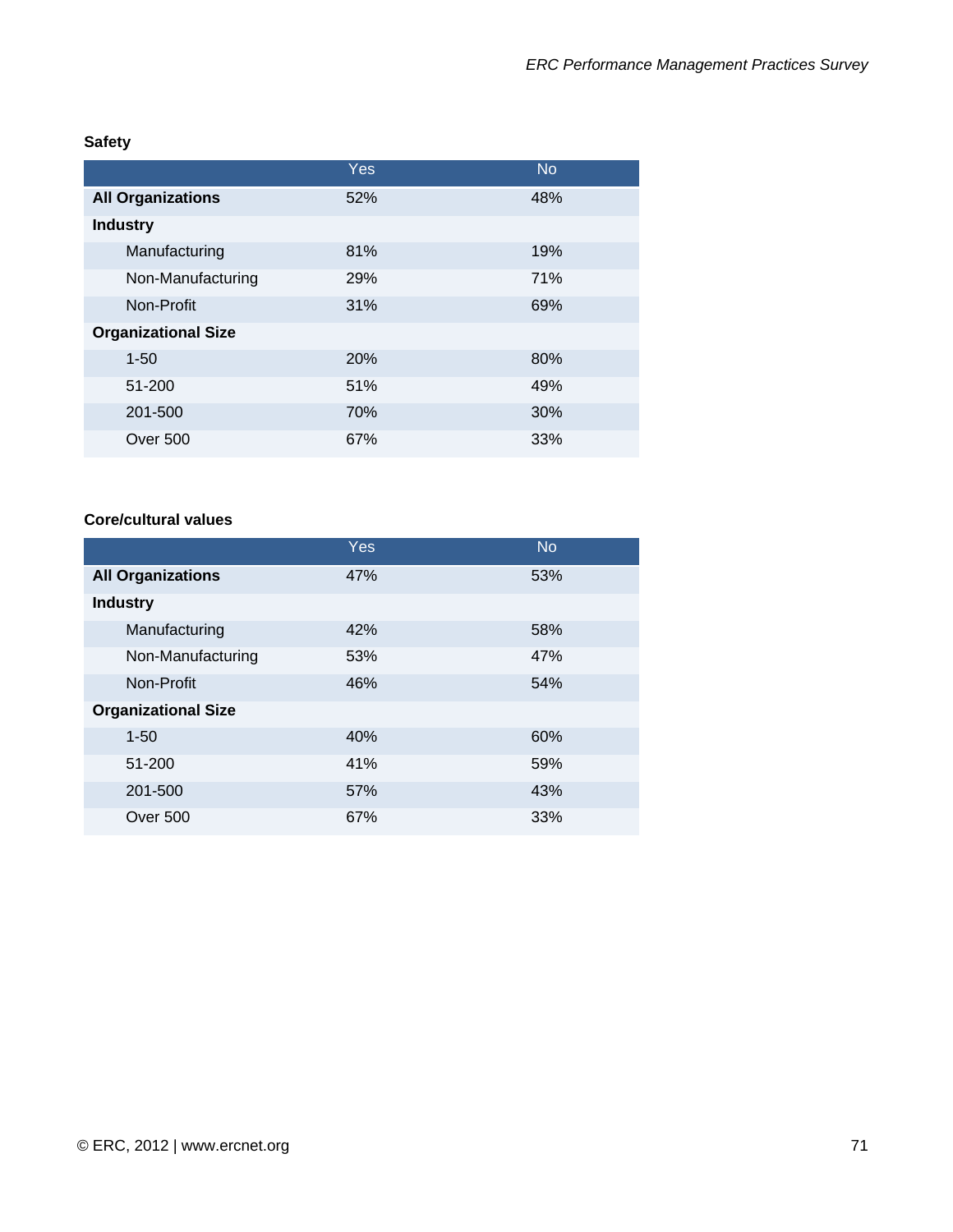# **Safety**

|                            | Yes | <b>No</b> |
|----------------------------|-----|-----------|
| <b>All Organizations</b>   | 52% | 48%       |
| <b>Industry</b>            |     |           |
| Manufacturing              | 81% | 19%       |
| Non-Manufacturing          | 29% | 71%       |
| Non-Profit                 | 31% | 69%       |
| <b>Organizational Size</b> |     |           |
| $1 - 50$                   | 20% | 80%       |
| 51-200                     | 51% | 49%       |
| 201-500                    | 70% | 30%       |
| Over 500                   | 67% | 33%       |

#### **Core/cultural values**

|                            | Yes | <b>No</b> |
|----------------------------|-----|-----------|
| <b>All Organizations</b>   | 47% | 53%       |
| <b>Industry</b>            |     |           |
| Manufacturing              | 42% | 58%       |
| Non-Manufacturing          | 53% | 47%       |
| Non-Profit                 | 46% | 54%       |
| <b>Organizational Size</b> |     |           |
| $1 - 50$                   | 40% | 60%       |
| 51-200                     | 41% | 59%       |
| 201-500                    | 57% | 43%       |
| Over 500                   | 67% | 33%       |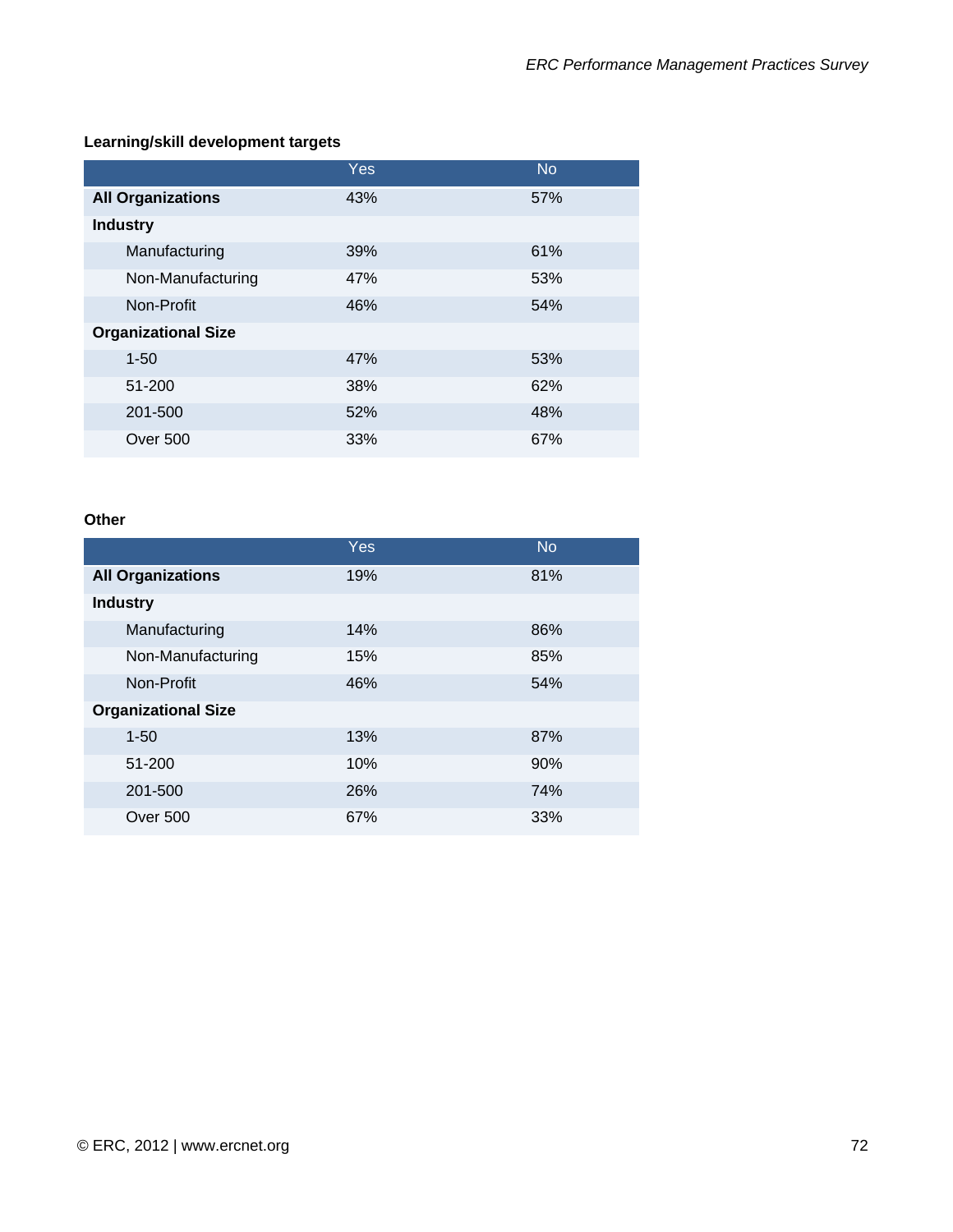### **Learning/skill development targets**

|                            | <b>Yes</b> | <b>No</b> |
|----------------------------|------------|-----------|
| <b>All Organizations</b>   | 43%        | 57%       |
| <b>Industry</b>            |            |           |
| Manufacturing              | 39%        | 61%       |
| Non-Manufacturing          | 47%        | 53%       |
| Non-Profit                 | 46%        | 54%       |
| <b>Organizational Size</b> |            |           |
| $1 - 50$                   | 47%        | 53%       |
| 51-200                     | 38%        | 62%       |
| 201-500                    | 52%        | 48%       |
| Over 500                   | 33%        | 67%       |

#### **Other**

|                            | Yes | <b>No</b> |
|----------------------------|-----|-----------|
| <b>All Organizations</b>   | 19% | 81%       |
| <b>Industry</b>            |     |           |
| Manufacturing              | 14% | 86%       |
| Non-Manufacturing          | 15% | 85%       |
| Non-Profit                 | 46% | 54%       |
| <b>Organizational Size</b> |     |           |
| $1 - 50$                   | 13% | 87%       |
| 51-200                     | 10% | 90%       |
| 201-500                    | 26% | 74%       |
| Over 500                   | 67% | 33%       |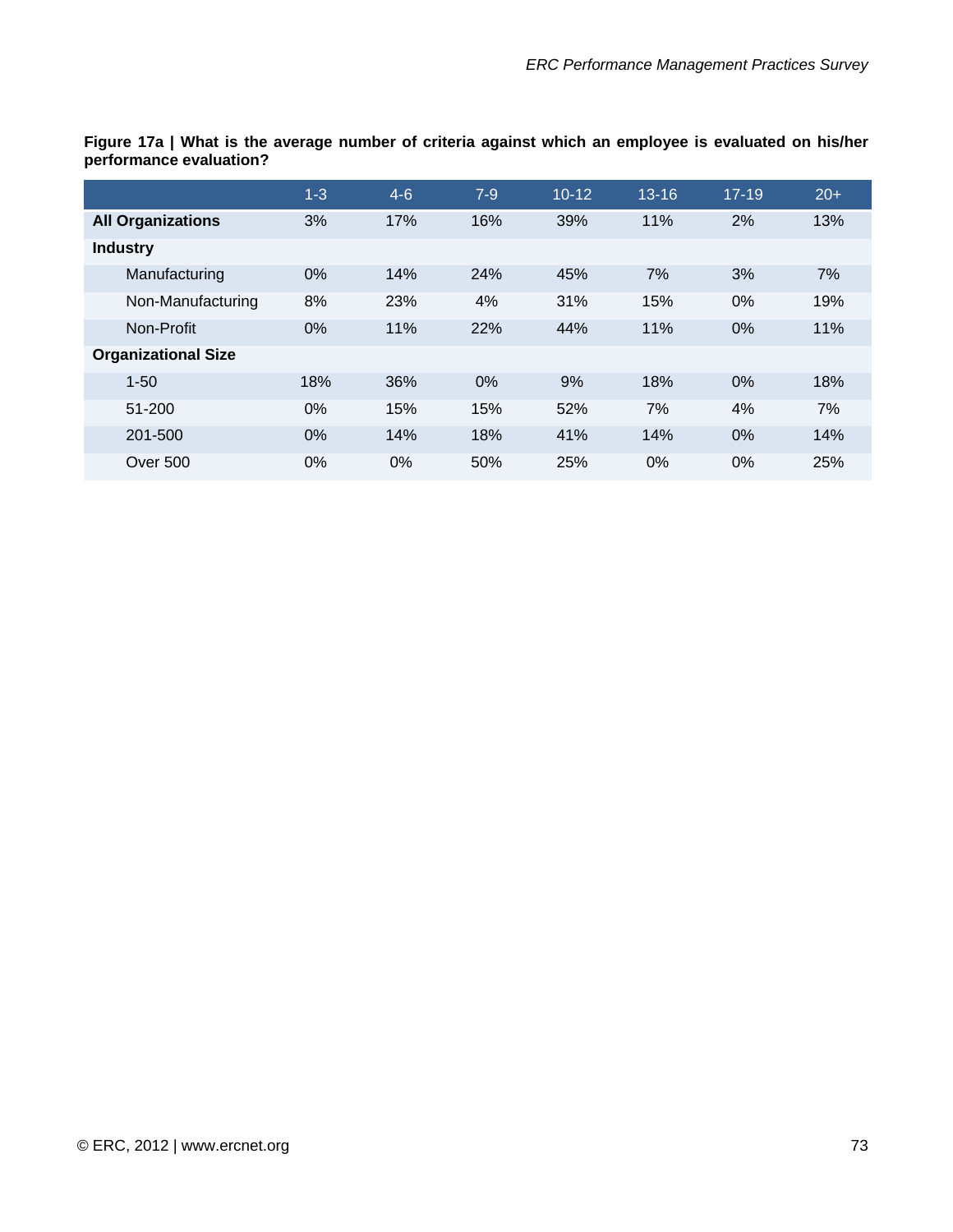| יישהושה ויש פיזימני וס סופרים של השווייט ומה של השווייט של השווייט ומאומרים של השוויים של השווייט של השפו ו<br>performance evaluation? |     |         |     |         |           |           |       |
|----------------------------------------------------------------------------------------------------------------------------------------|-----|---------|-----|---------|-----------|-----------|-------|
|                                                                                                                                        | 1-3 | $4 - 6$ | 7-9 | $10-12$ | $13 - 16$ | $17 - 19$ | $20+$ |
| <b>All Organizations</b>                                                                                                               | 3%  | 17%     | 16% | 39%     | 11%       | 2%        | 13%   |
| <b>Industry</b>                                                                                                                        |     |         |     |         |           |           |       |

Manufacturing 0% 14% 24% 45% 7% 3% 7% Non-Manufacturing 8% 23% 4% 31% 15% 0% 19% Non-Profit 0% 11% 22% 44% 11% 0% 11%

1-50 18% 36% 0% 9% 18% 0% 18% 51-200 0% 15% 15% 52% 7% 4% 7% 201-500 0% 14% 18% 41% 14% 0% 14% Over 500 0% 0% 50% 25% 0% 0% 25%

**Figure 17a | What is the average number of criteria against which an employee is evaluated on his/her performance evaluation?** 

**Organizational Size**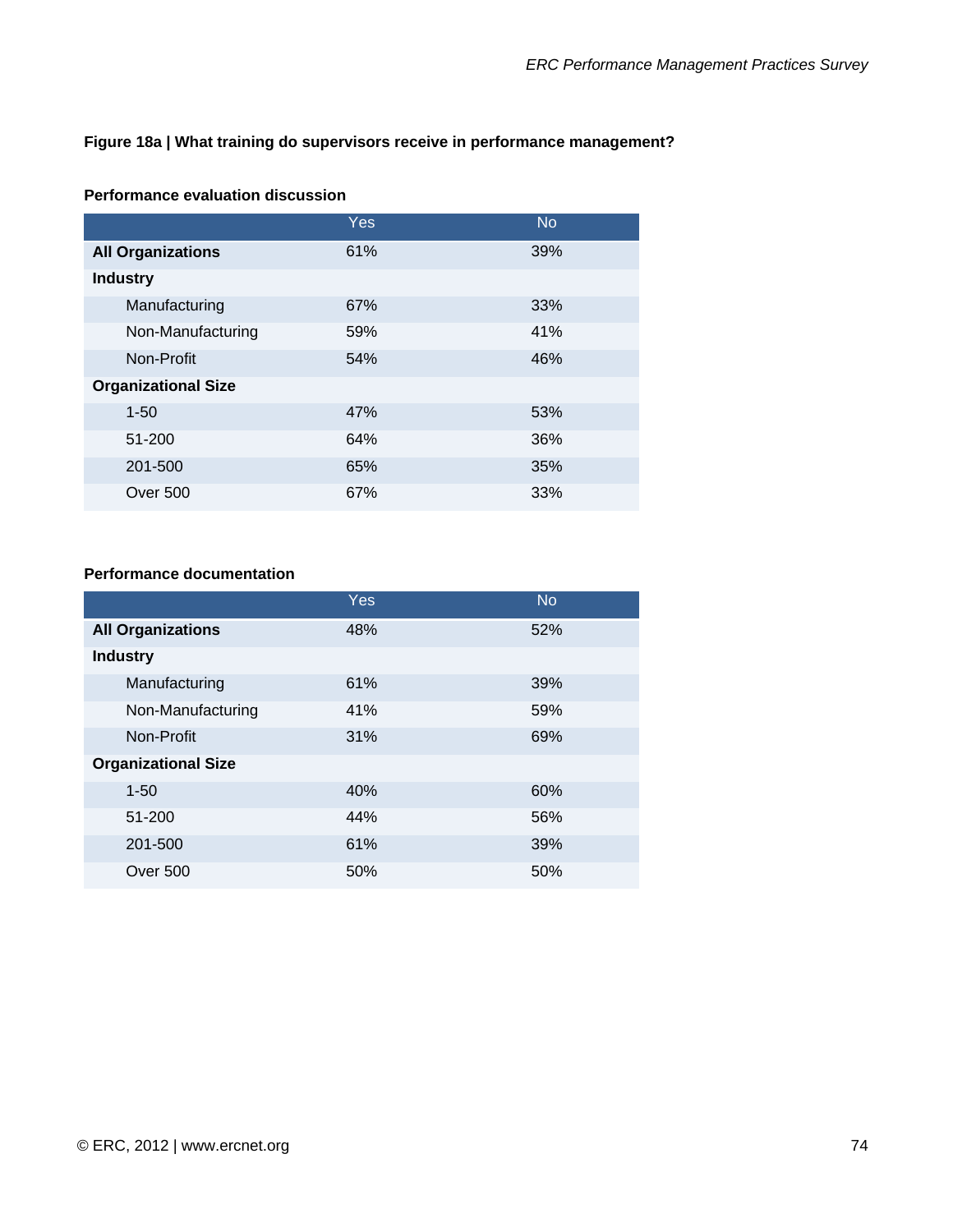#### **Figure 18a | What training do supervisors receive in performance management?**

|                            | <b>Yes</b> | <b>No</b> |
|----------------------------|------------|-----------|
| <b>All Organizations</b>   | 61%        | 39%       |
| <b>Industry</b>            |            |           |
| Manufacturing              | 67%        | 33%       |
| Non-Manufacturing          | 59%        | 41%       |
| Non-Profit                 | 54%        | 46%       |
| <b>Organizational Size</b> |            |           |
| $1 - 50$                   | 47%        | 53%       |
| 51-200                     | 64%        | 36%       |
| 201-500                    | 65%        | 35%       |
| Over 500                   | 67%        | 33%       |

#### **Performance evaluation discussion**

#### **Performance documentation**

|                            | Yes | <b>No</b> |
|----------------------------|-----|-----------|
| <b>All Organizations</b>   | 48% | 52%       |
| <b>Industry</b>            |     |           |
| Manufacturing              | 61% | 39%       |
| Non-Manufacturing          | 41% | 59%       |
| Non-Profit                 | 31% | 69%       |
| <b>Organizational Size</b> |     |           |
| $1 - 50$                   | 40% | 60%       |
| 51-200                     | 44% | 56%       |
| 201-500                    | 61% | 39%       |
| Over 500                   | 50% | 50%       |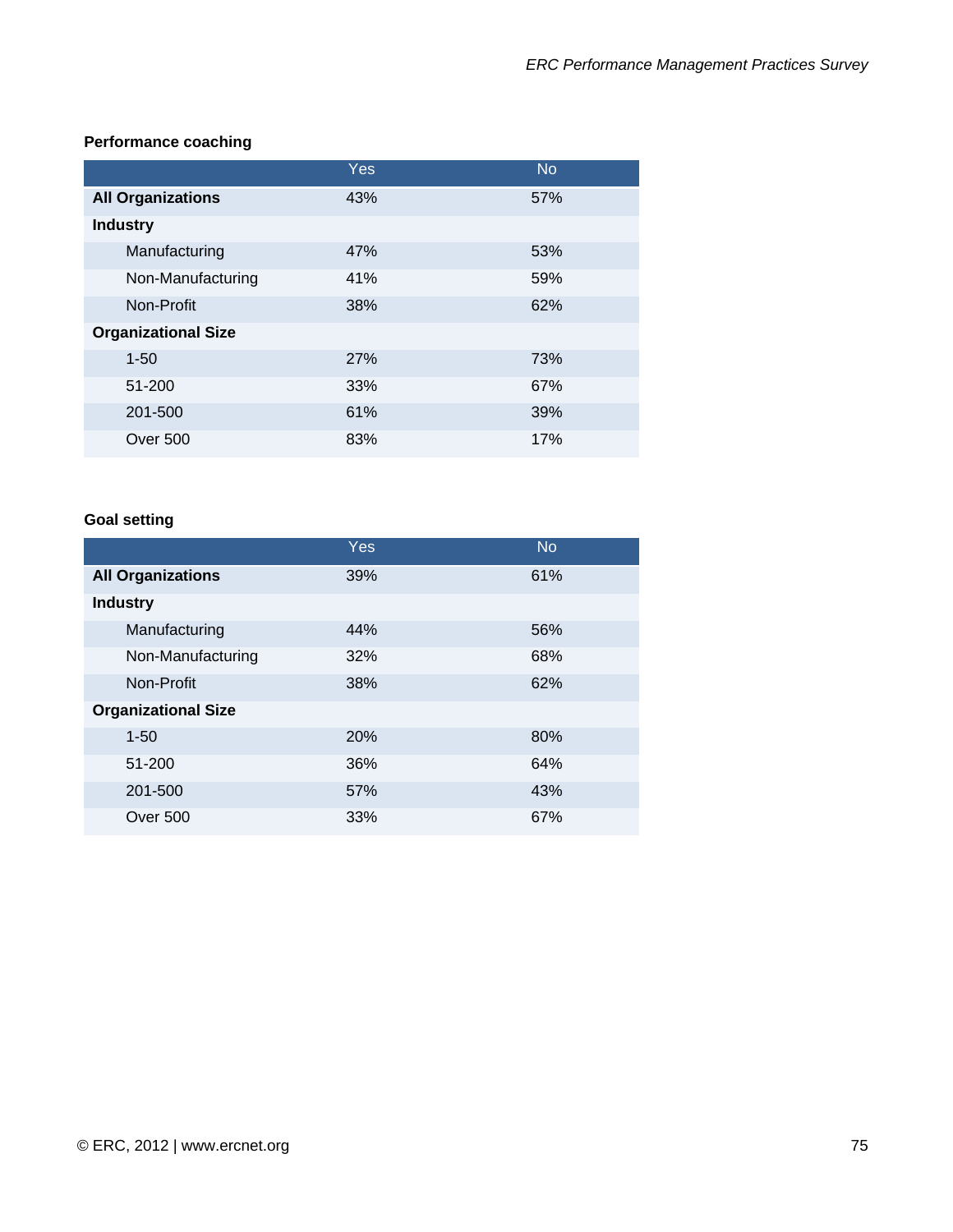### **Performance coaching**

|                            | Yes | <b>No</b> |
|----------------------------|-----|-----------|
| <b>All Organizations</b>   | 43% | 57%       |
| <b>Industry</b>            |     |           |
| Manufacturing              | 47% | 53%       |
| Non-Manufacturing          | 41% | 59%       |
| Non-Profit                 | 38% | 62%       |
| <b>Organizational Size</b> |     |           |
| $1 - 50$                   | 27% | 73%       |
| 51-200                     | 33% | 67%       |
| 201-500                    | 61% | 39%       |
| Over 500                   | 83% | 17%       |

### **Goal setting**

|                            | Yes | <b>No</b> |
|----------------------------|-----|-----------|
| <b>All Organizations</b>   | 39% | 61%       |
| <b>Industry</b>            |     |           |
| Manufacturing              | 44% | 56%       |
| Non-Manufacturing          | 32% | 68%       |
| Non-Profit                 | 38% | 62%       |
| <b>Organizational Size</b> |     |           |
| $1 - 50$                   | 20% | 80%       |
| 51-200                     | 36% | 64%       |
| 201-500                    | 57% | 43%       |
| <b>Over 500</b>            | 33% | 67%       |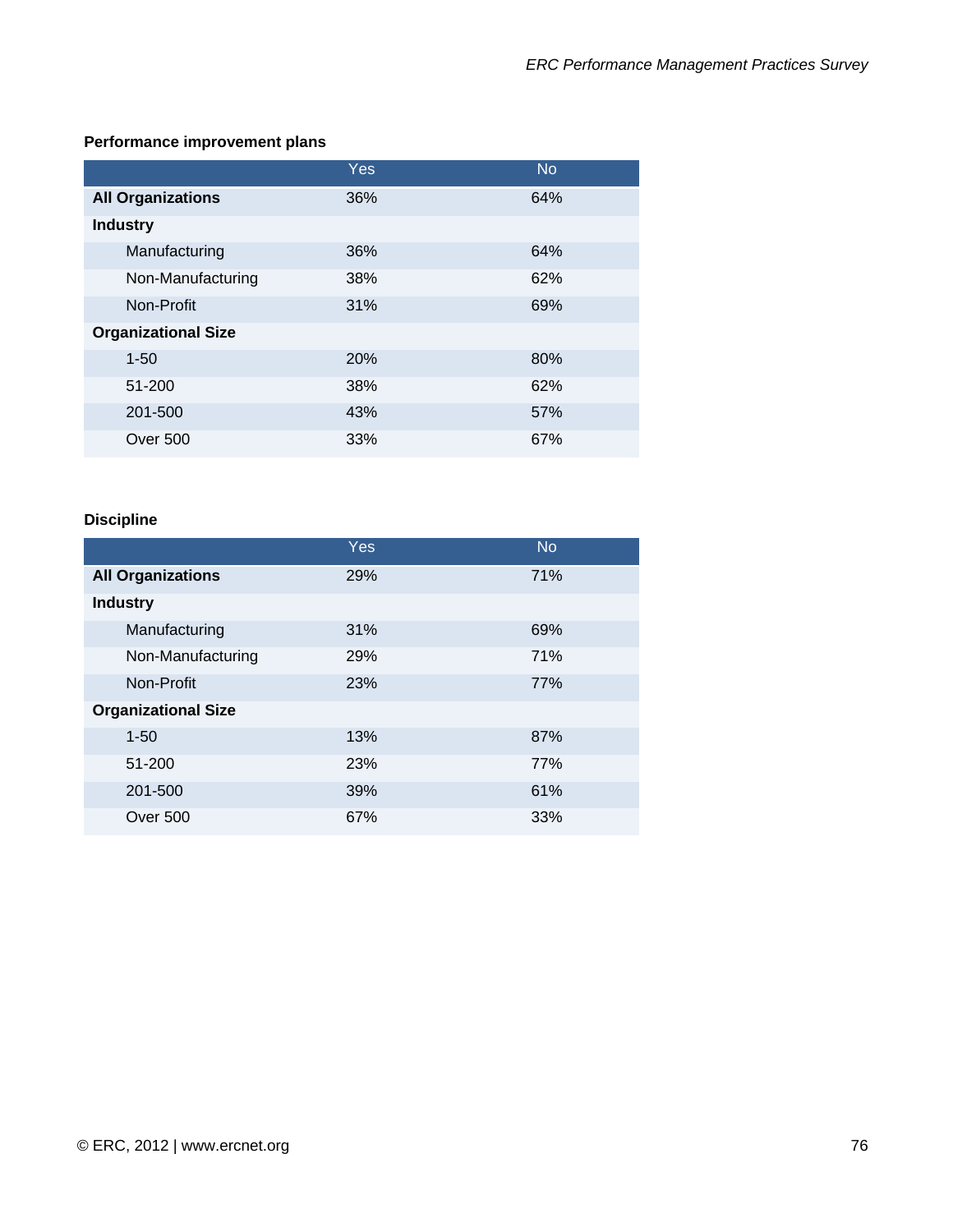## **Performance improvement plans**

|                            | Yes | <b>No</b> |
|----------------------------|-----|-----------|
| <b>All Organizations</b>   | 36% | 64%       |
| <b>Industry</b>            |     |           |
| Manufacturing              | 36% | 64%       |
| Non-Manufacturing          | 38% | 62%       |
| Non-Profit                 | 31% | 69%       |
| <b>Organizational Size</b> |     |           |
| $1 - 50$                   | 20% | 80%       |
| 51-200                     | 38% | 62%       |
| 201-500                    | 43% | 57%       |
| Over 500                   | 33% | 67%       |

### **Discipline**

|                            | Yes        | <b>No</b> |
|----------------------------|------------|-----------|
| <b>All Organizations</b>   | 29%        | 71%       |
| <b>Industry</b>            |            |           |
| Manufacturing              | 31%        | 69%       |
| Non-Manufacturing          | <b>29%</b> | 71%       |
| Non-Profit                 | 23%        | 77%       |
| <b>Organizational Size</b> |            |           |
| $1 - 50$                   | 13%        | 87%       |
| 51-200                     | <b>23%</b> | 77%       |
| 201-500                    | 39%        | 61%       |
| <b>Over 500</b>            | 67%        | 33%       |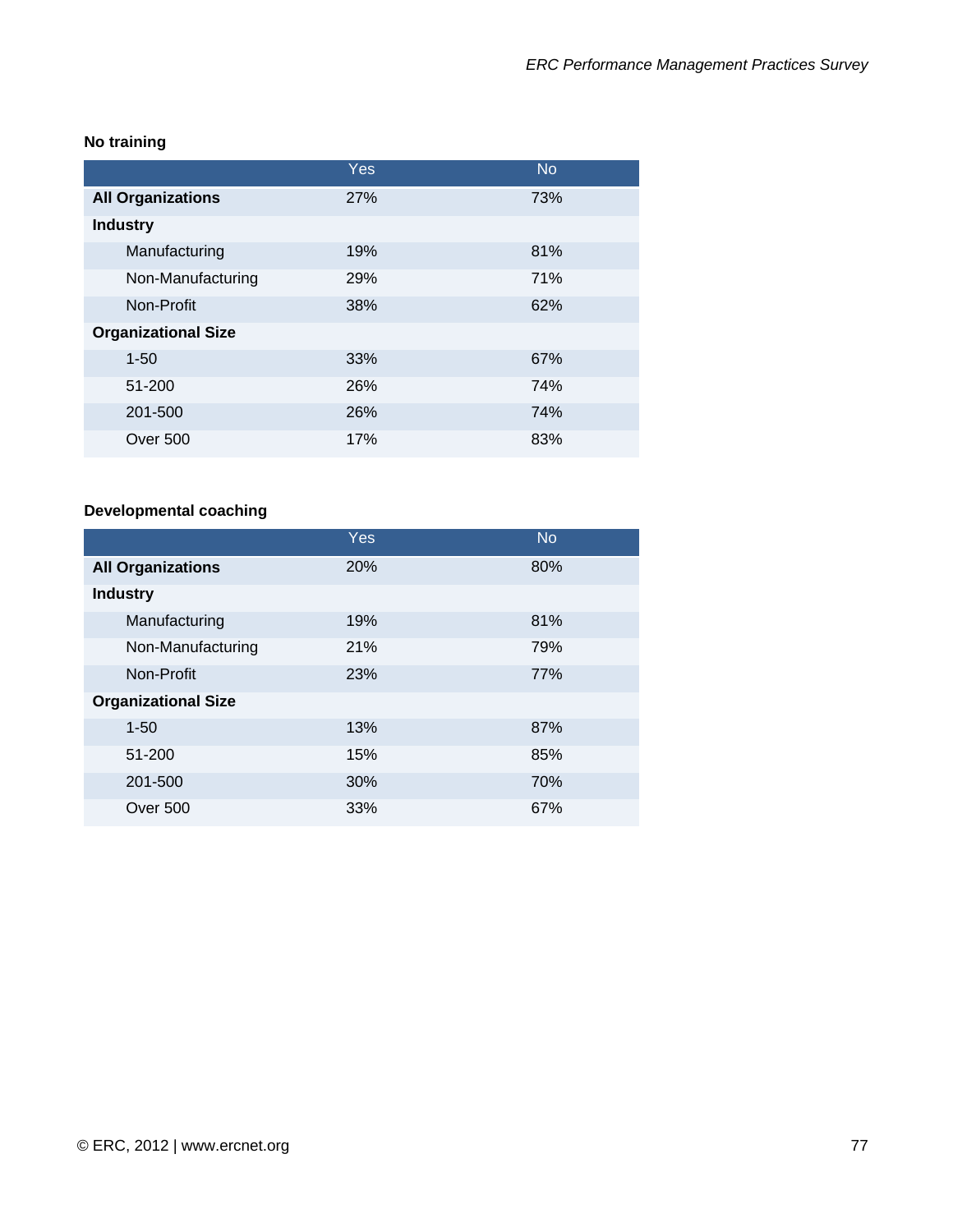# **No training**

|                            | Yes | <b>No</b> |
|----------------------------|-----|-----------|
| <b>All Organizations</b>   | 27% | 73%       |
| <b>Industry</b>            |     |           |
| Manufacturing              | 19% | 81%       |
| Non-Manufacturing          | 29% | 71%       |
| Non-Profit                 | 38% | 62%       |
| <b>Organizational Size</b> |     |           |
| $1 - 50$                   | 33% | 67%       |
| 51-200                     | 26% | 74%       |
| 201-500                    | 26% | 74%       |
| Over 500                   | 17% | 83%       |

# **Developmental coaching**

|                            | Yes | <b>No</b> |
|----------------------------|-----|-----------|
| <b>All Organizations</b>   | 20% | 80%       |
| <b>Industry</b>            |     |           |
| Manufacturing              | 19% | 81%       |
| Non-Manufacturing          | 21% | 79%       |
| Non-Profit                 | 23% | 77%       |
| <b>Organizational Size</b> |     |           |
| $1 - 50$                   | 13% | 87%       |
| 51-200                     | 15% | 85%       |
| 201-500                    | 30% | 70%       |
| <b>Over 500</b>            | 33% | 67%       |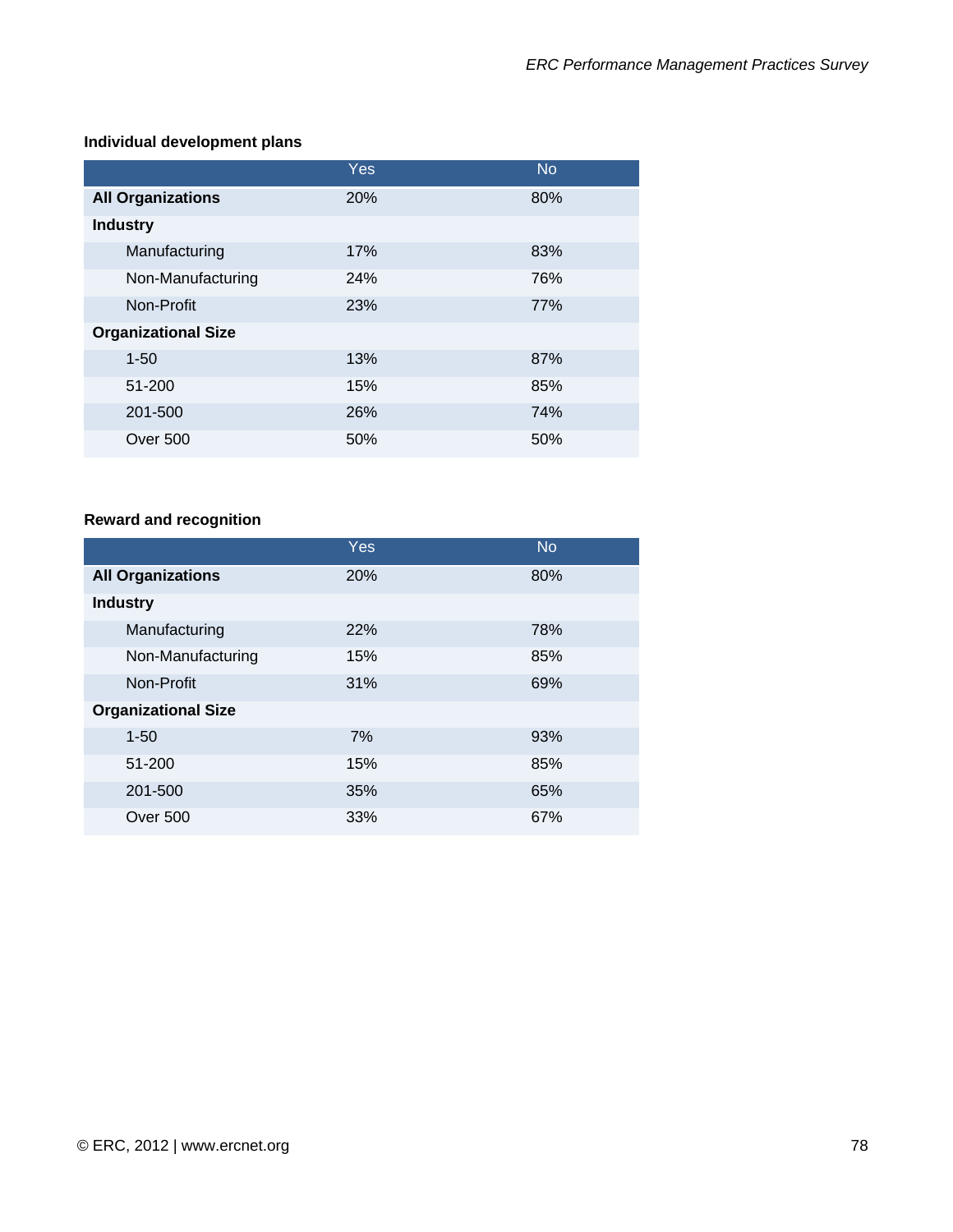#### **Individual development plans**

|                            | Yes. | <b>No</b> |
|----------------------------|------|-----------|
| <b>All Organizations</b>   | 20%  | 80%       |
| <b>Industry</b>            |      |           |
| Manufacturing              | 17%  | 83%       |
| Non-Manufacturing          | 24%  | 76%       |
| Non-Profit                 | 23%  | 77%       |
| <b>Organizational Size</b> |      |           |
| $1 - 50$                   | 13%  | 87%       |
| 51-200                     | 15%  | 85%       |
| 201-500                    | 26%  | 74%       |
| Over 500                   | 50%  | 50%       |

# **Reward and recognition**

|                            | Yes | <b>No</b> |
|----------------------------|-----|-----------|
| <b>All Organizations</b>   | 20% | 80%       |
| <b>Industry</b>            |     |           |
| Manufacturing              | 22% | 78%       |
| Non-Manufacturing          | 15% | 85%       |
| Non-Profit                 | 31% | 69%       |
| <b>Organizational Size</b> |     |           |
| $1 - 50$                   | 7%  | 93%       |
| 51-200                     | 15% | 85%       |
| 201-500                    | 35% | 65%       |
| Over 500                   | 33% | 67%       |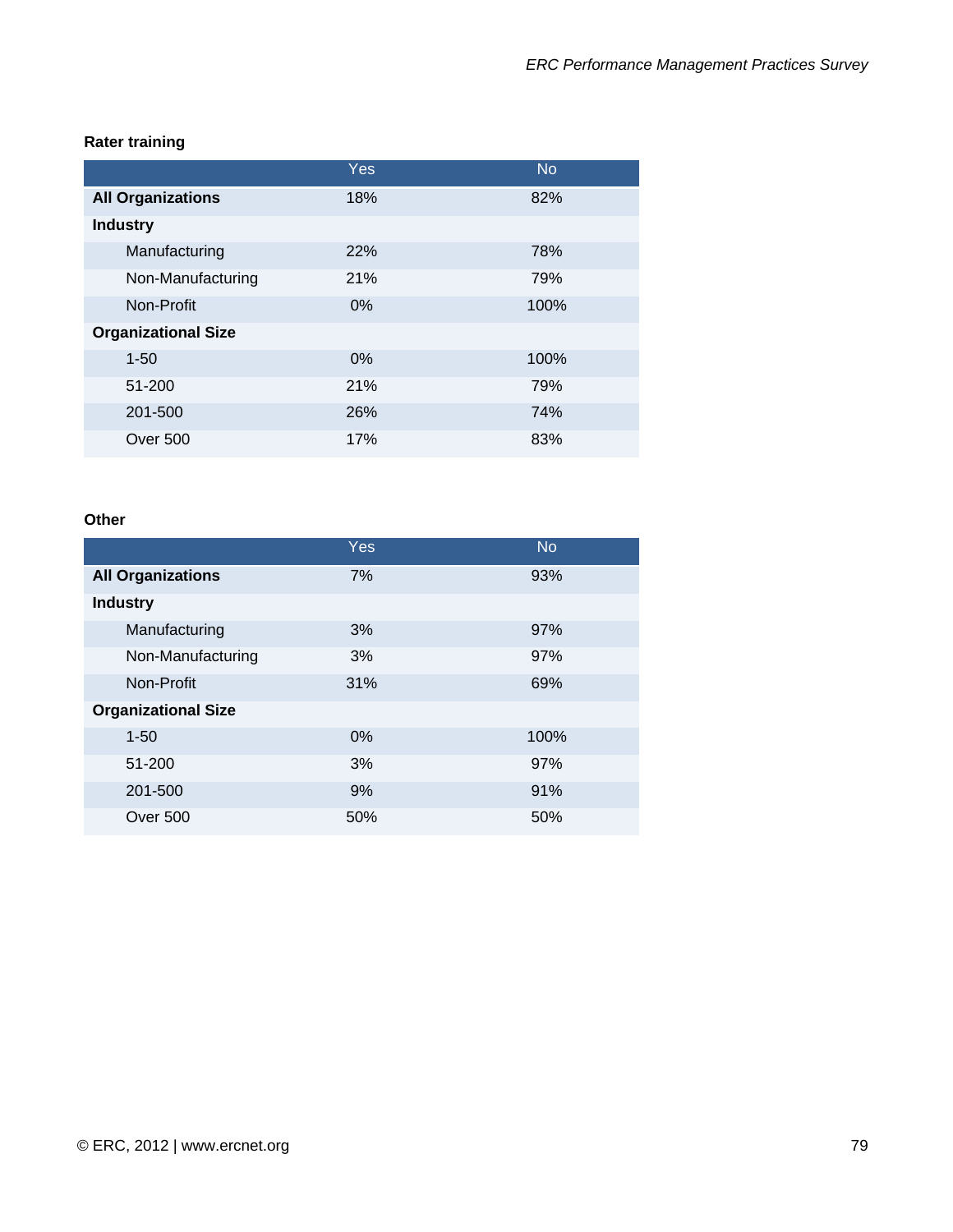### **Rater training**

|                            | Yes   | <b>No</b> |
|----------------------------|-------|-----------|
| <b>All Organizations</b>   | 18%   | 82%       |
| <b>Industry</b>            |       |           |
| Manufacturing              | 22%   | 78%       |
| Non-Manufacturing          | 21%   | 79%       |
| Non-Profit                 | $0\%$ | 100%      |
| <b>Organizational Size</b> |       |           |
| $1 - 50$                   | $0\%$ | 100%      |
| 51-200                     | 21%   | 79%       |
| 201-500                    | 26%   | 74%       |
| Over 500                   | 17%   | 83%       |

#### **Other**

|                            | Yes   | <b>No</b> |
|----------------------------|-------|-----------|
| <b>All Organizations</b>   | 7%    | 93%       |
| <b>Industry</b>            |       |           |
| Manufacturing              | 3%    | 97%       |
| Non-Manufacturing          | 3%    | 97%       |
| Non-Profit                 | 31%   | 69%       |
| <b>Organizational Size</b> |       |           |
| $1 - 50$                   | $0\%$ | 100%      |
| 51-200                     | 3%    | 97%       |
| 201-500                    | 9%    | 91%       |
| Over 500                   | 50%   | 50%       |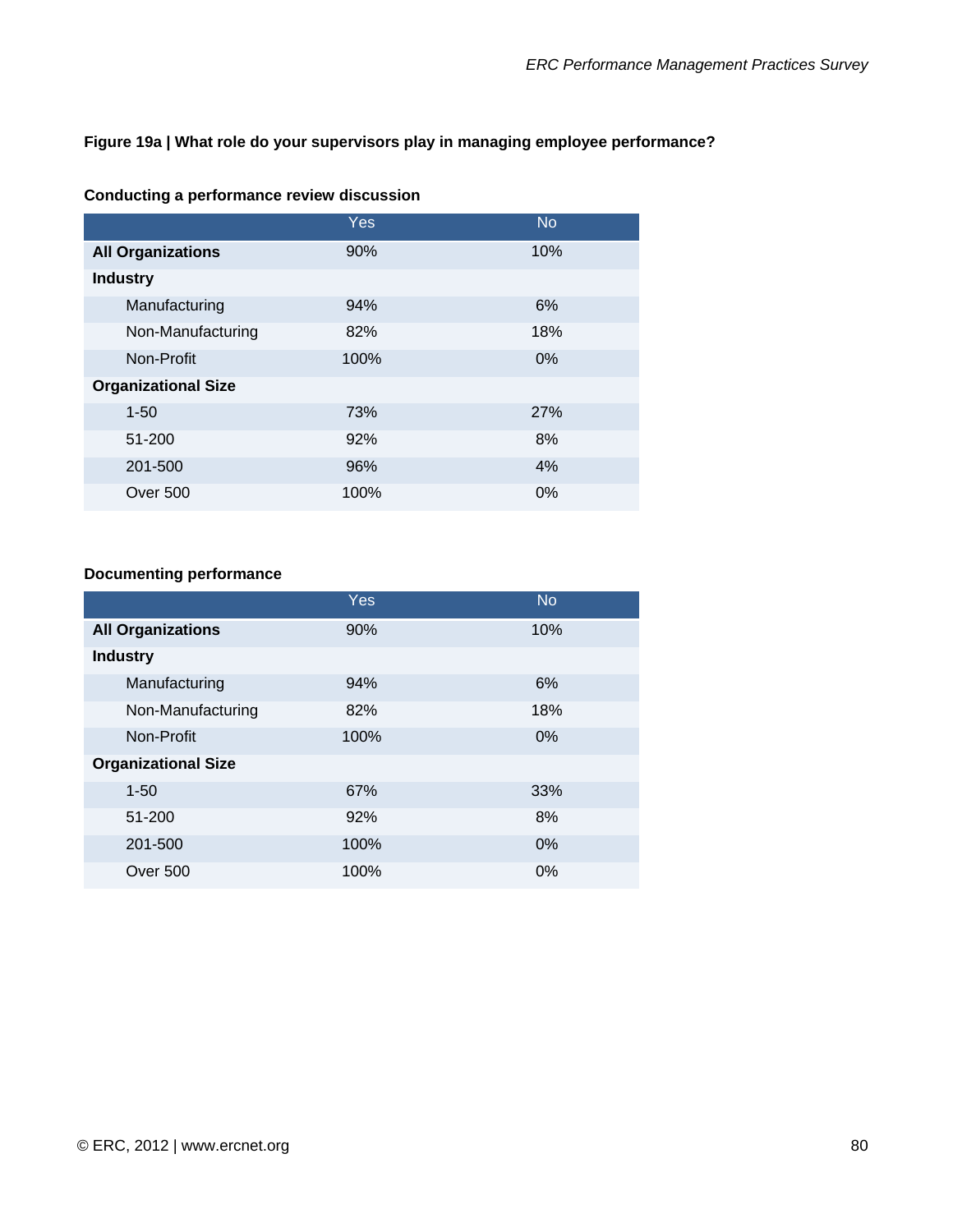#### **Figure 19a | What role do your supervisors play in managing employee performance?**

|                            | <b>Yes</b> | <b>No</b> |
|----------------------------|------------|-----------|
| <b>All Organizations</b>   | 90%        | 10%       |
| <b>Industry</b>            |            |           |
| Manufacturing              | 94%        | 6%        |
| Non-Manufacturing          | 82%        | 18%       |
| Non-Profit                 | 100%       | 0%        |
| <b>Organizational Size</b> |            |           |
| $1 - 50$                   | 73%        | 27%       |
| 51-200                     | 92%        | 8%        |
| 201-500                    | 96%        | 4%        |
| <b>Over 500</b>            | 100%       | $0\%$     |

### **Conducting a performance review discussion**

### **Documenting performance**

|                            | Yes  | <b>No</b> |
|----------------------------|------|-----------|
| <b>All Organizations</b>   | 90%  | 10%       |
| <b>Industry</b>            |      |           |
| Manufacturing              | 94%  | 6%        |
| Non-Manufacturing          | 82%  | 18%       |
| Non-Profit                 | 100% | 0%        |
| <b>Organizational Size</b> |      |           |
| $1 - 50$                   | 67%  | 33%       |
| 51-200                     | 92%  | 8%        |
| 201-500                    | 100% | 0%        |
| Over 500                   | 100% | 0%        |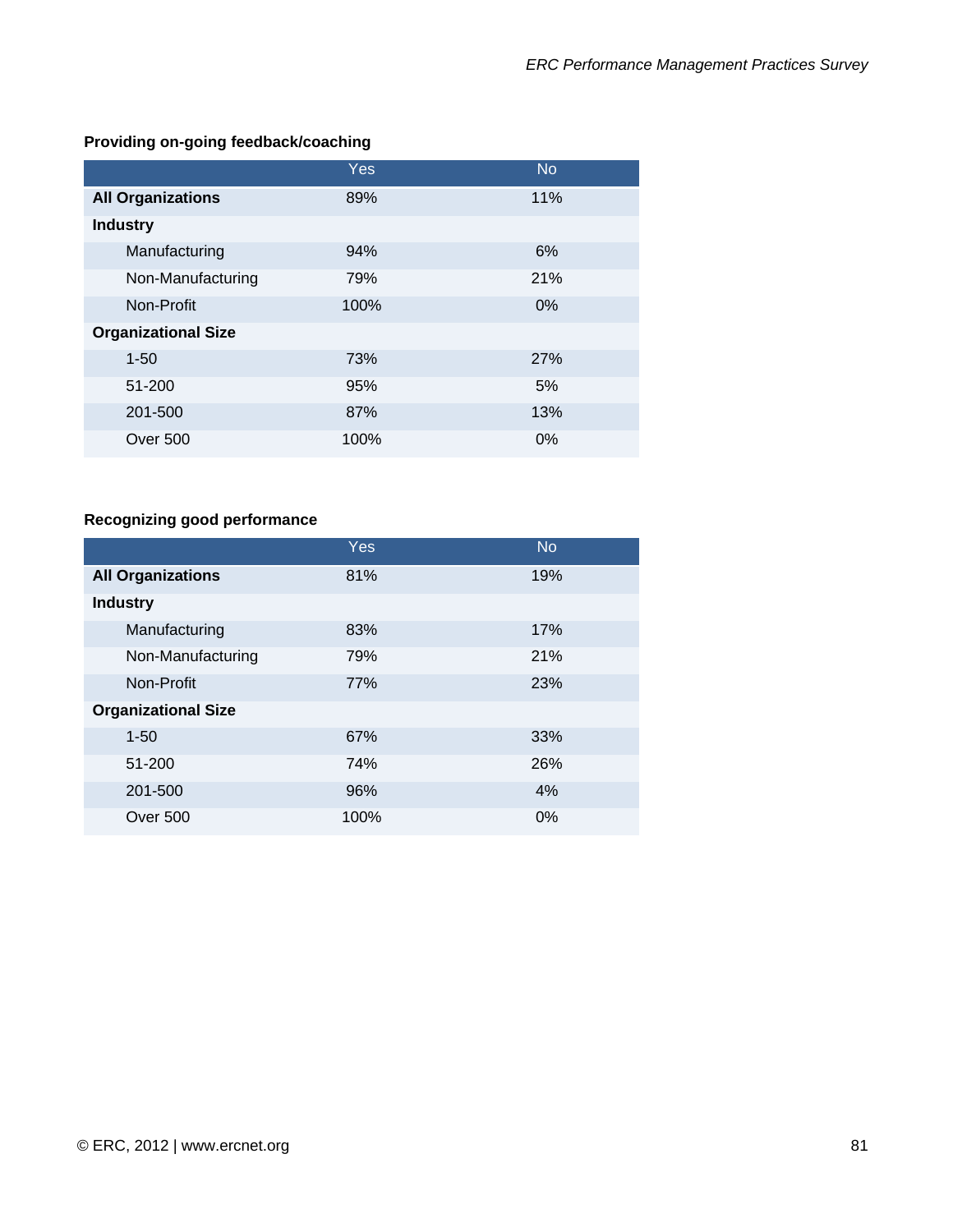# **Providing on-going feedback/coaching**

|                            | Yes  | <b>No</b> |
|----------------------------|------|-----------|
| <b>All Organizations</b>   | 89%  | 11%       |
| <b>Industry</b>            |      |           |
| Manufacturing              | 94%  | 6%        |
| Non-Manufacturing          | 79%  | 21%       |
| Non-Profit                 | 100% | 0%        |
| <b>Organizational Size</b> |      |           |
| $1 - 50$                   | 73%  | 27%       |
| 51-200                     | 95%  | 5%        |
| 201-500                    | 87%  | 13%       |
| <b>Over 500</b>            | 100% | 0%        |

### **Recognizing good performance**

|                            | Yes  | <b>No</b> |
|----------------------------|------|-----------|
| <b>All Organizations</b>   | 81%  | 19%       |
| <b>Industry</b>            |      |           |
| Manufacturing              | 83%  | 17%       |
| Non-Manufacturing          | 79%  | 21%       |
| Non-Profit                 | 77%  | 23%       |
| <b>Organizational Size</b> |      |           |
| $1 - 50$                   | 67%  | 33%       |
| 51-200                     | 74%  | 26%       |
| 201-500                    | 96%  | 4%        |
| Over 500                   | 100% | $0\%$     |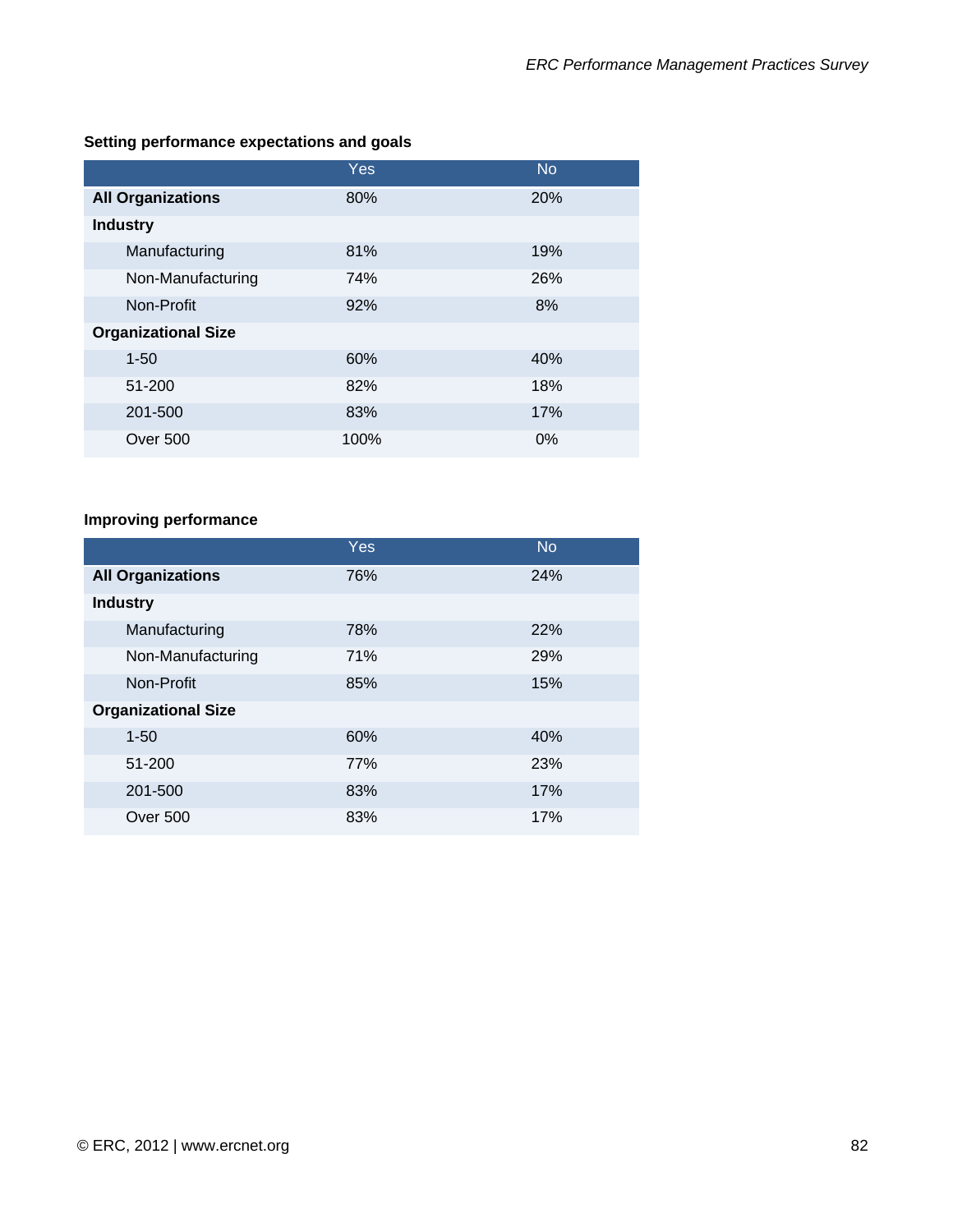|                            | <b>Yes</b> | <b>No</b> |
|----------------------------|------------|-----------|
| <b>All Organizations</b>   | 80%        | 20%       |
| <b>Industry</b>            |            |           |
| Manufacturing              | 81%        | 19%       |
| Non-Manufacturing          | 74%        | 26%       |
| Non-Profit                 | 92%        | 8%        |
| <b>Organizational Size</b> |            |           |
| $1 - 50$                   | 60%        | 40%       |
| 51-200                     | 82%        | 18%       |
| 201-500                    | 83%        | 17%       |
| <b>Over 500</b>            | 100%       | 0%        |

# **Setting performance expectations and goals**

# **Improving performance**

|                            | <b>Yes</b> | <b>No</b> |
|----------------------------|------------|-----------|
| <b>All Organizations</b>   | 76%        | 24%       |
| <b>Industry</b>            |            |           |
| Manufacturing              | 78%        | 22%       |
| Non-Manufacturing          | 71%        | 29%       |
| Non-Profit                 | 85%        | 15%       |
| <b>Organizational Size</b> |            |           |
| $1 - 50$                   | 60%        | 40%       |
| 51-200                     | 77%        | 23%       |
| 201-500                    | 83%        | 17%       |
| Over 500                   | 83%        | 17%       |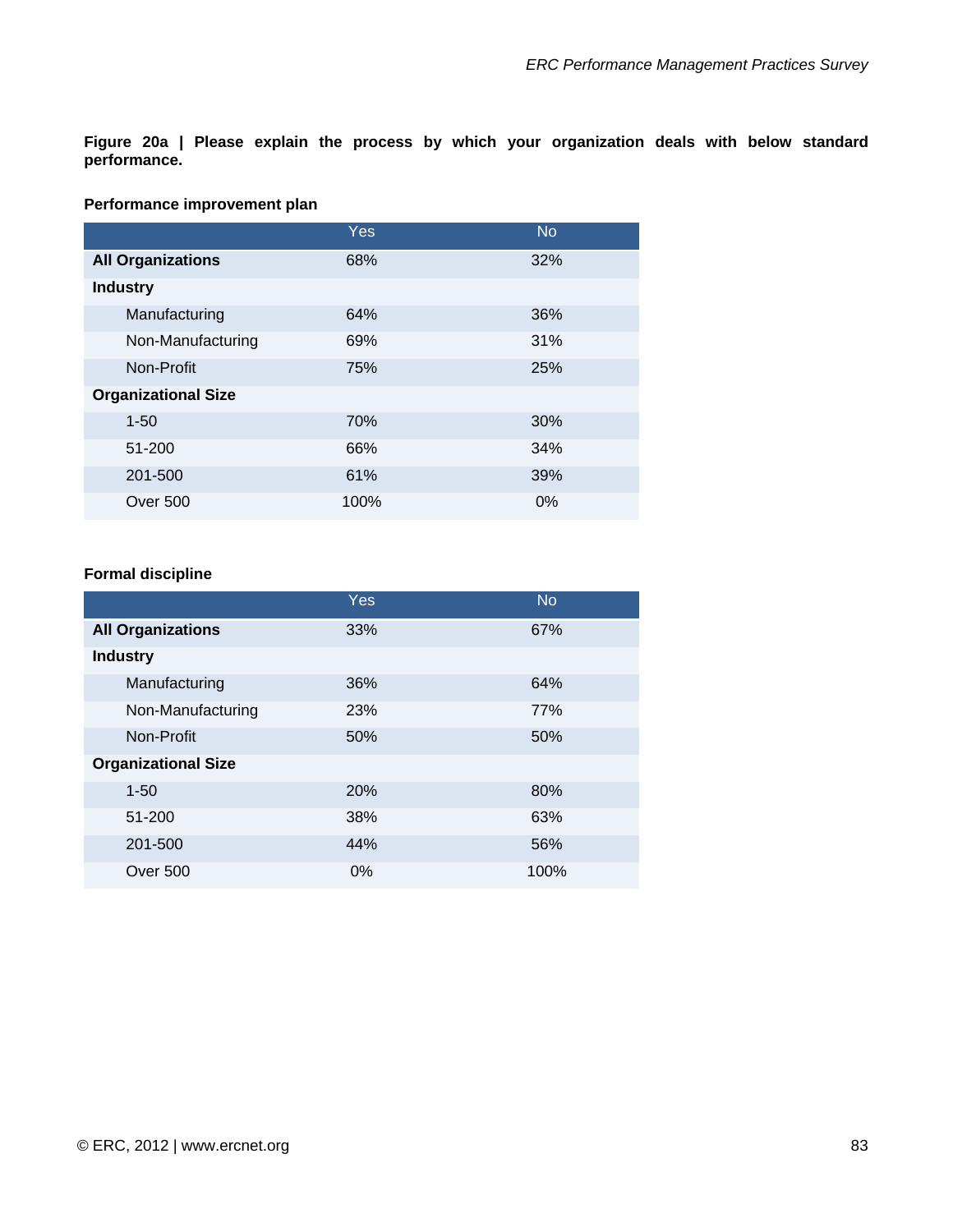**Figure 20a | Please explain the process by which your organization deals with below standard performance.** 

#### **Performance improvement plan**

|                            | Yes  | <b>No</b> |
|----------------------------|------|-----------|
| <b>All Organizations</b>   | 68%  | 32%       |
| <b>Industry</b>            |      |           |
| Manufacturing              | 64%  | 36%       |
| Non-Manufacturing          | 69%  | 31%       |
| Non-Profit                 | 75%  | 25%       |
| <b>Organizational Size</b> |      |           |
| $1 - 50$                   | 70%  | 30%       |
| 51-200                     | 66%  | 34%       |
| 201-500                    | 61%  | 39%       |
| Over 500                   | 100% | 0%        |

#### **Formal discipline**

|                            | Yes   | <b>No</b> |
|----------------------------|-------|-----------|
| <b>All Organizations</b>   | 33%   | 67%       |
| <b>Industry</b>            |       |           |
| Manufacturing              | 36%   | 64%       |
| Non-Manufacturing          | 23%   | 77%       |
| Non-Profit                 | 50%   | 50%       |
| <b>Organizational Size</b> |       |           |
| $1 - 50$                   | 20%   | 80%       |
| 51-200                     | 38%   | 63%       |
| 201-500                    | 44%   | 56%       |
| Over 500                   | $0\%$ | 100%      |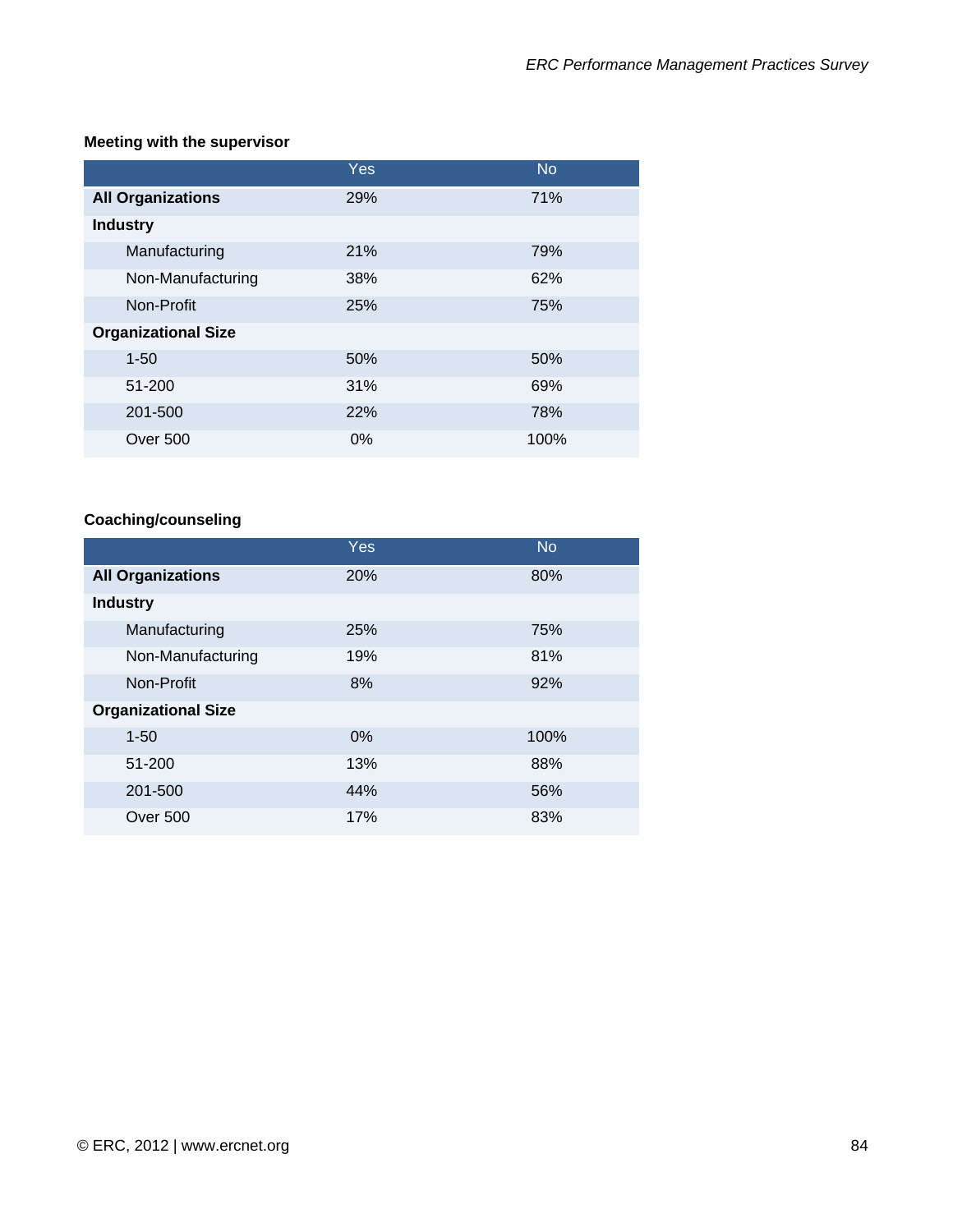### **Meeting with the supervisor**

|                            | Yes   | <b>No</b> |
|----------------------------|-------|-----------|
| <b>All Organizations</b>   | 29%   | 71%       |
| <b>Industry</b>            |       |           |
| Manufacturing              | 21%   | 79%       |
| Non-Manufacturing          | 38%   | 62%       |
| Non-Profit                 | 25%   | 75%       |
| <b>Organizational Size</b> |       |           |
| $1 - 50$                   | 50%   | 50%       |
| 51-200                     | 31%   | 69%       |
| 201-500                    | 22%   | 78%       |
| <b>Over 500</b>            | $0\%$ | 100%      |

# **Coaching/counseling**

|                            | <b>Yes</b> | <b>No</b> |
|----------------------------|------------|-----------|
| <b>All Organizations</b>   | 20%        | 80%       |
| <b>Industry</b>            |            |           |
| Manufacturing              | <b>25%</b> | 75%       |
| Non-Manufacturing          | 19%        | 81%       |
| Non-Profit                 | 8%         | 92%       |
| <b>Organizational Size</b> |            |           |
| $1 - 50$                   | 0%         | 100%      |
| 51-200                     | 13%        | 88%       |
| 201-500                    | 44%        | 56%       |
| <b>Over 500</b>            | 17%        | 83%       |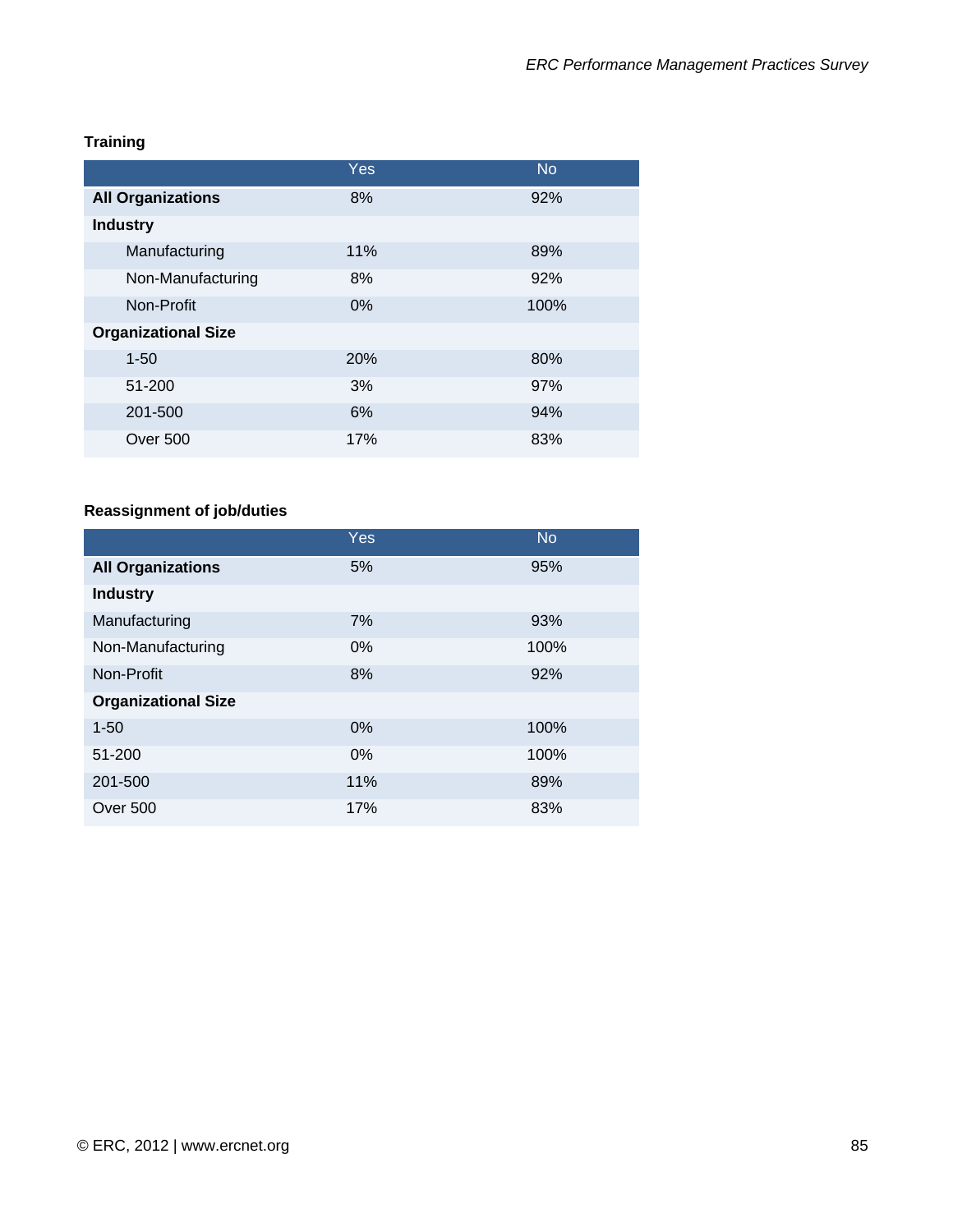# **Training**

|                            | Yes | <b>No</b> |
|----------------------------|-----|-----------|
| <b>All Organizations</b>   | 8%  | 92%       |
| <b>Industry</b>            |     |           |
| Manufacturing              | 11% | 89%       |
| Non-Manufacturing          | 8%  | 92%       |
| Non-Profit                 | 0%  | 100%      |
| <b>Organizational Size</b> |     |           |
| $1 - 50$                   | 20% | 80%       |
| 51-200                     | 3%  | 97%       |
| 201-500                    | 6%  | 94%       |
| Over 500                   | 17% | 83%       |

# **Reassignment of job/duties**

|                            | Yes   | <b>No</b> |
|----------------------------|-------|-----------|
| <b>All Organizations</b>   | 5%    | 95%       |
| <b>Industry</b>            |       |           |
| Manufacturing              | 7%    | 93%       |
| Non-Manufacturing          | $0\%$ | 100%      |
| Non-Profit                 | 8%    | 92%       |
| <b>Organizational Size</b> |       |           |
| $1 - 50$                   | $0\%$ | 100%      |
| 51-200                     | $0\%$ | 100%      |
| 201-500                    | 11%   | 89%       |
| Over 500                   | 17%   | 83%       |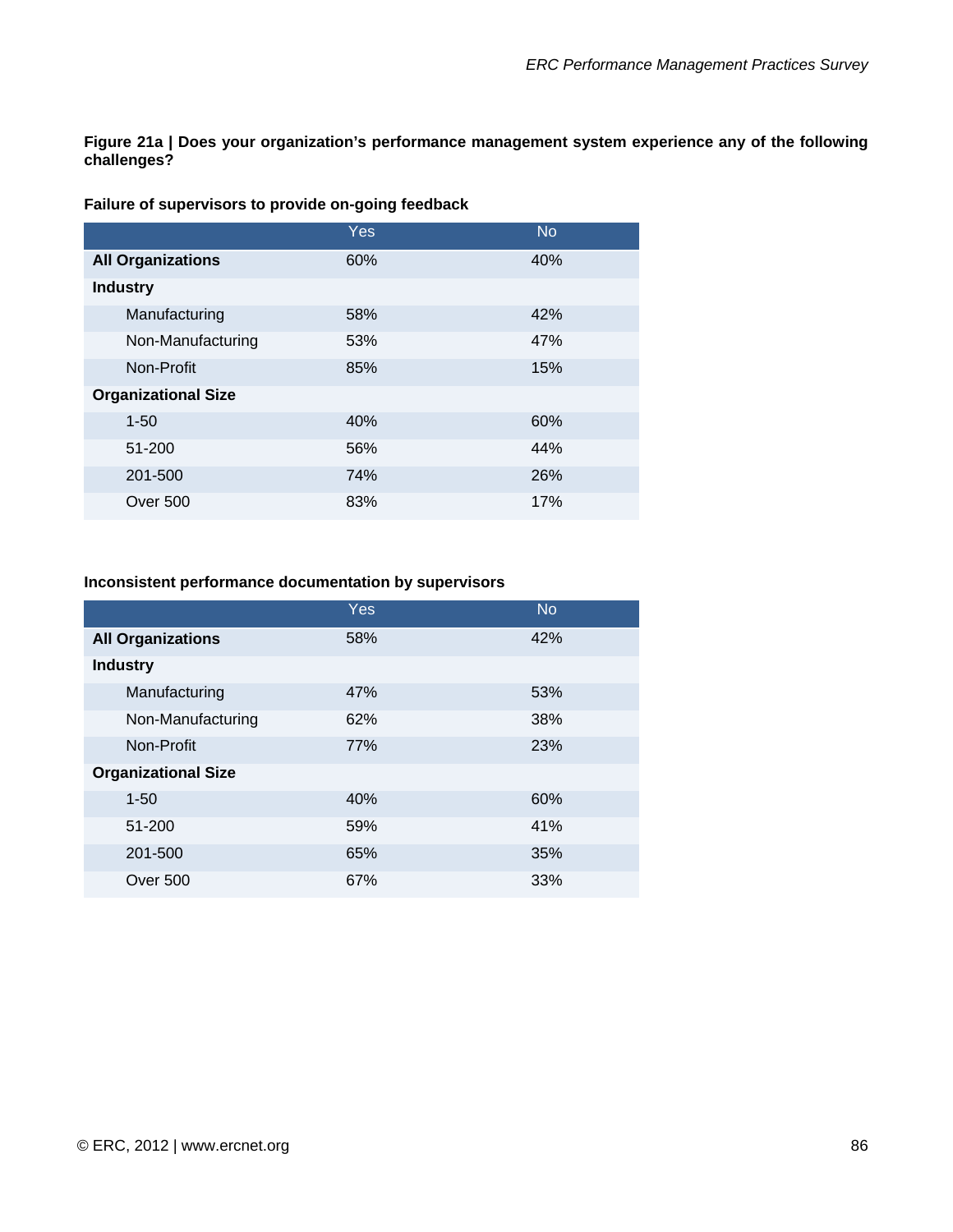**Figure 21a | Does your organization's performance management system experience any of the following challenges?** 

#### **Failure of supervisors to provide on-going feedback**

|                            | Yes | <b>No</b> |
|----------------------------|-----|-----------|
| <b>All Organizations</b>   | 60% | 40%       |
| <b>Industry</b>            |     |           |
| Manufacturing              | 58% | 42%       |
| Non-Manufacturing          | 53% | 47%       |
| Non-Profit                 | 85% | 15%       |
| <b>Organizational Size</b> |     |           |
| $1 - 50$                   | 40% | 60%       |
| 51-200                     | 56% | 44%       |
| 201-500                    | 74% | 26%       |
| <b>Over 500</b>            | 83% | 17%       |

#### **Inconsistent performance documentation by supervisors**

|                            | Yes | <b>No</b> |
|----------------------------|-----|-----------|
| <b>All Organizations</b>   | 58% | 42%       |
| <b>Industry</b>            |     |           |
| Manufacturing              | 47% | 53%       |
| Non-Manufacturing          | 62% | 38%       |
| Non-Profit                 | 77% | 23%       |
| <b>Organizational Size</b> |     |           |
| $1 - 50$                   | 40% | 60%       |
| 51-200                     | 59% | 41%       |
| 201-500                    | 65% | 35%       |
| Over 500                   | 67% | 33%       |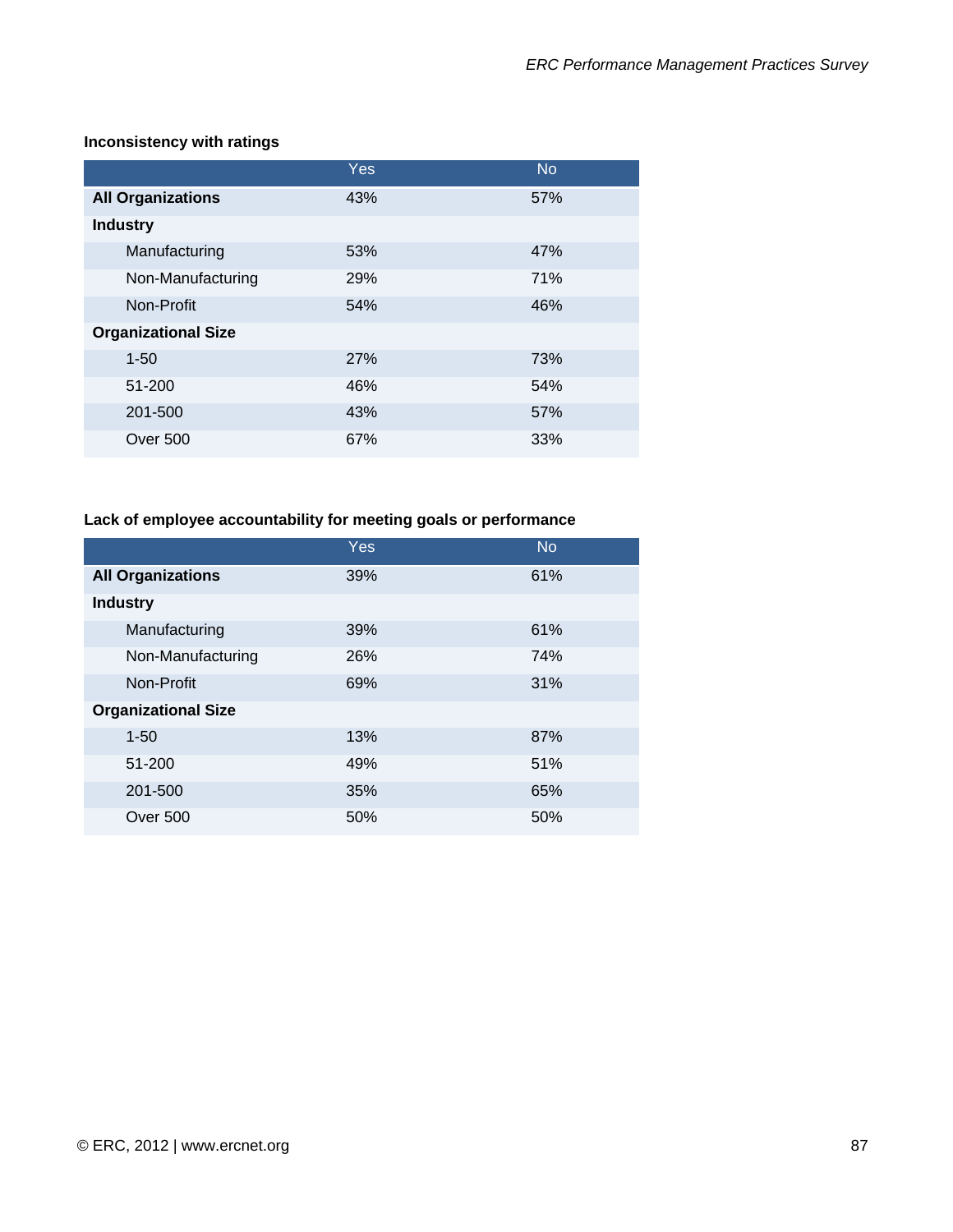|                            | Yes | <b>No</b> |
|----------------------------|-----|-----------|
| <b>All Organizations</b>   | 43% | 57%       |
| <b>Industry</b>            |     |           |
| Manufacturing              | 53% | 47%       |
| Non-Manufacturing          | 29% | 71%       |
| Non-Profit                 | 54% | 46%       |
| <b>Organizational Size</b> |     |           |
| $1 - 50$                   | 27% | 73%       |
| 51-200                     | 46% | 54%       |
| 201-500                    | 43% | 57%       |
| Over 500                   | 67% | 33%       |

#### **Inconsistency with ratings**

### **Lack of employee accountability for meeting goals or performance**

|                            | Yes | <b>No</b> |
|----------------------------|-----|-----------|
| <b>All Organizations</b>   | 39% | 61%       |
| <b>Industry</b>            |     |           |
| Manufacturing              | 39% | 61%       |
| Non-Manufacturing          | 26% | 74%       |
| Non-Profit                 | 69% | 31%       |
| <b>Organizational Size</b> |     |           |
| $1 - 50$                   | 13% | 87%       |
| 51-200                     | 49% | 51%       |
| 201-500                    | 35% | 65%       |
| Over 500                   | 50% | 50%       |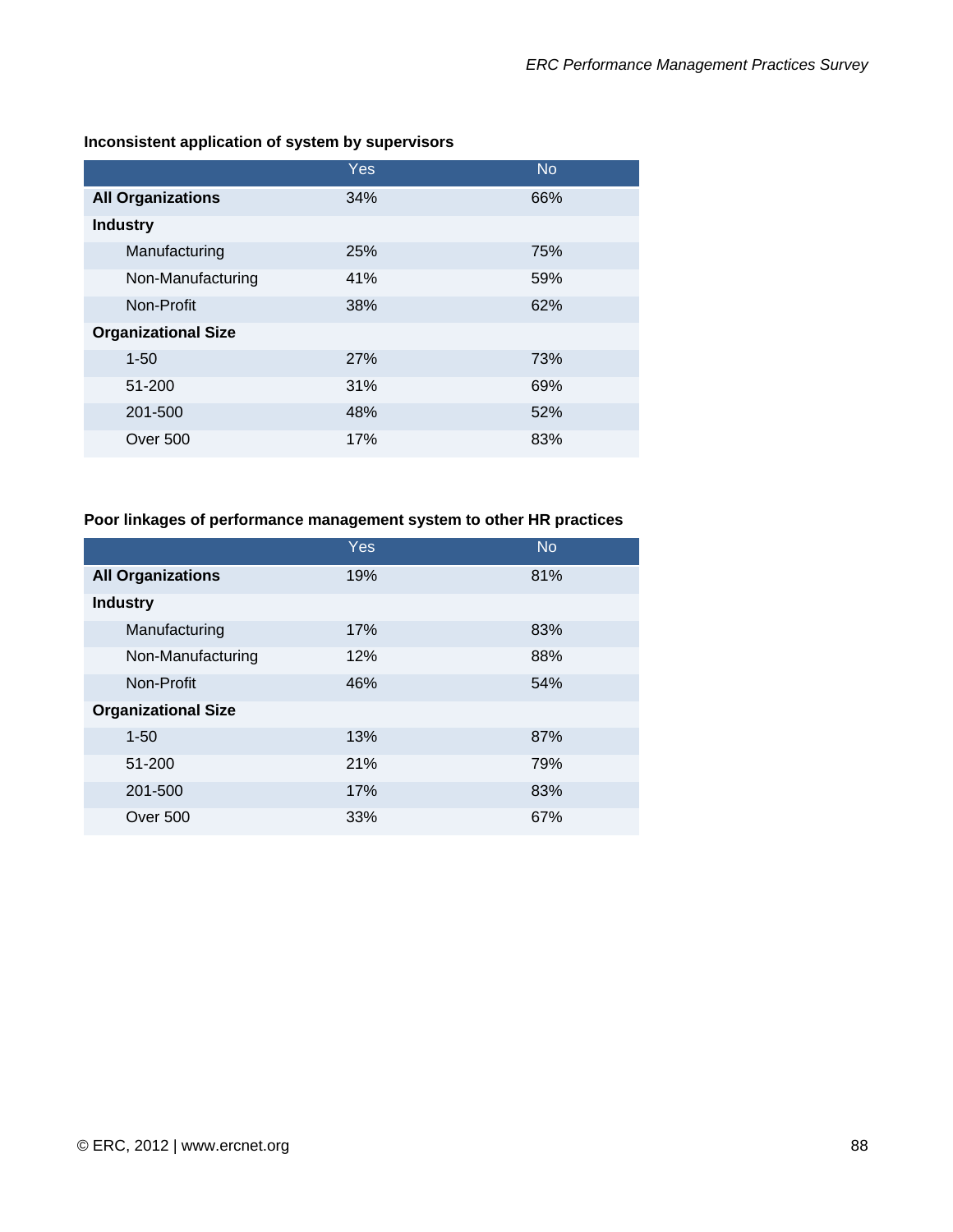|                            | Yes | <b>No</b> |
|----------------------------|-----|-----------|
| <b>All Organizations</b>   | 34% | 66%       |
| <b>Industry</b>            |     |           |
| Manufacturing              | 25% | 75%       |
| Non-Manufacturing          | 41% | 59%       |
| Non-Profit                 | 38% | 62%       |
| <b>Organizational Size</b> |     |           |
| $1 - 50$                   | 27% | 73%       |
| 51-200                     | 31% | 69%       |
| 201-500                    | 48% | 52%       |
| Over 500                   | 17% | 83%       |

#### **Inconsistent application of system by supervisors**

### **Poor linkages of performance management system to other HR practices**

|                            | Yes | <b>No</b> |
|----------------------------|-----|-----------|
| <b>All Organizations</b>   | 19% | 81%       |
| <b>Industry</b>            |     |           |
| Manufacturing              | 17% | 83%       |
| Non-Manufacturing          | 12% | 88%       |
| Non-Profit                 | 46% | 54%       |
| <b>Organizational Size</b> |     |           |
| $1 - 50$                   | 13% | 87%       |
| 51-200                     | 21% | 79%       |
| 201-500                    | 17% | 83%       |
| <b>Over 500</b>            | 33% | 67%       |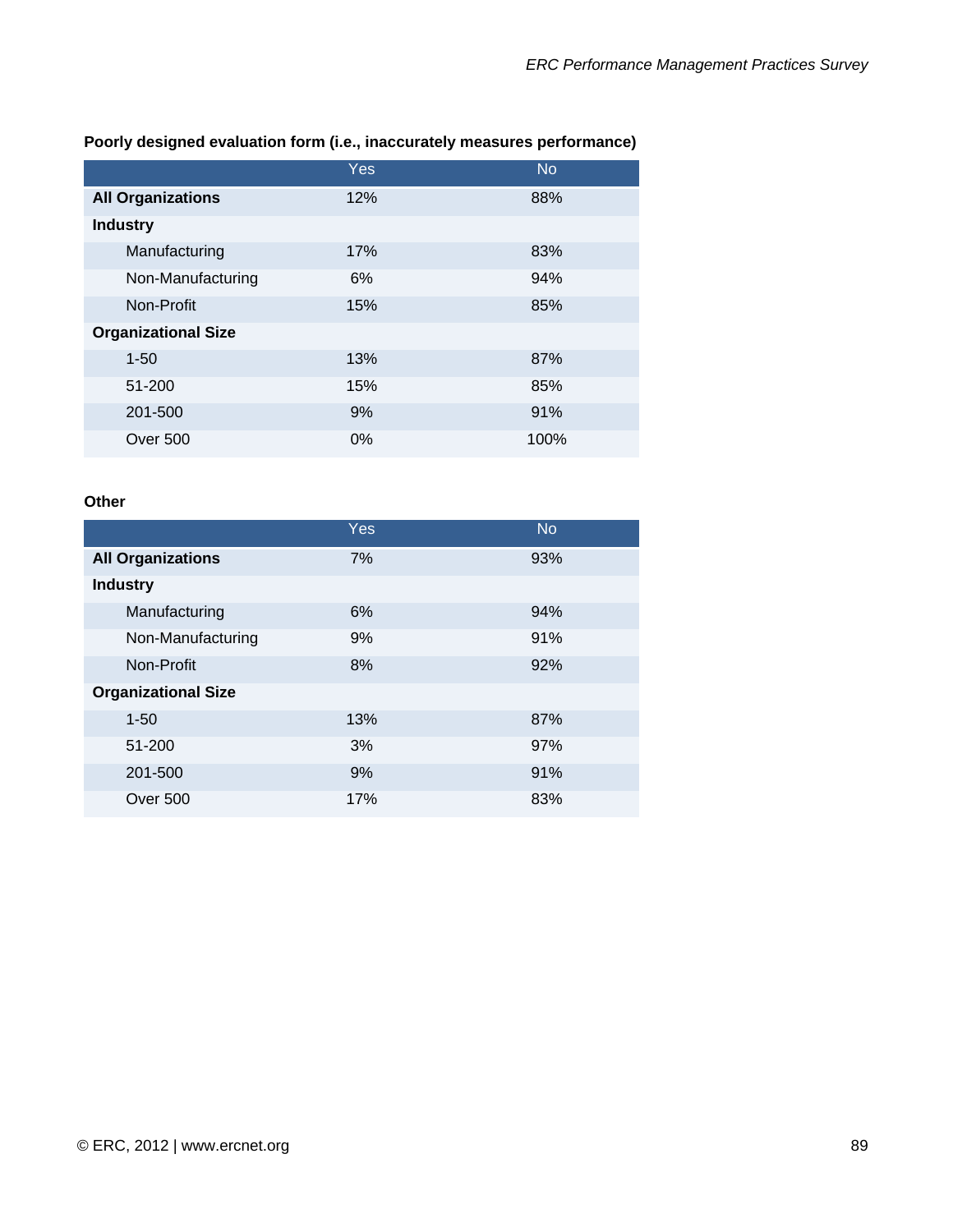|                            | <b>Yes</b> | <b>No</b> |
|----------------------------|------------|-----------|
| <b>All Organizations</b>   | 12%        | 88%       |
| <b>Industry</b>            |            |           |
| Manufacturing              | 17%        | 83%       |
| Non-Manufacturing          | 6%         | 94%       |
| Non-Profit                 | 15%        | 85%       |
| <b>Organizational Size</b> |            |           |
| $1 - 50$                   | 13%        | 87%       |
| 51-200                     | 15%        | 85%       |
| 201-500                    | 9%         | 91%       |
| <b>Over 500</b>            | $0\%$      | 100%      |

### **Poorly designed evaluation form (i.e., inaccurately measures performance)**

### **Other**

|                            | Yes | <b>No</b> |
|----------------------------|-----|-----------|
| <b>All Organizations</b>   | 7%  | 93%       |
| <b>Industry</b>            |     |           |
| Manufacturing              | 6%  | 94%       |
| Non-Manufacturing          | 9%  | 91%       |
| Non-Profit                 | 8%  | 92%       |
| <b>Organizational Size</b> |     |           |
| $1 - 50$                   | 13% | 87%       |
| 51-200                     | 3%  | 97%       |
| 201-500                    | 9%  | 91%       |
| Over 500                   | 17% | 83%       |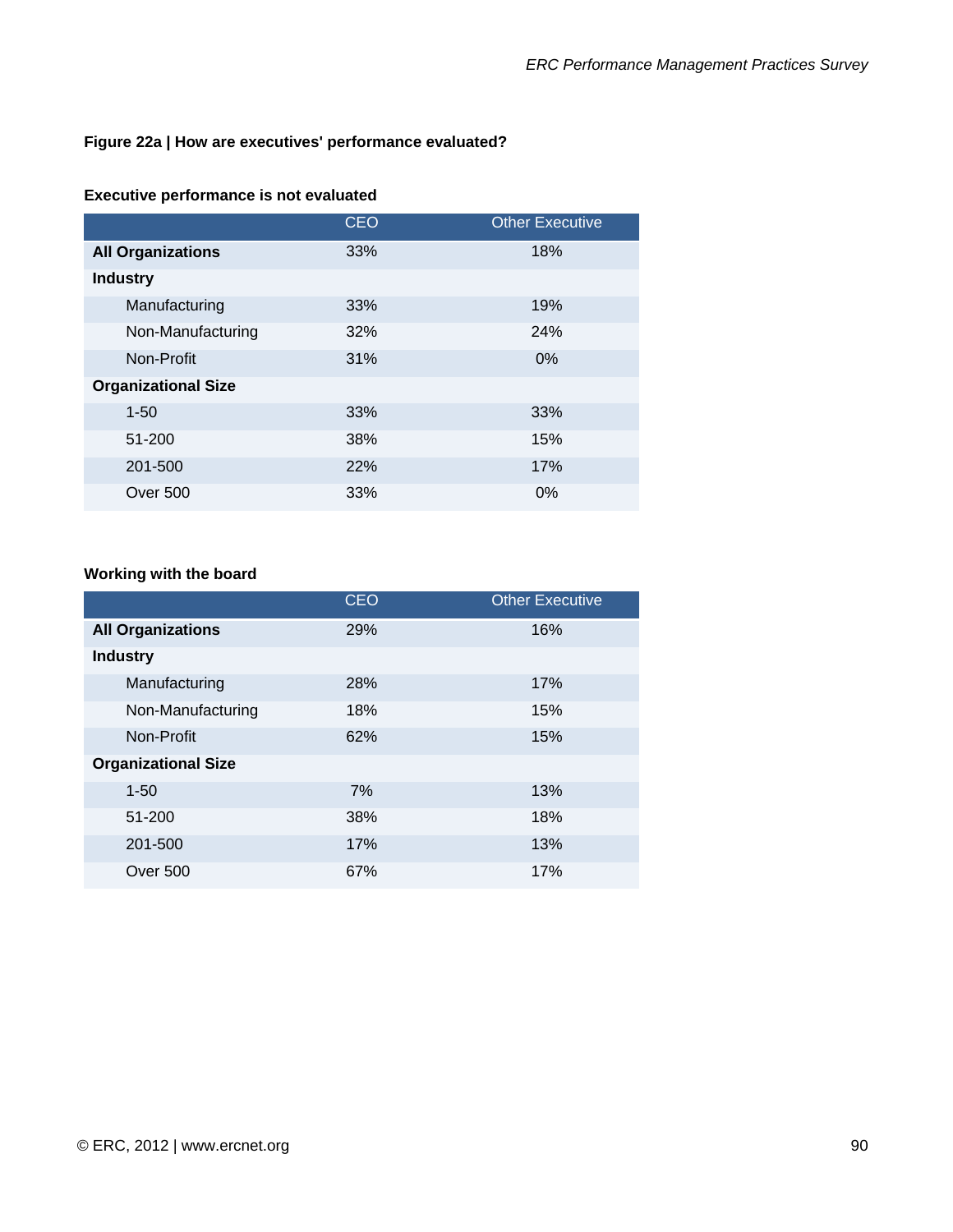#### **Figure 22a | How are executives' performance evaluated?**

#### **Executive performance is not evaluated**

|                            | <b>CEO</b> | <b>Other Executive</b> |
|----------------------------|------------|------------------------|
| <b>All Organizations</b>   | 33%        | 18%                    |
| <b>Industry</b>            |            |                        |
| Manufacturing              | 33%        | 19%                    |
| Non-Manufacturing          | 32%        | 24%                    |
| Non-Profit                 | 31%        | $0\%$                  |
| <b>Organizational Size</b> |            |                        |
| $1 - 50$                   | 33%        | 33%                    |
| 51-200                     | 38%        | 15%                    |
| 201-500                    | 22%        | 17%                    |
| <b>Over 500</b>            | 33%        | $0\%$                  |

#### **Working with the board**

|                            | <b>CEO</b> | <b>Other Executive</b> |
|----------------------------|------------|------------------------|
| <b>All Organizations</b>   | 29%        | 16%                    |
| <b>Industry</b>            |            |                        |
| Manufacturing              | 28%        | 17%                    |
| Non-Manufacturing          | 18%        | 15%                    |
| Non-Profit                 | 62%        | 15%                    |
| <b>Organizational Size</b> |            |                        |
| $1 - 50$                   | 7%         | 13%                    |
| 51-200                     | 38%        | 18%                    |
| 201-500                    | 17%        | 13%                    |
| Over 500                   | 67%        | 17%                    |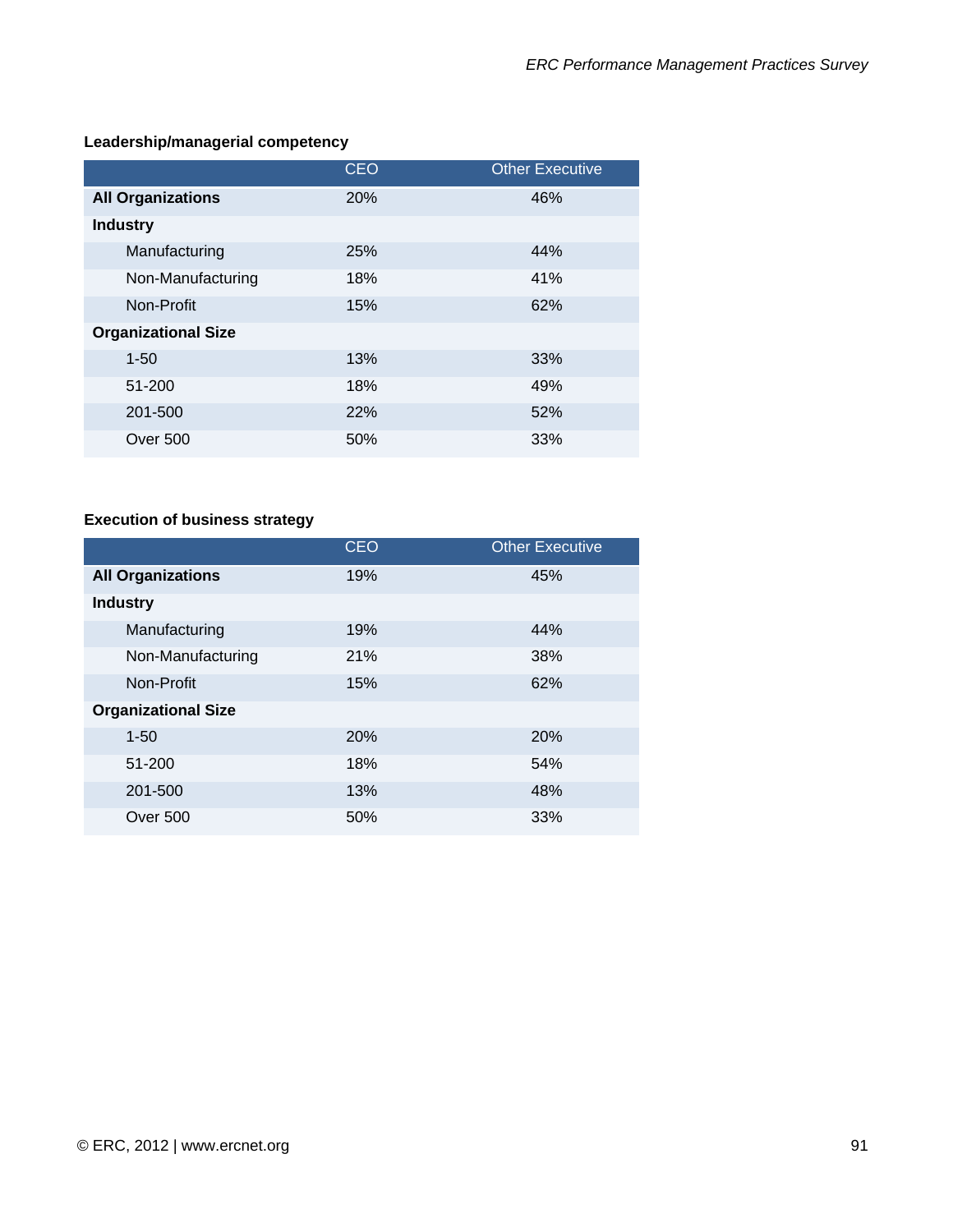### **Leadership/managerial competency**

|                            | <b>CEO</b> | <b>Other Executive</b> |
|----------------------------|------------|------------------------|
| <b>All Organizations</b>   | 20%        | 46%                    |
| <b>Industry</b>            |            |                        |
| Manufacturing              | 25%        | 44%                    |
| Non-Manufacturing          | 18%        | 41%                    |
| Non-Profit                 | 15%        | 62%                    |
| <b>Organizational Size</b> |            |                        |
| $1 - 50$                   | 13%        | 33%                    |
| 51-200                     | 18%        | 49%                    |
| 201-500                    | 22%        | 52%                    |
| Over 500                   | 50%        | 33%                    |

### **Execution of business strategy**

|                            | <b>CEO</b> | <b>Other Executive</b> |
|----------------------------|------------|------------------------|
| <b>All Organizations</b>   | 19%        | 45%                    |
| <b>Industry</b>            |            |                        |
| Manufacturing              | 19%        | 44%                    |
| Non-Manufacturing          | 21%        | 38%                    |
| Non-Profit                 | 15%        | 62%                    |
| <b>Organizational Size</b> |            |                        |
| $1 - 50$                   | 20%        | 20%                    |
| 51-200                     | 18%        | 54%                    |
| 201-500                    | 13%        | 48%                    |
| Over 500                   | 50%        | 33%                    |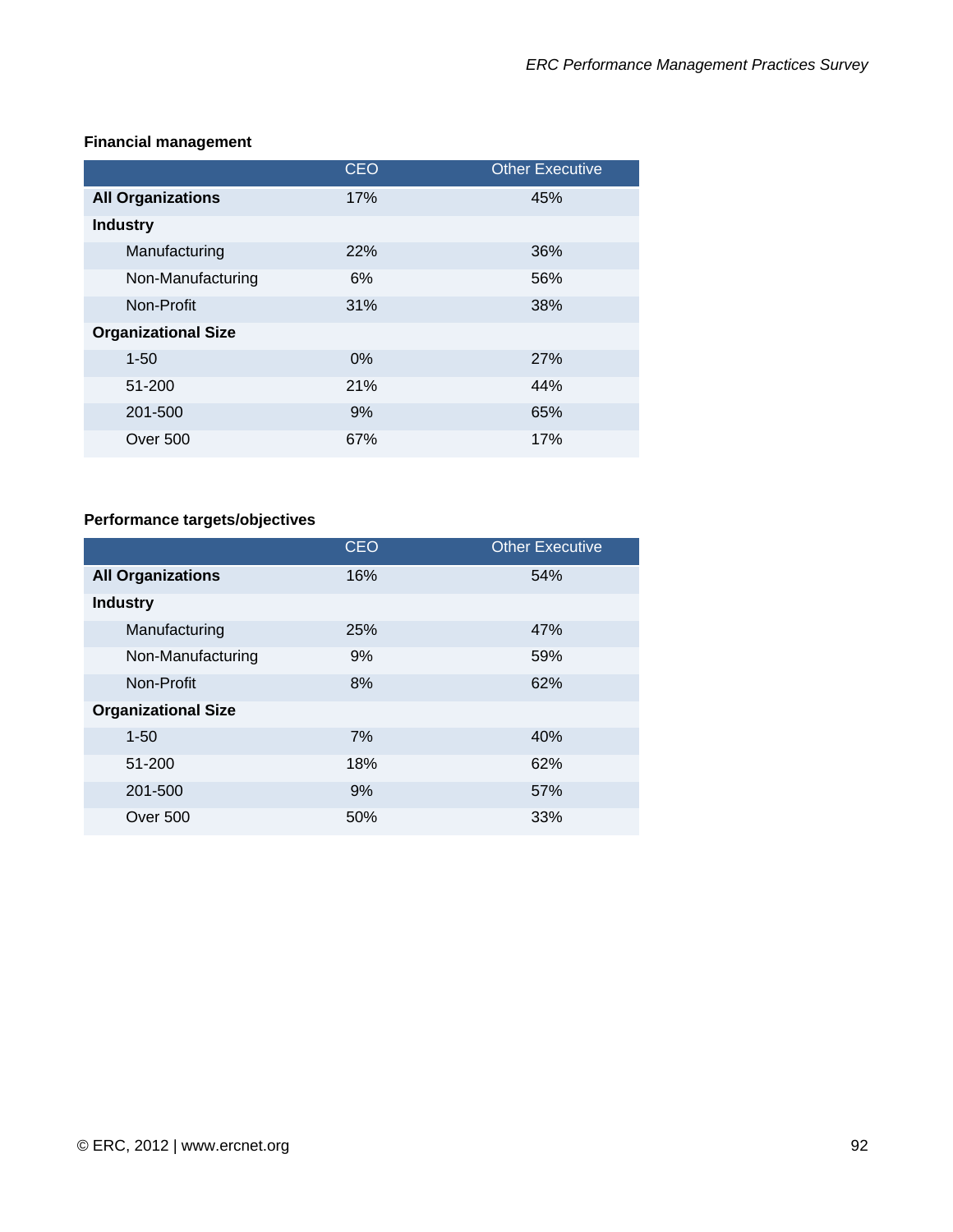|                            | <b>CEO</b> | <b>Other Executive</b> |
|----------------------------|------------|------------------------|
| <b>All Organizations</b>   | 17%        | 45%                    |
| <b>Industry</b>            |            |                        |
| Manufacturing              | 22%        | 36%                    |
| Non-Manufacturing          | 6%         | 56%                    |
| Non-Profit                 | 31%        | 38%                    |
| <b>Organizational Size</b> |            |                        |
| $1 - 50$                   | $0\%$      | 27%                    |
| 51-200                     | 21%        | 44%                    |
| 201-500                    | 9%         | 65%                    |
| Over 500                   | 67%        | 17%                    |

### **Financial management**

### **Performance targets/objectives**

|                            | <b>CEO</b> | <b>Other Executive</b> |
|----------------------------|------------|------------------------|
| <b>All Organizations</b>   | 16%        | 54%                    |
| <b>Industry</b>            |            |                        |
| Manufacturing              | 25%        | 47%                    |
| Non-Manufacturing          | 9%         | 59%                    |
| Non-Profit                 | 8%         | 62%                    |
| <b>Organizational Size</b> |            |                        |
| $1 - 50$                   | 7%         | 40%                    |
| 51-200                     | 18%        | 62%                    |
| 201-500                    | 9%         | 57%                    |
| Over 500                   | 50%        | 33%                    |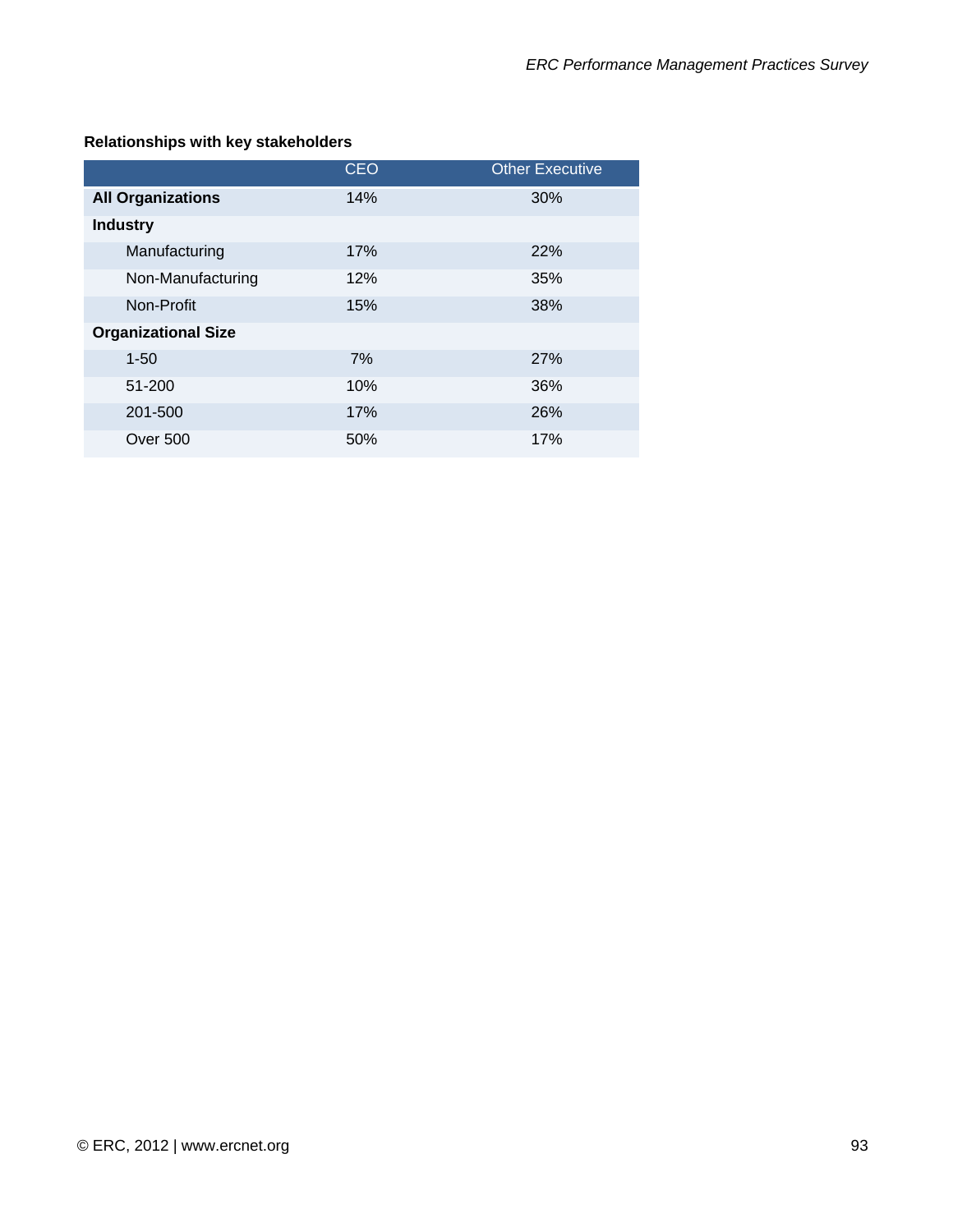### **Relationships with key stakeholders**

|                            | <b>CEO</b> | <b>Other Executive</b> |
|----------------------------|------------|------------------------|
| <b>All Organizations</b>   | 14%        | 30%                    |
| <b>Industry</b>            |            |                        |
| Manufacturing              | 17%        | <b>22%</b>             |
| Non-Manufacturing          | 12%        | 35%                    |
| Non-Profit                 | 15%        | 38%                    |
| <b>Organizational Size</b> |            |                        |
| $1 - 50$                   | 7%         | 27%                    |
| 51-200                     | 10%        | 36%                    |
| 201-500                    | 17%        | 26%                    |
| <b>Over 500</b>            | 50%        | 17%                    |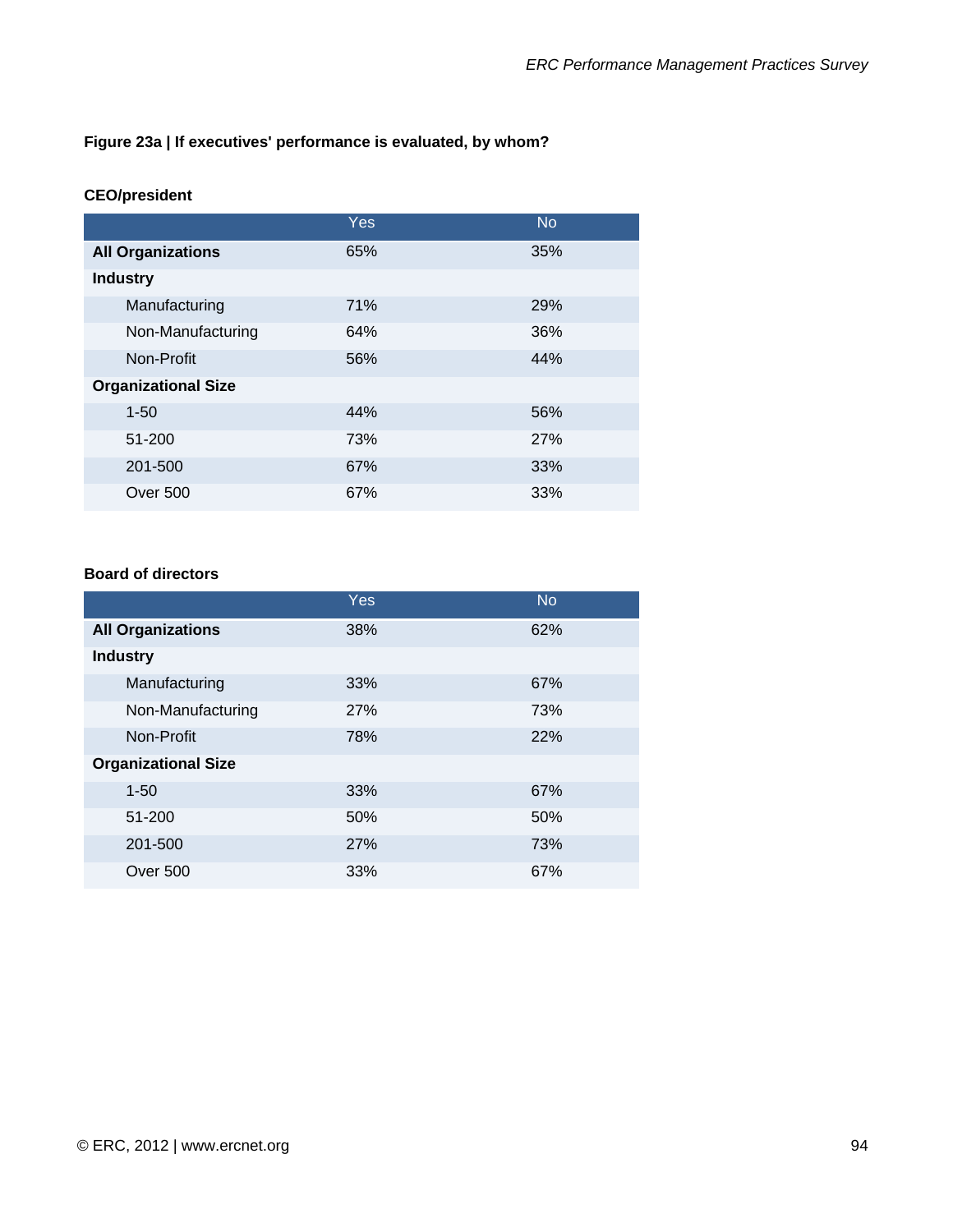#### **Figure 23a | If executives' performance is evaluated, by whom?**

#### **CEO/president**

|                            | <b>Yes</b> | <b>No</b>  |
|----------------------------|------------|------------|
| <b>All Organizations</b>   | 65%        | 35%        |
| <b>Industry</b>            |            |            |
| Manufacturing              | 71%        | 29%        |
| Non-Manufacturing          | 64%        | 36%        |
| Non-Profit                 | 56%        | 44%        |
| <b>Organizational Size</b> |            |            |
| $1 - 50$                   | 44%        | 56%        |
| 51-200                     | 73%        | <b>27%</b> |
| 201-500                    | 67%        | 33%        |
| <b>Over 500</b>            | 67%        | 33%        |

#### **Board of directors**

|                            | Yes | <b>No</b> |
|----------------------------|-----|-----------|
| <b>All Organizations</b>   | 38% | 62%       |
| <b>Industry</b>            |     |           |
| Manufacturing              | 33% | 67%       |
| Non-Manufacturing          | 27% | 73%       |
| Non-Profit                 | 78% | 22%       |
| <b>Organizational Size</b> |     |           |
| $1 - 50$                   | 33% | 67%       |
| 51-200                     | 50% | 50%       |
| 201-500                    | 27% | 73%       |
| Over 500                   | 33% | 67%       |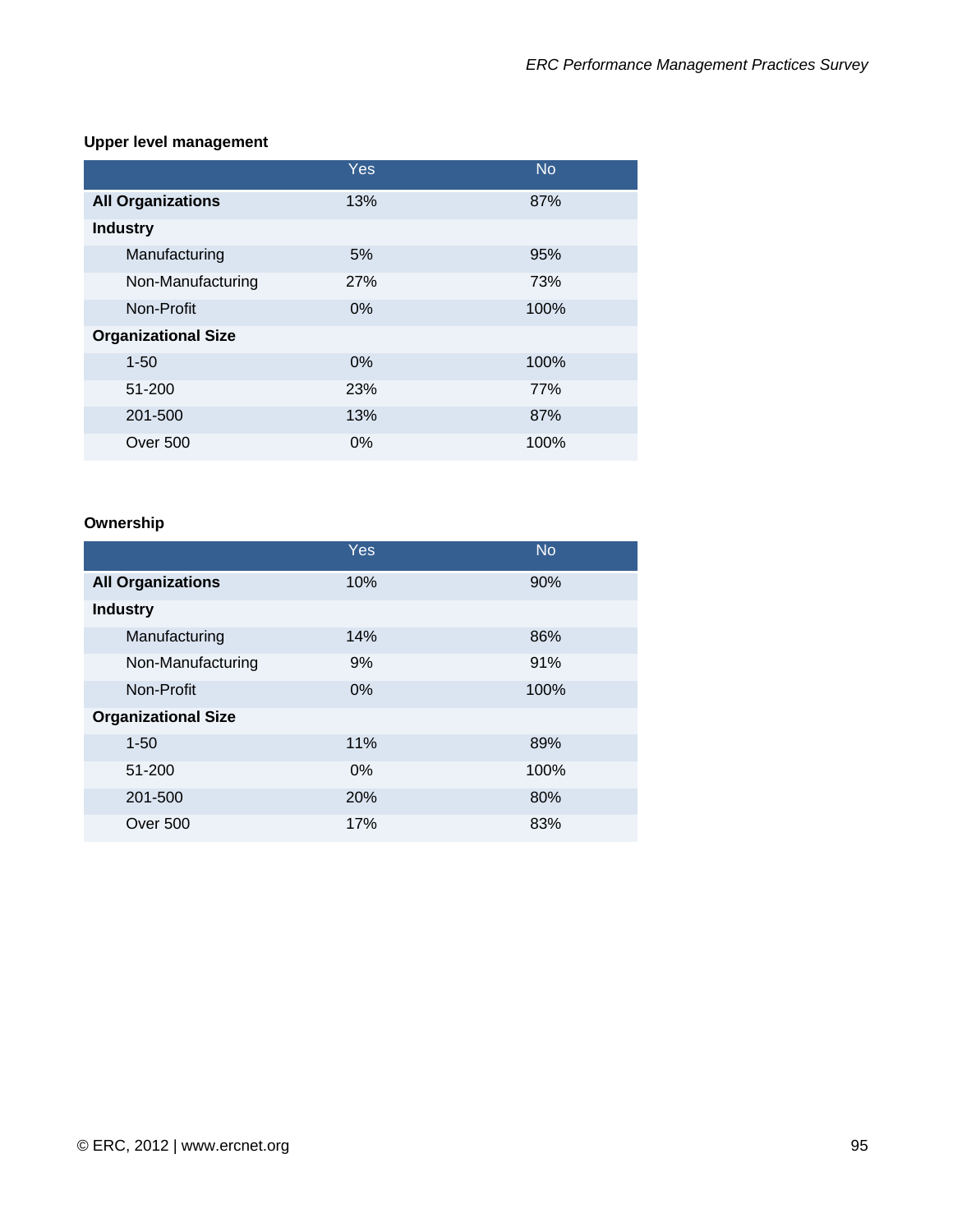### **Upper level management**

|                            | Yes   | <b>No</b> |
|----------------------------|-------|-----------|
| <b>All Organizations</b>   | 13%   | 87%       |
| <b>Industry</b>            |       |           |
| Manufacturing              | 5%    | 95%       |
| Non-Manufacturing          | 27%   | 73%       |
| Non-Profit                 | $0\%$ | 100%      |
| <b>Organizational Size</b> |       |           |
| $1 - 50$                   | $0\%$ | 100%      |
| 51-200                     | 23%   | 77%       |
| 201-500                    | 13%   | 87%       |
| Over 500                   | $0\%$ | 100%      |

### **Ownership**

|                            | Yes   | <b>No</b> |
|----------------------------|-------|-----------|
| <b>All Organizations</b>   | 10%   | 90%       |
| <b>Industry</b>            |       |           |
| Manufacturing              | 14%   | 86%       |
| Non-Manufacturing          | 9%    | 91%       |
| Non-Profit                 | $0\%$ | 100%      |
| <b>Organizational Size</b> |       |           |
| $1 - 50$                   | 11%   | 89%       |
| 51-200                     | $0\%$ | 100%      |
| 201-500                    | 20%   | 80%       |
| Over 500                   | 17%   | 83%       |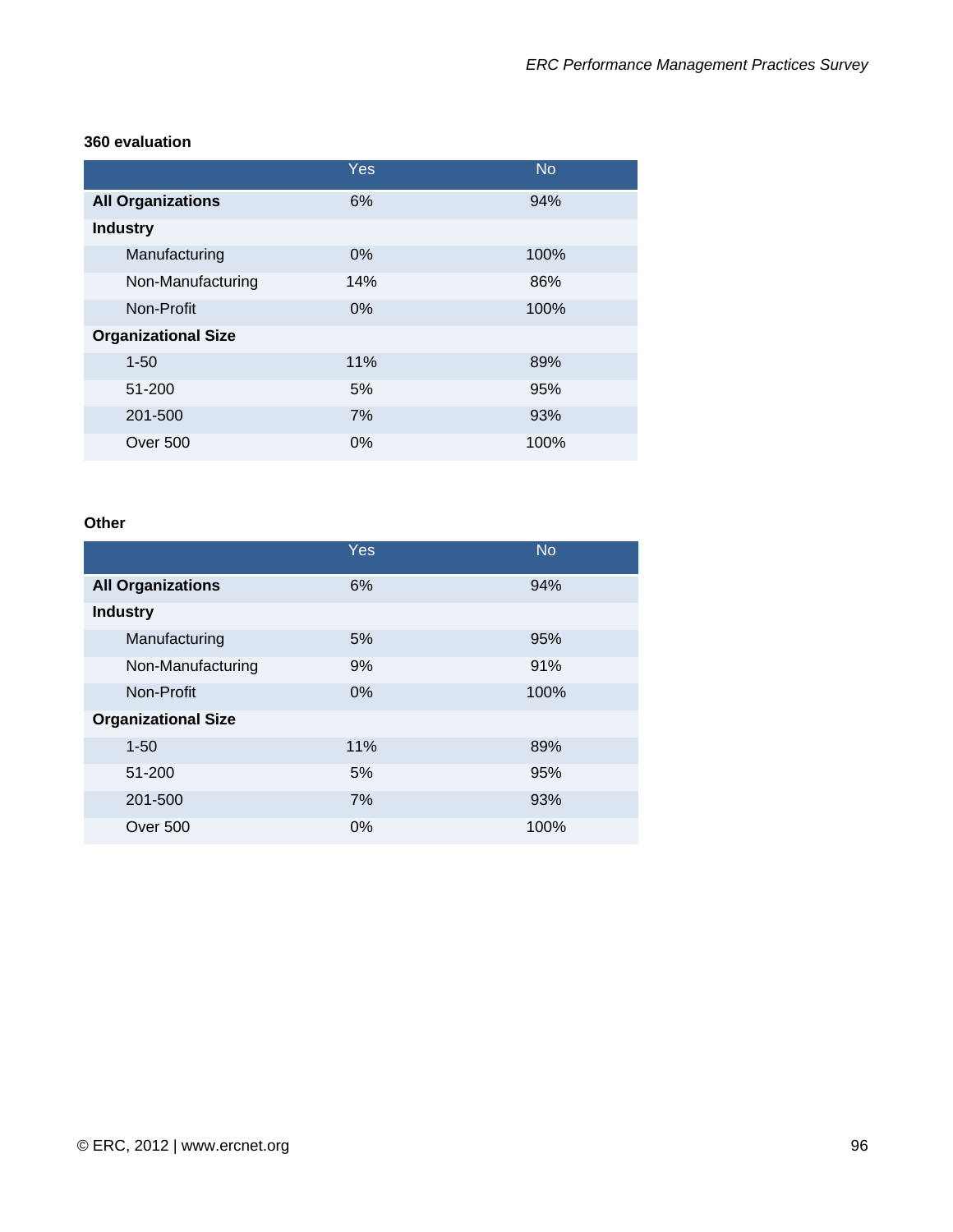#### **360 evaluation**

|                            | Yes   | <b>No</b> |
|----------------------------|-------|-----------|
| <b>All Organizations</b>   | 6%    | 94%       |
| <b>Industry</b>            |       |           |
| Manufacturing              | 0%    | 100%      |
| Non-Manufacturing          | 14%   | 86%       |
| Non-Profit                 | 0%    | 100%      |
| <b>Organizational Size</b> |       |           |
| $1 - 50$                   | 11%   | 89%       |
| 51-200                     | 5%    | 95%       |
| 201-500                    | 7%    | 93%       |
| <b>Over 500</b>            | $0\%$ | 100%      |

#### **Other**

|                            | Yes   | <b>No</b> |
|----------------------------|-------|-----------|
| <b>All Organizations</b>   | 6%    | 94%       |
| <b>Industry</b>            |       |           |
| Manufacturing              | 5%    | 95%       |
| Non-Manufacturing          | 9%    | 91%       |
| Non-Profit                 | 0%    | 100%      |
| <b>Organizational Size</b> |       |           |
| $1 - 50$                   | 11%   | 89%       |
| 51-200                     | 5%    | 95%       |
| 201-500                    | 7%    | 93%       |
| Over 500                   | $0\%$ | 100%      |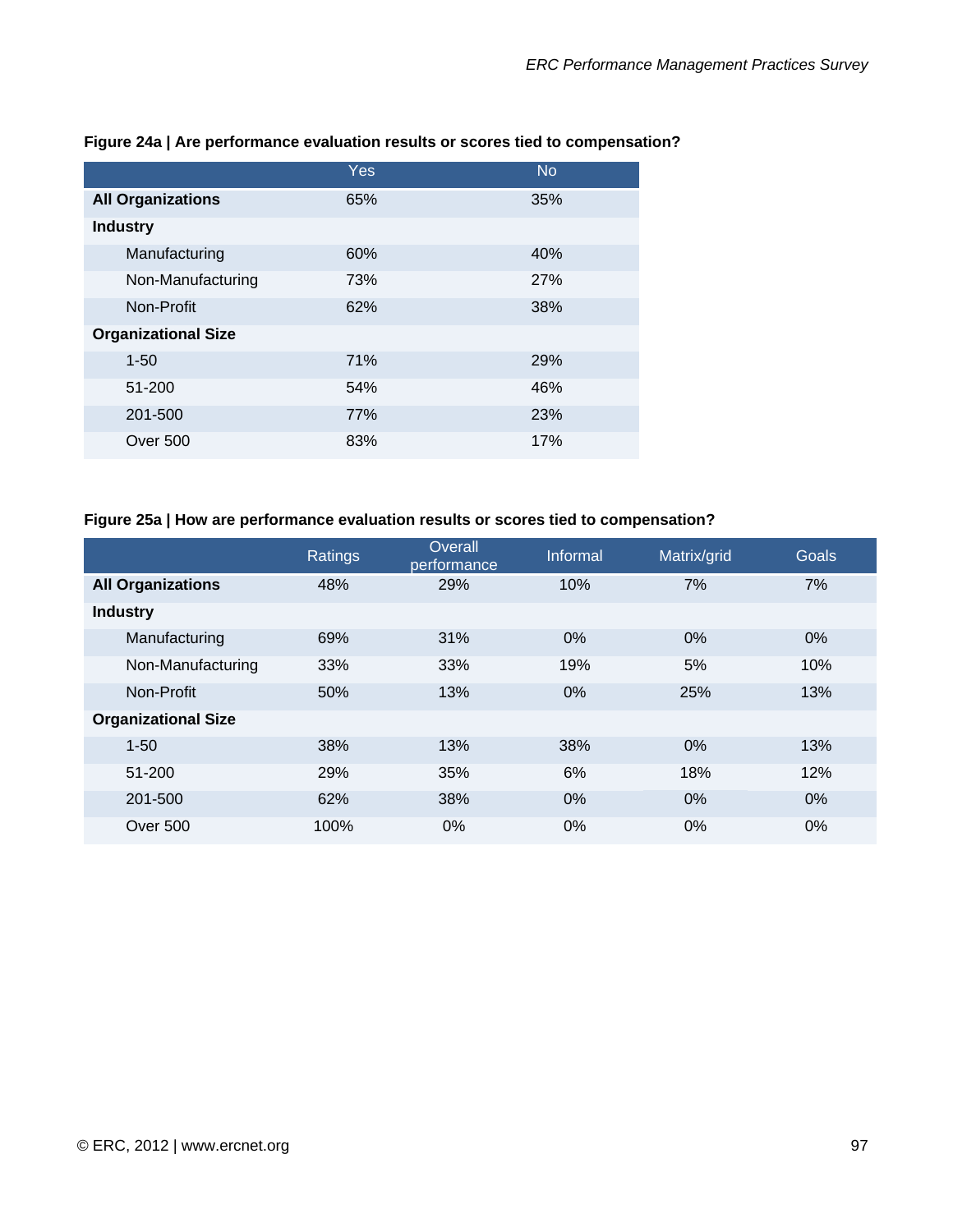|                            | Yes | <b>No</b> |
|----------------------------|-----|-----------|
| <b>All Organizations</b>   | 65% | 35%       |
| <b>Industry</b>            |     |           |
| Manufacturing              | 60% | 40%       |
| Non-Manufacturing          | 73% | 27%       |
| Non-Profit                 | 62% | 38%       |
| <b>Organizational Size</b> |     |           |
| $1 - 50$                   | 71% | 29%       |
| 51-200                     | 54% | 46%       |
| 201-500                    | 77% | 23%       |
| Over 500                   | 83% | 17%       |

#### **Figure 24a | Are performance evaluation results or scores tied to compensation?**

#### **Figure 25a | How are performance evaluation results or scores tied to compensation?**

|                            | Ratings | Overall<br>performance | Informal | Matrix/grid | Goals |
|----------------------------|---------|------------------------|----------|-------------|-------|
| <b>All Organizations</b>   | 48%     | 29%                    | 10%      | 7%          | 7%    |
| <b>Industry</b>            |         |                        |          |             |       |
| Manufacturing              | 69%     | 31%                    | 0%       | 0%          | $0\%$ |
| Non-Manufacturing          | 33%     | 33%                    | 19%      | 5%          | 10%   |
| Non-Profit                 | 50%     | 13%                    | 0%       | 25%         | 13%   |
| <b>Organizational Size</b> |         |                        |          |             |       |
| $1 - 50$                   | 38%     | 13%                    | 38%      | 0%          | 13%   |
| 51-200                     | 29%     | 35%                    | 6%       | 18%         | 12%   |
| 201-500                    | 62%     | 38%                    | 0%       | 0%          | $0\%$ |
| Over 500                   | 100%    | 0%                     | 0%       | $0\%$       | $0\%$ |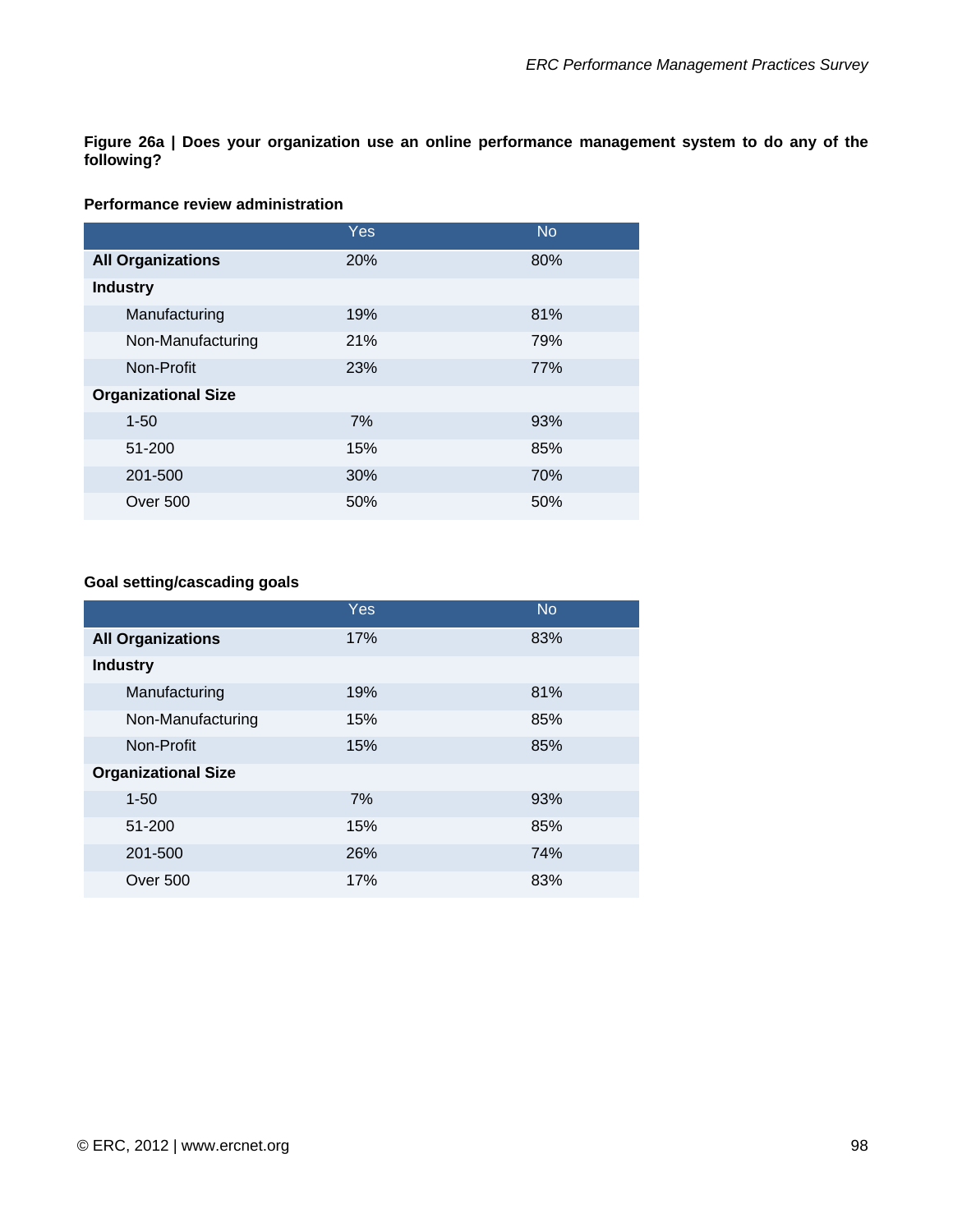**Figure 26a | Does your organization use an online performance management system to do any of the following?** 

#### **Performance review administration**

|                            | <b>Yes</b> | <b>No</b> |
|----------------------------|------------|-----------|
| <b>All Organizations</b>   | 20%        | 80%       |
| <b>Industry</b>            |            |           |
| Manufacturing              | 19%        | 81%       |
| Non-Manufacturing          | 21%        | 79%       |
| Non-Profit                 | 23%        | 77%       |
| <b>Organizational Size</b> |            |           |
| $1 - 50$                   | 7%         | 93%       |
| 51-200                     | 15%        | 85%       |
| 201-500                    | 30%        | 70%       |
| Over 500                   | 50%        | 50%       |

# **Goal setting/cascading goals**

|                            | Yes | <b>No</b> |
|----------------------------|-----|-----------|
| <b>All Organizations</b>   | 17% | 83%       |
| <b>Industry</b>            |     |           |
| Manufacturing              | 19% | 81%       |
| Non-Manufacturing          | 15% | 85%       |
| Non-Profit                 | 15% | 85%       |
| <b>Organizational Size</b> |     |           |
| $1 - 50$                   | 7%  | 93%       |
| 51-200                     | 15% | 85%       |
| 201-500                    | 26% | 74%       |
| Over 500                   | 17% | 83%       |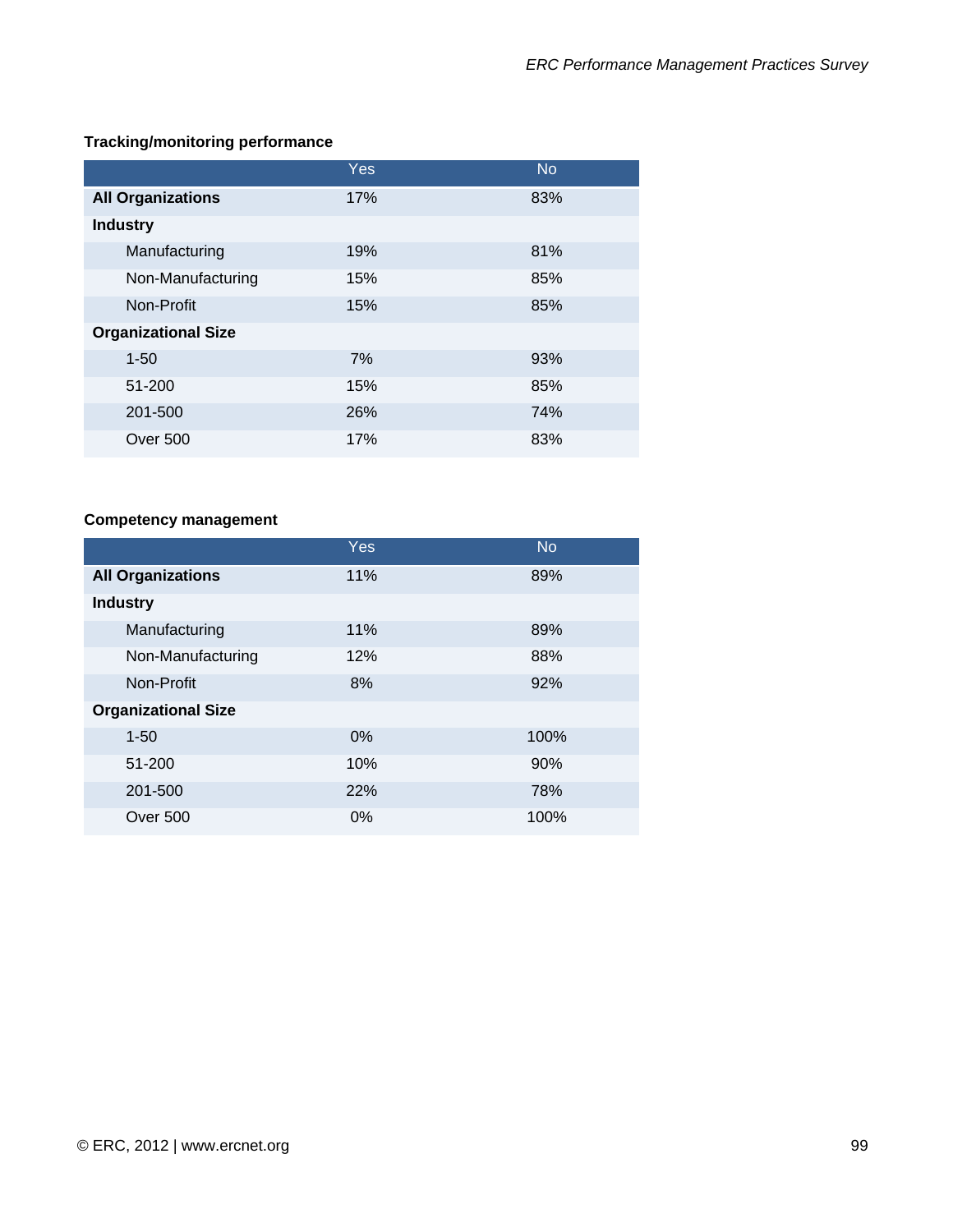### **Tracking/monitoring performance**

|                            | Yes | <b>No</b> |
|----------------------------|-----|-----------|
| <b>All Organizations</b>   | 17% | 83%       |
| <b>Industry</b>            |     |           |
| Manufacturing              | 19% | 81%       |
| Non-Manufacturing          | 15% | 85%       |
| Non-Profit                 | 15% | 85%       |
| <b>Organizational Size</b> |     |           |
| $1 - 50$                   | 7%  | 93%       |
| 51-200                     | 15% | 85%       |
| 201-500                    | 26% | 74%       |
| <b>Over 500</b>            | 17% | 83%       |

### **Competency management**

|                            | <b>Yes</b> | <b>No</b> |
|----------------------------|------------|-----------|
| <b>All Organizations</b>   | 11%        | 89%       |
| <b>Industry</b>            |            |           |
| Manufacturing              | 11%        | 89%       |
| Non-Manufacturing          | 12%        | 88%       |
| Non-Profit                 | 8%         | 92%       |
| <b>Organizational Size</b> |            |           |
| $1 - 50$                   | 0%         | 100%      |
| 51-200                     | 10%        | 90%       |
| 201-500                    | 22%        | 78%       |
| Over 500                   | $0\%$      | 100%      |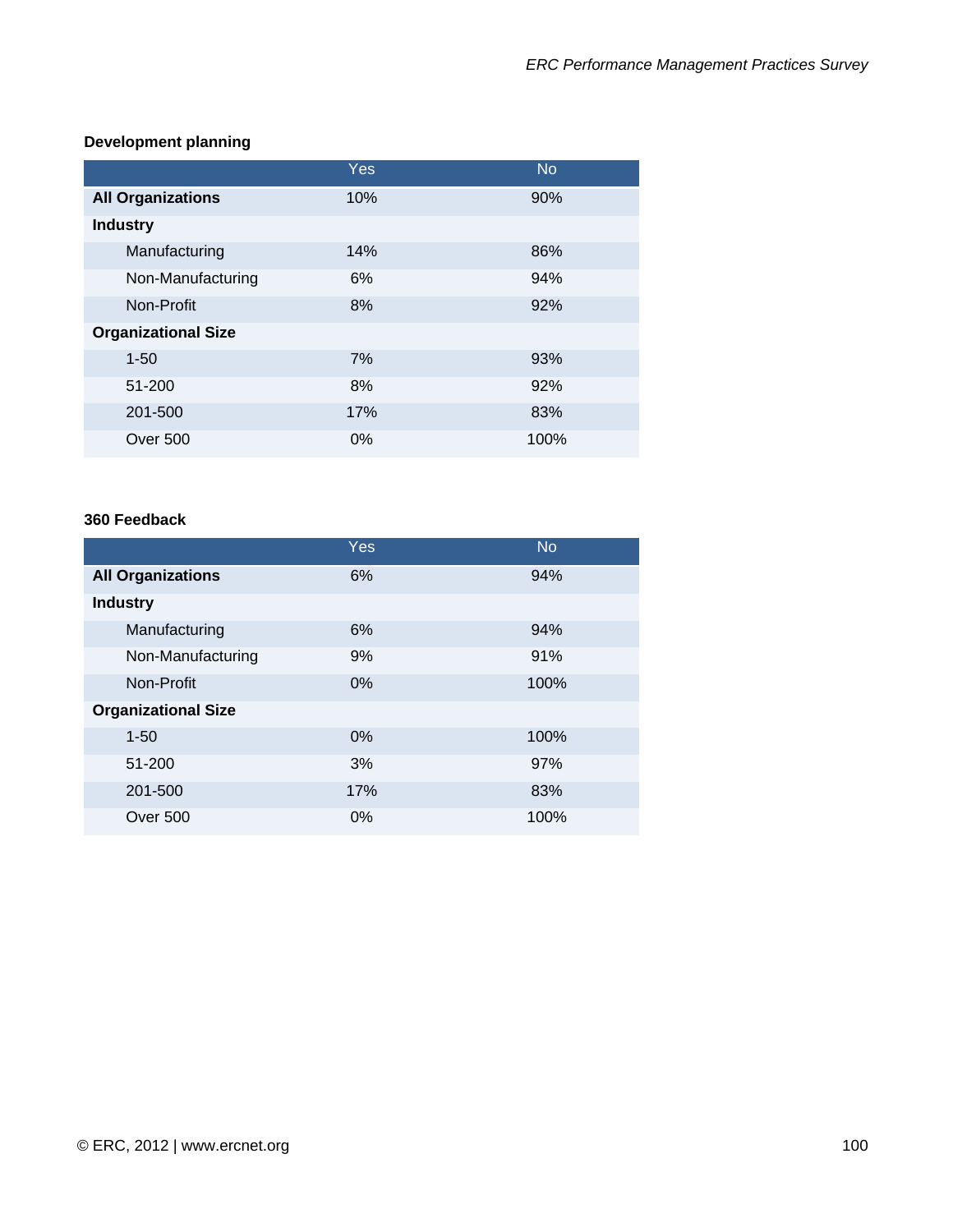### **Development planning**

|                            | Yes | <b>No</b> |
|----------------------------|-----|-----------|
| <b>All Organizations</b>   | 10% | 90%       |
| <b>Industry</b>            |     |           |
| Manufacturing              | 14% | 86%       |
| Non-Manufacturing          | 6%  | 94%       |
| Non-Profit                 | 8%  | 92%       |
| <b>Organizational Size</b> |     |           |
| $1 - 50$                   | 7%  | 93%       |
| 51-200                     | 8%  | 92%       |
| 201-500                    | 17% | 83%       |
| Over 500                   | 0%  | 100%      |

#### **360 Feedback**

|                            | Yes   | <b>No</b> |
|----------------------------|-------|-----------|
| <b>All Organizations</b>   | 6%    | 94%       |
| <b>Industry</b>            |       |           |
| Manufacturing              | 6%    | 94%       |
| Non-Manufacturing          | 9%    | 91%       |
| Non-Profit                 | 0%    | 100%      |
| <b>Organizational Size</b> |       |           |
| $1 - 50$                   | $0\%$ | 100%      |
| 51-200                     | 3%    | 97%       |
| 201-500                    | 17%   | 83%       |
| Over 500                   | $0\%$ | 100%      |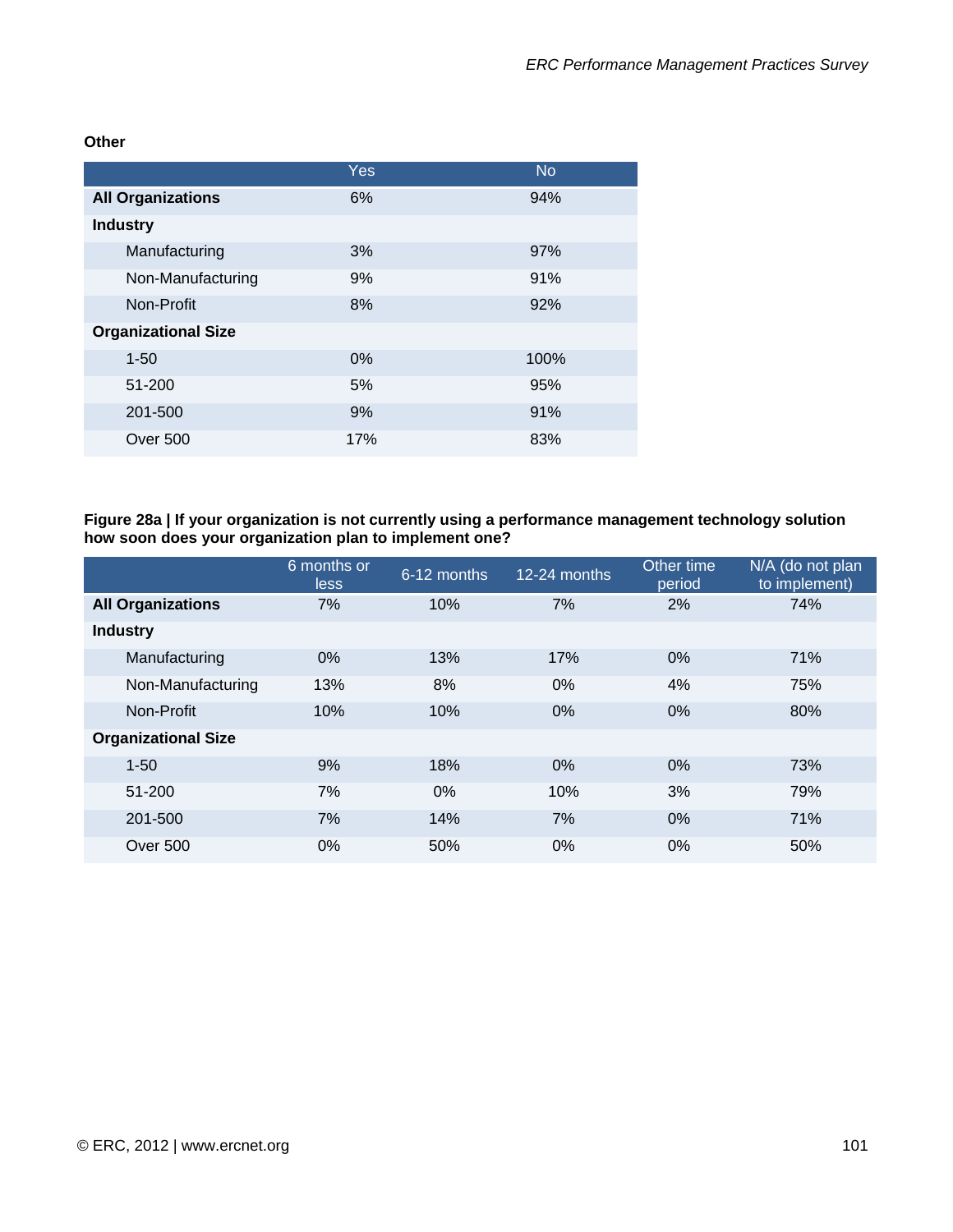**Other** 

|                            | Yes   | <b>No</b> |
|----------------------------|-------|-----------|
| <b>All Organizations</b>   | 6%    | 94%       |
| <b>Industry</b>            |       |           |
| Manufacturing              | 3%    | 97%       |
| Non-Manufacturing          | 9%    | 91%       |
| Non-Profit                 | 8%    | 92%       |
| <b>Organizational Size</b> |       |           |
| $1 - 50$                   | $0\%$ | 100%      |
| 51-200                     | 5%    | 95%       |
| 201-500                    | 9%    | 91%       |
| Over 500                   | 17%   | 83%       |

**Figure 28a | If your organization is not currently using a performance management technology solution how soon does your organization plan to implement one?** 

|                            | 6 months or<br>less | 6-12 months | 12-24 months | Other time<br>period | N/A (do not plan<br>to implement) |
|----------------------------|---------------------|-------------|--------------|----------------------|-----------------------------------|
| <b>All Organizations</b>   | 7%                  | 10%         | 7%           | 2%                   | 74%                               |
| <b>Industry</b>            |                     |             |              |                      |                                   |
| Manufacturing              | $0\%$               | 13%         | 17%          | 0%                   | 71%                               |
| Non-Manufacturing          | 13%                 | 8%          | 0%           | 4%                   | 75%                               |
| Non-Profit                 | 10%                 | 10%         | $0\%$        | 0%                   | 80%                               |
| <b>Organizational Size</b> |                     |             |              |                      |                                   |
| $1 - 50$                   | 9%                  | 18%         | $0\%$        | 0%                   | 73%                               |
| 51-200                     | 7%                  | 0%          | 10%          | 3%                   | 79%                               |
| 201-500                    | 7%                  | 14%         | 7%           | 0%                   | 71%                               |
| <b>Over 500</b>            | $0\%$               | 50%         | 0%           | 0%                   | 50%                               |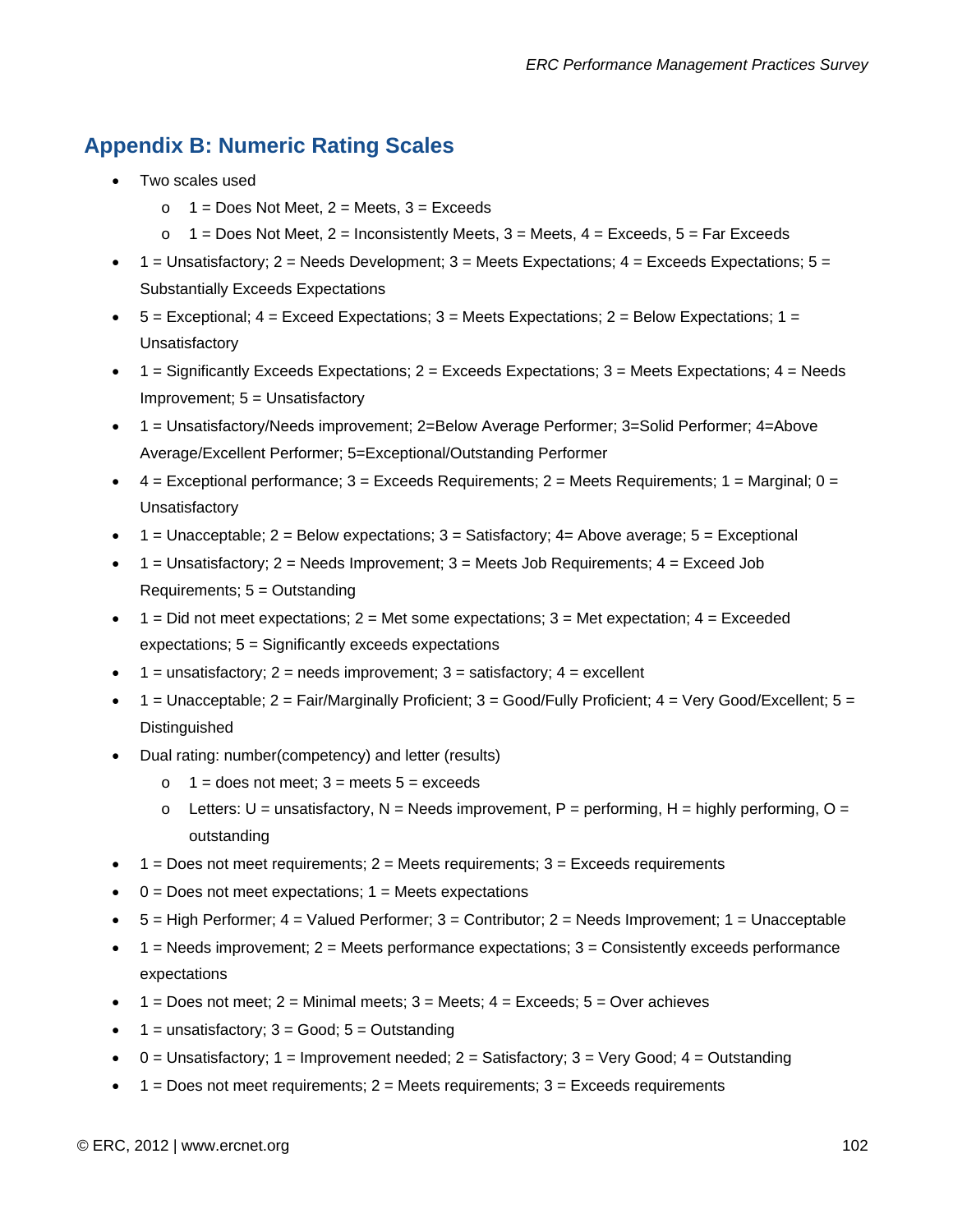# **Appendix B: Numeric Rating Scales**

- Two scales used
	- $\circ$  1 = Does Not Meet, 2 = Meets, 3 = Exceeds
	- $\circ$  1 = Does Not Meet, 2 = Inconsistently Meets, 3 = Meets, 4 = Exceeds, 5 = Far Exceeds
- $1 =$  Unsatisfactory; 2 = Needs Development; 3 = Meets Expectations; 4 = Exceeds Expectations; 5 = Substantially Exceeds Expectations
- $\bullet$  5 = Exceptional; 4 = Exceed Expectations; 3 = Meets Expectations; 2 = Below Expectations; 1 = **Unsatisfactory**
- $\bullet$  1 = Significantly Exceeds Expectations; 2 = Exceeds Expectations; 3 = Meets Expectations; 4 = Needs Improvement; 5 = Unsatisfactory
- 1 = Unsatisfactory/Needs improvement; 2=Below Average Performer; 3=Solid Performer; 4=Above Average/Excellent Performer; 5=Exceptional/Outstanding Performer
- $4 =$  Exceptional performance;  $3 =$  Exceeds Requirements;  $2 =$  Meets Requirements;  $1 =$  Marginal;  $0 =$ **Unsatisfactory**
- $\bullet$  1 = Unacceptable; 2 = Below expectations; 3 = Satisfactory; 4 = Above average; 5 = Exceptional
- $\bullet$  1 = Unsatisfactory; 2 = Needs Improvement; 3 = Meets Job Requirements; 4 = Exceed Job Requirements; 5 = Outstanding
- $\bullet$  1 = Did not meet expectations; 2 = Met some expectations; 3 = Met expectation; 4 = Exceeded expectations; 5 = Significantly exceeds expectations
- $1 =$  unsatisfactory; 2 = needs improvement; 3 = satisfactory; 4 = excellent
- $1 =$  Unacceptable;  $2 =$  Fair/Marginally Proficient;  $3 =$  Good/Fully Proficient;  $4 =$  Very Good/Excellent;  $5 =$ **Distinguished**
- Dual rating: number(competency) and letter (results)
	- $\circ$  1 = does not meet; 3 = meets 5 = exceeds
	- $\circ$  Letters: U = unsatisfactory, N = Needs improvement, P = performing, H = highly performing, O = outstanding
- $\bullet$  1 = Does not meet requirements; 2 = Meets requirements; 3 = Exceeds requirements
- $\bullet$  0 = Does not meet expectations; 1 = Meets expectations
- 5 = High Performer; 4 = Valued Performer; 3 = Contributor; 2 = Needs Improvement; 1 = Unacceptable
- $1 =$  Needs improvement;  $2 =$  Meets performance expectations;  $3 =$  Consistently exceeds performance expectations
- 1 = Does not meet;  $2$  = Minimal meets;  $3$  = Meets;  $4$  = Exceeds;  $5$  = Over achieves
- $1 =$  unsatisfactory;  $3 =$  Good;  $5 =$  Outstanding
- $0 =$  Unsatisfactory; 1 = Improvement needed; 2 = Satisfactory; 3 = Very Good; 4 = Outstanding
- $1 =$  Does not meet requirements;  $2 =$  Meets requirements;  $3 =$  Exceeds requirements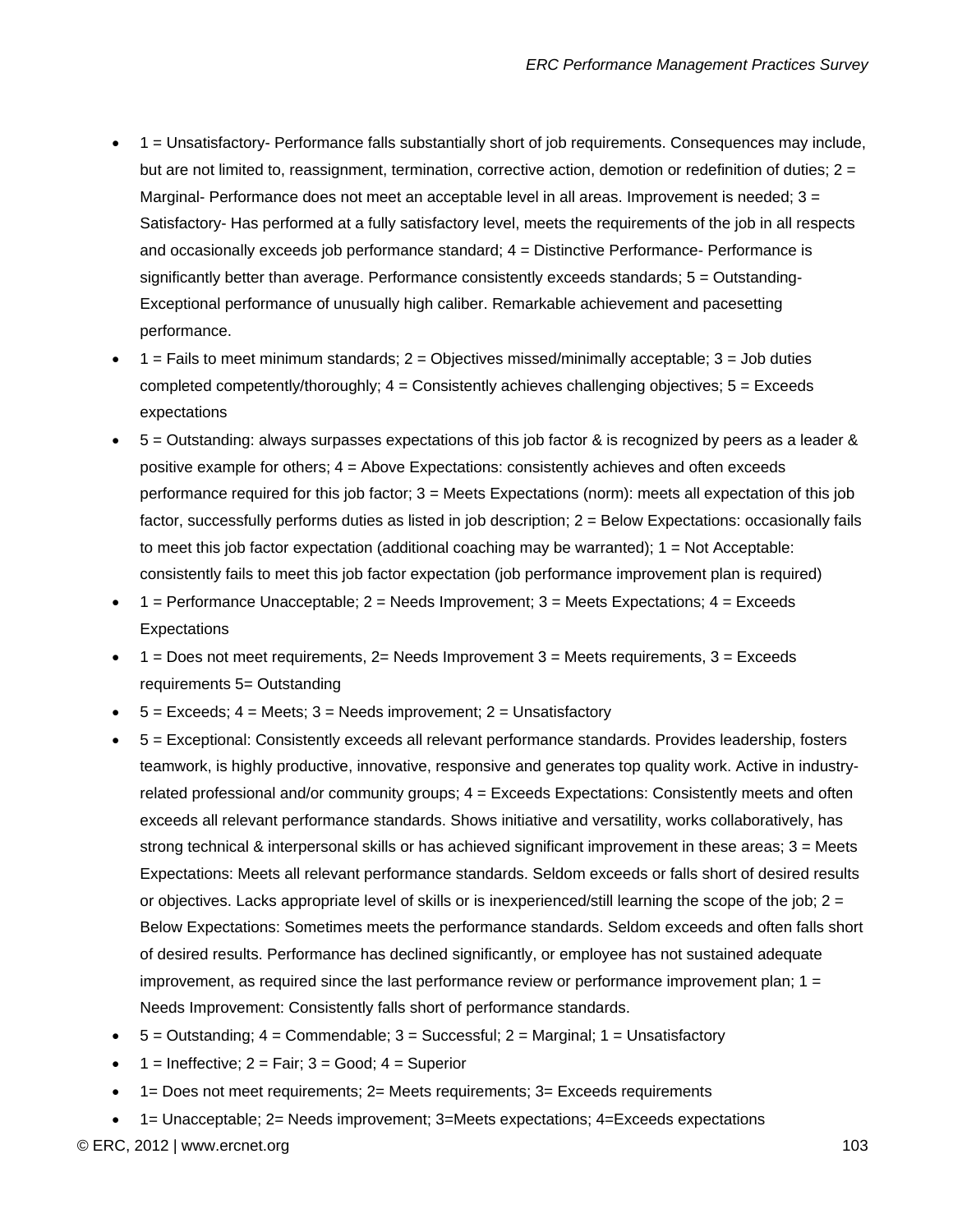- 1 = Unsatisfactory- Performance falls substantially short of job requirements. Consequences may include, but are not limited to, reassignment, termination, corrective action, demotion or redefinition of duties; 2 = Marginal- Performance does not meet an acceptable level in all areas. Improvement is needed;  $3 =$ Satisfactory- Has performed at a fully satisfactory level, meets the requirements of the job in all respects and occasionally exceeds job performance standard; 4 = Distinctive Performance- Performance is significantly better than average. Performance consistently exceeds standards; 5 = Outstanding-Exceptional performance of unusually high caliber. Remarkable achievement and pacesetting performance.
- $1 =$  Fails to meet minimum standards;  $2 =$  Objectives missed/minimally acceptable;  $3 =$  Job duties completed competently/thoroughly;  $4 =$  Consistently achieves challenging objectives;  $5 =$  Exceeds expectations
- 5 = Outstanding: always surpasses expectations of this job factor & is recognized by peers as a leader & positive example for others; 4 = Above Expectations: consistently achieves and often exceeds performance required for this job factor; 3 = Meets Expectations (norm): meets all expectation of this job factor, successfully performs duties as listed in job description; 2 = Below Expectations: occasionally fails to meet this job factor expectation (additional coaching may be warranted);  $1 = Not$  Acceptable: consistently fails to meet this job factor expectation (job performance improvement plan is required)
- $1 =$  Performance Unacceptable;  $2 =$  Needs Improvement;  $3 =$  Meets Expectations;  $4 =$  Exceeds Expectations
- $1 =$  Does not meet requirements,  $2 =$  Needs Improvement  $3 =$  Meets requirements,  $3 =$  Exceeds requirements 5= Outstanding
- $5 =$  Exceeds;  $4 =$  Meets;  $3 =$  Needs improvement;  $2 =$  Unsatisfactory
- 5 = Exceptional: Consistently exceeds all relevant performance standards. Provides leadership, fosters teamwork, is highly productive, innovative, responsive and generates top quality work. Active in industryrelated professional and/or community groups; 4 = Exceeds Expectations: Consistently meets and often exceeds all relevant performance standards. Shows initiative and versatility, works collaboratively, has strong technical & interpersonal skills or has achieved significant improvement in these areas; 3 = Meets Expectations: Meets all relevant performance standards. Seldom exceeds or falls short of desired results or objectives. Lacks appropriate level of skills or is inexperienced/still learning the scope of the job; 2 = Below Expectations: Sometimes meets the performance standards. Seldom exceeds and often falls short of desired results. Performance has declined significantly, or employee has not sustained adequate improvement, as required since the last performance review or performance improvement plan;  $1 =$ Needs Improvement: Consistently falls short of performance standards.
- $5 =$  Outstanding;  $4 =$  Commendable;  $3 =$  Successful;  $2 =$  Marginal;  $1 =$  Unsatisfactory
- $1 =$  Ineffective;  $2 =$  Fair;  $3 =$  Good;  $4 =$  Superior
- 1= Does not meet requirements; 2= Meets requirements; 3= Exceeds requirements
- 1= Unacceptable; 2= Needs improvement; 3=Meets expectations; 4=Exceeds expectations

 $\oslash$  ERC, 2012 | www.ercnet.org 103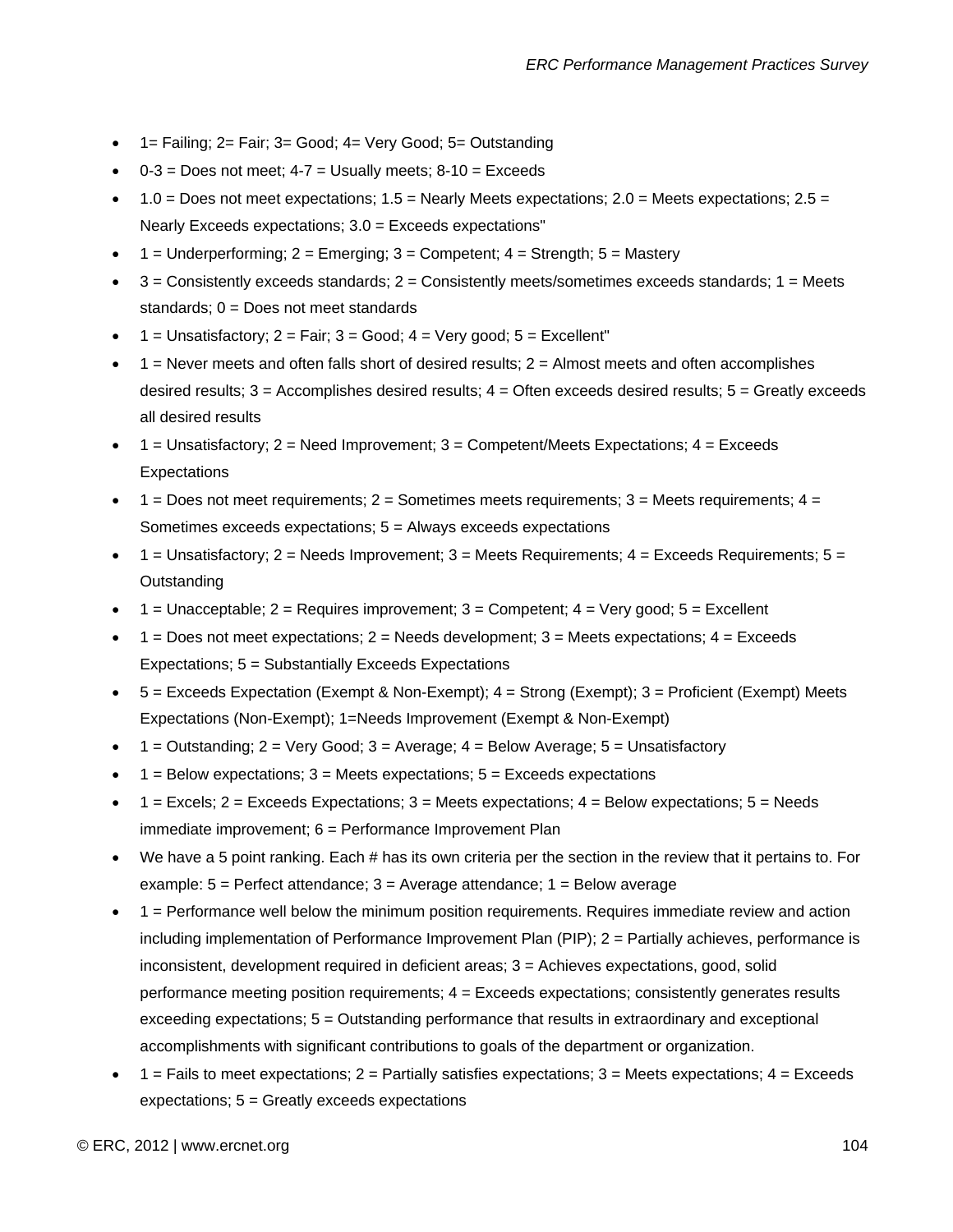- 1= Failing; 2= Fair; 3= Good; 4= Very Good; 5= Outstanding
- $\bullet$  0-3 = Does not meet; 4-7 = Usually meets; 8-10 = Exceeds
- $1.0 =$  Does not meet expectations;  $1.5 =$  Nearly Meets expectations;  $2.0 =$  Meets expectations;  $2.5 =$ Nearly Exceeds expectations; 3.0 = Exceeds expectations"
- 1 = Underperforming;  $2 =$  Emerging;  $3 =$  Competent;  $4 =$  Strength;  $5 =$  Mastery
- $3 =$  Consistently exceeds standards;  $2 =$  Consistently meets/sometimes exceeds standards;  $1 =$  Meets standards; 0 = Does not meet standards
- $1 =$  Unsatisfactory;  $2 =$  Fair;  $3 =$  Good;  $4 =$  Very good;  $5 =$  Excellent"
- $1$  = Never meets and often falls short of desired results;  $2$  = Almost meets and often accomplishes desired results;  $3 =$  Accomplishes desired results;  $4 =$  Often exceeds desired results;  $5 =$  Greatly exceeds all desired results
- $1 =$  Unsatisfactory;  $2 =$  Need Improvement;  $3 =$  Competent/Meets Expectations;  $4 =$  Exceeds **Expectations**
- $\bullet$  1 = Does not meet requirements; 2 = Sometimes meets requirements; 3 = Meets requirements; 4 = Sometimes exceeds expectations; 5 = Always exceeds expectations
- $\bullet$  1 = Unsatisfactory; 2 = Needs Improvement; 3 = Meets Requirements; 4 = Exceeds Requirements; 5 = **Outstanding**
- $1 =$  Unacceptable;  $2 =$  Requires improvement;  $3 =$  Competent;  $4 =$  Very good;  $5 =$  Excellent
- $1 =$  Does not meet expectations;  $2 =$  Needs development;  $3 =$  Meets expectations;  $4 =$  Exceeds Expectations; 5 = Substantially Exceeds Expectations
- 5 = Exceeds Expectation (Exempt & Non-Exempt); 4 = Strong (Exempt); 3 = Proficient (Exempt) Meets Expectations (Non-Exempt); 1=Needs Improvement (Exempt & Non-Exempt)
- $1 =$  Outstanding;  $2 =$  Very Good;  $3 =$  Average;  $4 =$  Below Average;  $5 =$  Unsatisfactory
- $1 =$  Below expectations;  $3 =$  Meets expectations;  $5 =$  Exceeds expectations
- $\bullet$  1 = Excels; 2 = Exceeds Expectations; 3 = Meets expectations; 4 = Below expectations; 5 = Needs immediate improvement; 6 = Performance Improvement Plan
- We have a 5 point ranking. Each # has its own criteria per the section in the review that it pertains to. For example:  $5 =$  Perfect attendance;  $3 =$  Average attendance;  $1 =$  Below average
- 1 = Performance well below the minimum position requirements. Requires immediate review and action including implementation of Performance Improvement Plan (PIP); 2 = Partially achieves, performance is inconsistent, development required in deficient areas; 3 = Achieves expectations, good, solid performance meeting position requirements; 4 = Exceeds expectations; consistently generates results exceeding expectations; 5 = Outstanding performance that results in extraordinary and exceptional accomplishments with significant contributions to goals of the department or organization.
- $1$  = Fails to meet expectations;  $2$  = Partially satisfies expectations;  $3$  = Meets expectations;  $4$  = Exceeds expectations; 5 = Greatly exceeds expectations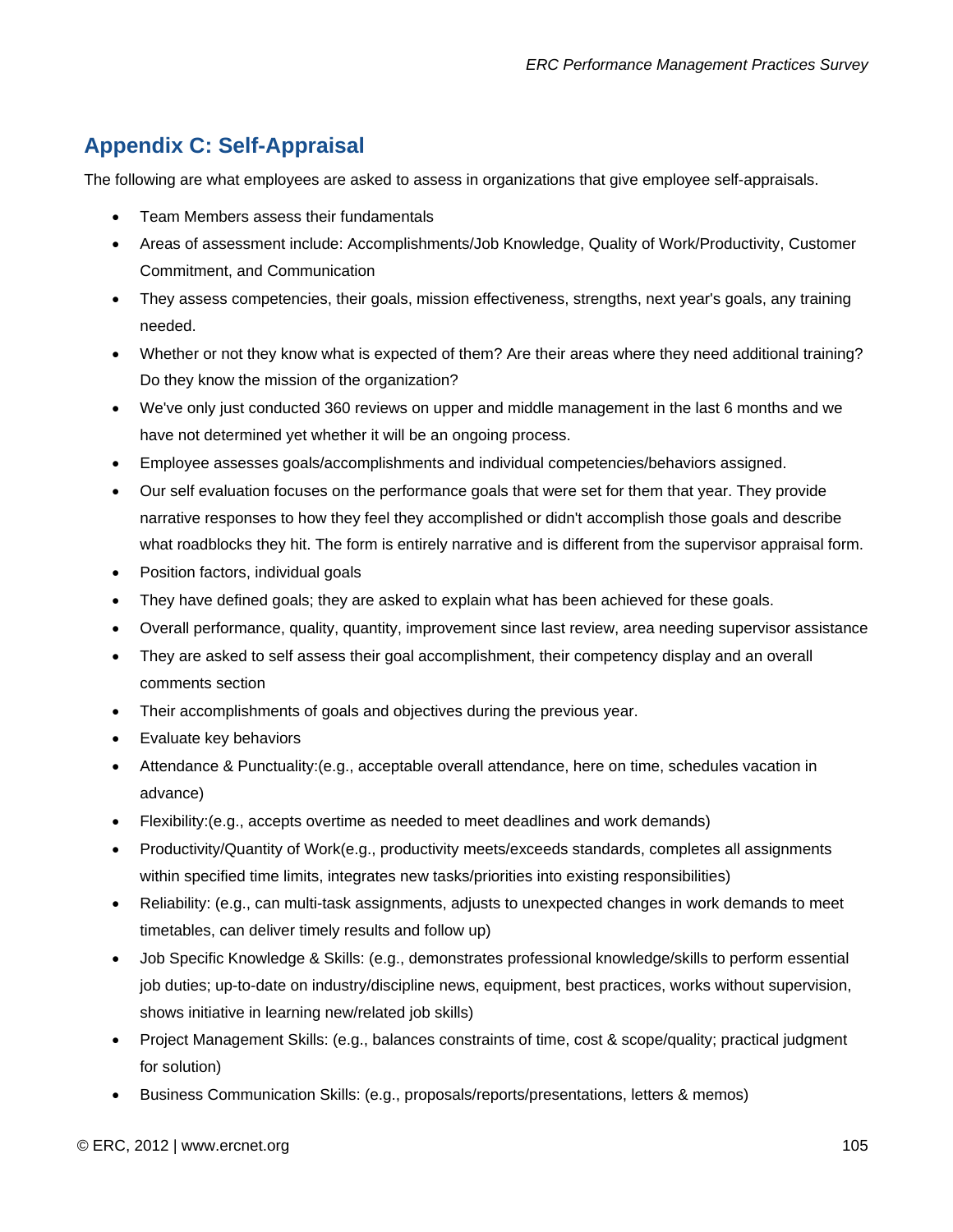# **Appendix C: Self-Appraisal**

The following are what employees are asked to assess in organizations that give employee self-appraisals.

- Team Members assess their fundamentals
- Areas of assessment include: Accomplishments/Job Knowledge, Quality of Work/Productivity, Customer Commitment, and Communication
- They assess competencies, their goals, mission effectiveness, strengths, next year's goals, any training needed.
- Whether or not they know what is expected of them? Are their areas where they need additional training? Do they know the mission of the organization?
- We've only just conducted 360 reviews on upper and middle management in the last 6 months and we have not determined yet whether it will be an ongoing process.
- Employee assesses goals/accomplishments and individual competencies/behaviors assigned.
- Our self evaluation focuses on the performance goals that were set for them that year. They provide narrative responses to how they feel they accomplished or didn't accomplish those goals and describe what roadblocks they hit. The form is entirely narrative and is different from the supervisor appraisal form.
- Position factors, individual goals
- They have defined goals; they are asked to explain what has been achieved for these goals.
- Overall performance, quality, quantity, improvement since last review, area needing supervisor assistance
- They are asked to self assess their goal accomplishment, their competency display and an overall comments section
- Their accomplishments of goals and objectives during the previous year.
- Evaluate key behaviors
- Attendance & Punctuality:(e.g., acceptable overall attendance, here on time, schedules vacation in advance)
- Flexibility:(e.g., accepts overtime as needed to meet deadlines and work demands)
- Productivity/Quantity of Work(e.g., productivity meets/exceeds standards, completes all assignments within specified time limits, integrates new tasks/priorities into existing responsibilities)
- Reliability: (e.g., can multi-task assignments, adjusts to unexpected changes in work demands to meet timetables, can deliver timely results and follow up)
- Job Specific Knowledge & Skills: (e.g., demonstrates professional knowledge/skills to perform essential job duties; up-to-date on industry/discipline news, equipment, best practices, works without supervision, shows initiative in learning new/related job skills)
- Project Management Skills: (e.g., balances constraints of time, cost & scope/quality; practical judgment for solution)
- Business Communication Skills: (e.g., proposals/reports/presentations, letters & memos)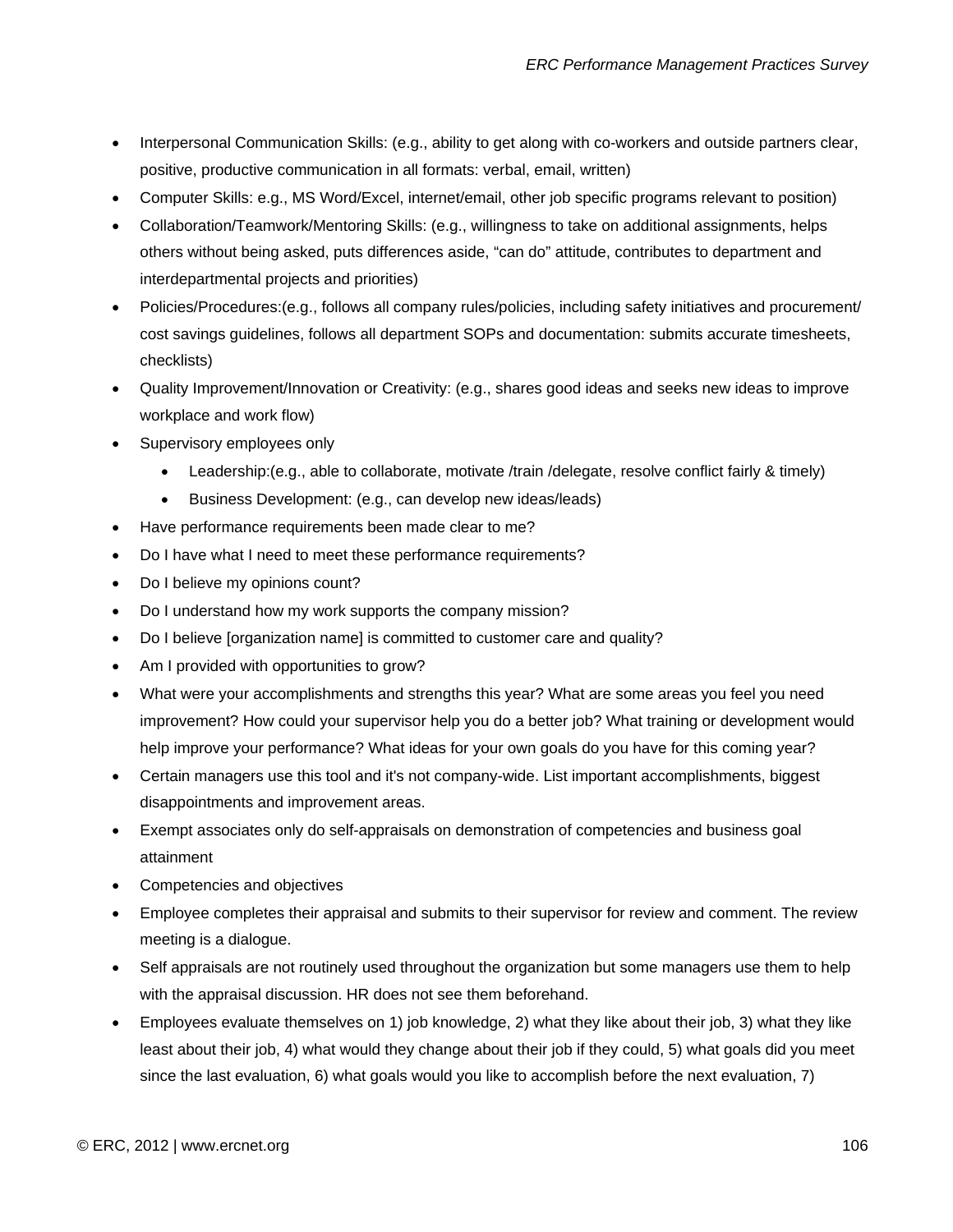- Interpersonal Communication Skills: (e.g., ability to get along with co-workers and outside partners clear, positive, productive communication in all formats: verbal, email, written)
- Computer Skills: e.g., MS Word/Excel, internet/email, other job specific programs relevant to position)
- Collaboration/Teamwork/Mentoring Skills: (e.g., willingness to take on additional assignments, helps others without being asked, puts differences aside, "can do" attitude, contributes to department and interdepartmental projects and priorities)
- Policies/Procedures:(e.g., follows all company rules/policies, including safety initiatives and procurement/ cost savings guidelines, follows all department SOPs and documentation: submits accurate timesheets, checklists)
- Quality Improvement/Innovation or Creativity: (e.g., shares good ideas and seeks new ideas to improve workplace and work flow)
- Supervisory employees only
	- Leadership:(e.g., able to collaborate, motivate /train /delegate, resolve conflict fairly & timely)
	- Business Development: (e.g., can develop new ideas/leads)
- Have performance requirements been made clear to me?
- Do I have what I need to meet these performance requirements?
- Do I believe my opinions count?
- Do I understand how my work supports the company mission?
- Do I believe [organization name] is committed to customer care and quality?
- Am I provided with opportunities to grow?
- What were your accomplishments and strengths this year? What are some areas you feel you need improvement? How could your supervisor help you do a better job? What training or development would help improve your performance? What ideas for your own goals do you have for this coming year?
- Certain managers use this tool and it's not company-wide. List important accomplishments, biggest disappointments and improvement areas.
- Exempt associates only do self-appraisals on demonstration of competencies and business goal attainment
- Competencies and objectives
- Employee completes their appraisal and submits to their supervisor for review and comment. The review meeting is a dialogue.
- Self appraisals are not routinely used throughout the organization but some managers use them to help with the appraisal discussion. HR does not see them beforehand.
- Employees evaluate themselves on 1) job knowledge, 2) what they like about their job, 3) what they like least about their job, 4) what would they change about their job if they could, 5) what goals did you meet since the last evaluation, 6) what goals would you like to accomplish before the next evaluation, 7)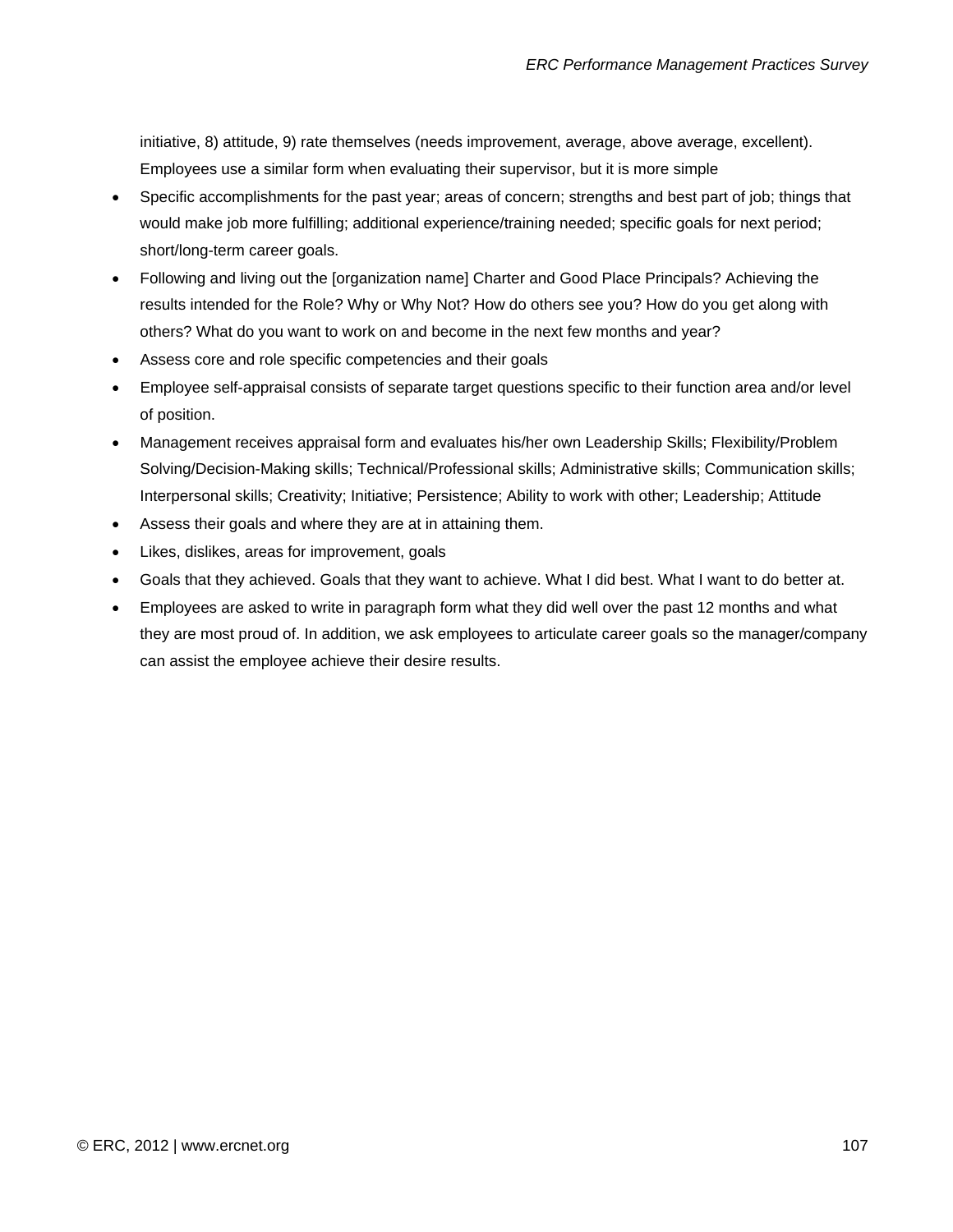initiative, 8) attitude, 9) rate themselves (needs improvement, average, above average, excellent). Employees use a similar form when evaluating their supervisor, but it is more simple

- Specific accomplishments for the past year; areas of concern; strengths and best part of job; things that would make job more fulfilling; additional experience/training needed; specific goals for next period; short/long-term career goals.
- Following and living out the [organization name] Charter and Good Place Principals? Achieving the results intended for the Role? Why or Why Not? How do others see you? How do you get along with others? What do you want to work on and become in the next few months and year?
- Assess core and role specific competencies and their goals
- Employee self-appraisal consists of separate target questions specific to their function area and/or level of position.
- Management receives appraisal form and evaluates his/her own Leadership Skills; Flexibility/Problem Solving/Decision-Making skills; Technical/Professional skills; Administrative skills; Communication skills; Interpersonal skills; Creativity; Initiative; Persistence; Ability to work with other; Leadership; Attitude
- Assess their goals and where they are at in attaining them.
- Likes, dislikes, areas for improvement, goals
- Goals that they achieved. Goals that they want to achieve. What I did best. What I want to do better at.
- Employees are asked to write in paragraph form what they did well over the past 12 months and what they are most proud of. In addition, we ask employees to articulate career goals so the manager/company can assist the employee achieve their desire results.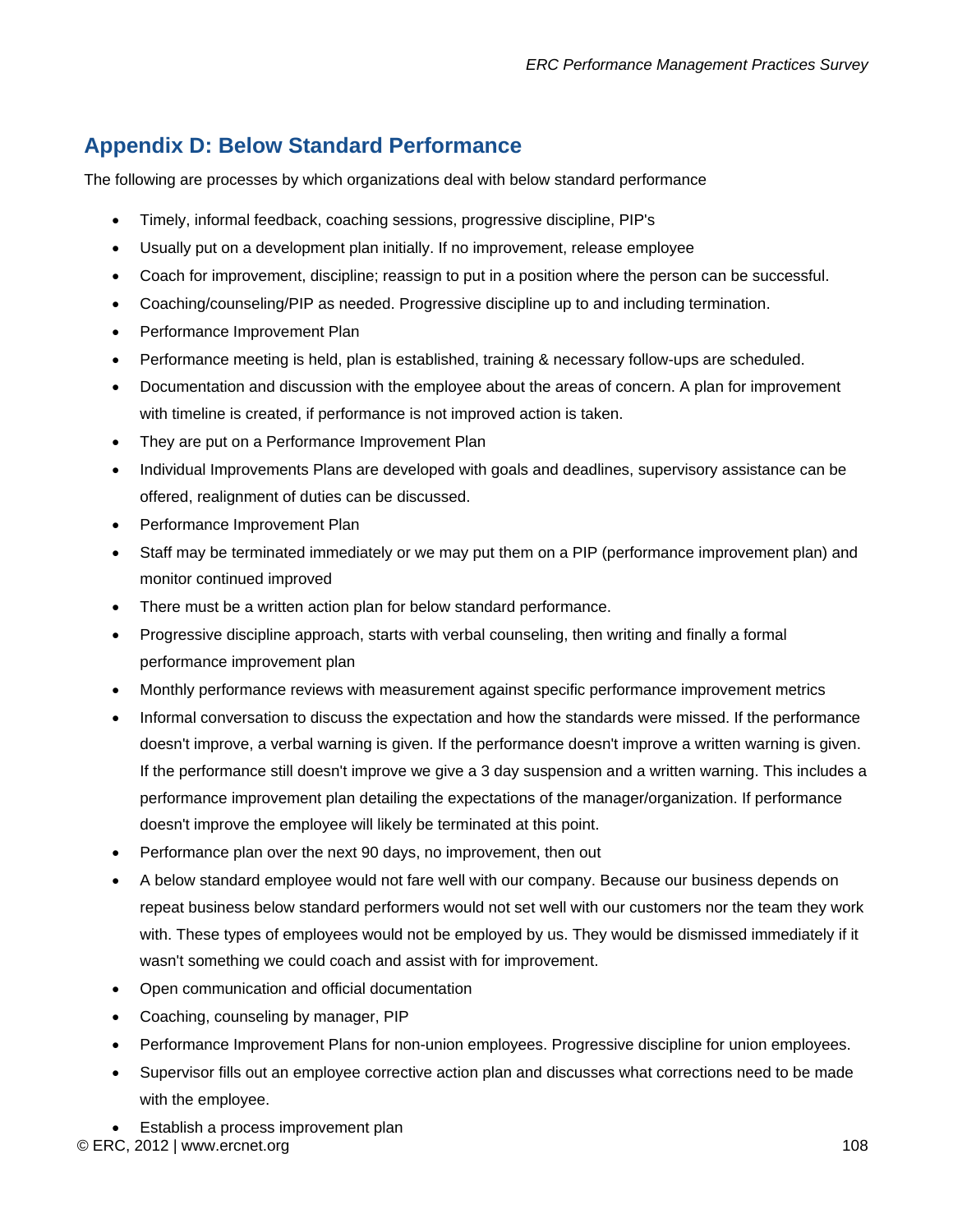## **Appendix D: Below Standard Performance**

The following are processes by which organizations deal with below standard performance

- Timely, informal feedback, coaching sessions, progressive discipline, PIP's
- Usually put on a development plan initially. If no improvement, release employee
- Coach for improvement, discipline; reassign to put in a position where the person can be successful.
- Coaching/counseling/PIP as needed. Progressive discipline up to and including termination.
- Performance Improvement Plan
- Performance meeting is held, plan is established, training & necessary follow-ups are scheduled.
- Documentation and discussion with the employee about the areas of concern. A plan for improvement with timeline is created, if performance is not improved action is taken.
- They are put on a Performance Improvement Plan
- Individual Improvements Plans are developed with goals and deadlines, supervisory assistance can be offered, realignment of duties can be discussed.
- Performance Improvement Plan
- Staff may be terminated immediately or we may put them on a PIP (performance improvement plan) and monitor continued improved
- There must be a written action plan for below standard performance.
- Progressive discipline approach, starts with verbal counseling, then writing and finally a formal performance improvement plan
- Monthly performance reviews with measurement against specific performance improvement metrics
- Informal conversation to discuss the expectation and how the standards were missed. If the performance doesn't improve, a verbal warning is given. If the performance doesn't improve a written warning is given. If the performance still doesn't improve we give a 3 day suspension and a written warning. This includes a performance improvement plan detailing the expectations of the manager/organization. If performance doesn't improve the employee will likely be terminated at this point.
- Performance plan over the next 90 days, no improvement, then out
- A below standard employee would not fare well with our company. Because our business depends on repeat business below standard performers would not set well with our customers nor the team they work with. These types of employees would not be employed by us. They would be dismissed immediately if it wasn't something we could coach and assist with for improvement.
- Open communication and official documentation
- Coaching, counseling by manager, PIP
- Performance Improvement Plans for non-union employees. Progressive discipline for union employees.
- Supervisor fills out an employee corrective action plan and discusses what corrections need to be made with the employee.
- © ERC, 2012 | www.ercnet.org 108 • Establish a process improvement plan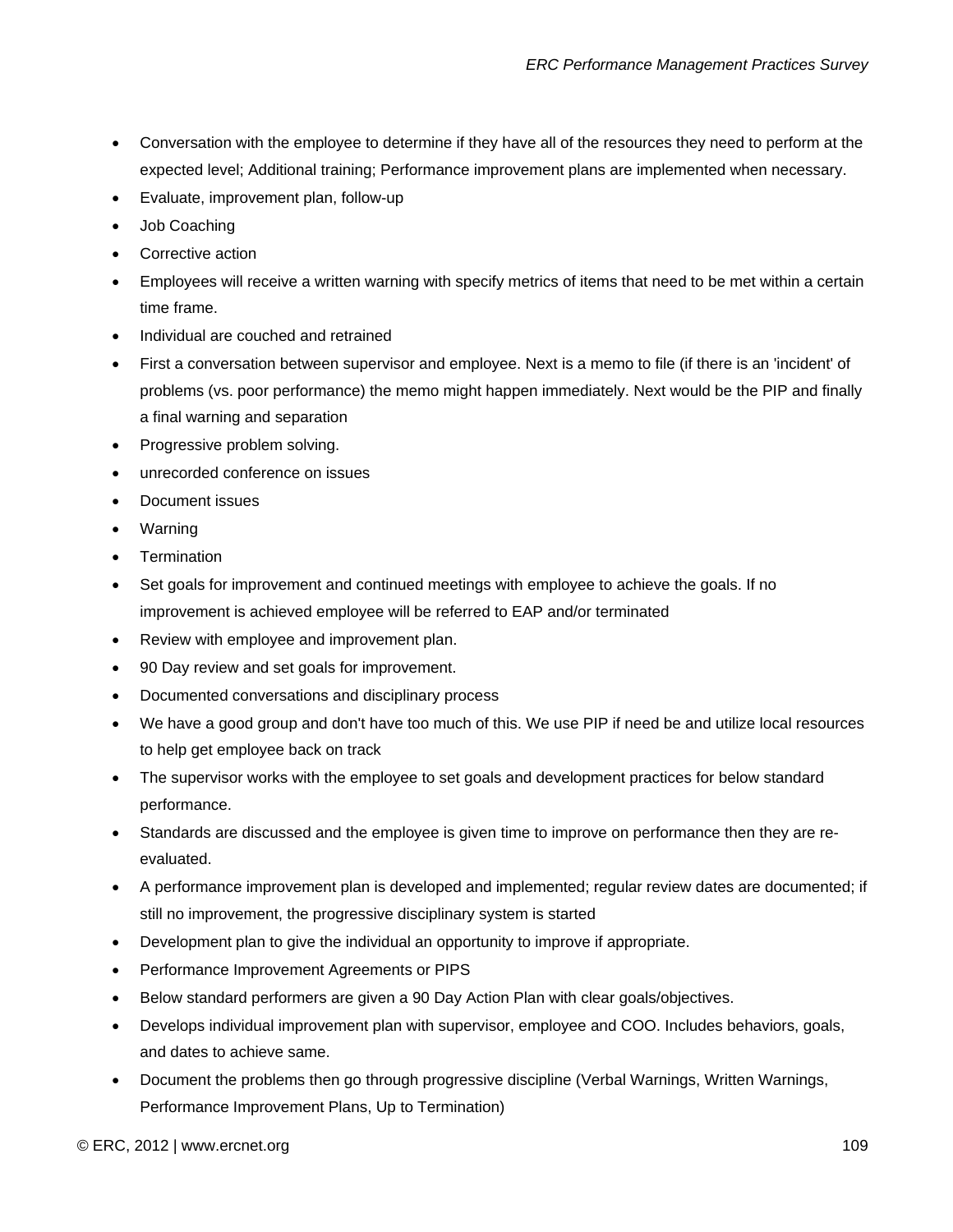- Conversation with the employee to determine if they have all of the resources they need to perform at the expected level; Additional training; Performance improvement plans are implemented when necessary.
- Evaluate, improvement plan, follow-up
- Job Coaching
- Corrective action
- Employees will receive a written warning with specify metrics of items that need to be met within a certain time frame.
- Individual are couched and retrained
- First a conversation between supervisor and employee. Next is a memo to file (if there is an 'incident' of problems (vs. poor performance) the memo might happen immediately. Next would be the PIP and finally a final warning and separation
- Progressive problem solving.
- unrecorded conference on issues
- Document issues
- Warning
- **Termination**
- Set goals for improvement and continued meetings with employee to achieve the goals. If no improvement is achieved employee will be referred to EAP and/or terminated
- Review with employee and improvement plan.
- 90 Day review and set goals for improvement.
- Documented conversations and disciplinary process
- We have a good group and don't have too much of this. We use PIP if need be and utilize local resources to help get employee back on track
- The supervisor works with the employee to set goals and development practices for below standard performance.
- Standards are discussed and the employee is given time to improve on performance then they are reevaluated.
- A performance improvement plan is developed and implemented; regular review dates are documented; if still no improvement, the progressive disciplinary system is started
- Development plan to give the individual an opportunity to improve if appropriate.
- Performance Improvement Agreements or PIPS
- Below standard performers are given a 90 Day Action Plan with clear goals/objectives.
- Develops individual improvement plan with supervisor, employee and COO. Includes behaviors, goals, and dates to achieve same.
- Document the problems then go through progressive discipline (Verbal Warnings, Written Warnings, Performance Improvement Plans, Up to Termination)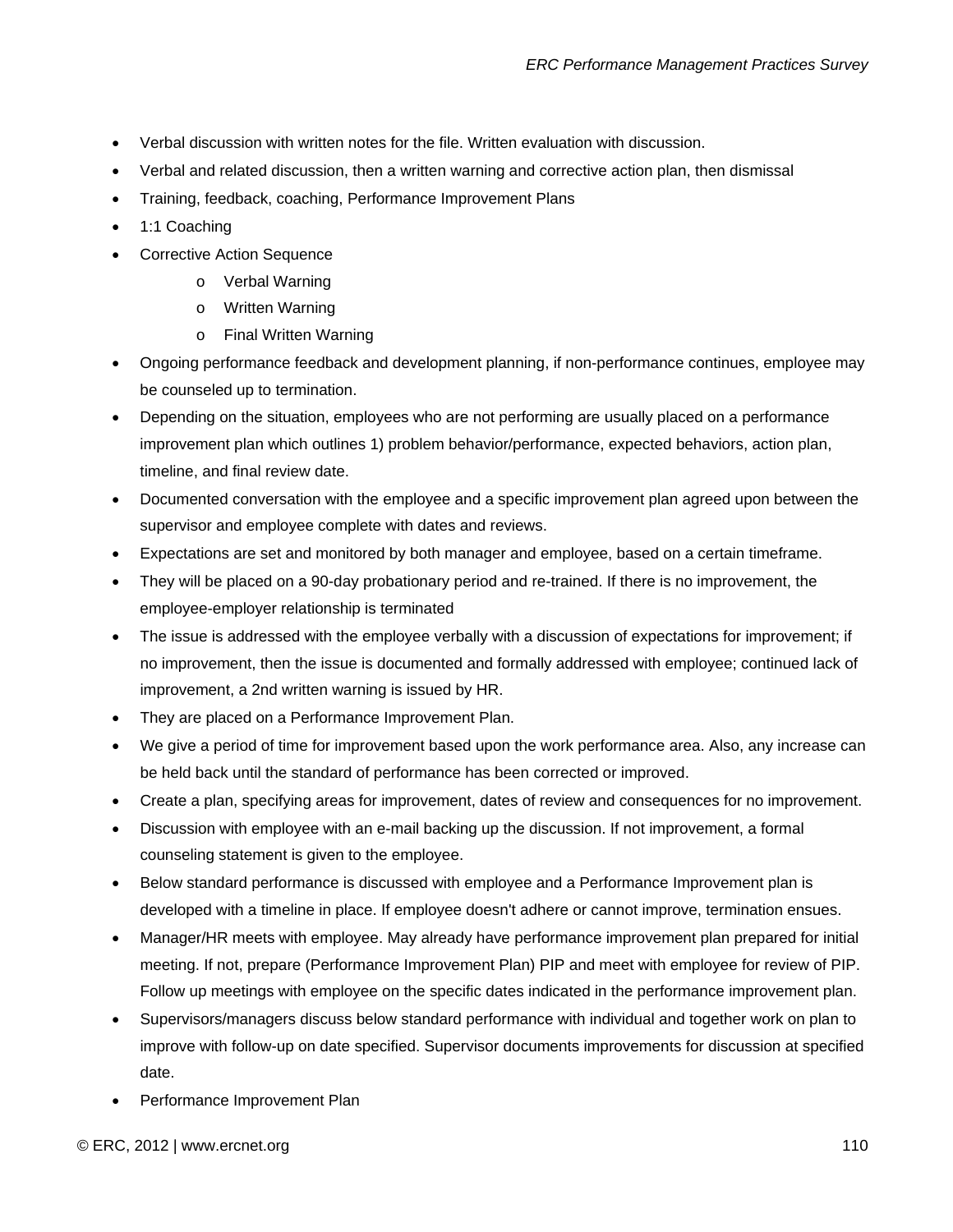- Verbal discussion with written notes for the file. Written evaluation with discussion.
- Verbal and related discussion, then a written warning and corrective action plan, then dismissal
- Training, feedback, coaching, Performance Improvement Plans
- 1:1 Coaching
- **Corrective Action Sequence** 
	- o Verbal Warning
	- o Written Warning
	- o Final Written Warning
- Ongoing performance feedback and development planning, if non-performance continues, employee may be counseled up to termination.
- Depending on the situation, employees who are not performing are usually placed on a performance improvement plan which outlines 1) problem behavior/performance, expected behaviors, action plan, timeline, and final review date.
- Documented conversation with the employee and a specific improvement plan agreed upon between the supervisor and employee complete with dates and reviews.
- Expectations are set and monitored by both manager and employee, based on a certain timeframe.
- They will be placed on a 90-day probationary period and re-trained. If there is no improvement, the employee-employer relationship is terminated
- The issue is addressed with the employee verbally with a discussion of expectations for improvement; if no improvement, then the issue is documented and formally addressed with employee; continued lack of improvement, a 2nd written warning is issued by HR.
- They are placed on a Performance Improvement Plan.
- We give a period of time for improvement based upon the work performance area. Also, any increase can be held back until the standard of performance has been corrected or improved.
- Create a plan, specifying areas for improvement, dates of review and consequences for no improvement.
- Discussion with employee with an e-mail backing up the discussion. If not improvement, a formal counseling statement is given to the employee.
- Below standard performance is discussed with employee and a Performance Improvement plan is developed with a timeline in place. If employee doesn't adhere or cannot improve, termination ensues.
- Manager/HR meets with employee. May already have performance improvement plan prepared for initial meeting. If not, prepare (Performance Improvement Plan) PIP and meet with employee for review of PIP. Follow up meetings with employee on the specific dates indicated in the performance improvement plan.
- Supervisors/managers discuss below standard performance with individual and together work on plan to improve with follow-up on date specified. Supervisor documents improvements for discussion at specified date.
- Performance Improvement Plan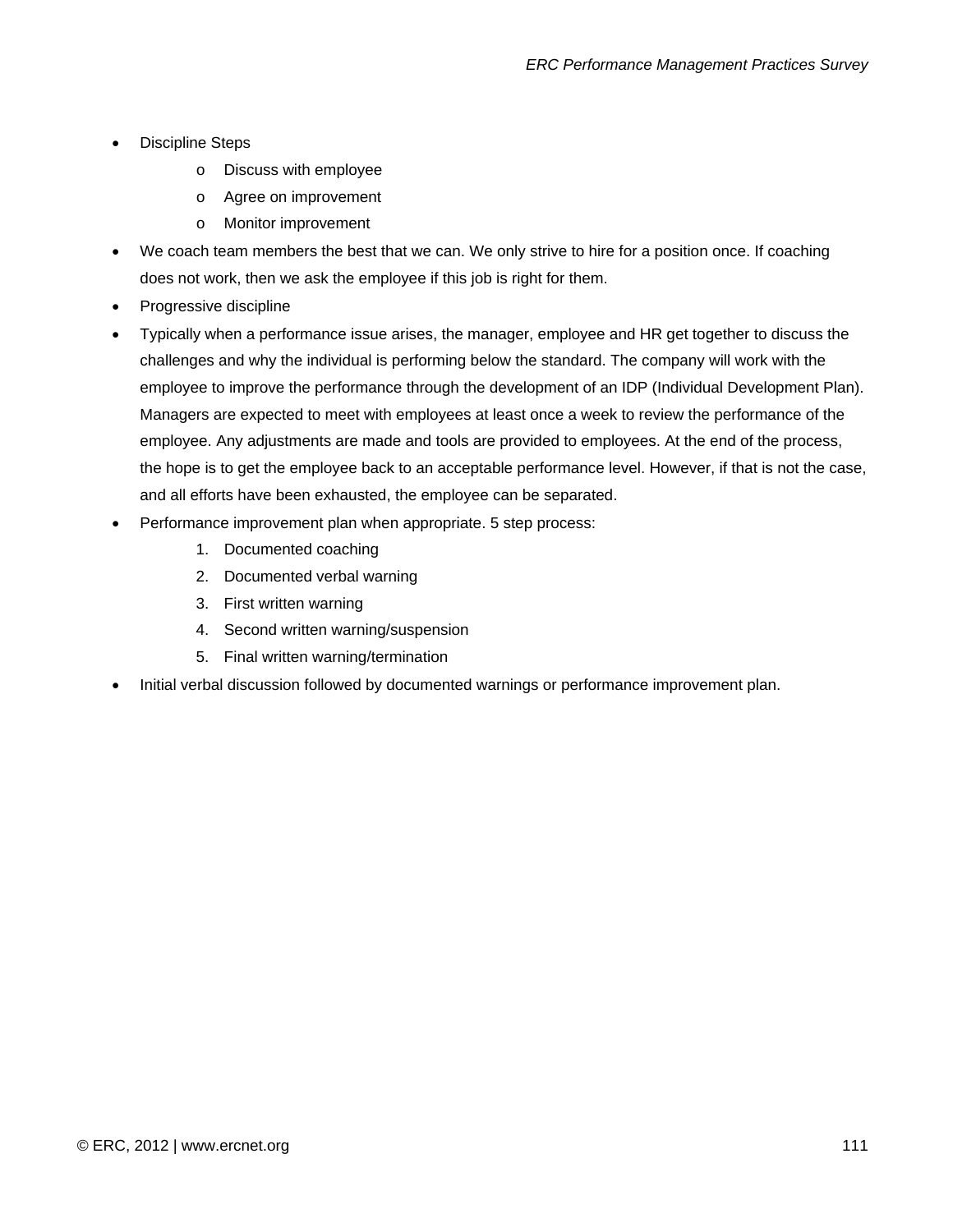- Discipline Steps
	- o Discuss with employee
	- o Agree on improvement
	- o Monitor improvement
- We coach team members the best that we can. We only strive to hire for a position once. If coaching does not work, then we ask the employee if this job is right for them.
- Progressive discipline
- Typically when a performance issue arises, the manager, employee and HR get together to discuss the challenges and why the individual is performing below the standard. The company will work with the employee to improve the performance through the development of an IDP (Individual Development Plan). Managers are expected to meet with employees at least once a week to review the performance of the employee. Any adjustments are made and tools are provided to employees. At the end of the process, the hope is to get the employee back to an acceptable performance level. However, if that is not the case, and all efforts have been exhausted, the employee can be separated.
- Performance improvement plan when appropriate. 5 step process:
	- 1. Documented coaching
	- 2. Documented verbal warning
	- 3. First written warning
	- 4. Second written warning/suspension
	- 5. Final written warning/termination
- Initial verbal discussion followed by documented warnings or performance improvement plan.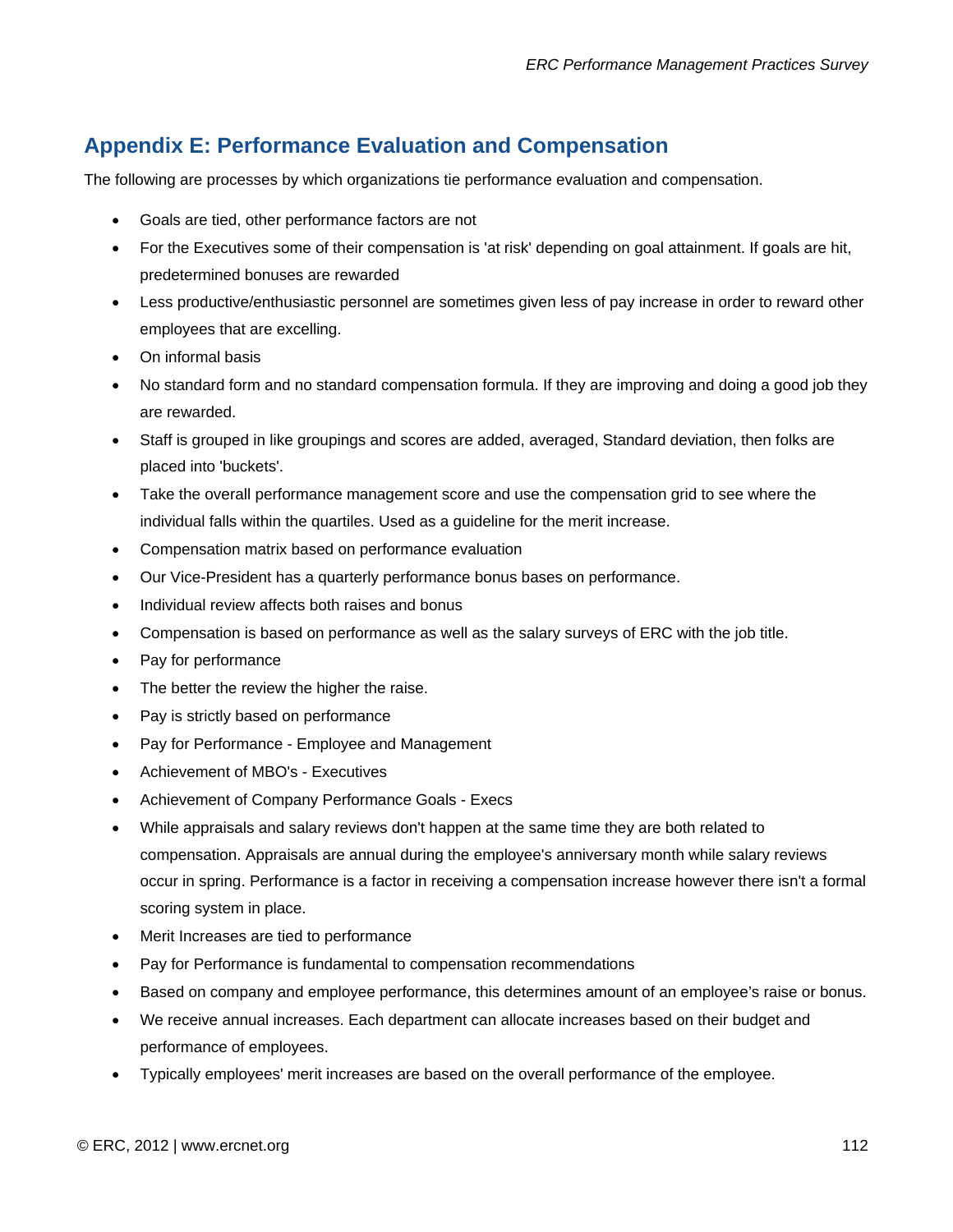## **Appendix E: Performance Evaluation and Compensation**

The following are processes by which organizations tie performance evaluation and compensation.

- Goals are tied, other performance factors are not
- For the Executives some of their compensation is 'at risk' depending on goal attainment. If goals are hit, predetermined bonuses are rewarded
- Less productive/enthusiastic personnel are sometimes given less of pay increase in order to reward other employees that are excelling.
- On informal basis
- No standard form and no standard compensation formula. If they are improving and doing a good job they are rewarded.
- Staff is grouped in like groupings and scores are added, averaged, Standard deviation, then folks are placed into 'buckets'.
- Take the overall performance management score and use the compensation grid to see where the individual falls within the quartiles. Used as a guideline for the merit increase.
- Compensation matrix based on performance evaluation
- Our Vice-President has a quarterly performance bonus bases on performance.
- Individual review affects both raises and bonus
- Compensation is based on performance as well as the salary surveys of ERC with the job title.
- Pay for performance
- The better the review the higher the raise.
- Pay is strictly based on performance
- Pay for Performance Employee and Management
- Achievement of MBO's Executives
- Achievement of Company Performance Goals Execs
- While appraisals and salary reviews don't happen at the same time they are both related to compensation. Appraisals are annual during the employee's anniversary month while salary reviews occur in spring. Performance is a factor in receiving a compensation increase however there isn't a formal scoring system in place.
- Merit Increases are tied to performance
- Pay for Performance is fundamental to compensation recommendations
- Based on company and employee performance, this determines amount of an employee's raise or bonus.
- We receive annual increases. Each department can allocate increases based on their budget and performance of employees.
- Typically employees' merit increases are based on the overall performance of the employee.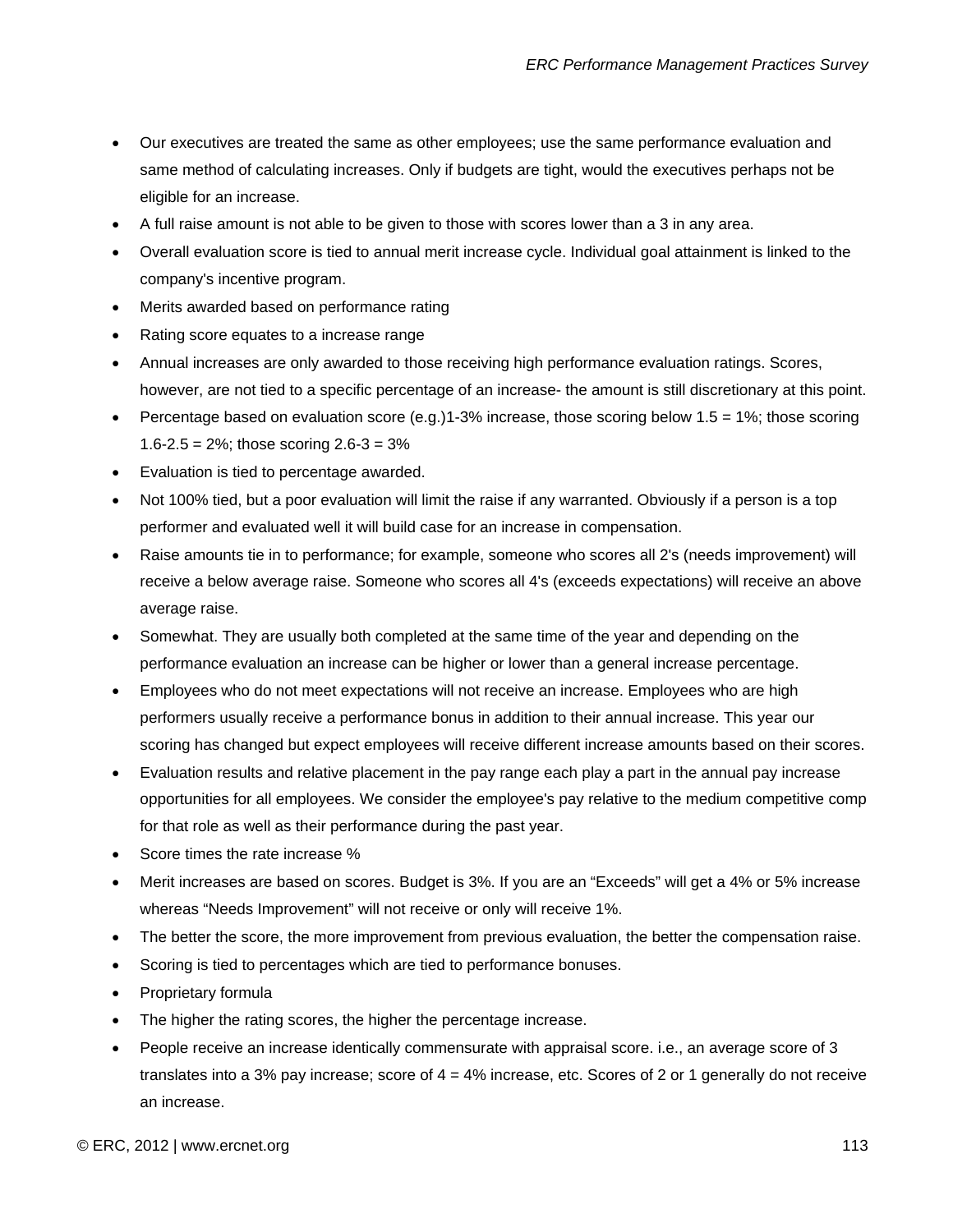- Our executives are treated the same as other employees; use the same performance evaluation and same method of calculating increases. Only if budgets are tight, would the executives perhaps not be eligible for an increase.
- A full raise amount is not able to be given to those with scores lower than a 3 in any area.
- Overall evaluation score is tied to annual merit increase cycle. Individual goal attainment is linked to the company's incentive program.
- Merits awarded based on performance rating
- Rating score equates to a increase range
- Annual increases are only awarded to those receiving high performance evaluation ratings. Scores, however, are not tied to a specific percentage of an increase- the amount is still discretionary at this point.
- Percentage based on evaluation score (e.g.)1-3% increase, those scoring below  $1.5 = 1\%$ ; those scoring 1.6-2.5 =  $2\%$ ; those scoring  $2.6 - 3 = 3\%$
- Evaluation is tied to percentage awarded.
- Not 100% tied, but a poor evaluation will limit the raise if any warranted. Obviously if a person is a top performer and evaluated well it will build case for an increase in compensation.
- Raise amounts tie in to performance; for example, someone who scores all 2's (needs improvement) will receive a below average raise. Someone who scores all 4's (exceeds expectations) will receive an above average raise.
- Somewhat. They are usually both completed at the same time of the year and depending on the performance evaluation an increase can be higher or lower than a general increase percentage.
- Employees who do not meet expectations will not receive an increase. Employees who are high performers usually receive a performance bonus in addition to their annual increase. This year our scoring has changed but expect employees will receive different increase amounts based on their scores.
- Evaluation results and relative placement in the pay range each play a part in the annual pay increase opportunities for all employees. We consider the employee's pay relative to the medium competitive comp for that role as well as their performance during the past year.
- Score times the rate increase %
- Merit increases are based on scores. Budget is 3%. If you are an "Exceeds" will get a 4% or 5% increase whereas "Needs Improvement" will not receive or only will receive 1%.
- The better the score, the more improvement from previous evaluation, the better the compensation raise.
- Scoring is tied to percentages which are tied to performance bonuses.
- Proprietary formula
- The higher the rating scores, the higher the percentage increase.
- People receive an increase identically commensurate with appraisal score. i.e., an average score of 3 translates into a 3% pay increase; score of 4 = 4% increase, etc. Scores of 2 or 1 generally do not receive an increase.